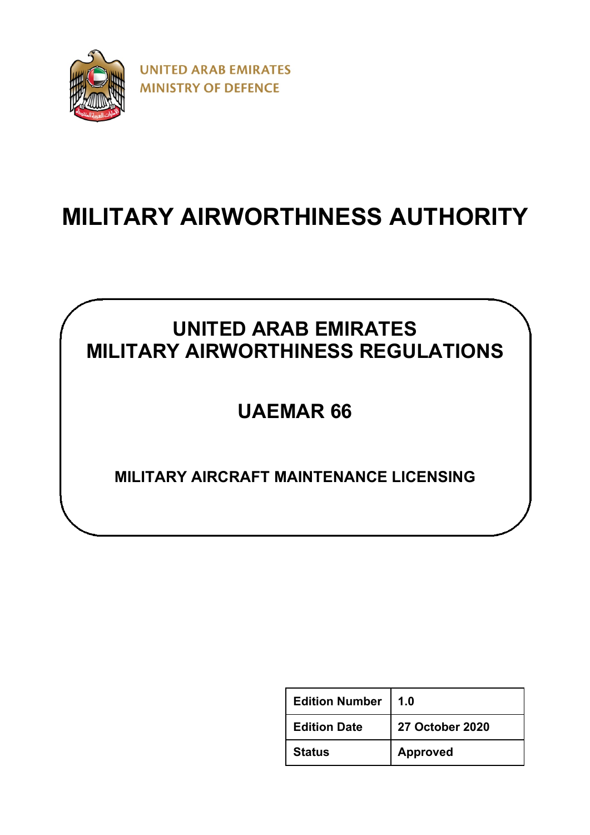

# **MILITARY AIRWORTHINESS AUTHORITY**

# **UNITED ARAB EMIRATES MILITARY AIRWORTHINESS REGULATIONS**

# **UAEMAR 66**

**MILITARY AIRCRAFT MAINTENANCE LICENSING**

| <b>Edition Number</b> | 1.0                    |
|-----------------------|------------------------|
| <b>Edition Date</b>   | <b>27 October 2020</b> |
| <b>Status</b>         | <b>Approved</b>        |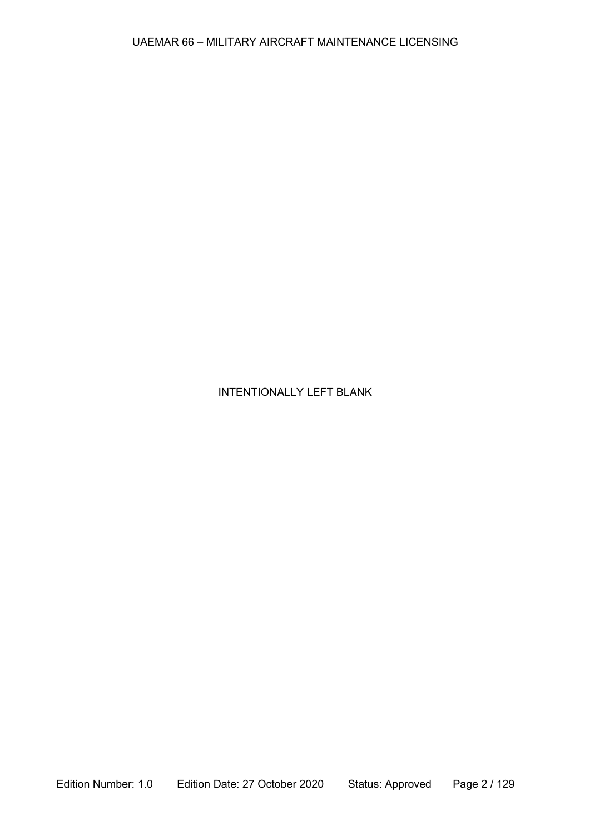# INTENTIONALLY LEFT BLANK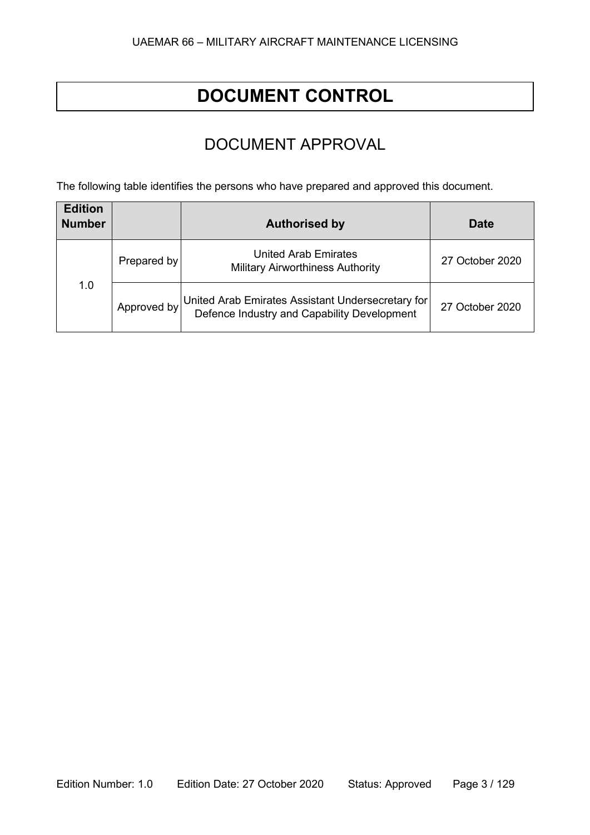# **DOCUMENT CONTROL**

# DOCUMENT APPROVAL

The following table identifies the persons who have prepared and approved this document.

| <b>Edition</b><br><b>Number</b> |             | <b>Authorised by</b>                                                                             | <b>Date</b>     |
|---------------------------------|-------------|--------------------------------------------------------------------------------------------------|-----------------|
| 1.0                             | Prepared by | United Arab Emirates<br><b>Military Airworthiness Authority</b>                                  | 27 October 2020 |
|                                 | Approved by | United Arab Emirates Assistant Undersecretary for<br>Defence Industry and Capability Development | 27 October 2020 |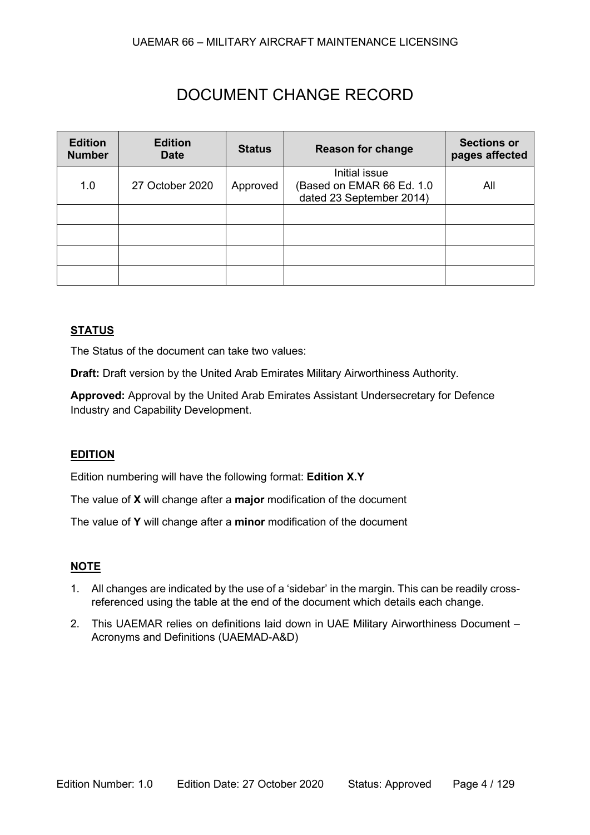# DOCUMENT CHANGE RECORD

| <b>Edition</b><br><b>Number</b> | <b>Edition</b><br><b>Date</b> | <b>Status</b> | <b>Reason for change</b>                                               | <b>Sections or</b><br>pages affected |
|---------------------------------|-------------------------------|---------------|------------------------------------------------------------------------|--------------------------------------|
| 1.0                             | 27 October 2020               | Approved      | Initial issue<br>(Based on EMAR 66 Ed. 1.0<br>dated 23 September 2014) | All                                  |
|                                 |                               |               |                                                                        |                                      |
|                                 |                               |               |                                                                        |                                      |
|                                 |                               |               |                                                                        |                                      |
|                                 |                               |               |                                                                        |                                      |

# **STATUS**

The Status of the document can take two values:

**Draft:** Draft version by the United Arab Emirates Military Airworthiness Authority.

**Approved:** Approval by the United Arab Emirates Assistant Undersecretary for Defence Industry and Capability Development.

### **EDITION**

Edition numbering will have the following format: **Edition X.Y**

The value of **X** will change after a **major** modification of the document

The value of **Y** will change after a **minor** modification of the document

# **NOTE**

- 1. All changes are indicated by the use of a 'sidebar' in the margin. This can be readily crossreferenced using the table at the end of the document which details each change.
- 2. This UAEMAR relies on definitions laid down in UAE Military Airworthiness Document Acronyms and Definitions (UAEMAD-A&D)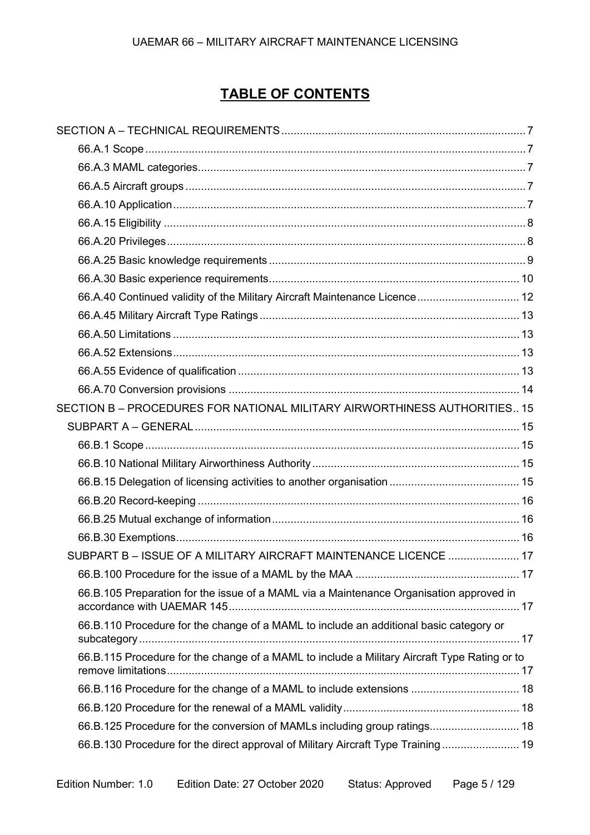# **TABLE OF CONTENTS**

| 66.A.40 Continued validity of the Military Aircraft Maintenance Licence 12                   |  |
|----------------------------------------------------------------------------------------------|--|
|                                                                                              |  |
|                                                                                              |  |
|                                                                                              |  |
|                                                                                              |  |
|                                                                                              |  |
| SECTION B - PROCEDURES FOR NATIONAL MILITARY AIRWORTHINESS AUTHORITIES 15                    |  |
|                                                                                              |  |
|                                                                                              |  |
|                                                                                              |  |
|                                                                                              |  |
|                                                                                              |  |
|                                                                                              |  |
|                                                                                              |  |
| SUBPART B - ISSUE OF A MILITARY AIRCRAFT MAINTENANCE LICENCE  17                             |  |
|                                                                                              |  |
| 66.B.105 Preparation for the issue of a MAML via a Maintenance Organisation approved in      |  |
| 66.B.110 Procedure for the change of a MAML to include an additional basic category or       |  |
| 66.B.115 Procedure for the change of a MAML to include a Military Aircraft Type Rating or to |  |
| 66.B.116 Procedure for the change of a MAML to include extensions  18                        |  |
|                                                                                              |  |
| 66.B.125 Procedure for the conversion of MAMLs including group ratings 18                    |  |
| 66.B.130 Procedure for the direct approval of Military Aircraft Type Training 19             |  |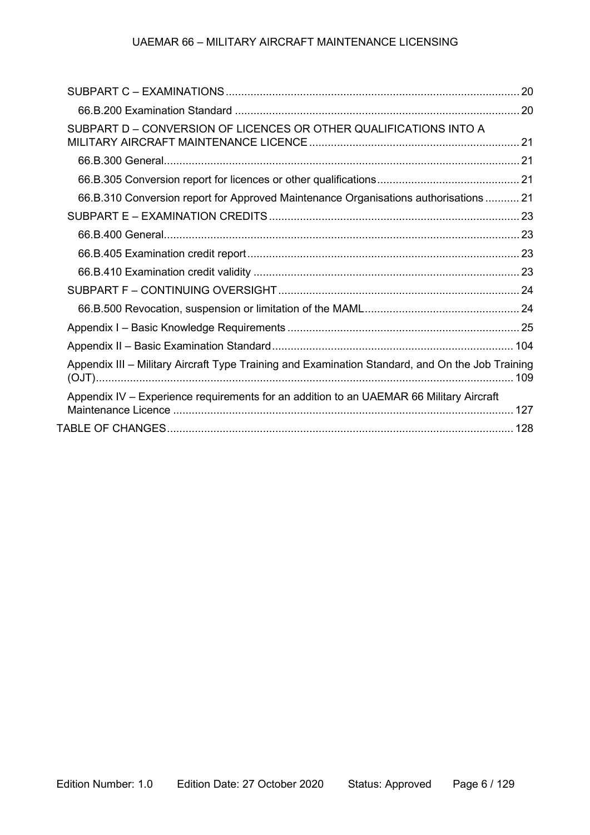# UAEMAR 66 – MILITARY AIRCRAFT MAINTENANCE LICENSING

| SUBPART D - CONVERSION OF LICENCES OR OTHER QUALIFICATIONS INTO A                                |  |
|--------------------------------------------------------------------------------------------------|--|
|                                                                                                  |  |
|                                                                                                  |  |
| 66.B.310 Conversion report for Approved Maintenance Organisations authorisations  21             |  |
|                                                                                                  |  |
|                                                                                                  |  |
|                                                                                                  |  |
|                                                                                                  |  |
|                                                                                                  |  |
|                                                                                                  |  |
|                                                                                                  |  |
|                                                                                                  |  |
| Appendix III - Military Aircraft Type Training and Examination Standard, and On the Job Training |  |
| Appendix IV - Experience requirements for an addition to an UAEMAR 66 Military Aircraft          |  |
|                                                                                                  |  |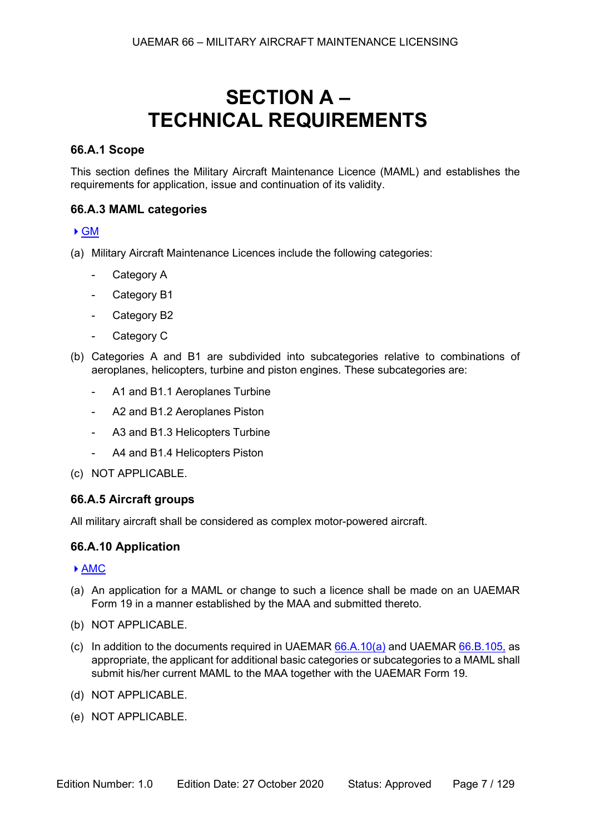# **SECTION A – TECHNICAL REQUIREMENTS**

## <span id="page-6-1"></span><span id="page-6-0"></span>**66.A.1 Scope**

This section defines the Military Aircraft Maintenance Licence (MAML) and establishes the requirements for application, issue and continuation of its validity.

## <span id="page-6-2"></span>**66.A.3 MAML categories**

### GM

- (a) Military Aircraft Maintenance Licences include the following categories:
	- Category A
	- Category B1
	- Category B2
	- Category C
- (b) Categories A and B1 are subdivided into subcategories relative to combinations of aeroplanes, helicopters, turbine and piston engines. These subcategories are:
	- A1 and B1.1 Aeroplanes Turbine
	- A2 and B1.2 Aeroplanes Piston
	- A3 and B1.3 Helicopters Turbine
	- A4 and B1.4 Helicopters Piston
- (c) NOT APPLICABLE.

### <span id="page-6-3"></span>**66.A.5 Aircraft groups**

All military aircraft shall be considered as complex motor-powered aircraft.

### <span id="page-6-4"></span>**66.A.10 Application**

### $\triangleright$  AMC

- (a) An application for a MAML or change to such a licence shall be made on an UAEMAR Form 19 in a manner established by the MAA and submitted thereto.
- (b) NOT APPLICABLE.
- (c) In addition to the documents required in UAEMAR  $66.A.10(a)$  and UAEMAR  $66.B.105$ , as appropriate, the applicant for additional basic categories or subcategories to a MAML shall submit his/her current MAML to the MAA together with the UAEMAR Form 19.
- (d) NOT APPLICABLE.
- (e) NOT APPLICABLE.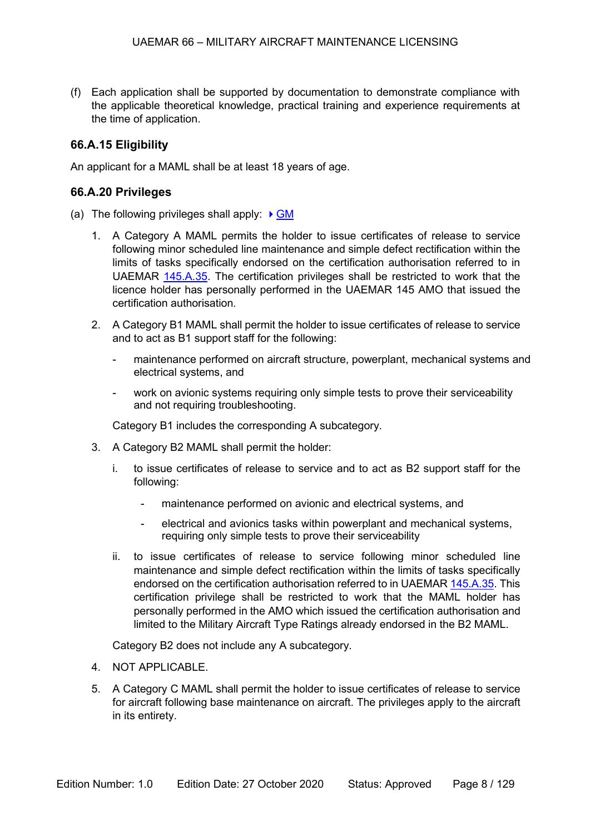(f) Each application shall be supported by documentation to demonstrate compliance with the applicable theoretical knowledge, practical training and experience requirements at the time of application.

# <span id="page-7-0"></span>**66.A.15 Eligibility**

An applicant for a MAML shall be at least 18 years of age.

# <span id="page-7-1"></span>**66.A.20 Privileges**

- (a) The following privileges shall apply:  $\triangleright$  GM
	- 1. A Category A MAML permits the holder to issue certificates of release to service following minor scheduled line maintenance and simple defect rectification within the limits of tasks specifically endorsed on the certification authorisation referred to in UAEMAR 145.A.35. The certification privileges shall be restricted to work that the licence holder has personally performed in the UAEMAR 145 AMO that issued the certification authorisation.
	- 2. A Category B1 MAML shall permit the holder to issue certificates of release to service and to act as B1 support staff for the following:
		- maintenance performed on aircraft structure, powerplant, mechanical systems and electrical systems, and
		- work on avionic systems requiring only simple tests to prove their serviceability and not requiring troubleshooting.

Category B1 includes the corresponding A subcategory.

- 3. A Category B2 MAML shall permit the holder:
	- i. to issue certificates of release to service and to act as B2 support staff for the following:
		- maintenance performed on avionic and electrical systems, and
		- electrical and avionics tasks within powerplant and mechanical systems, requiring only simple tests to prove their serviceability
	- ii. to issue certificates of release to service following minor scheduled line maintenance and simple defect rectification within the limits of tasks specifically endorsed on the certification authorisation referred to in UAEMAR 145.A.35. This certification privilege shall be restricted to work that the MAML holder has personally performed in the AMO which issued the certification authorisation and limited to the Military Aircraft Type Ratings already endorsed in the B2 MAML.

Category B2 does not include any A subcategory.

- 4. NOT APPLICABLE.
- <span id="page-7-2"></span>5. A Category C MAML shall permit the holder to issue certificates of release to service for aircraft following base maintenance on aircraft. The privileges apply to the aircraft in its entirety.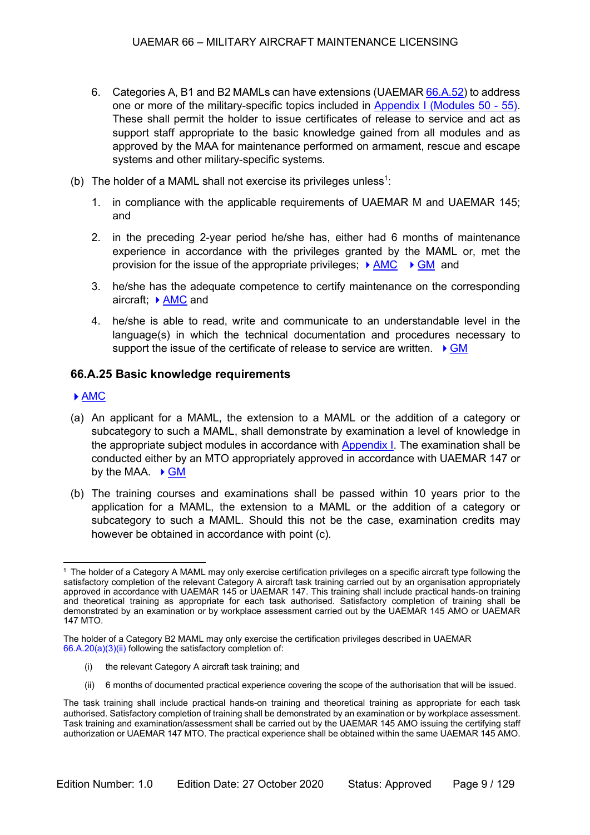- 6. Categories A, B1 and B2 MAMLs can have extensions [\(UAEMAR 66.A.52\) t](#page-12-1)o address one or more of the military-specific topics included in Appendix I (Modules 50 - 55). These shall permit the holder to issue certificates of release to service and act as support staff appropriate to the basic knowledge gained from all modules and as approved by the MAA for maintenance performed on armament, rescue and escape systems and other military-specific systems.
- (b) The holder of a MAML shall not exercise its privileges unless<sup>1</sup>:
	- 1. in compliance with the applicable requirements of UAEMAR M and UAEMAR 145; and
	- 2. in the preceding 2-year period he/she has, either had 6 months of maintenance experience in accordance with the privileges granted by the MAML or, met the provision for the issue of the appropriate privileges;  $\rightarrow$  AMC  $\rightarrow$  GM and
	- 3. he/she has the adequate competence to certify maintenance on the corresponding aircraft: ▶ AMC and
	- 4. he/she is able to read, write and communicate to an understandable level in the language(s) in which the technical documentation and procedures necessary to support the issue of the certificate of release to service are written.  $\triangleright$  GM

# <span id="page-8-0"></span>**66.A.25 Basic knowledge requirements**

# AMC

- (a) An applicant for a MAML, the extension to a MAML or the addition of a category or subcategory to such a MAML, shall demonstrate by examination a level of knowledge in the appropriate subject modules in accordance with Appendix I. The examination shall be conducted either by an MTO appropriately approved in accordance with UAEMAR 147 or by the MAA.  $\rightarrow$  GM
- (b) The training courses and examinations shall be passed within 10 years prior to the application for a MAML, the extension to a MAML or the addition of a category or subcategory to such a MAML. Should this not be the case, examination credits may however be obtained in accordance with point (c).

- (i) the relevant Category A aircraft task training; and
- (ii) 6 months of documented practical experience covering the scope of the authorisation that will be issued.

<sup>1</sup> The holder of a Category A MAML may only exercise certification privileges on a specific aircraft type following the satisfactory completion of the relevant Category A aircraft task training carried out by an organisation appropriately approved in accordance with UAEMAR 145 or UAEMAR 147. This training shall include practical hands-on training and theoretical training as appropriate for each task authorised. Satisfactory completion of training shall be demonstrated by an examination or by workplace assessment carried out by the UAEMAR 145 AMO or UAEMAR 147 MTO.

The holder of a Category B2 MAML may only exercise the certification privileges described in UAEMAR [66.A.20\(a\)\(3\)\(ii\)](#page-7-1) following the satisfactory completion of:

The task training shall include practical hands-on training and theoretical training as appropriate for each task authorised. Satisfactory completion of training shall be demonstrated by an examination or by workplace assessment. Task training and examination/assessment shall be carried out by the UAEMAR 145 AMO issuing the certifying staff authorization or UAEMAR 147 MTO. The practical experience shall be obtained within the same UAEMAR 145 AMO.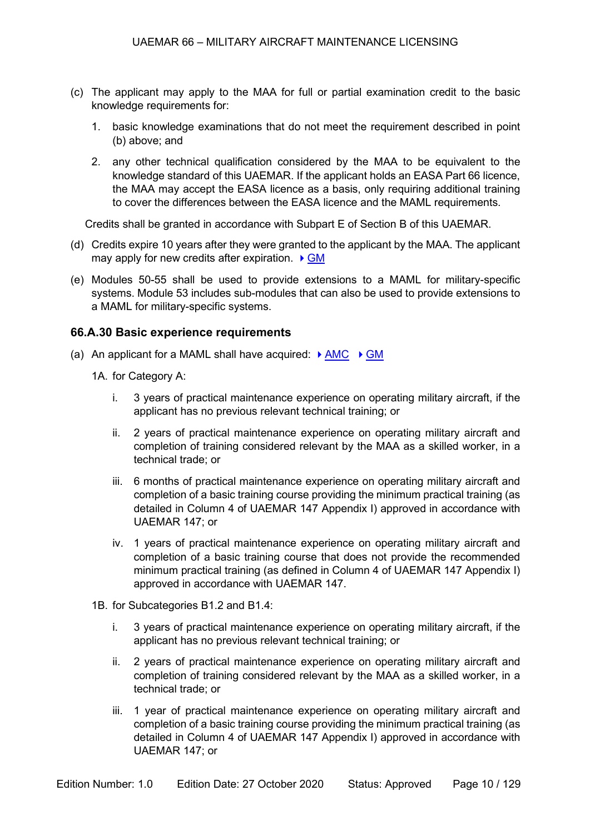- (c) The applicant may apply to the MAA for full or partial examination credit to the basic knowledge requirements for:
	- 1. basic knowledge examinations that do not meet the requirement described in point (b) above; and
	- 2. any other technical qualification considered by the MAA to be equivalent to the knowledge standard of this UAEMAR. If the applicant holds an EASA Part 66 licence, the MAA may accept the EASA licence as a basis, only requiring additional training to cover the differences between the EASA licence and the MAML requirements.

Credits shall be granted in accordance with Subpart E of Section B of this UAEMAR.

- (d) Credits expire 10 years after they were granted to the applicant by the MAA. The applicant may apply for new credits after expiration.  $\triangleright$  GM
- (e) Modules 50-55 shall be used to provide extensions to a MAML for military-specific systems. Module 53 includes sub-modules that can also be used to provide extensions to a MAML for military-specific systems.

# <span id="page-9-0"></span>**66.A.30 Basic experience requirements**

- (a) An applicant for a MAML shall have acquired:  $\triangleright$  AMC  $\triangleright$  GM
	- 1A. for Category A:
		- i. 3 years of practical maintenance experience on operating military aircraft, if the applicant has no previous relevant technical training; or
		- ii. 2 years of practical maintenance experience on operating military aircraft and completion of training considered relevant by the MAA as a skilled worker, in a technical trade; or
		- iii. 6 months of practical maintenance experience on operating military aircraft and completion of a basic training course providing the minimum practical training (as detailed in Column 4 of UAEMAR 147 Appendix I) approved in accordance with UAEMAR 147; or
		- iv. 1 years of practical maintenance experience on operating military aircraft and completion of a basic training course that does not provide the recommended minimum practical training (as defined in Column 4 of UAEMAR 147 Appendix I) approved in accordance with UAEMAR 147.
	- 1B. for Subcategories B1.2 and B1.4:
		- i. 3 years of practical maintenance experience on operating military aircraft, if the applicant has no previous relevant technical training; or
		- ii. 2 years of practical maintenance experience on operating military aircraft and completion of training considered relevant by the MAA as a skilled worker, in a technical trade; or
		- iii. 1 year of practical maintenance experience on operating military aircraft and completion of a basic training course providing the minimum practical training (as detailed in Column 4 of UAEMAR 147 Appendix I) approved in accordance with UAEMAR 147; or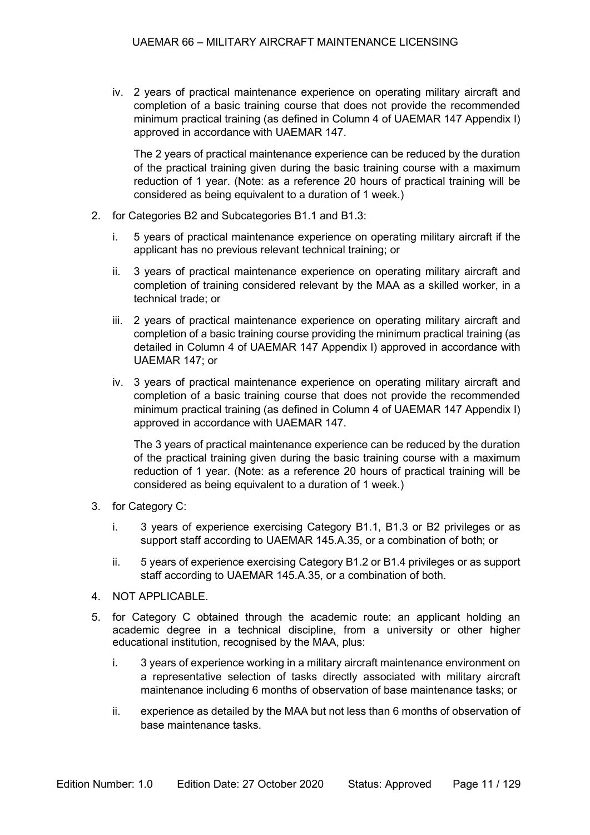iv. 2 years of practical maintenance experience on operating military aircraft and completion of a basic training course that does not provide the recommended minimum practical training (as defined in Column 4 of UAEMAR 147 Appendix I) approved in accordance with UAEMAR 147.

The 2 years of practical maintenance experience can be reduced by the duration of the practical training given during the basic training course with a maximum reduction of 1 year. (Note: as a reference 20 hours of practical training will be considered as being equivalent to a duration of 1 week.)

- 2. for Categories B2 and Subcategories B1.1 and B1.3:
	- i. 5 years of practical maintenance experience on operating military aircraft if the applicant has no previous relevant technical training; or
	- ii. 3 years of practical maintenance experience on operating military aircraft and completion of training considered relevant by the MAA as a skilled worker, in a technical trade; or
	- iii. 2 years of practical maintenance experience on operating military aircraft and completion of a basic training course providing the minimum practical training (as detailed in Column 4 of UAEMAR 147 Appendix I) approved in accordance with UAEMAR 147; or
	- iv. 3 years of practical maintenance experience on operating military aircraft and completion of a basic training course that does not provide the recommended minimum practical training (as defined in Column 4 of UAEMAR 147 Appendix I) approved in accordance with UAEMAR 147.

The 3 years of practical maintenance experience can be reduced by the duration of the practical training given during the basic training course with a maximum reduction of 1 year. (Note: as a reference 20 hours of practical training will be considered as being equivalent to a duration of 1 week.)

- 3. for Category C:
	- i. 3 years of experience exercising Category B1.1, B1.3 or B2 privileges or as support staff according to UAEMAR 145.A.35, or a combination of both; or
	- ii. 5 years of experience exercising Category B1.2 or B1.4 privileges or as support staff according to UAEMAR 145.A.35, or a combination of both.
- 4. NOT APPLICABLE.
- 5. for Category C obtained through the academic route: an applicant holding an academic degree in a technical discipline, from a university or other higher educational institution, recognised by the MAA, plus:
	- i. 3 years of experience working in a military aircraft maintenance environment on a representative selection of tasks directly associated with military aircraft maintenance including 6 months of observation of base maintenance tasks; or
	- ii. experience as detailed by the MAA but not less than 6 months of observation of base maintenance tasks.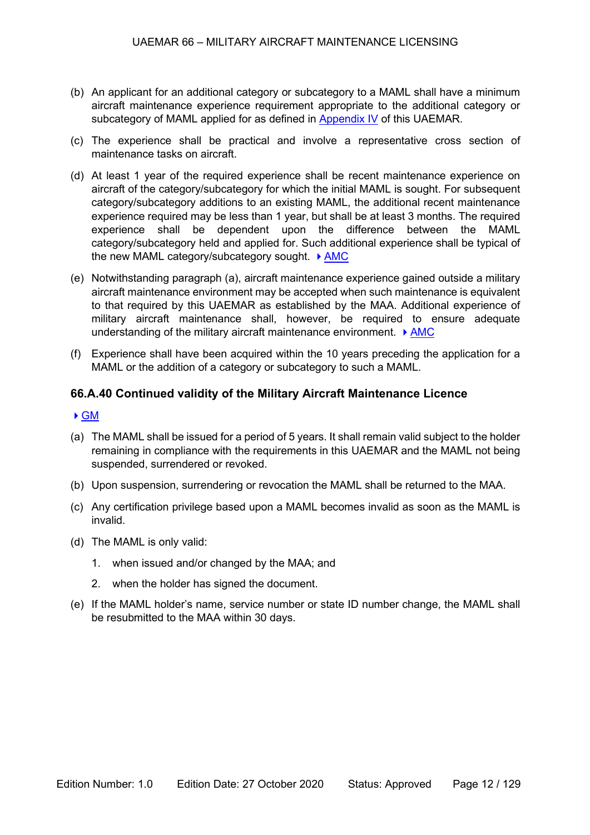- (b) An applicant for an additional category or subcategory to a MAML shall have a minimum aircraft maintenance experience requirement appropriate to the additional category or subcategory of MAML applied for as defined in Appendix IV of this UAEMAR.
- (c) The experience shall be practical and involve a representative cross section of maintenance tasks on aircraft.
- (d) At least 1 year of the required experience shall be recent maintenance experience on aircraft of the category/subcategory for which the initial MAML is sought. For subsequent category/subcategory additions to an existing MAML, the additional recent maintenance experience required may be less than 1 year, but shall be at least 3 months. The required experience shall be dependent upon the difference between the MAML category/subcategory held and applied for. Such additional experience shall be typical of the new MAML category/subcategory sought.  $\triangleright$  AMC
- (e) Notwithstanding paragraph (a), aircraft maintenance experience gained outside a military aircraft maintenance environment may be accepted when such maintenance is equivalent to that required by this UAEMAR as established by the MAA. Additional experience of military aircraft maintenance shall, however, be required to ensure adequate understanding of the military aircraft maintenance environment.  $\triangleright$  AMC
- (f) Experience shall have been acquired within the 10 years preceding the application for a MAML or the addition of a category or subcategory to such a MAML.

# <span id="page-11-0"></span>**66.A.40 Continued validity of the Military Aircraft Maintenance Licence**

#### GM

- (a) The MAML shall be issued for a period of 5 years. It shall remain valid subject to the holder remaining in compliance with the requirements in this UAEMAR and the MAML not being suspended, surrendered or revoked.
- (b) Upon suspension, surrendering or revocation the MAML shall be returned to the MAA.
- (c) Any certification privilege based upon a MAML becomes invalid as soon as the MAML is invalid.
- (d) The MAML is only valid:
	- 1. when issued and/or changed by the MAA; and
	- 2. when the holder has signed the document.
- <span id="page-11-1"></span>(e) If the MAML holder's name, service number or state ID number change, the MAML shall be resubmitted to the MAA within 30 days.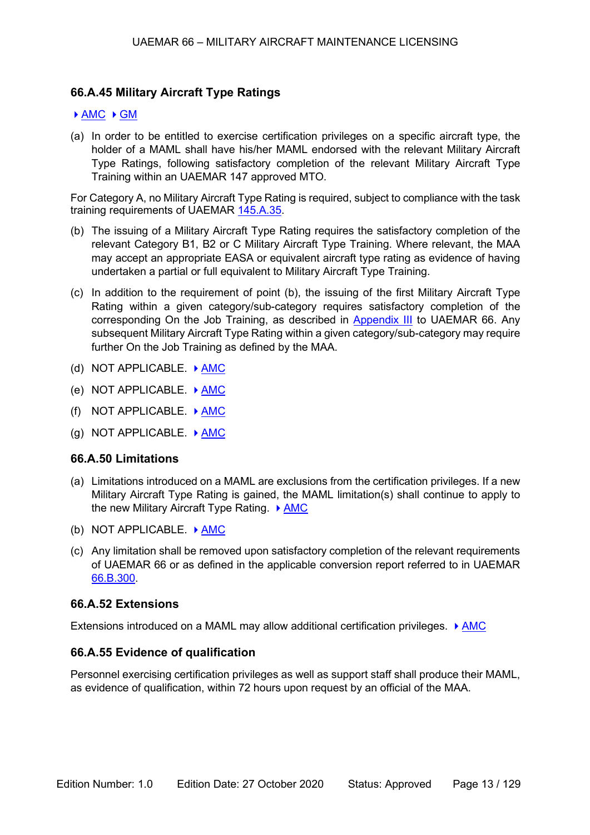# **66.A.45 Military Aircraft Type Ratings**

#### $\rightarrow$  AMC  $\rightarrow$  GM

(a) In order to be entitled to exercise certification privileges on a specific aircraft type, the holder of a MAML shall have his/her MAML endorsed with the relevant Military Aircraft Type Ratings, following satisfactory completion of the relevant Military Aircraft Type Training within an UAEMAR 147 approved MTO.

For Category A, no Military Aircraft Type Rating is required, subject to compliance with the task training requirements of UAEMAR 145.A.35.

- (b) The issuing of a Military Aircraft Type Rating requires the satisfactory completion of the relevant Category B1, B2 or C Military Aircraft Type Training. Where relevant, the MAA may accept an appropriate EASA or equivalent aircraft type rating as evidence of having undertaken a partial or full equivalent to Military Aircraft Type Training.
- (c) In addition to the requirement of point (b), the issuing of the first Military Aircraft Type Rating within a given category/sub-category requires satisfactory completion of the corresponding On the Job Training, as described in Appendix III to UAEMAR 66. Any subsequent Military Aircraft Type Rating within a given category/sub-category may require further On the Job Training as defined by the MAA.
- (d) NOT APPLICABLE.  $\triangleright$  AMC
- (e) NOT APPLICABLE. ▶ AMC
- (f) NOT APPLICABLE.  $\triangleright$  AMC
- (g) NOT APPLICABLE.  $\rightarrow$  AMC

### <span id="page-12-0"></span>**66.A.50 Limitations**

- (a) Limitations introduced on a MAML are exclusions from the certification privileges. If a new Military Aircraft Type Rating is gained, the MAML limitation(s) shall continue to apply to the new Military Aircraft Type Rating.  $\triangleright$  AMC
- (b) NOT APPLICABLE.  $\rightarrow$  AMC
- (c) Any limitation shall be removed upon satisfactory completion of the relevant requirements of UAEMAR 66 or as defined in the applicable conversion report referred to in UAEMAR 66.B.300.

### <span id="page-12-1"></span>**66.A.52 Extensions**

Extensions introduced on a MAML may allow additional certification privileges.  $\triangleright$  AMC

# <span id="page-12-2"></span>**66.A.55 Evidence of qualification**

<span id="page-12-3"></span>Personnel exercising certification privileges as well as support staff shall produce their MAML, as evidence of qualification, within 72 hours upon request by an official of the MAA.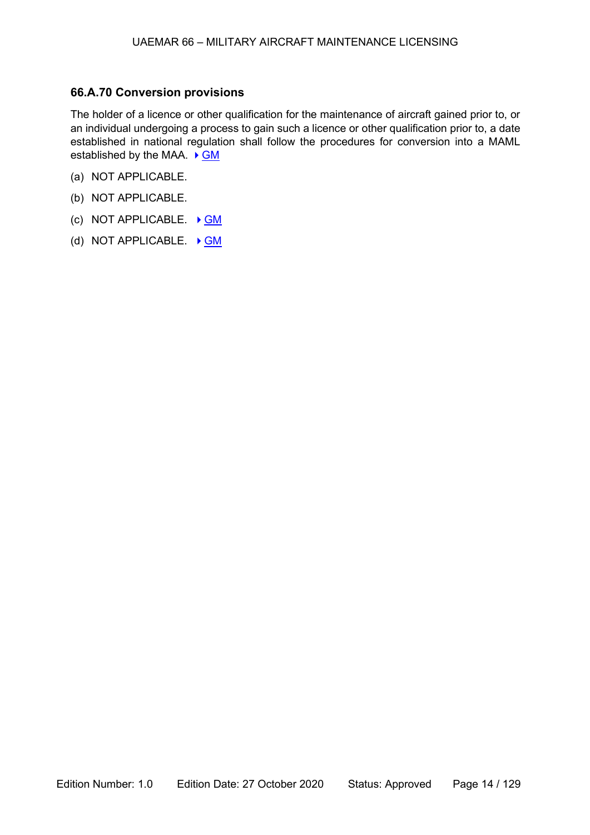## **66.A.70 Conversion provisions**

The holder of a licence or other qualification for the maintenance of aircraft gained prior to, or an individual undergoing a process to gain such a licence or other qualification prior to, a date established in national regulation shall follow the procedures for conversion into a MAML established by the MAA.  $\triangleright$  GM

- (a) NOT APPLICABLE.
- (b) NOT APPLICABLE.
- (c) NOT APPLICABLE.  $\triangleright$  GM
- (d) NOT APPLICABLE.  $\rightarrow$  GM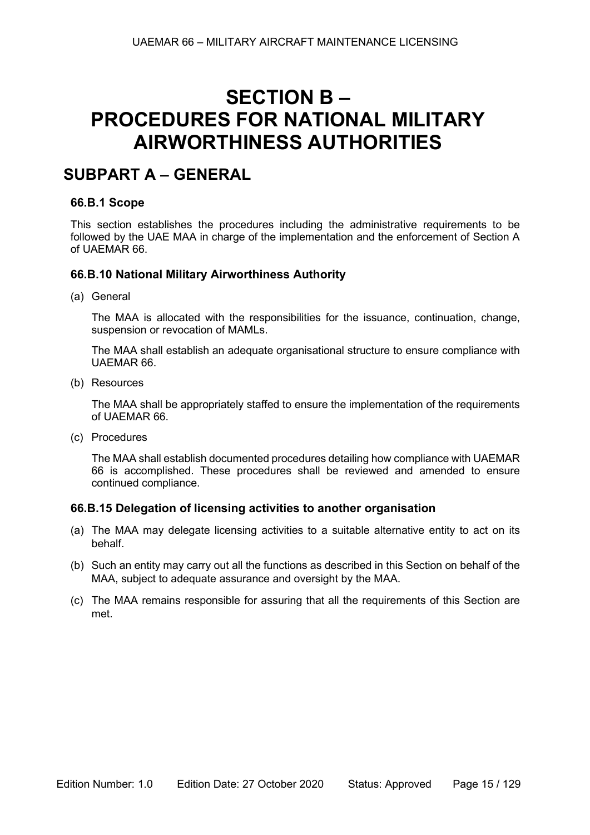# <span id="page-14-0"></span>**SECTION B – PROCEDURES FOR NATIONAL MILITARY AIRWORTHINESS AUTHORITIES**

# <span id="page-14-1"></span>**SUBPART A – GENERAL**

# <span id="page-14-2"></span>**66.B.1 Scope**

This section establishes the procedures including the administrative requirements to be followed by the UAE MAA in charge of the implementation and the enforcement of Section A of UAEMAR 66.

### <span id="page-14-3"></span>**66.B.10 National Military Airworthiness Authority**

(a) General

The MAA is allocated with the responsibilities for the issuance, continuation, change, suspension or revocation of MAMLs.

The MAA shall establish an adequate organisational structure to ensure compliance with UAEMAR 66.

(b) Resources

The MAA shall be appropriately staffed to ensure the implementation of the requirements of UAEMAR 66.

(c) Procedures

The MAA shall establish documented procedures detailing how compliance with UAEMAR 66 is accomplished. These procedures shall be reviewed and amended to ensure continued compliance.

### <span id="page-14-4"></span>**66.B.15 Delegation of licensing activities to another organisation**

- (a) The MAA may delegate licensing activities to a suitable alternative entity to act on its behalf.
- (b) Such an entity may carry out all the functions as described in this Section on behalf of the MAA, subject to adequate assurance and oversight by the MAA.
- <span id="page-14-5"></span>(c) The MAA remains responsible for assuring that all the requirements of this Section are met.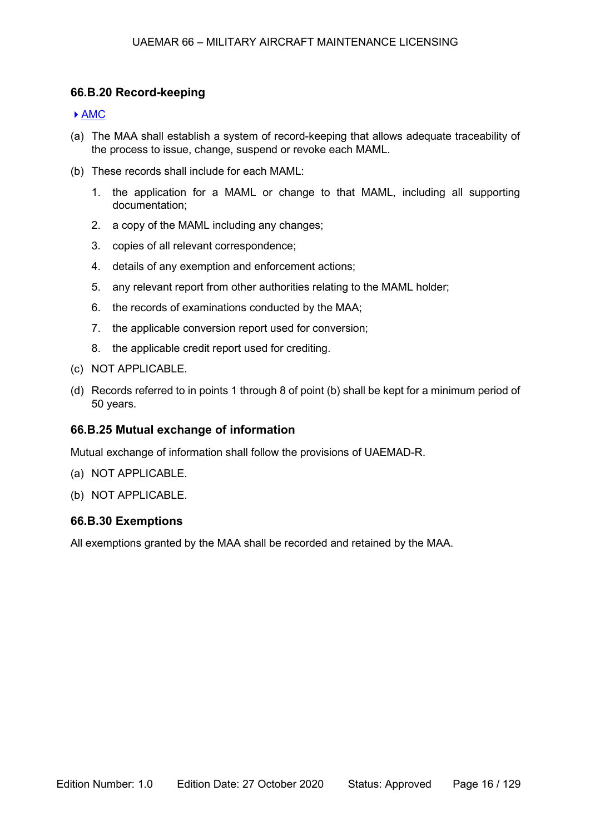## **66.B.20 Record-keeping**

#### $\triangleright$  AMC

- (a) The MAA shall establish a system of record-keeping that allows adequate traceability of the process to issue, change, suspend or revoke each MAML.
- (b) These records shall include for each MAML:
	- 1. the application for a MAML or change to that MAML, including all supporting documentation;
	- 2. a copy of the MAML including any changes;
	- 3. copies of all relevant correspondence;
	- 4. details of any exemption and enforcement actions;
	- 5. any relevant report from other authorities relating to the MAML holder;
	- 6. the records of examinations conducted by the MAA;
	- 7. the applicable conversion report used for conversion;
	- 8. the applicable credit report used for crediting.
- (c) NOT APPLICABLE.
- (d) Records referred to in points 1 through 8 of point (b) shall be kept for a minimum period of 50 years.

### <span id="page-15-0"></span>**66.B.25 Mutual exchange of information**

Mutual exchange of information shall follow the provisions of UAEMAD-R.

- (a) NOT APPLICABLE.
- (b) NOT APPLICABLE.

### <span id="page-15-1"></span>**66.B.30 Exemptions**

All exemptions granted by the MAA shall be recorded and retained by the MAA.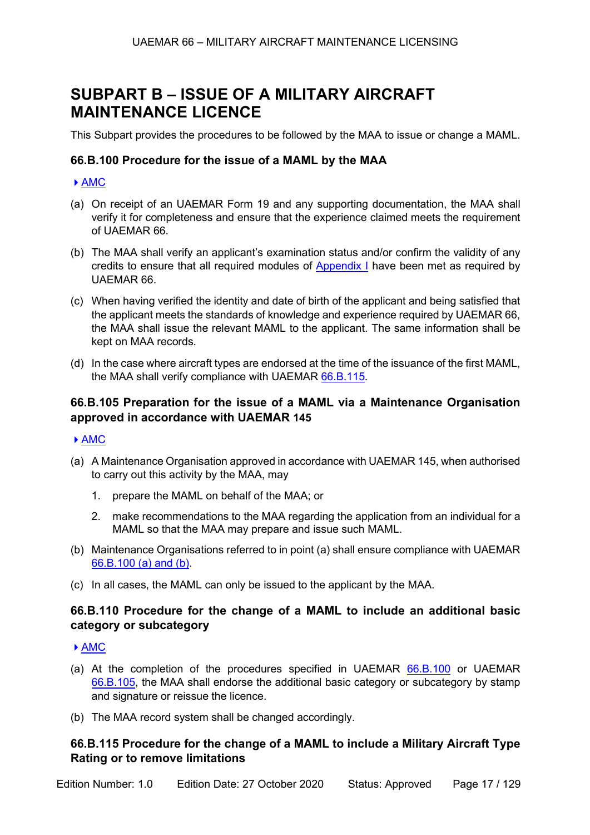# <span id="page-16-0"></span>**SUBPART B – ISSUE OF A MILITARY AIRCRAFT MAINTENANCE LICENCE**

This Subpart provides the procedures to be followed by the MAA to issue or change a MAML.

# <span id="page-16-1"></span>**66.B.100 Procedure for the issue of a MAML by the MAA**

# ▶ AMC

- (a) On receipt of an UAEMAR Form 19 and any supporting documentation, the MAA shall verify it for completeness and ensure that the experience claimed meets the requirement of UAEMAR 66.
- (b) The MAA shall verify an applicant's examination status and/or confirm the validity of any credits to ensure that all required modules of Appendix I have been met as required by UAEMAR 66.
- (c) When having verified the identity and date of birth of the applicant and being satisfied that the applicant meets the standards of knowledge and experience required by UAEMAR 66, the MAA shall issue the relevant MAML to the applicant. The same information shall be kept on MAA records.
- (d) In the case where aircraft types are endorsed at the time of the issuance of the first MAML, the MAA shall verify compliance with UAEMAR 66.B.115.

# <span id="page-16-2"></span>**66.B.105 Preparation for the issue of a MAML via a Maintenance Organisation approved in accordance with UAEMAR 145**

# AMC

- (a) A Maintenance Organisation approved in accordance with UAEMAR 145, when authorised to carry out this activity by the MAA, may
	- 1. prepare the MAML on behalf of the MAA; or
	- 2. make recommendations to the MAA regarding the application from an individual for a MAML so that the MAA may prepare and issue such MAML.
- (b) Maintenance Organisations referred to in point (a) shall ensure compliance with UAEMAR [66.B.100 \(a\) and \(b\).](#page-16-1)
- (c) In all cases, the MAML can only be issued to the applicant by the MAA.

# <span id="page-16-3"></span>**66.B.110 Procedure for the change of a MAML to include an additional basic category or subcategory**

# $\triangleright$  AMC

- (a) At the completion of the procedures specified in [UAEMAR 66.B.100](#page-16-1) or UAEMAR [66.B.105, t](#page-16-2)he MAA shall endorse the additional basic category or subcategory by stamp and signature or reissue the licence.
- (b) The MAA record system shall be changed accordingly.

# <span id="page-16-4"></span>**66.B.115 Procedure for the change of a MAML to include a Military Aircraft Type Rating or to remove limitations**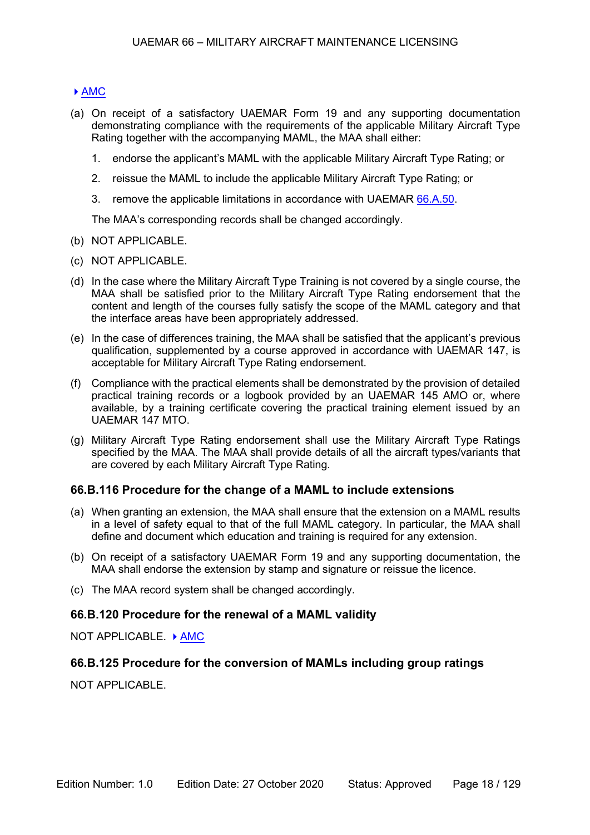### $AMC$

- (a) On receipt of a satisfactory UAEMAR Form 19 and any supporting documentation demonstrating compliance with the requirements of the applicable Military Aircraft Type Rating together with the accompanying MAML, the MAA shall either:
	- 1. endorse the applicant's MAML with the applicable Military Aircraft Type Rating; or
	- 2. reissue the MAML to include the applicable Military Aircraft Type Rating; or
	- 3. remove the applicable limitations in accordance with [UAEMAR 66.A.50.](#page-12-0)

The MAA's corresponding records shall be changed accordingly.

- (b) NOT APPLICABLE.
- (c) NOT APPLICABLE.
- (d) In the case where the Military Aircraft Type Training is not covered by a single course, the MAA shall be satisfied prior to the Military Aircraft Type Rating endorsement that the content and length of the courses fully satisfy the scope of the MAML category and that the interface areas have been appropriately addressed.
- (e) In the case of differences training, the MAA shall be satisfied that the applicant's previous qualification, supplemented by a course approved in accordance with UAEMAR 147, is acceptable for Military Aircraft Type Rating endorsement.
- (f) Compliance with the practical elements shall be demonstrated by the provision of detailed practical training records or a logbook provided by an UAEMAR 145 AMO or, where available, by a training certificate covering the practical training element issued by an UAEMAR 147 MTO.
- (g) Military Aircraft Type Rating endorsement shall use the Military Aircraft Type Ratings specified by the MAA. The MAA shall provide details of all the aircraft types/variants that are covered by each Military Aircraft Type Rating.

## <span id="page-17-0"></span>**66.B.116 Procedure for the change of a MAML to include extensions**

- (a) When granting an extension, the MAA shall ensure that the extension on a MAML results in a level of safety equal to that of the full MAML category. In particular, the MAA shall define and document which education and training is required for any extension.
- (b) On receipt of a satisfactory UAEMAR Form 19 and any supporting documentation, the MAA shall endorse the extension by stamp and signature or reissue the licence.
- (c) The MAA record system shall be changed accordingly.

### <span id="page-17-1"></span>**66.B.120 Procedure for the renewal of a MAML validity**

NOT APPLICABLE. ▶ AMC

### <span id="page-17-2"></span>**66.B.125 Procedure for the conversion of MAMLs including group ratings**

<span id="page-17-3"></span>NOT APPLICABLE.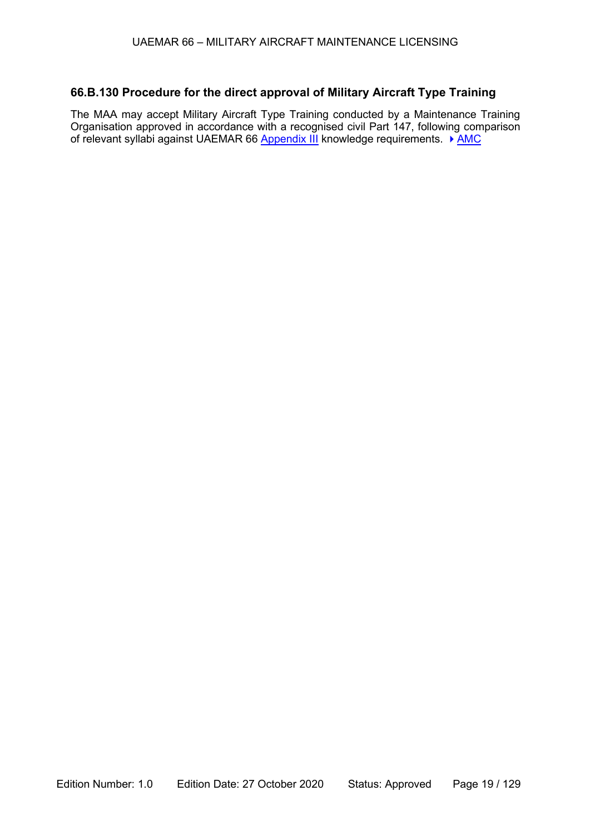# **66.B.130 Procedure for the direct approval of Military Aircraft Type Training**

The MAA may accept Military Aircraft Type Training conducted by a Maintenance Training Organisation approved in accordance with a recognised civil Part 147, following comparison of relevant syllabi against [UAEMAR 66 Appendix](#page-108-0) III knowledge requirements.  $\rightarrow$  AMC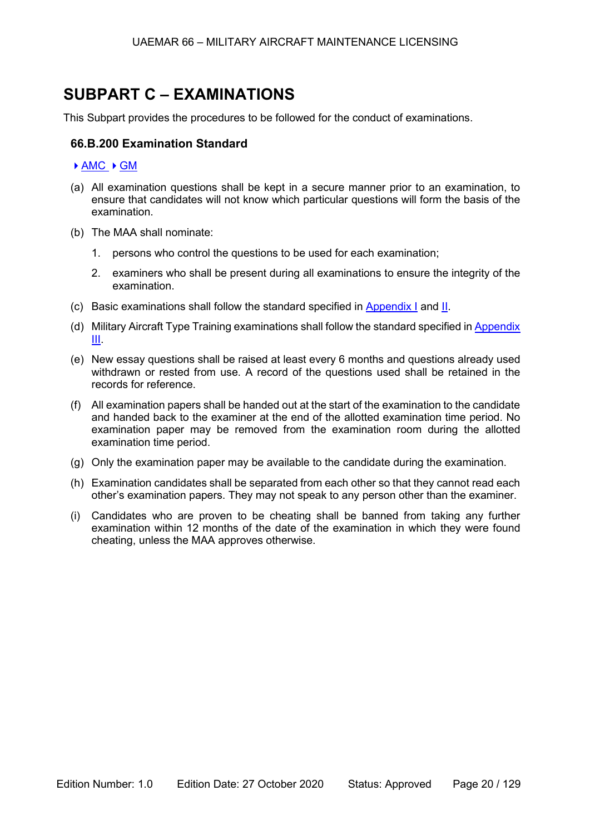# <span id="page-19-0"></span>**SUBPART C – EXAMINATIONS**

This Subpart provides the procedures to be followed for the conduct of examinations.

# <span id="page-19-1"></span>**66.B.200 Examination Standard**

#### $\rightarrow$  AMC  $\rightarrow$  GM

- (a) All examination questions shall be kept in a secure manner prior to an examination, to ensure that candidates will not know which particular questions will form the basis of the examination.
- (b) The MAA shall nominate:
	- 1. persons who control the questions to be used for each examination;
	- 2. examiners who shall be present during all examinations to ensure the integrity of the examination.
- (c) Basic examinations shall follow the standard specified in Appendix I and II.
- (d) Military Aircraft Type Training examinations shall follow the standard specified in Appendix III.
- (e) New essay questions shall be raised at least every 6 months and questions already used withdrawn or rested from use. A record of the questions used shall be retained in the records for reference.
- (f) All examination papers shall be handed out at the start of the examination to the candidate and handed back to the examiner at the end of the allotted examination time period. No examination paper may be removed from the examination room during the allotted examination time period.
- (g) Only the examination paper may be available to the candidate during the examination.
- (h) Examination candidates shall be separated from each other so that they cannot read each other's examination papers. They may not speak to any person other than the examiner.
- (i) Candidates who are proven to be cheating shall be banned from taking any further examination within 12 months of the date of the examination in which they were found cheating, unless the MAA approves otherwise.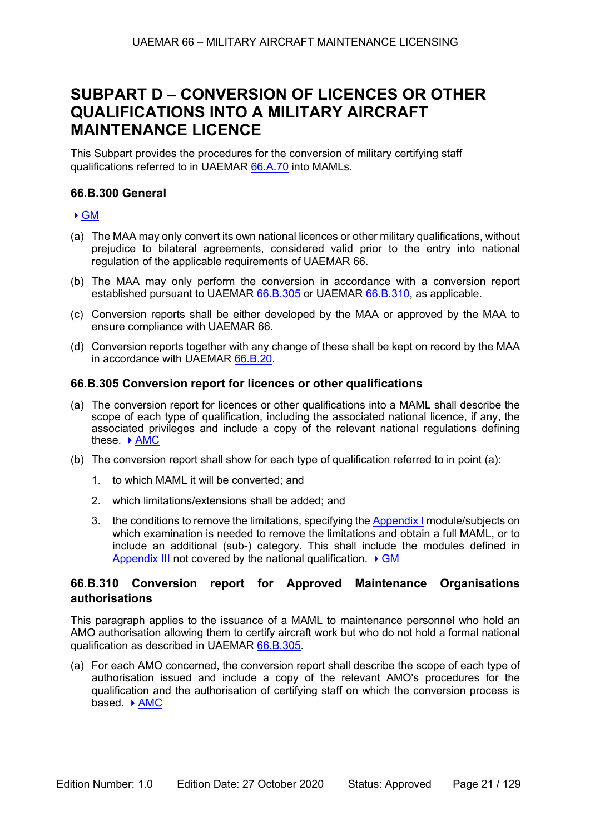# <span id="page-20-0"></span>**SUBPART D – CONVERSION OF LICENCES OR OTHER QUALIFICATIONS INTO A MILITARY AIRCRAFT MAINTENANCE LICENCE**

This Subpart provides the procedures for the conversion of military certifying staff qualifications referred to in [UAEMAR 66.A.70](#page-12-3) into MAMLs.

# <span id="page-20-1"></span>**66.B.300 General**

# GM

- (a) The MAA may only convert its own national licences or other military qualifications, without prejudice to bilateral agreements, considered valid prior to the entry into national regulation of the applicable requirements of UAEMAR 66.
- (b) The MAA may only perform the conversion in accordance with a conversion report established pursuant to [UAEMAR 66.B.305](#page-20-2) or [UAEMAR 66.B.310, a](#page-20-3)s applicable.
- (c) Conversion reports shall be either developed by the MAA or approved by the MAA to ensure compliance with UAEMAR 66.
- (d) Conversion reports together with any change of these shall be kept on record by the MAA in accordance with UAEMAR 66.B.20.

### <span id="page-20-2"></span>**66.B.305 Conversion report for licences or other qualifications**

- (a) The conversion report for licences or other qualifications into a MAML shall describe the scope of each type of qualification, including the associated national licence, if any, the associated privileges and include a copy of the relevant national regulations defining these. ▶ AMC
- (b) The conversion report shall show for each type of qualification referred to in point (a):
	- 1. to which MAML it will be converted; and
	- 2. which limitations/extensions shall be added; and
	- 3. the conditions to remove the limitations, specifying the Appendix I module/subjects on which examination is needed to remove the limitations and obtain a full MAML, or to include an additional (sub-) category. This shall include the modules defined in Appendix III not covered by the national qualification.  $\rightarrow$  GM

# <span id="page-20-3"></span>**66.B.310 Conversion report for Approved Maintenance Organisations authorisations**

This paragraph applies to the issuance of a MAML to maintenance personnel who hold an AMO authorisation allowing them to certify aircraft work but who do not hold a formal national qualification as described in [UAEMAR 66.B.305.](#page-20-2)

(a) For each AMO concerned, the conversion report shall describe the scope of each type of authorisation issued and include a copy of the relevant AMO's procedures for the qualification and the authorisation of certifying staff on which the conversion process is based. ▶ AMC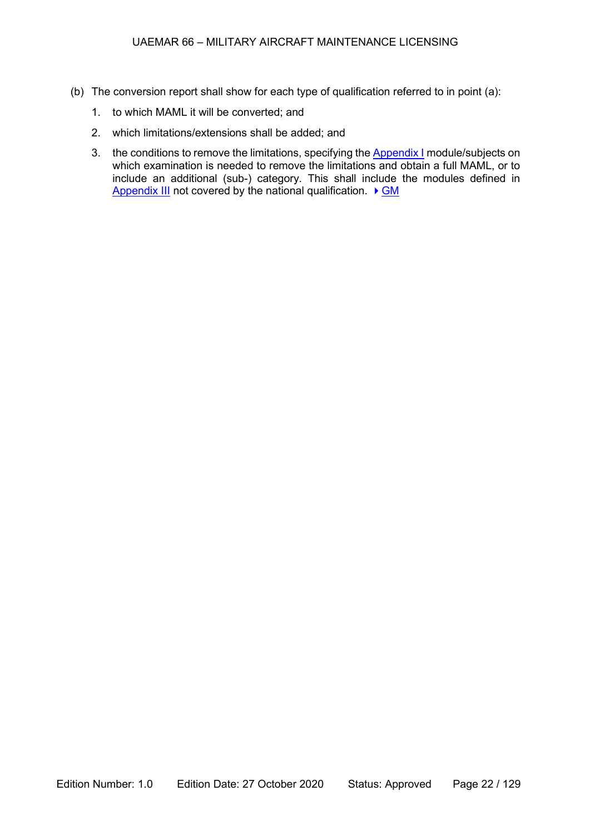- (b) The conversion report shall show for each type of qualification referred to in point (a):
	- 1. to which MAML it will be converted; and
	- 2. which limitations/extensions shall be added; and
	- 3. the conditions to remove the limitations, specifying the Appendix I module/subjects on which examination is needed to remove the limitations and obtain a full MAML, or to include an additional (sub-) category. This shall include the modules defined in Appendix III not covered by the national qualification.  $\triangleright$  GM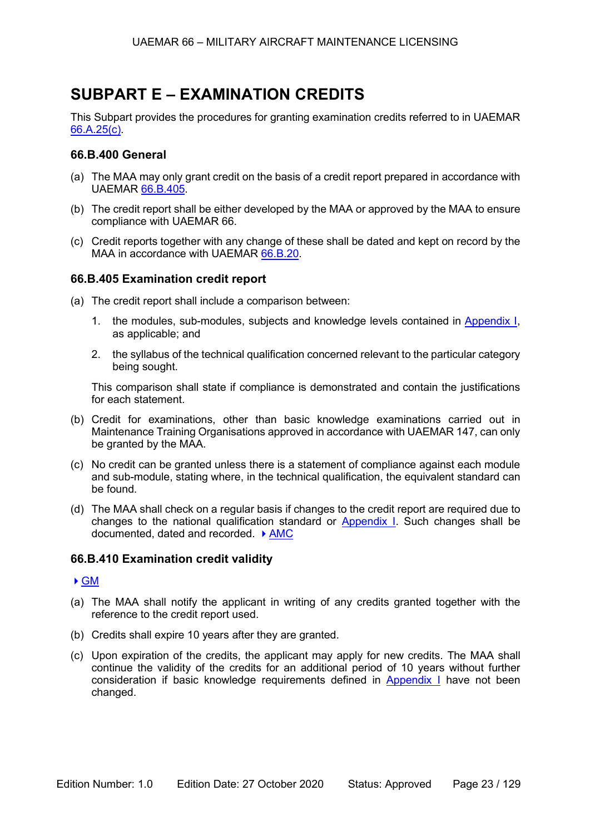# <span id="page-22-0"></span>**SUBPART E – EXAMINATION CREDITS**

This Subpart provides the procedures for granting examination credits referred to in [UAEMAR](#page-7-2) [66.A.25\(c\).](#page-8-0)

### <span id="page-22-1"></span>**66.B.400 General**

- (a) The MAA may only grant credit on the basis of a credit report prepared in accordance with [UAEMAR 66.B.405.](#page-22-2)
- (b) The credit report shall be either developed by the MAA or approved by the MAA to ensure compliance with UAEMAR 66.
- (c) Credit reports together with any change of these shall be dated and kept on record by the MAA in accordance with [UAEMAR 66.B.20.](#page-7-1)

### <span id="page-22-2"></span>**66.B.405 Examination credit report**

- (a) The credit report shall include a comparison between:
	- 1. the modules, sub-modules, subjects and knowledge levels contained in Appendix I, as applicable; and
	- 2. the syllabus of the technical qualification concerned relevant to the particular category being sought.

This comparison shall state if compliance is demonstrated and contain the justifications for each statement.

- (b) Credit for examinations, other than basic knowledge examinations carried out in Maintenance Training Organisations approved in accordance with UAEMAR 147, can only be granted by the MAA.
- (c) No credit can be granted unless there is a statement of compliance against each module and sub-module, stating where, in the technical qualification, the equivalent standard can be found.
- (d) The MAA shall check on a regular basis if changes to the credit report are required due to changes to the national qualification standard or Appendix I. Such changes shall be documented, dated and recorded.  $\triangleright$  AMC

### <span id="page-22-3"></span>**66.B.410 Examination credit validity**

#### GM

- (a) The MAA shall notify the applicant in writing of any credits granted together with the reference to the credit report used.
- (b) Credits shall expire 10 years after they are granted.
- (c) Upon expiration of the credits, the applicant may apply for new credits. The MAA shall continue the validity of the credits for an additional period of 10 years without further consideration if basic knowledge requirements defined in Appendix I have not been changed.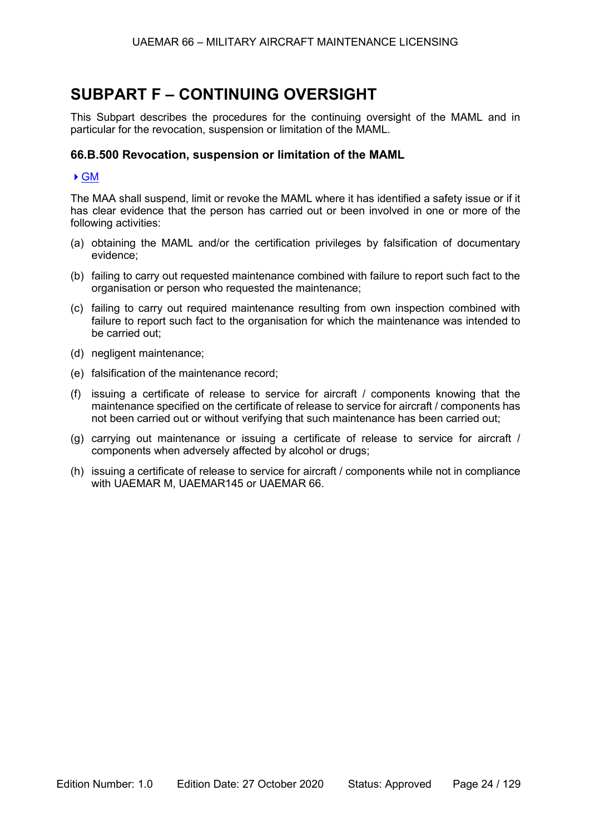# <span id="page-23-0"></span>**SUBPART F – CONTINUING OVERSIGHT**

This Subpart describes the procedures for the continuing oversight of the MAML and in particular for the revocation, suspension or limitation of the MAML.

#### <span id="page-23-1"></span>**66.B.500 Revocation, suspension or limitation of the MAML**

#### GM

The MAA shall suspend, limit or revoke the MAML where it has identified a safety issue or if it has clear evidence that the person has carried out or been involved in one or more of the following activities:

- (a) obtaining the MAML and/or the certification privileges by falsification of documentary evidence;
- (b) failing to carry out requested maintenance combined with failure to report such fact to the organisation or person who requested the maintenance;
- (c) failing to carry out required maintenance resulting from own inspection combined with failure to report such fact to the organisation for which the maintenance was intended to be carried out;
- (d) negligent maintenance;
- (e) falsification of the maintenance record;
- (f) issuing a certificate of release to service for aircraft / components knowing that the maintenance specified on the certificate of release to service for aircraft / components has not been carried out or without verifying that such maintenance has been carried out;
- (g) carrying out maintenance or issuing a certificate of release to service for aircraft / components when adversely affected by alcohol or drugs;
- (h) issuing a certificate of release to service for aircraft / components while not in compliance with UAEMAR M, UAEMAR145 or UAEMAR 66.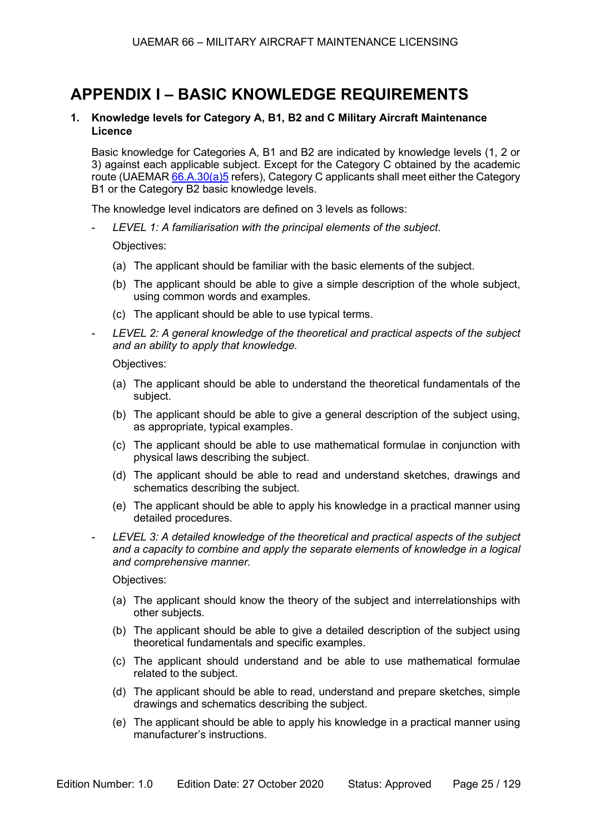# <span id="page-24-0"></span>**APPENDIX I – BASIC KNOWLEDGE REQUIREMENTS**

### **1. Knowledge levels for Category A, B1, B2 and C Military Aircraft Maintenance Licence**

Basic knowledge for Categories A, B1 and B2 are indicated by knowledge levels (1, 2 or 3) against each applicable subject. Except for the Category C obtained by the academic route [\(UAEMAR 66.A.30\(a\)5](#page-9-0) refers), Category C applicants shall meet either the Category B1 or the Category B2 basic knowledge levels.

The knowledge level indicators are defined on 3 levels as follows:

LEVEL 1: A familiarisation with the principal elements of the subject.

Objectives:

- (a) The applicant should be familiar with the basic elements of the subject.
- (b) The applicant should be able to give a simple description of the whole subject, using common words and examples.
- (c) The applicant should be able to use typical terms.
- *LEVEL 2: A general knowledge of the theoretical and practical aspects of the subject and an ability to apply that knowledge.*

Objectives:

- (a) The applicant should be able to understand the theoretical fundamentals of the subject.
- (b) The applicant should be able to give a general description of the subject using, as appropriate, typical examples.
- (c) The applicant should be able to use mathematical formulae in conjunction with physical laws describing the subject.
- (d) The applicant should be able to read and understand sketches, drawings and schematics describing the subject.
- (e) The applicant should be able to apply his knowledge in a practical manner using detailed procedures.
- *LEVEL 3: A detailed knowledge of the theoretical and practical aspects of the subject*  and a capacity to combine and apply the separate elements of knowledge in a logical *and comprehensive manner.*

Objectives:

- (a) The applicant should know the theory of the subject and interrelationships with other subjects.
- (b) The applicant should be able to give a detailed description of the subject using theoretical fundamentals and specific examples.
- (c) The applicant should understand and be able to use mathematical formulae related to the subject.
- (d) The applicant should be able to read, understand and prepare sketches, simple drawings and schematics describing the subject.
- (e) The applicant should be able to apply his knowledge in a practical manner using manufacturer's instructions.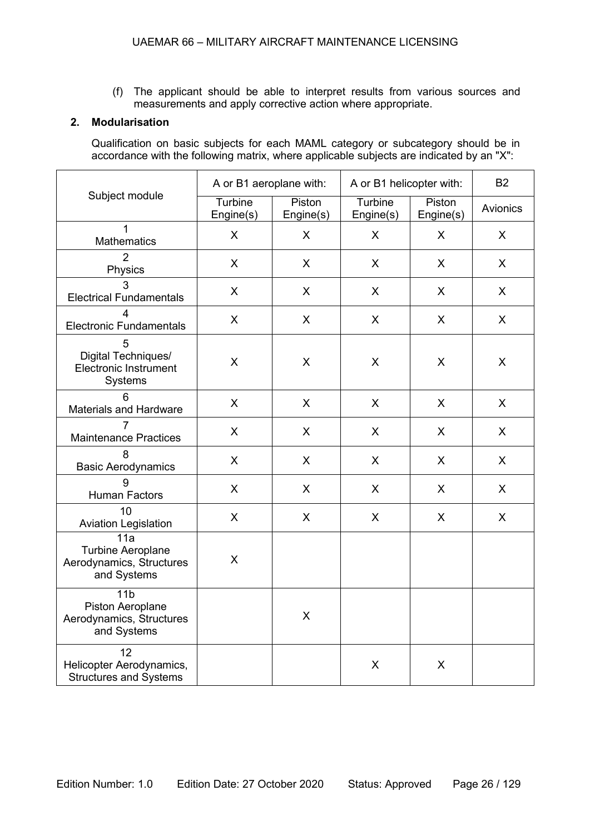(f) The applicant should be able to interpret results from various sources and measurements and apply corrective action where appropriate.

# **2. Modularisation**

Qualification on basic subjects for each MAML category or subcategory should be in accordance with the following matrix, where applicable subjects are indicated by an "X":

|                                                                                | A or B1 aeroplane with:     |                     | A or B1 helicopter with:    | <b>B2</b>           |              |
|--------------------------------------------------------------------------------|-----------------------------|---------------------|-----------------------------|---------------------|--------------|
| Subject module                                                                 | <b>Turbine</b><br>Engine(s) | Piston<br>Engine(s) | <b>Turbine</b><br>Engine(s) | Piston<br>Engine(s) | Avionics     |
| 1<br><b>Mathematics</b>                                                        | $\mathsf{X}$                | X                   | X                           | X                   | X            |
| $\overline{2}$<br>Physics                                                      | X                           | X                   | X                           | X                   | X            |
| 3<br><b>Electrical Fundamentals</b>                                            | X                           | X                   | X                           | X                   | X            |
| <b>Electronic Fundamentals</b>                                                 | $\mathsf{X}$                | X                   | $\mathsf{X}$                | X                   | $\mathsf{X}$ |
| 5<br>Digital Techniques/<br><b>Electronic Instrument</b><br>Systems            | X                           | X                   | X                           | X                   | X            |
| 6<br><b>Materials and Hardware</b>                                             | X                           | X                   | X                           | X                   | X            |
| <b>Maintenance Practices</b>                                                   | X                           | X                   | $\boldsymbol{\mathsf{X}}$   | X                   | X            |
| 8<br><b>Basic Aerodynamics</b>                                                 | X                           | X                   | X                           | X                   | X            |
| g<br><b>Human Factors</b>                                                      | $\mathsf{X}$                | X                   | $\boldsymbol{\mathsf{X}}$   | X                   | X            |
| 10<br><b>Aviation Legislation</b>                                              | X                           | X                   | X                           | X                   | X            |
| 11a<br><b>Turbine Aeroplane</b><br>Aerodynamics, Structures<br>and Systems     | $\pmb{\mathsf{X}}$          |                     |                             |                     |              |
| 11 <sub>b</sub><br>Piston Aeroplane<br>Aerodynamics, Structures<br>and Systems |                             | X                   |                             |                     |              |
| 12<br>Helicopter Aerodynamics,<br><b>Structures and Systems</b>                |                             |                     | X                           | X                   |              |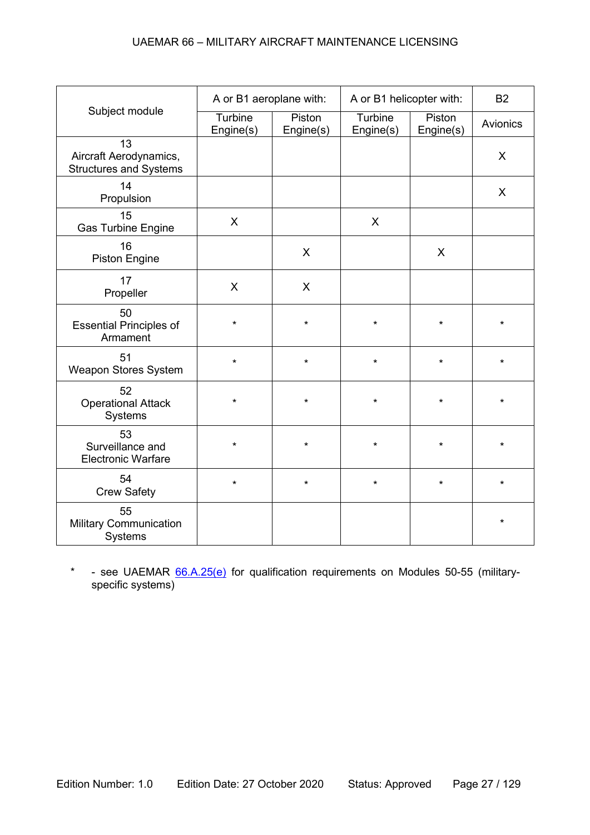#### UAEMAR 66 – MILITARY AIRCRAFT MAINTENANCE LICENSING

|                                                               | A or B1 aeroplane with: |                     | A or B1 helicopter with: | <b>B2</b>           |          |
|---------------------------------------------------------------|-------------------------|---------------------|--------------------------|---------------------|----------|
| Subject module                                                | Turbine<br>Engine(s)    | Piston<br>Engine(s) | Turbine<br>Engine(s)     | Piston<br>Engine(s) | Avionics |
| 13<br>Aircraft Aerodynamics,<br><b>Structures and Systems</b> |                         |                     |                          |                     | X        |
| 14<br>Propulsion                                              |                         |                     |                          |                     | X        |
| 15<br><b>Gas Turbine Engine</b>                               | X                       |                     | X                        |                     |          |
| 16<br>Piston Engine                                           |                         | X                   |                          | X                   |          |
| 17<br>Propeller                                               | $\sf X$                 | X                   |                          |                     |          |
| 50<br><b>Essential Principles of</b><br>Armament              | $\star$                 | $\star$             | $\star$                  | $\star$             | $\star$  |
| 51<br><b>Weapon Stores System</b>                             | $\star$                 | $\star$             | $\star$                  | $\star$             | $\star$  |
| 52<br><b>Operational Attack</b><br>Systems                    | $\star$                 | $\star$             | $\star$                  | $\star$             | $\star$  |
| 53<br>Surveillance and<br>Electronic Warfare                  | $\star$                 | $\star$             | $\star$                  | $\star$             | $\star$  |
| 54<br><b>Crew Safety</b>                                      | $\star$                 | $\star$             | $\star$                  | $\star$             | $\star$  |
| 55<br>Military Communication<br>Systems                       |                         |                     |                          |                     | $^\star$ |

\* - see UAEMAR <u>66.A.25(e)</u> for qualification requirements on Modules 50-55 (militaryspecific systems)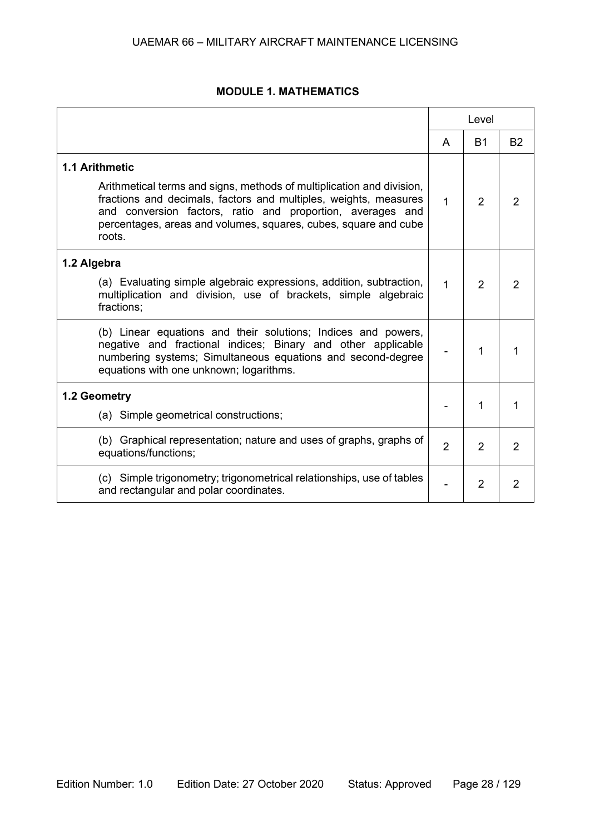| <b>MODULE 1. MATHEMATICS</b> |  |  |  |  |  |  |  |  |  |
|------------------------------|--|--|--|--|--|--|--|--|--|
|------------------------------|--|--|--|--|--|--|--|--|--|

|                                                                                                                                                                                                                                                                                      |                | Level          |                |
|--------------------------------------------------------------------------------------------------------------------------------------------------------------------------------------------------------------------------------------------------------------------------------------|----------------|----------------|----------------|
|                                                                                                                                                                                                                                                                                      | A              | <b>B1</b>      | <b>B2</b>      |
| 1.1 Arithmetic                                                                                                                                                                                                                                                                       |                |                |                |
| Arithmetical terms and signs, methods of multiplication and division,<br>fractions and decimals, factors and multiples, weights, measures<br>and conversion factors, ratio and proportion, averages and<br>percentages, areas and volumes, squares, cubes, square and cube<br>roots. | 1              | $\overline{2}$ | $\overline{2}$ |
| 1.2 Algebra                                                                                                                                                                                                                                                                          |                |                |                |
| (a) Evaluating simple algebraic expressions, addition, subtraction,<br>multiplication and division, use of brackets, simple algebraic<br>fractions;                                                                                                                                  | 1              | 2              | 2              |
| (b) Linear equations and their solutions; Indices and powers,<br>negative and fractional indices; Binary and other applicable<br>numbering systems; Simultaneous equations and second-degree<br>equations with one unknown; logarithms.                                              |                | 1              | 1              |
| 1.2 Geometry                                                                                                                                                                                                                                                                         |                |                |                |
| (a) Simple geometrical constructions;                                                                                                                                                                                                                                                |                | 1              | 1              |
| (b) Graphical representation; nature and uses of graphs, graphs of<br>equations/functions;                                                                                                                                                                                           | $\overline{2}$ | $\overline{2}$ | $\overline{2}$ |
| (c) Simple trigonometry; trigonometrical relationships, use of tables<br>and rectangular and polar coordinates.                                                                                                                                                                      |                | $\overline{2}$ | $\overline{2}$ |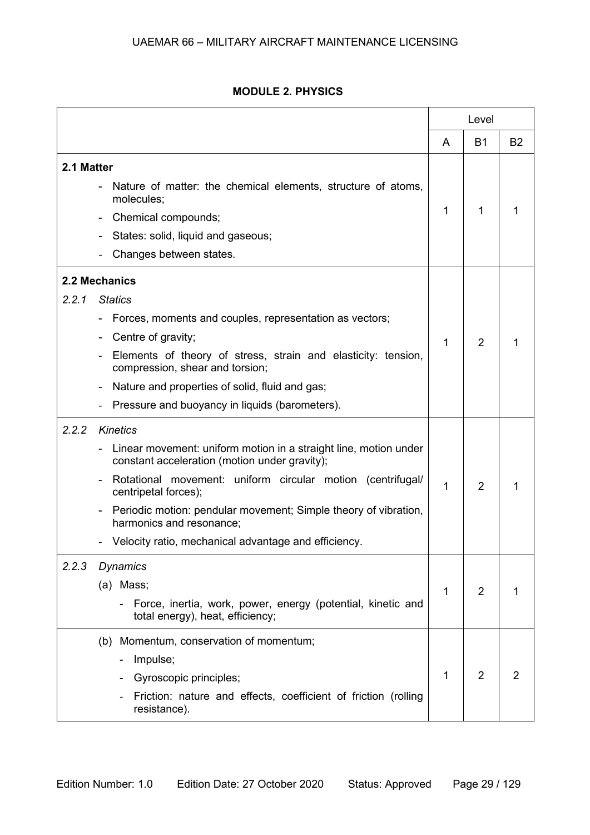|                                                                                                                   |   | Level          |           |
|-------------------------------------------------------------------------------------------------------------------|---|----------------|-----------|
|                                                                                                                   | A | <b>B1</b>      | <b>B2</b> |
| 2.1 Matter                                                                                                        |   |                |           |
| Nature of matter: the chemical elements, structure of atoms,<br>molecules;                                        |   |                |           |
| Chemical compounds;                                                                                               | 1 | 1              | 1         |
| States: solid, liquid and gaseous;                                                                                |   |                |           |
| Changes between states.                                                                                           |   |                |           |
| 2.2 Mechanics                                                                                                     |   |                |           |
| 2.2.1<br><b>Statics</b>                                                                                           |   |                |           |
| Forces, moments and couples, representation as vectors;                                                           |   |                |           |
| Centre of gravity;                                                                                                | 1 | $\overline{2}$ | 1         |
| Elements of theory of stress, strain and elasticity: tension,<br>compression, shear and torsion;                  |   |                |           |
| Nature and properties of solid, fluid and gas;<br>-                                                               |   |                |           |
| Pressure and buoyancy in liquids (barometers).                                                                    |   |                |           |
| 2.2.2<br><b>Kinetics</b>                                                                                          |   |                |           |
| Linear movement: uniform motion in a straight line, motion under<br>constant acceleration (motion under gravity); |   |                |           |
| Rotational movement: uniform circular motion (centrifugal/<br>centripetal forces);                                | 1 | $\overline{2}$ | 1         |
| Periodic motion: pendular movement; Simple theory of vibration,<br>$\blacksquare$<br>harmonics and resonance;     |   |                |           |
| Velocity ratio, mechanical advantage and efficiency.                                                              |   |                |           |
| 2.2.3<br><b>Dynamics</b>                                                                                          |   |                |           |
| (a) Mass;                                                                                                         | 1 | $\overline{2}$ | 1         |
| Force, inertia, work, power, energy (potential, kinetic and<br>total energy), heat, efficiency;                   |   |                |           |
| (b) Momentum, conservation of momentum;                                                                           |   |                |           |
| Impulse;                                                                                                          |   |                |           |
| Gyroscopic principles;                                                                                            | 1 | $\overline{2}$ | 2         |
| Friction: nature and effects, coefficient of friction (rolling<br>resistance).                                    |   |                |           |

## **MODULE 2. PHYSICS**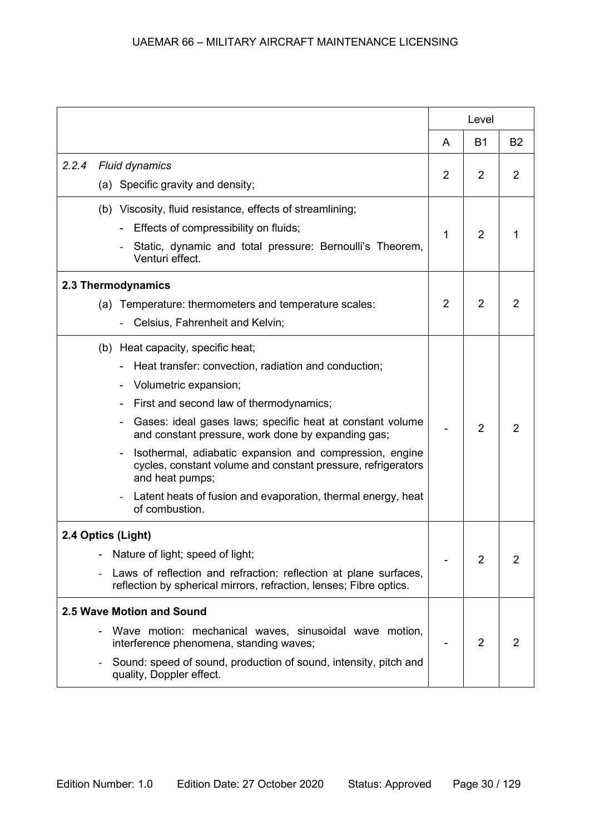### UAEMAR 66 – MILITARY AIRCRAFT MAINTENANCE LICENSING

|       |                                                                                                                                            |                | Level          |                |
|-------|--------------------------------------------------------------------------------------------------------------------------------------------|----------------|----------------|----------------|
|       |                                                                                                                                            | A              | <b>B1</b>      | <b>B2</b>      |
| 2.2.4 | <b>Fluid dynamics</b>                                                                                                                      | $\overline{2}$ | 2              | 2              |
|       | (a) Specific gravity and density;                                                                                                          |                |                |                |
|       | (b) Viscosity, fluid resistance, effects of streamlining;                                                                                  |                |                |                |
|       | Effects of compressibility on fluids;                                                                                                      | 1              | $\overline{2}$ | 1              |
|       | Static, dynamic and total pressure: Bernoulli's Theorem,<br>Venturi effect.                                                                |                |                |                |
|       | 2.3 Thermodynamics                                                                                                                         |                |                |                |
|       | (a) Temperature: thermometers and temperature scales:                                                                                      | $\overline{2}$ | $\overline{2}$ | $\overline{2}$ |
|       | Celsius, Fahrenheit and Kelvin;                                                                                                            |                |                |                |
|       | (b) Heat capacity, specific heat;                                                                                                          |                |                |                |
|       | Heat transfer: convection, radiation and conduction;                                                                                       |                |                |                |
|       | Volumetric expansion;<br>-                                                                                                                 |                |                |                |
|       | First and second law of thermodynamics;                                                                                                    |                |                |                |
|       | Gases: ideal gases laws; specific heat at constant volume<br>and constant pressure, work done by expanding gas;                            |                | $\overline{2}$ | 2              |
|       | Isothermal, adiabatic expansion and compression, engine<br>cycles, constant volume and constant pressure, refrigerators<br>and heat pumps; |                |                |                |
|       | Latent heats of fusion and evaporation, thermal energy, heat<br>$\blacksquare$<br>of combustion.                                           |                |                |                |
|       | 2.4 Optics (Light)                                                                                                                         |                |                |                |
|       | Nature of light; speed of light;                                                                                                           |                | 2              | $\overline{2}$ |
|       | Laws of reflection and refraction: reflection at plane surfaces,<br>reflection by spherical mirrors, refraction, lenses; Fibre optics.     |                |                |                |
|       | 2.5 Wave Motion and Sound                                                                                                                  |                |                |                |
|       | Wave motion: mechanical waves, sinusoidal wave motion,<br>interference phenomena, standing waves;                                          |                | $\overline{2}$ | 2              |
|       | Sound: speed of sound, production of sound, intensity, pitch and<br>quality, Doppler effect.                                               |                |                |                |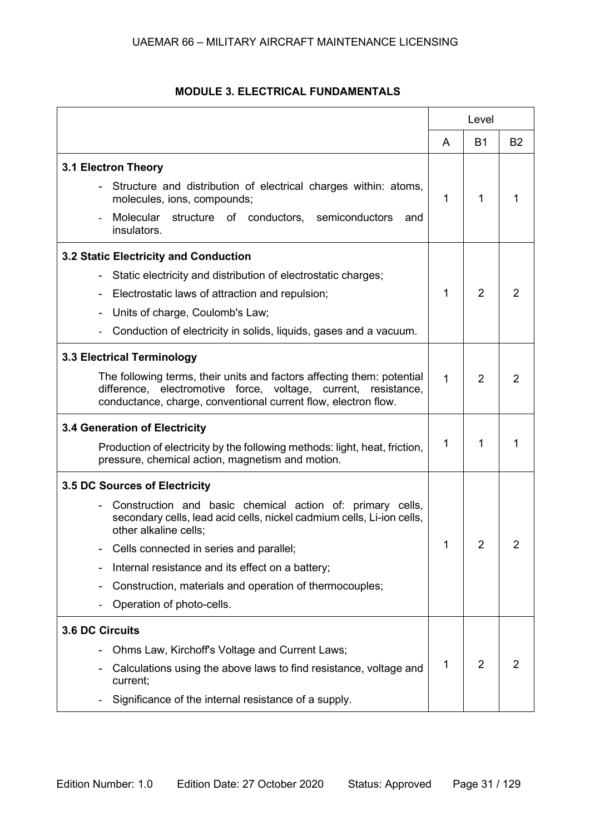|                                                                                                                                                                                                            | Level |                |                |
|------------------------------------------------------------------------------------------------------------------------------------------------------------------------------------------------------------|-------|----------------|----------------|
|                                                                                                                                                                                                            | A     | <b>B1</b>      | <b>B2</b>      |
| 3.1 Electron Theory                                                                                                                                                                                        |       |                |                |
| Structure and distribution of electrical charges within: atoms,<br>molecules, ions, compounds;                                                                                                             | 1     | 1              | 1              |
| Molecular structure of conductors, semiconductors<br>and<br>insulators.                                                                                                                                    |       |                |                |
| 3.2 Static Electricity and Conduction                                                                                                                                                                      |       |                |                |
| Static electricity and distribution of electrostatic charges;                                                                                                                                              |       |                |                |
| Electrostatic laws of attraction and repulsion;                                                                                                                                                            | 1     | $\overline{2}$ | $\overline{2}$ |
| Units of charge, Coulomb's Law;                                                                                                                                                                            |       |                |                |
| Conduction of electricity in solids, liquids, gases and a vacuum.                                                                                                                                          |       |                |                |
| 3.3 Electrical Terminology                                                                                                                                                                                 |       |                |                |
| The following terms, their units and factors affecting them: potential<br>difference, electromotive force, voltage, current, resistance,<br>conductance, charge, conventional current flow, electron flow. | 1     | $\overline{2}$ | 2              |
| 3.4 Generation of Electricity                                                                                                                                                                              |       |                |                |
| Production of electricity by the following methods: light, heat, friction,<br>pressure, chemical action, magnetism and motion.                                                                             | 1     | 1              | 1              |
| 3.5 DC Sources of Electricity                                                                                                                                                                              |       |                |                |
| Construction and basic chemical action of: primary cells,<br>secondary cells, lead acid cells, nickel cadmium cells, Li-ion cells,<br>other alkaline cells;                                                |       |                |                |
| - Cells connected in series and parallel;                                                                                                                                                                  | 1     | $\overline{2}$ | 2              |
| Internal resistance and its effect on a battery;                                                                                                                                                           |       |                |                |
| Construction, materials and operation of thermocouples;                                                                                                                                                    |       |                |                |
| Operation of photo-cells.                                                                                                                                                                                  |       |                |                |
| 3.6 DC Circuits                                                                                                                                                                                            |       |                |                |
| Ohms Law, Kirchoff's Voltage and Current Laws;                                                                                                                                                             |       |                |                |
| Calculations using the above laws to find resistance, voltage and<br>current;                                                                                                                              | 1     | $\overline{2}$ | 2              |
| Significance of the internal resistance of a supply.                                                                                                                                                       |       |                |                |

# **MODULE 3. ELECTRICAL FUNDAMENTALS**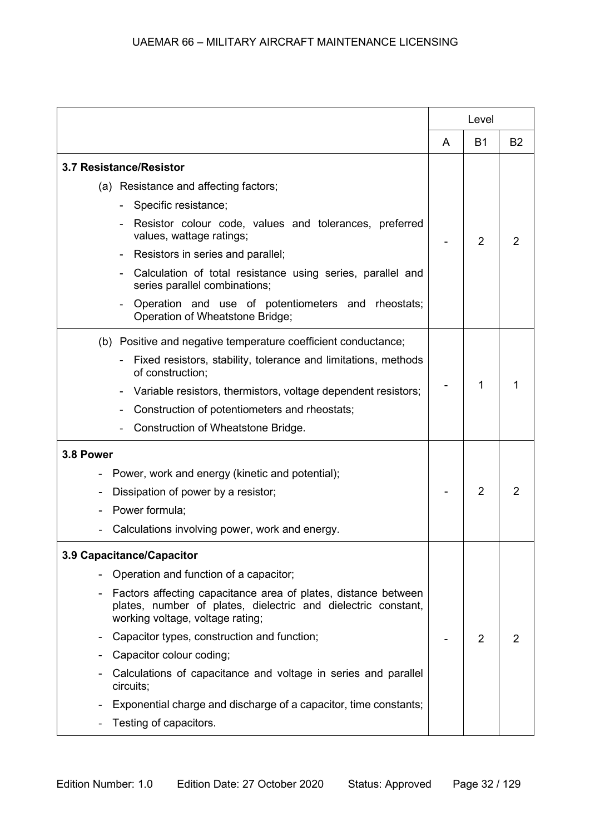|                                                                                                                                                                     | Level |                |                |  |  |  |
|---------------------------------------------------------------------------------------------------------------------------------------------------------------------|-------|----------------|----------------|--|--|--|
|                                                                                                                                                                     | A     | <b>B1</b>      | B <sub>2</sub> |  |  |  |
| 3.7 Resistance/Resistor                                                                                                                                             |       |                |                |  |  |  |
| (a) Resistance and affecting factors;                                                                                                                               |       |                |                |  |  |  |
| Specific resistance;                                                                                                                                                |       |                |                |  |  |  |
| Resistor colour code, values and tolerances, preferred<br>values, wattage ratings;                                                                                  |       | $\overline{2}$ | 2              |  |  |  |
| Resistors in series and parallel;                                                                                                                                   |       |                |                |  |  |  |
| Calculation of total resistance using series, parallel and<br>series parallel combinations;                                                                         |       |                |                |  |  |  |
| Operation and use of potentiometers and rheostats;<br>Operation of Wheatstone Bridge;                                                                               |       |                |                |  |  |  |
| (b) Positive and negative temperature coefficient conductance;                                                                                                      |       |                |                |  |  |  |
| Fixed resistors, stability, tolerance and limitations, methods<br>of construction;                                                                                  |       |                |                |  |  |  |
| Variable resistors, thermistors, voltage dependent resistors;                                                                                                       |       | 1              |                |  |  |  |
| Construction of potentiometers and rheostats;                                                                                                                       |       |                |                |  |  |  |
| Construction of Wheatstone Bridge.                                                                                                                                  |       |                |                |  |  |  |
| 3.8 Power                                                                                                                                                           |       |                |                |  |  |  |
| Power, work and energy (kinetic and potential);                                                                                                                     |       |                |                |  |  |  |
| Dissipation of power by a resistor;                                                                                                                                 |       | $\overline{2}$ | 2              |  |  |  |
| Power formula;                                                                                                                                                      |       |                |                |  |  |  |
| Calculations involving power, work and energy.                                                                                                                      |       |                |                |  |  |  |
| 3.9 Capacitance/Capacitor                                                                                                                                           |       |                |                |  |  |  |
| Operation and function of a capacitor;                                                                                                                              |       |                |                |  |  |  |
| Factors affecting capacitance area of plates, distance between<br>plates, number of plates, dielectric and dielectric constant,<br>working voltage, voltage rating; |       |                |                |  |  |  |
| Capacitor types, construction and function;                                                                                                                         |       | $\overline{2}$ | 2              |  |  |  |
| Capacitor colour coding;                                                                                                                                            |       |                |                |  |  |  |
| Calculations of capacitance and voltage in series and parallel<br>circuits;                                                                                         |       |                |                |  |  |  |
| Exponential charge and discharge of a capacitor, time constants;                                                                                                    |       |                |                |  |  |  |
| Testing of capacitors.                                                                                                                                              |       |                |                |  |  |  |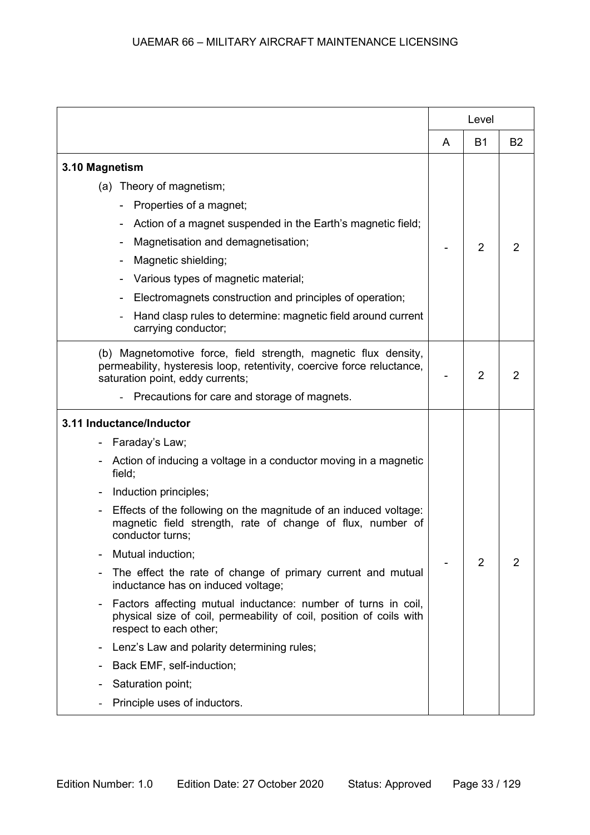|                                                                                                                                                                                                                                                                                                                                                                                                                                                                                                                                                                                                                                                                                                                                     | Level |                |                |
|-------------------------------------------------------------------------------------------------------------------------------------------------------------------------------------------------------------------------------------------------------------------------------------------------------------------------------------------------------------------------------------------------------------------------------------------------------------------------------------------------------------------------------------------------------------------------------------------------------------------------------------------------------------------------------------------------------------------------------------|-------|----------------|----------------|
|                                                                                                                                                                                                                                                                                                                                                                                                                                                                                                                                                                                                                                                                                                                                     | A     | <b>B1</b>      | <b>B2</b>      |
| 3.10 Magnetism<br>(a) Theory of magnetism;<br>Properties of a magnet;<br>Action of a magnet suspended in the Earth's magnetic field;<br>Magnetisation and demagnetisation;<br>Magnetic shielding;<br>Various types of magnetic material;<br>Electromagnets construction and principles of operation;<br>Hand clasp rules to determine: magnetic field around current<br>carrying conductor;                                                                                                                                                                                                                                                                                                                                         |       | $\overline{2}$ | 2              |
| Magnetomotive force, field strength, magnetic flux density,<br>(b)<br>permeability, hysteresis loop, retentivity, coercive force reluctance,<br>saturation point, eddy currents;<br>Precautions for care and storage of magnets.                                                                                                                                                                                                                                                                                                                                                                                                                                                                                                    |       | $\overline{2}$ | 2              |
| 3.11 Inductance/Inductor<br>Faraday's Law;<br>Action of inducing a voltage in a conductor moving in a magnetic<br>field;<br>Induction principles;<br>Effects of the following on the magnitude of an induced voltage:<br>magnetic field strength, rate of change of flux, number of<br>conductor turns;<br>Mutual induction;<br>The effect the rate of change of primary current and mutual<br>inductance has on induced voltage;<br>Factors affecting mutual inductance: number of turns in coil,<br>physical size of coil, permeability of coil, position of coils with<br>respect to each other;<br>Lenz's Law and polarity determining rules;<br>Back EMF, self-induction;<br>Saturation point;<br>Principle uses of inductors. |       | 2              | $\overline{2}$ |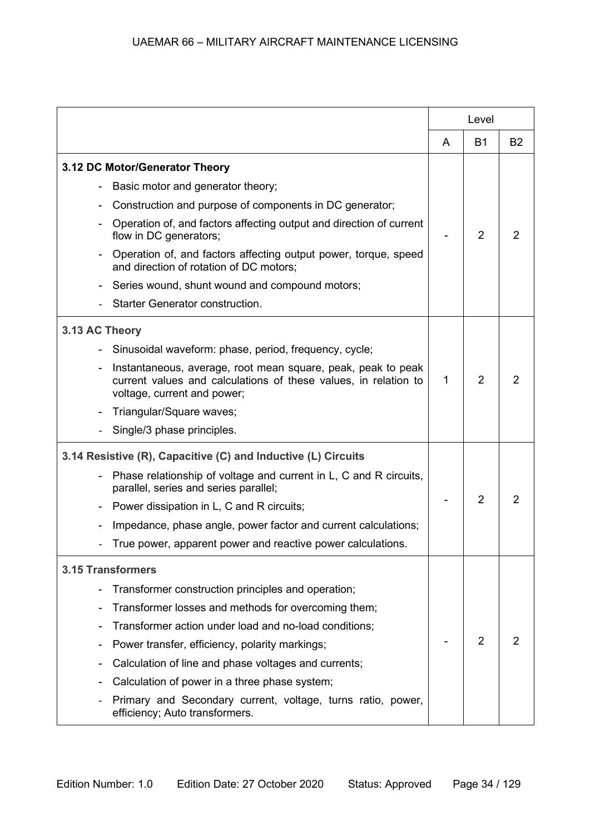|                                                                                                                                                                | Level |                |           |  |  |
|----------------------------------------------------------------------------------------------------------------------------------------------------------------|-------|----------------|-----------|--|--|
|                                                                                                                                                                | A     | B1             | <b>B2</b> |  |  |
| 3.12 DC Motor/Generator Theory                                                                                                                                 |       |                |           |  |  |
| Basic motor and generator theory;                                                                                                                              |       |                |           |  |  |
| Construction and purpose of components in DC generator;                                                                                                        |       |                |           |  |  |
| Operation of, and factors affecting output and direction of current<br>flow in DC generators;                                                                  |       | $\overline{2}$ | 2         |  |  |
| Operation of, and factors affecting output power, torque, speed<br>and direction of rotation of DC motors;                                                     |       |                |           |  |  |
| Series wound, shunt wound and compound motors;                                                                                                                 |       |                |           |  |  |
| <b>Starter Generator construction.</b>                                                                                                                         |       |                |           |  |  |
| 3.13 AC Theory                                                                                                                                                 |       |                |           |  |  |
| Sinusoidal waveform: phase, period, frequency, cycle;                                                                                                          |       |                |           |  |  |
| Instantaneous, average, root mean square, peak, peak to peak<br>current values and calculations of these values, in relation to<br>voltage, current and power; | 1     | $\overline{2}$ | 2         |  |  |
| Triangular/Square waves;                                                                                                                                       |       |                |           |  |  |
| Single/3 phase principles.                                                                                                                                     |       |                |           |  |  |
| 3.14 Resistive (R), Capacitive (C) and Inductive (L) Circuits                                                                                                  |       |                |           |  |  |
| - Phase relationship of voltage and current in L, C and R circuits,<br>parallel, series and series parallel;                                                   |       |                |           |  |  |
| Power dissipation in L, C and R circuits;                                                                                                                      |       | $\overline{2}$ | 2         |  |  |
| Impedance, phase angle, power factor and current calculations;                                                                                                 |       |                |           |  |  |
| True power, apparent power and reactive power calculations.                                                                                                    |       |                |           |  |  |
| <b>3.15 Transformers</b>                                                                                                                                       |       |                |           |  |  |
| Transformer construction principles and operation;                                                                                                             |       |                |           |  |  |
| Transformer losses and methods for overcoming them;                                                                                                            |       |                |           |  |  |
| Transformer action under load and no-load conditions;                                                                                                          |       |                |           |  |  |
| Power transfer, efficiency, polarity markings;                                                                                                                 |       | $\overline{2}$ | 2         |  |  |
| Calculation of line and phase voltages and currents;                                                                                                           |       |                |           |  |  |
| Calculation of power in a three phase system;                                                                                                                  |       |                |           |  |  |
| Primary and Secondary current, voltage, turns ratio, power,<br>efficiency; Auto transformers.                                                                  |       |                |           |  |  |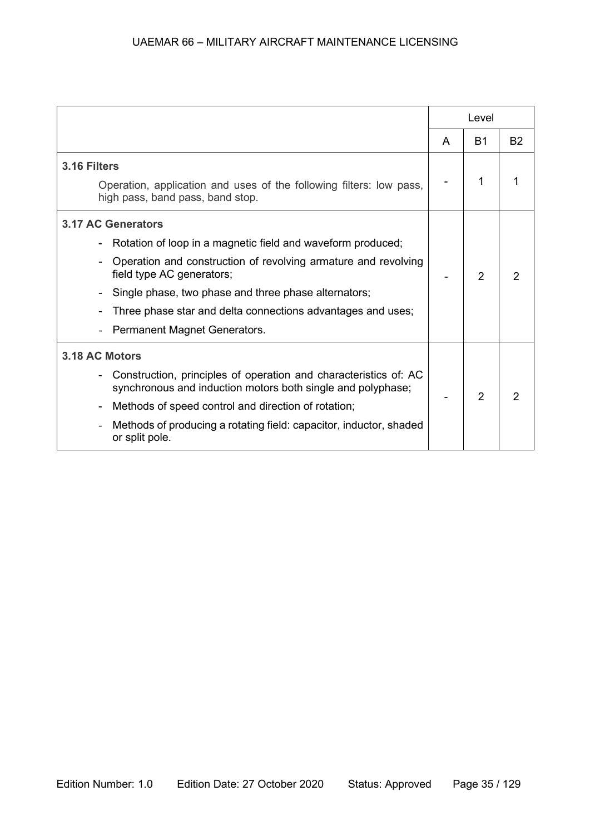|                                                                                                                                       | Level |                |                |
|---------------------------------------------------------------------------------------------------------------------------------------|-------|----------------|----------------|
|                                                                                                                                       | A     | <b>B1</b>      | B <sub>2</sub> |
| 3.16 Filters                                                                                                                          |       |                |                |
| Operation, application and uses of the following filters: low pass,<br>high pass, band pass, band stop.                               |       | 1              |                |
| <b>3.17 AC Generators</b>                                                                                                             |       |                |                |
| Rotation of loop in a magnetic field and waveform produced;                                                                           |       |                |                |
| Operation and construction of revolving armature and revolving<br>field type AC generators;                                           |       | $\overline{2}$ | 2              |
| Single phase, two phase and three phase alternators;                                                                                  |       |                |                |
| Three phase star and delta connections advantages and uses;                                                                           |       |                |                |
| Permanent Magnet Generators.                                                                                                          |       |                |                |
| 3.18 AC Motors                                                                                                                        |       |                |                |
| Construction, principles of operation and characteristics of: AC<br>Ξ.<br>synchronous and induction motors both single and polyphase; |       | $\overline{2}$ | 2              |
| Methods of speed control and direction of rotation;                                                                                   |       |                |                |
| Methods of producing a rotating field: capacitor, inductor, shaded<br>or split pole.                                                  |       |                |                |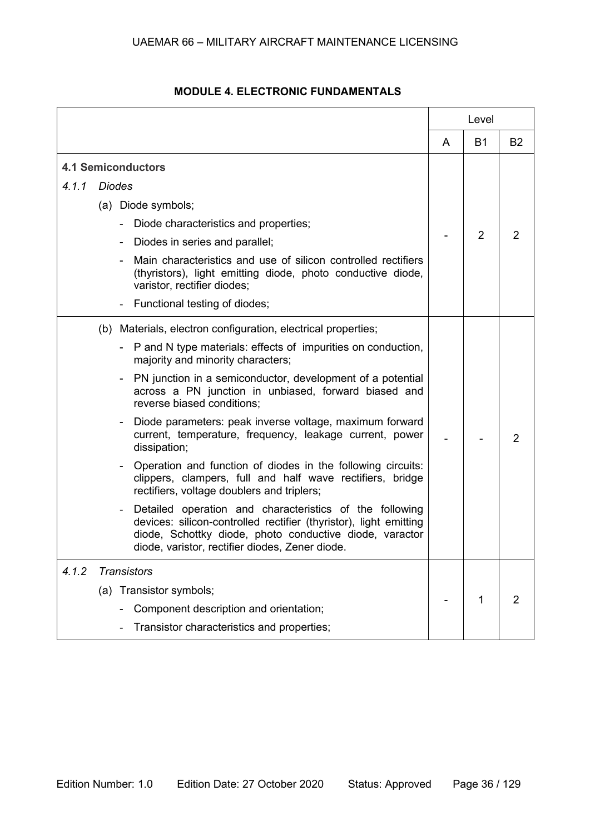|                           |               |                                                                                                                                                                                                                                            | Level |                |                |
|---------------------------|---------------|--------------------------------------------------------------------------------------------------------------------------------------------------------------------------------------------------------------------------------------------|-------|----------------|----------------|
|                           |               |                                                                                                                                                                                                                                            | A     | <b>B1</b>      | B <sub>2</sub> |
| <b>4.1 Semiconductors</b> |               |                                                                                                                                                                                                                                            |       |                |                |
| 4.1.1                     | <b>Diodes</b> |                                                                                                                                                                                                                                            |       |                |                |
|                           |               | (a) Diode symbols;                                                                                                                                                                                                                         |       |                |                |
|                           |               | - Diode characteristics and properties;                                                                                                                                                                                                    |       |                |                |
|                           |               | - Diodes in series and parallel;                                                                                                                                                                                                           |       | $\overline{2}$ | $\overline{2}$ |
|                           |               | Main characteristics and use of silicon controlled rectifiers<br>(thyristors), light emitting diode, photo conductive diode,<br>varistor, rectifier diodes;                                                                                |       |                |                |
|                           |               | - Functional testing of diodes;                                                                                                                                                                                                            |       |                |                |
|                           |               | (b) Materials, electron configuration, electrical properties;                                                                                                                                                                              |       |                |                |
|                           |               | - P and N type materials: effects of impurities on conduction,<br>majority and minority characters;                                                                                                                                        |       |                |                |
|                           | ٠             | PN junction in a semiconductor, development of a potential<br>across a PN junction in unbiased, forward biased and<br>reverse biased conditions;                                                                                           |       |                |                |
|                           |               | Diode parameters: peak inverse voltage, maximum forward<br>current, temperature, frequency, leakage current, power<br>dissipation;                                                                                                         |       |                | $\overline{2}$ |
|                           |               | Operation and function of diodes in the following circuits:<br>clippers, clampers, full and half wave rectifiers, bridge<br>rectifiers, voltage doublers and triplers;                                                                     |       |                |                |
|                           |               | Detailed operation and characteristics of the following<br>devices: silicon-controlled rectifier (thyristor), light emitting<br>diode, Schottky diode, photo conductive diode, varactor<br>diode, varistor, rectifier diodes, Zener diode. |       |                |                |
| 4.1.2                     |               | <b>Transistors</b>                                                                                                                                                                                                                         |       |                |                |
|                           | (a)           | Transistor symbols;                                                                                                                                                                                                                        |       |                |                |
|                           |               | Component description and orientation;                                                                                                                                                                                                     |       | 1              | 2              |
|                           |               | Transistor characteristics and properties;                                                                                                                                                                                                 |       |                |                |

## **MODULE 4. ELECTRONIC FUNDAMENTALS**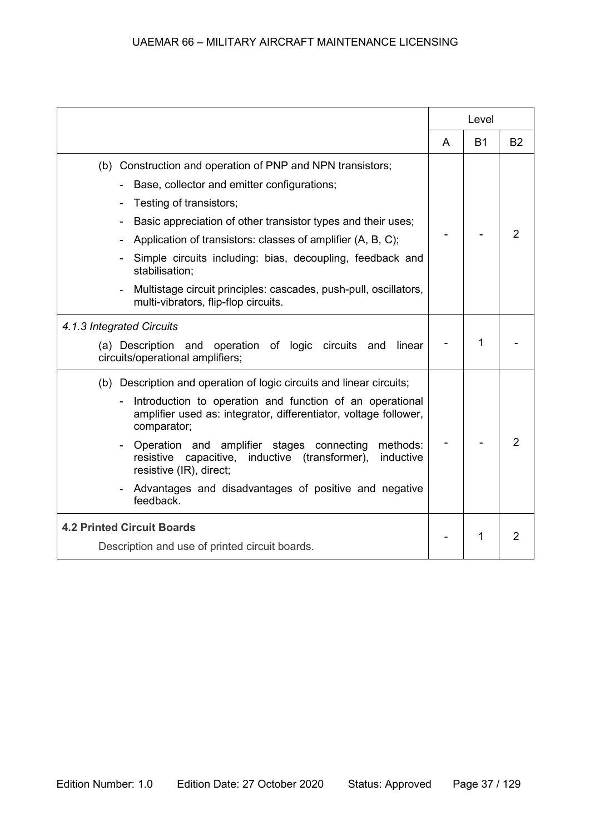|                                                                                                                                                                                                                                                                                                                                                                                                                                                                |   | Level     |                |
|----------------------------------------------------------------------------------------------------------------------------------------------------------------------------------------------------------------------------------------------------------------------------------------------------------------------------------------------------------------------------------------------------------------------------------------------------------------|---|-----------|----------------|
|                                                                                                                                                                                                                                                                                                                                                                                                                                                                | A | <b>B1</b> | <b>B2</b>      |
| (b) Construction and operation of PNP and NPN transistors;<br>Base, collector and emitter configurations;<br>Testing of transistors;<br>Basic appreciation of other transistor types and their uses;<br>Application of transistors: classes of amplifier (A, B, C);<br>Simple circuits including: bias, decoupling, feedback and<br>stabilisation;<br>Multistage circuit principles: cascades, push-pull, oscillators,<br>multi-vibrators, flip-flop circuits. |   |           | 2              |
| 4.1.3 Integrated Circuits<br>(a) Description and operation of logic circuits and<br>linear<br>circuits/operational amplifiers;                                                                                                                                                                                                                                                                                                                                 |   | 1         |                |
| (b) Description and operation of logic circuits and linear circuits;<br>Introduction to operation and function of an operational<br>amplifier used as: integrator, differentiator, voltage follower,<br>comparator;<br>Operation and amplifier stages<br>methods:<br>connecting<br>capacitive, inductive (transformer),<br>inductive<br>resistive<br>resistive (IR), direct;<br>Advantages and disadvantages of positive and negative<br>feedback.             |   |           | 2              |
| <b>4.2 Printed Circuit Boards</b><br>Description and use of printed circuit boards.                                                                                                                                                                                                                                                                                                                                                                            |   | 1         | $\overline{2}$ |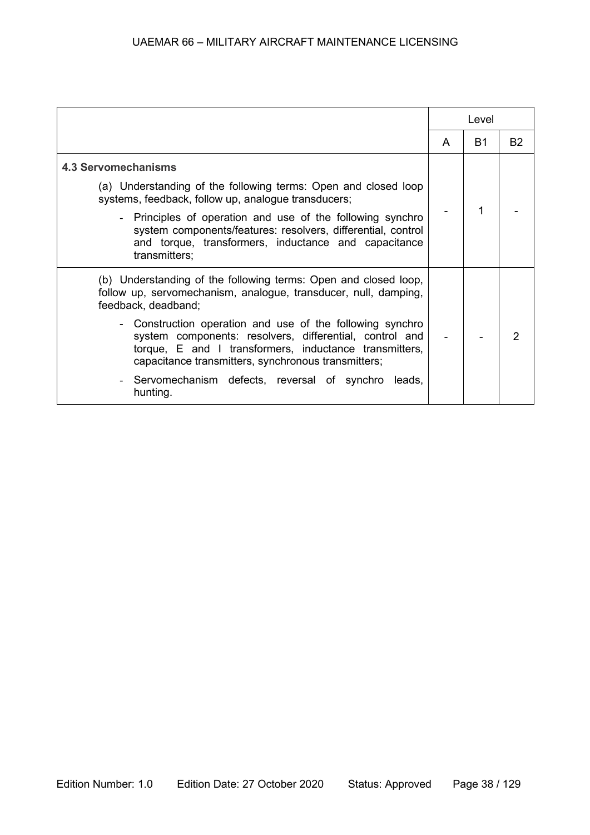|                                                                                                                                                                                                                                       | Level |    |                |
|---------------------------------------------------------------------------------------------------------------------------------------------------------------------------------------------------------------------------------------|-------|----|----------------|
|                                                                                                                                                                                                                                       | A     | B1 | B <sub>2</sub> |
| <b>4.3 Servomechanisms</b>                                                                                                                                                                                                            |       |    |                |
| (a) Understanding of the following terms: Open and closed loop<br>systems, feedback, follow up, analogue transducers;                                                                                                                 |       |    |                |
| - Principles of operation and use of the following synchro<br>system components/features: resolvers, differential, control<br>and torque, transformers, inductance and capacitance<br>transmitters;                                   |       | 1  |                |
| (b) Understanding of the following terms: Open and closed loop,<br>follow up, servomechanism, analogue, transducer, null, damping,<br>feedback, deadband;                                                                             |       |    |                |
| - Construction operation and use of the following synchro<br>system components: resolvers, differential, control and<br>torque, E and I transformers, inductance transmitters,<br>capacitance transmitters, synchronous transmitters; |       |    | 2              |
| Servomechanism defects, reversal of synchro leads,<br>hunting.                                                                                                                                                                        |       |    |                |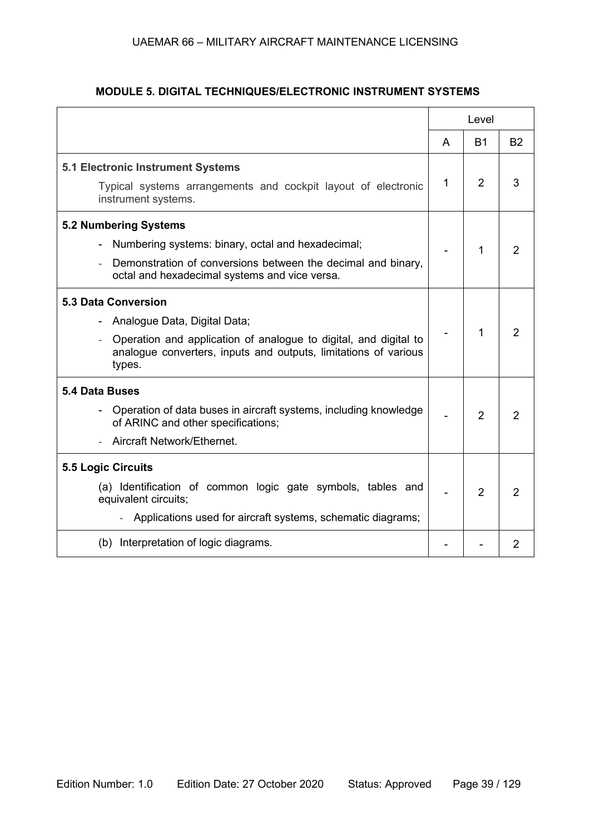|                                                                                                                                               |   | Level          |                |
|-----------------------------------------------------------------------------------------------------------------------------------------------|---|----------------|----------------|
|                                                                                                                                               | A | <b>B1</b>      | <b>B2</b>      |
| <b>5.1 Electronic Instrument Systems</b>                                                                                                      |   |                |                |
| Typical systems arrangements and cockpit layout of electronic<br>instrument systems.                                                          | 1 | $\overline{2}$ | 3              |
| <b>5.2 Numbering Systems</b>                                                                                                                  |   |                |                |
| Numbering systems: binary, octal and hexadecimal;                                                                                             |   | 1              | $\overline{2}$ |
| Demonstration of conversions between the decimal and binary,<br>octal and hexadecimal systems and vice versa.                                 |   |                |                |
| 5.3 Data Conversion                                                                                                                           |   |                |                |
| Analogue Data, Digital Data;                                                                                                                  |   |                |                |
| Operation and application of analogue to digital, and digital to<br>analogue converters, inputs and outputs, limitations of various<br>types. |   | 1              | $\overline{2}$ |
| 5.4 Data Buses                                                                                                                                |   |                |                |
| Operation of data buses in aircraft systems, including knowledge<br>of ARINC and other specifications;                                        |   | $\overline{2}$ | $\overline{2}$ |
| Aircraft Network/Ethernet.                                                                                                                    |   |                |                |
| <b>5.5 Logic Circuits</b>                                                                                                                     |   |                |                |
| (a) Identification of common logic gate symbols, tables and<br>equivalent circuits;                                                           |   | 2              | 2              |
| Applications used for aircraft systems, schematic diagrams;                                                                                   |   |                |                |
| (b) Interpretation of logic diagrams.                                                                                                         |   |                | $\overline{2}$ |

## **MODULE 5. DIGITAL TECHNIQUES/ELECTRONIC INSTRUMENT SYSTEMS**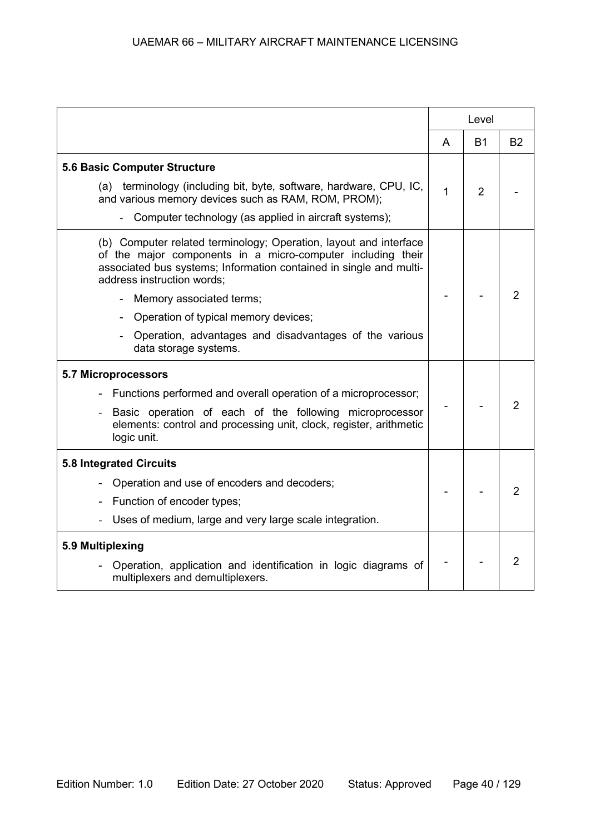|                                                                                                                                                                                                                                      |             | Level          |                |
|--------------------------------------------------------------------------------------------------------------------------------------------------------------------------------------------------------------------------------------|-------------|----------------|----------------|
|                                                                                                                                                                                                                                      | A           | <b>B1</b>      | <b>B2</b>      |
| 5.6 Basic Computer Structure                                                                                                                                                                                                         |             |                |                |
| (a) terminology (including bit, byte, software, hardware, CPU, IC,<br>and various memory devices such as RAM, ROM, PROM);                                                                                                            | $\mathbf 1$ | $\overline{2}$ |                |
| Computer technology (as applied in aircraft systems);                                                                                                                                                                                |             |                |                |
| (b) Computer related terminology; Operation, layout and interface<br>of the major components in a micro-computer including their<br>associated bus systems; Information contained in single and multi-<br>address instruction words; |             |                |                |
| - Memory associated terms;                                                                                                                                                                                                           |             |                | $\overline{2}$ |
| - Operation of typical memory devices;                                                                                                                                                                                               |             |                |                |
| - Operation, advantages and disadvantages of the various<br>data storage systems.                                                                                                                                                    |             |                |                |
| <b>5.7 Microprocessors</b>                                                                                                                                                                                                           |             |                |                |
| - Functions performed and overall operation of a microprocessor;                                                                                                                                                                     |             |                |                |
| Basic operation of each of the following microprocessor<br>elements: control and processing unit, clock, register, arithmetic<br>logic unit.                                                                                         |             |                | 2              |
| <b>5.8 Integrated Circuits</b>                                                                                                                                                                                                       |             |                |                |
| Operation and use of encoders and decoders;                                                                                                                                                                                          |             |                | 2              |
| - Function of encoder types;                                                                                                                                                                                                         |             |                |                |
| Uses of medium, large and very large scale integration.                                                                                                                                                                              |             |                |                |
| 5.9 Multiplexing                                                                                                                                                                                                                     |             |                |                |
| Operation, application and identification in logic diagrams of<br>multiplexers and demultiplexers.                                                                                                                                   |             |                | 2              |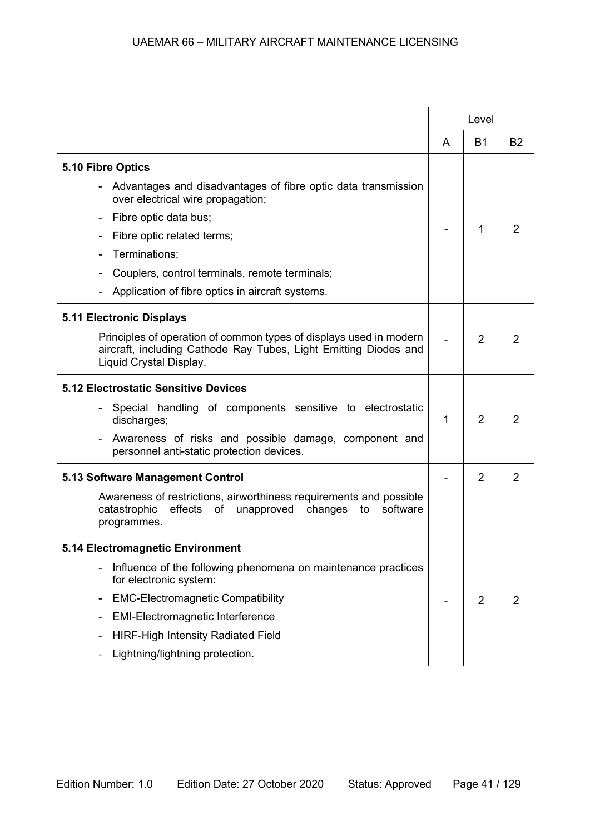|                                                                                                                                                                   |   | Level          |                |
|-------------------------------------------------------------------------------------------------------------------------------------------------------------------|---|----------------|----------------|
|                                                                                                                                                                   | A | <b>B1</b>      | <b>B2</b>      |
| 5.10 Fibre Optics                                                                                                                                                 |   |                |                |
| - Advantages and disadvantages of fibre optic data transmission<br>over electrical wire propagation;                                                              |   |                |                |
| - Fibre optic data bus;                                                                                                                                           |   |                |                |
| - Fibre optic related terms;                                                                                                                                      |   | 1              | 2              |
| Terminations;                                                                                                                                                     |   |                |                |
| Couplers, control terminals, remote terminals;                                                                                                                    |   |                |                |
| Application of fibre optics in aircraft systems.                                                                                                                  |   |                |                |
| <b>5.11 Electronic Displays</b>                                                                                                                                   |   |                |                |
| Principles of operation of common types of displays used in modern<br>aircraft, including Cathode Ray Tubes, Light Emitting Diodes and<br>Liquid Crystal Display. |   | $\overline{2}$ | 2              |
| <b>5.12 Electrostatic Sensitive Devices</b>                                                                                                                       |   |                |                |
| Special handling of components sensitive to electrostatic<br>discharges;                                                                                          | 1 | $\overline{2}$ | $\overline{2}$ |
| - Awareness of risks and possible damage, component and<br>personnel anti-static protection devices.                                                              |   |                |                |
| 5.13 Software Management Control                                                                                                                                  |   | $\overline{2}$ | $\overline{2}$ |
| Awareness of restrictions, airworthiness requirements and possible<br>effects of unapproved changes<br>catastrophic<br>to software<br>programmes.                 |   |                |                |
| 5.14 Electromagnetic Environment                                                                                                                                  |   |                |                |
| Influence of the following phenomena on maintenance practices<br>for electronic system:                                                                           |   |                |                |
| <b>EMC-Electromagnetic Compatibility</b>                                                                                                                          |   | $\overline{2}$ | $\overline{2}$ |
| <b>EMI-Electromagnetic Interference</b>                                                                                                                           |   |                |                |
| <b>HIRF-High Intensity Radiated Field</b>                                                                                                                         |   |                |                |
| Lightning/lightning protection.                                                                                                                                   |   |                |                |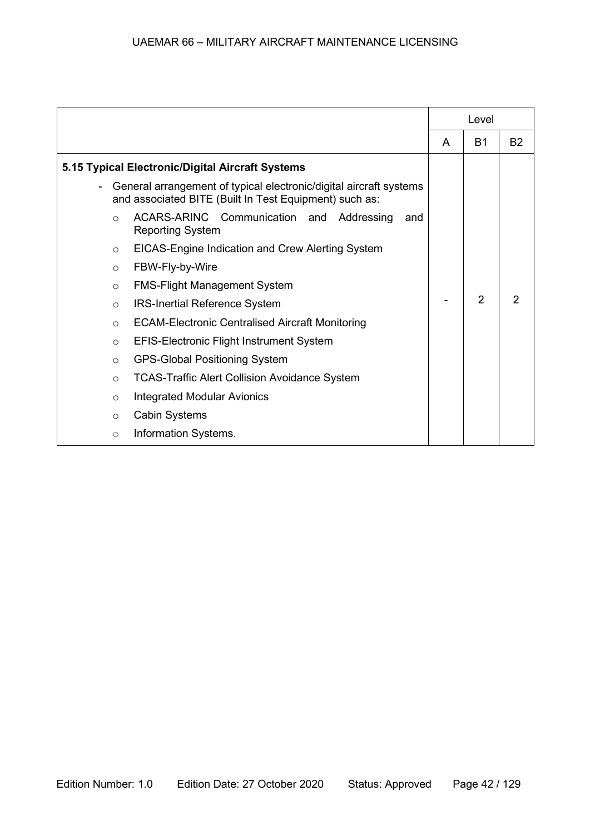|                                                                                                                                                          | Level |    |           |
|----------------------------------------------------------------------------------------------------------------------------------------------------------|-------|----|-----------|
|                                                                                                                                                          | A     | B1 | <b>B2</b> |
| 5.15 Typical Electronic/Digital Aircraft Systems                                                                                                         |       |    |           |
| General arrangement of typical electronic/digital aircraft systems<br>$\overline{\phantom{a}}$<br>and associated BITE (Built In Test Equipment) such as: |       |    |           |
| ACARS-ARINC Communication and<br>Addressing<br>and<br>$\bigcap$<br><b>Reporting System</b>                                                               |       |    |           |
| EICAS-Engine Indication and Crew Alerting System<br>$\circ$                                                                                              |       |    |           |
| FBW-Fly-by-Wire<br>$\circ$                                                                                                                               |       |    |           |
| <b>FMS-Flight Management System</b><br>$\circ$                                                                                                           |       |    |           |
| <b>IRS-Inertial Reference System</b><br>$\circ$                                                                                                          |       | 2  | 2         |
| <b>ECAM-Electronic Centralised Aircraft Monitoring</b><br>$\Omega$                                                                                       |       |    |           |
| <b>EFIS-Electronic Flight Instrument System</b><br>$\circ$                                                                                               |       |    |           |
| <b>GPS-Global Positioning System</b><br>$\Omega$                                                                                                         |       |    |           |
| <b>TCAS-Traffic Alert Collision Avoidance System</b><br>$\Omega$                                                                                         |       |    |           |
| <b>Integrated Modular Avionics</b><br>$\circ$                                                                                                            |       |    |           |
| <b>Cabin Systems</b><br>$\circ$                                                                                                                          |       |    |           |
| Information Systems.<br>$\circ$                                                                                                                          |       |    |           |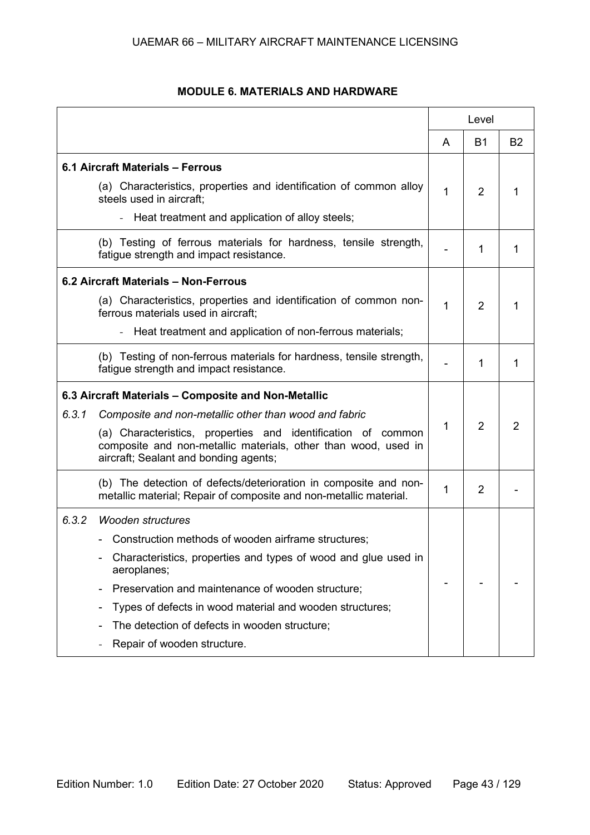|       |                                                                                                                                                                         | Level |                |                |
|-------|-------------------------------------------------------------------------------------------------------------------------------------------------------------------------|-------|----------------|----------------|
|       |                                                                                                                                                                         | A     | <b>B1</b>      | B <sub>2</sub> |
|       | 6.1 Aircraft Materials - Ferrous                                                                                                                                        |       |                |                |
|       | (a) Characteristics, properties and identification of common alloy<br>steels used in aircraft;                                                                          | 1     | $\overline{2}$ | 1              |
|       | Heat treatment and application of alloy steels;                                                                                                                         |       |                |                |
|       | (b) Testing of ferrous materials for hardness, tensile strength,<br>fatigue strength and impact resistance.                                                             |       | 1              | 1              |
|       | 6.2 Aircraft Materials - Non-Ferrous                                                                                                                                    |       |                |                |
|       | (a) Characteristics, properties and identification of common non-<br>ferrous materials used in aircraft;                                                                | 1     | $\overline{2}$ | 1              |
|       | Heat treatment and application of non-ferrous materials;                                                                                                                |       |                |                |
|       | (b) Testing of non-ferrous materials for hardness, tensile strength,<br>fatigue strength and impact resistance.                                                         |       | 1              | 1              |
|       | 6.3 Aircraft Materials – Composite and Non-Metallic                                                                                                                     |       |                |                |
| 6.3.1 | Composite and non-metallic other than wood and fabric                                                                                                                   |       |                |                |
|       | (a) Characteristics, properties and identification of common<br>composite and non-metallic materials, other than wood, used in<br>aircraft; Sealant and bonding agents; | 1     | $\overline{2}$ | 2              |
|       | (b) The detection of defects/deterioration in composite and non-<br>metallic material; Repair of composite and non-metallic material.                                   | 1     | $\overline{2}$ |                |
| 6.3.2 | <b>Wooden structures</b>                                                                                                                                                |       |                |                |
|       | Construction methods of wooden airframe structures;                                                                                                                     |       |                |                |
|       | Characteristics, properties and types of wood and glue used in<br>aeroplanes;                                                                                           |       |                |                |
|       | Preservation and maintenance of wooden structure;                                                                                                                       |       |                |                |
|       | Types of defects in wood material and wooden structures;                                                                                                                |       |                |                |
|       | The detection of defects in wooden structure;                                                                                                                           |       |                |                |
|       | Repair of wooden structure.                                                                                                                                             |       |                |                |

### **MODULE 6. MATERIALS AND HARDWARE**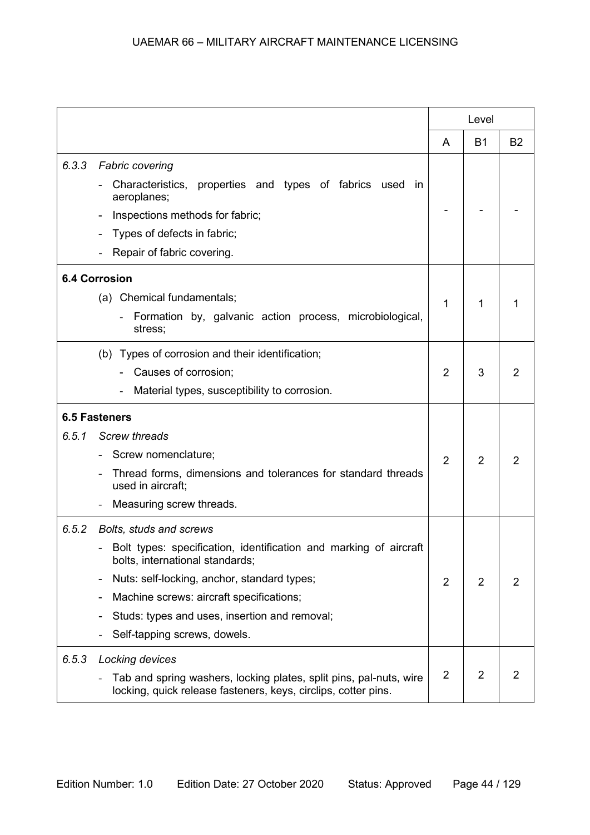|       |                                                                                                                                                                                                   | Level          |                |                |
|-------|---------------------------------------------------------------------------------------------------------------------------------------------------------------------------------------------------|----------------|----------------|----------------|
|       |                                                                                                                                                                                                   | A              | <b>B1</b>      | <b>B2</b>      |
| 6.3.3 | <b>Fabric covering</b><br>Characteristics, properties and types of fabrics used in<br>aeroplanes;<br>Inspections methods for fabric;<br>Types of defects in fabric;<br>Repair of fabric covering. |                |                |                |
|       | <b>6.4 Corrosion</b>                                                                                                                                                                              |                |                |                |
|       | (a) Chemical fundamentals;<br>Formation by, galvanic action process, microbiological,<br>stress;                                                                                                  | 1              | 1              |                |
|       | (b) Types of corrosion and their identification;                                                                                                                                                  |                |                |                |
|       | Causes of corrosion;                                                                                                                                                                              | $\overline{2}$ | 3              | 2              |
|       | Material types, susceptibility to corrosion.                                                                                                                                                      |                |                |                |
|       | <b>6.5 Fasteners</b>                                                                                                                                                                              |                |                |                |
| 6.5.1 | <b>Screw threads</b>                                                                                                                                                                              |                | $\overline{2}$ |                |
|       | Screw nomenclature;                                                                                                                                                                               | $\overline{2}$ |                | 2              |
|       | Thread forms, dimensions and tolerances for standard threads<br>used in aircraft;                                                                                                                 |                |                |                |
|       | Measuring screw threads.                                                                                                                                                                          |                |                |                |
| 6.5.2 | <b>Bolts, studs and screws</b>                                                                                                                                                                    |                |                |                |
|       | - Bolt types: specification, identification and marking of aircraft<br>bolts, international standards;                                                                                            |                |                |                |
|       | Nuts: self-locking, anchor, standard types;                                                                                                                                                       | $\overline{2}$ | $\overline{2}$ | 2              |
|       | Machine screws: aircraft specifications;                                                                                                                                                          |                |                |                |
|       | Studs: types and uses, insertion and removal;                                                                                                                                                     |                |                |                |
|       | Self-tapping screws, dowels.                                                                                                                                                                      |                |                |                |
| 6.5.3 | Locking devices                                                                                                                                                                                   |                |                |                |
|       | Tab and spring washers, locking plates, split pins, pal-nuts, wire<br>locking, quick release fasteners, keys, circlips, cotter pins.                                                              | $\overline{2}$ | $\overline{2}$ | $\overline{2}$ |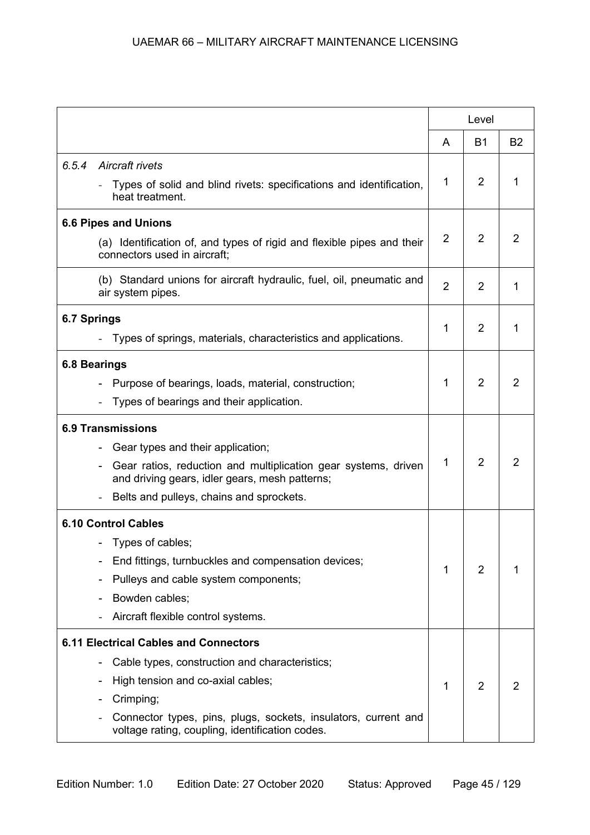|                                                                                                                    | Level          |                |                |
|--------------------------------------------------------------------------------------------------------------------|----------------|----------------|----------------|
|                                                                                                                    | A              | <b>B1</b>      | <b>B2</b>      |
| 6.5.4<br>Aircraft rivets                                                                                           |                |                |                |
| Types of solid and blind rivets: specifications and identification,<br>heat treatment.                             | 1              | 2              | 1              |
| <b>6.6 Pipes and Unions</b>                                                                                        |                |                |                |
| (a) Identification of, and types of rigid and flexible pipes and their<br>connectors used in aircraft;             | $\overline{2}$ | $\overline{2}$ | $\overline{2}$ |
| (b) Standard unions for aircraft hydraulic, fuel, oil, pneumatic and<br>air system pipes.                          | $\overline{2}$ | 2              | 1              |
| <b>6.7 Springs</b>                                                                                                 |                |                |                |
| Types of springs, materials, characteristics and applications.                                                     | 1              | $\overline{2}$ | 1              |
| <b>6.8 Bearings</b>                                                                                                |                |                |                |
| Purpose of bearings, loads, material, construction;                                                                | 1              | $\overline{2}$ | $\overline{2}$ |
| Types of bearings and their application.                                                                           |                |                |                |
| <b>6.9 Transmissions</b>                                                                                           |                |                |                |
| Gear types and their application;                                                                                  |                |                |                |
| - Gear ratios, reduction and multiplication gear systems, driven<br>and driving gears, idler gears, mesh patterns; | 1              | $\overline{2}$ | $\overline{2}$ |
| Belts and pulleys, chains and sprockets.                                                                           |                |                |                |
| <b>6.10 Control Cables</b>                                                                                         |                |                |                |
| Types of cables;                                                                                                   |                |                |                |
| End fittings, turnbuckles and compensation devices;                                                                |                |                |                |
| Pulleys and cable system components;                                                                               | 1              | $\overline{2}$ |                |
| Bowden cables;                                                                                                     |                |                |                |
| Aircraft flexible control systems.                                                                                 |                |                |                |
| <b>6.11 Electrical Cables and Connectors</b>                                                                       |                |                |                |
| Cable types, construction and characteristics;                                                                     |                |                |                |
| High tension and co-axial cables;                                                                                  | 1              | $\overline{2}$ | 2              |
| Crimping;                                                                                                          |                |                |                |
| Connector types, pins, plugs, sockets, insulators, current and<br>voltage rating, coupling, identification codes.  |                |                |                |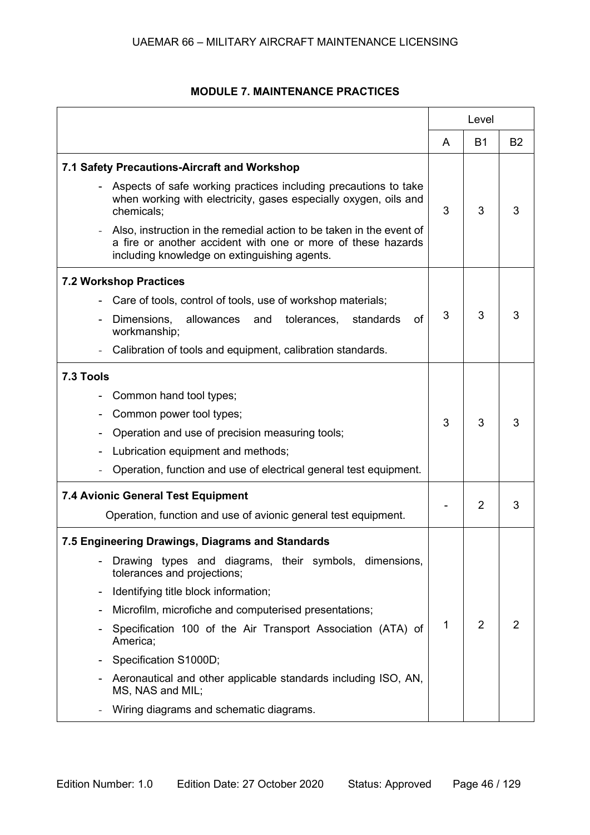|                                                                                                                                                                                      | Level |                |                |
|--------------------------------------------------------------------------------------------------------------------------------------------------------------------------------------|-------|----------------|----------------|
|                                                                                                                                                                                      | A     | <b>B1</b>      | <b>B2</b>      |
| 7.1 Safety Precautions-Aircraft and Workshop                                                                                                                                         |       |                |                |
| Aspects of safe working practices including precautions to take<br>when working with electricity, gases especially oxygen, oils and<br>chemicals;                                    | 3     | 3              | 3              |
| Also, instruction in the remedial action to be taken in the event of<br>a fire or another accident with one or more of these hazards<br>including knowledge on extinguishing agents. |       |                |                |
| <b>7.2 Workshop Practices</b>                                                                                                                                                        |       |                |                |
| Care of tools, control of tools, use of workshop materials;                                                                                                                          |       |                |                |
| of<br>Dimensions, allowances and<br>tolerances,<br>standards<br>workmanship;                                                                                                         | 3     | 3              | 3              |
| Calibration of tools and equipment, calibration standards.                                                                                                                           |       |                |                |
| 7.3 Tools                                                                                                                                                                            |       |                |                |
| Common hand tool types;                                                                                                                                                              |       |                |                |
| Common power tool types;                                                                                                                                                             | 3     | 3              | 3              |
| Operation and use of precision measuring tools;                                                                                                                                      |       |                |                |
| Lubrication equipment and methods;                                                                                                                                                   |       |                |                |
| Operation, function and use of electrical general test equipment.                                                                                                                    |       |                |                |
| 7.4 Avionic General Test Equipment                                                                                                                                                   |       |                |                |
| Operation, function and use of avionic general test equipment.                                                                                                                       |       | 2              | 3              |
| 7.5 Engineering Drawings, Diagrams and Standards                                                                                                                                     |       |                |                |
| Drawing types and diagrams, their symbols, dimensions,<br>tolerances and projections;                                                                                                |       |                |                |
| Identifying title block information;                                                                                                                                                 |       |                |                |
| Microfilm, microfiche and computerised presentations;                                                                                                                                |       |                |                |
| Specification 100 of the Air Transport Association (ATA) of<br>America;                                                                                                              | 1     | $\overline{2}$ | $\overline{2}$ |
| Specification S1000D;                                                                                                                                                                |       |                |                |
| Aeronautical and other applicable standards including ISO, AN,<br>MS, NAS and MIL;                                                                                                   |       |                |                |
| Wiring diagrams and schematic diagrams.                                                                                                                                              |       |                |                |

## **MODULE 7. MAINTENANCE PRACTICES**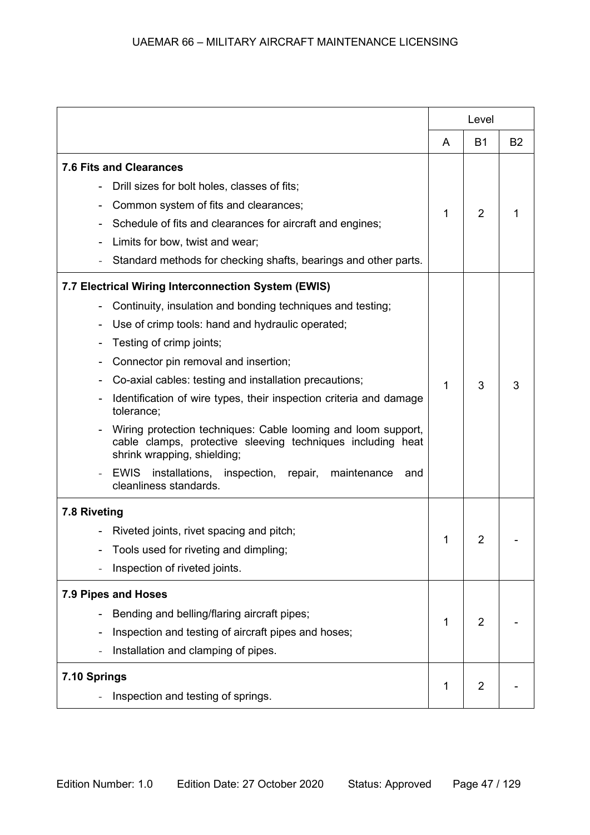|                                                                                                                                                                                                                                                                                                                                                                                                                                                                                                                                                                                                                                                   |   | Level          |                |
|---------------------------------------------------------------------------------------------------------------------------------------------------------------------------------------------------------------------------------------------------------------------------------------------------------------------------------------------------------------------------------------------------------------------------------------------------------------------------------------------------------------------------------------------------------------------------------------------------------------------------------------------------|---|----------------|----------------|
|                                                                                                                                                                                                                                                                                                                                                                                                                                                                                                                                                                                                                                                   | A | <b>B1</b>      | B <sub>2</sub> |
| <b>7.6 Fits and Clearances</b><br>Drill sizes for bolt holes, classes of fits;<br>Common system of fits and clearances;<br>Schedule of fits and clearances for aircraft and engines;<br>Limits for bow, twist and wear;<br>Standard methods for checking shafts, bearings and other parts.                                                                                                                                                                                                                                                                                                                                                        | 1 | $\overline{2}$ | 1              |
| 7.7 Electrical Wiring Interconnection System (EWIS)<br>Continuity, insulation and bonding techniques and testing;<br>Use of crimp tools: hand and hydraulic operated;<br>Testing of crimp joints;<br>Connector pin removal and insertion;<br>Co-axial cables: testing and installation precautions;<br>Identification of wire types, their inspection criteria and damage<br>tolerance;<br>Wiring protection techniques: Cable looming and loom support,<br>cable clamps, protective sleeving techniques including heat<br>shrink wrapping, shielding;<br>EWIS installations, inspection, repair,<br>maintenance<br>and<br>cleanliness standards. | 1 | 3              | 3              |
| 7.8 Riveting<br>Riveted joints, rivet spacing and pitch;<br>Tools used for riveting and dimpling;<br>Inspection of riveted joints.                                                                                                                                                                                                                                                                                                                                                                                                                                                                                                                | 1 | 2              |                |
| 7.9 Pipes and Hoses<br>Bending and belling/flaring aircraft pipes;<br>Inspection and testing of aircraft pipes and hoses;<br>Installation and clamping of pipes.                                                                                                                                                                                                                                                                                                                                                                                                                                                                                  | 1 | $\overline{2}$ |                |
| 7.10 Springs<br>Inspection and testing of springs.                                                                                                                                                                                                                                                                                                                                                                                                                                                                                                                                                                                                | 1 | $\overline{2}$ |                |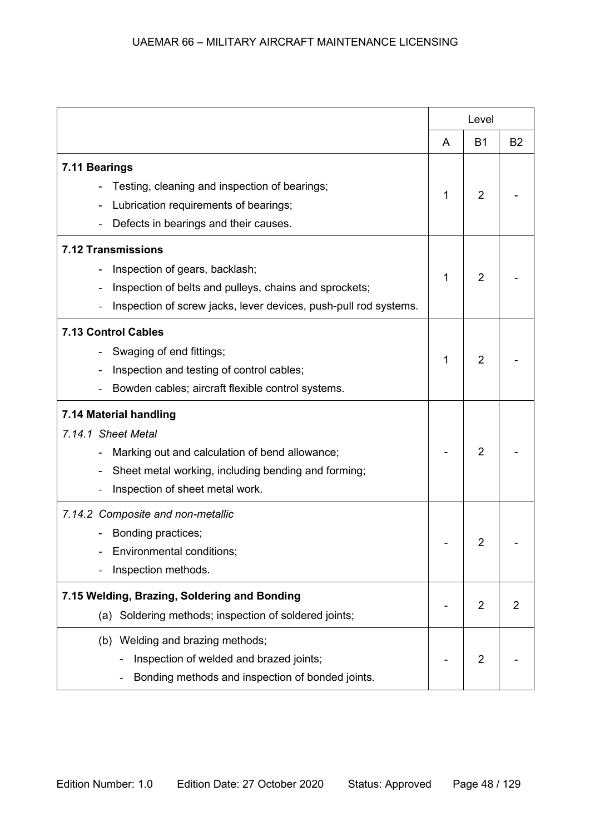|                                                                  | Level |                |           |
|------------------------------------------------------------------|-------|----------------|-----------|
|                                                                  | A     | B1             | <b>B2</b> |
| 7.11 Bearings                                                    |       |                |           |
| Testing, cleaning and inspection of bearings;                    | 1     | $\overline{2}$ |           |
| Lubrication requirements of bearings;                            |       |                |           |
| Defects in bearings and their causes.                            |       |                |           |
| <b>7.12 Transmissions</b>                                        |       |                |           |
| Inspection of gears, backlash;                                   | 1     | 2              |           |
| Inspection of belts and pulleys, chains and sprockets;           |       |                |           |
| Inspection of screw jacks, lever devices, push-pull rod systems. |       |                |           |
| 7.13 Control Cables                                              |       |                |           |
| Swaging of end fittings;                                         |       |                |           |
| Inspection and testing of control cables;                        | 1     | 2              |           |
| Bowden cables; aircraft flexible control systems.                |       |                |           |
| 7.14 Material handling                                           |       |                |           |
| 7.14.1 Sheet Metal                                               |       |                |           |
| Marking out and calculation of bend allowance;                   |       | $\overline{2}$ |           |
| Sheet metal working, including bending and forming;              |       |                |           |
| Inspection of sheet metal work.                                  |       |                |           |
| 7.14.2 Composite and non-metallic                                |       |                |           |
| Bonding practices;                                               |       |                |           |
| Environmental conditions;                                        |       | 2              |           |
| Inspection methods.                                              |       |                |           |
| 7.15 Welding, Brazing, Soldering and Bonding                     |       |                |           |
| (a) Soldering methods; inspection of soldered joints;            |       | 2              | 2         |
| (b) Welding and brazing methods;                                 |       |                |           |
| Inspection of welded and brazed joints;                          |       | $\overline{2}$ |           |
| Bonding methods and inspection of bonded joints.                 |       |                |           |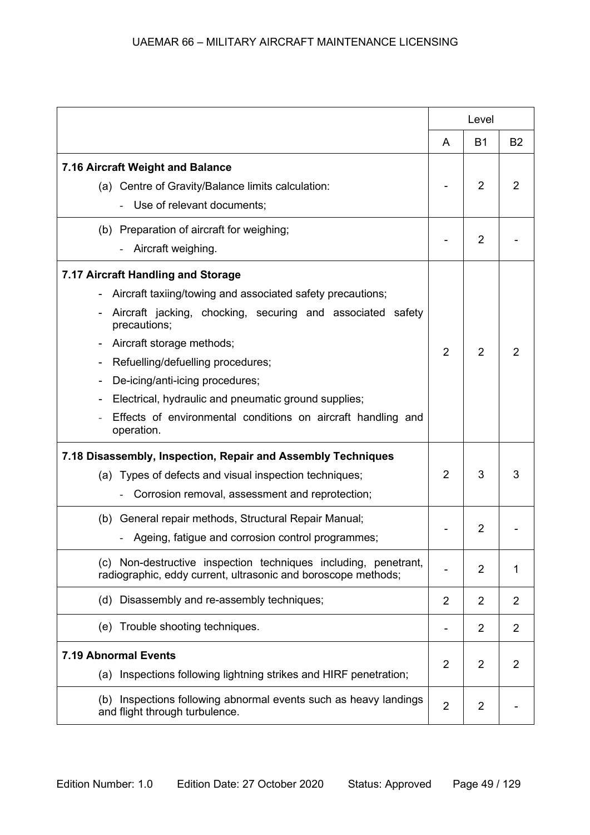|                                                                                                                                  | Level          |                |                |
|----------------------------------------------------------------------------------------------------------------------------------|----------------|----------------|----------------|
|                                                                                                                                  | A              | <b>B1</b>      | <b>B2</b>      |
| 7.16 Aircraft Weight and Balance                                                                                                 |                |                |                |
| (a) Centre of Gravity/Balance limits calculation:                                                                                |                | $\overline{2}$ | 2              |
| Use of relevant documents;                                                                                                       |                |                |                |
| (b) Preparation of aircraft for weighing;                                                                                        |                |                |                |
| Aircraft weighing.                                                                                                               |                | $\overline{2}$ |                |
| 7.17 Aircraft Handling and Storage                                                                                               |                |                |                |
| Aircraft taxiing/towing and associated safety precautions;                                                                       |                |                |                |
| Aircraft jacking, chocking, securing and associated safety<br>precautions;                                                       |                |                |                |
| Aircraft storage methods;                                                                                                        | $\overline{2}$ | $\overline{2}$ | 2              |
| Refuelling/defuelling procedures;                                                                                                |                |                |                |
| De-icing/anti-icing procedures;                                                                                                  |                |                |                |
| Electrical, hydraulic and pneumatic ground supplies;                                                                             |                |                |                |
| Effects of environmental conditions on aircraft handling and<br>operation.                                                       |                |                |                |
| 7.18 Disassembly, Inspection, Repair and Assembly Techniques                                                                     |                |                |                |
| (a) Types of defects and visual inspection techniques;                                                                           | $\overline{2}$ | 3              | 3              |
| Corrosion removal, assessment and reprotection;                                                                                  |                |                |                |
| (b) General repair methods, Structural Repair Manual;                                                                            |                |                |                |
| Ageing, fatigue and corrosion control programmes;                                                                                |                | $\overline{2}$ |                |
| (c) Non-destructive inspection techniques including, penetrant,<br>radiographic, eddy current, ultrasonic and boroscope methods; |                | $\overline{2}$ | 1              |
| Disassembly and re-assembly techniques;<br>(d)                                                                                   | $\overline{2}$ | $\overline{2}$ | $\overline{2}$ |
| Trouble shooting techniques.<br>(e)                                                                                              |                | 2              | $\overline{2}$ |
| <b>7.19 Abnormal Events</b>                                                                                                      |                |                |                |
| Inspections following lightning strikes and HIRF penetration;<br>(a)                                                             | $\overline{2}$ | 2              | $\overline{2}$ |
| Inspections following abnormal events such as heavy landings<br>(b)<br>and flight through turbulence.                            | $\overline{2}$ | 2              |                |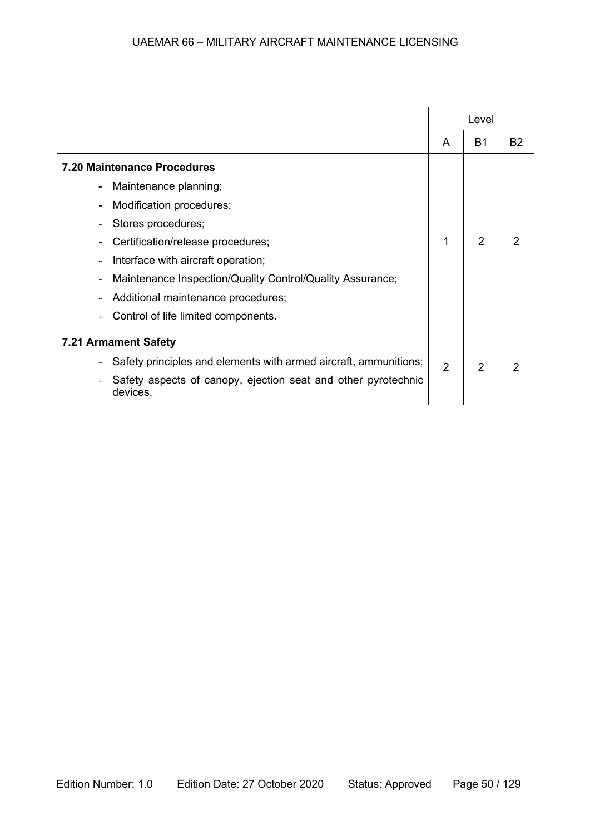|                                                                           |   | Level     |           |
|---------------------------------------------------------------------------|---|-----------|-----------|
|                                                                           | A | <b>B1</b> | <b>B2</b> |
| <b>7.20 Maintenance Procedures</b>                                        |   |           |           |
| Maintenance planning;                                                     |   |           |           |
| Modification procedures;                                                  |   |           |           |
| Stores procedures;                                                        |   |           |           |
| Certification/release procedures;                                         | 1 | 2         |           |
| Interface with aircraft operation;                                        |   |           |           |
| Maintenance Inspection/Quality Control/Quality Assurance;                 |   |           |           |
| Additional maintenance procedures;                                        |   |           |           |
| Control of life limited components.                                       |   |           |           |
| <b>7.21 Armament Safety</b>                                               |   |           |           |
| Safety principles and elements with armed aircraft, ammunitions;          | 2 | 2         | 2         |
| Safety aspects of canopy, ejection seat and other pyrotechnic<br>devices. |   |           |           |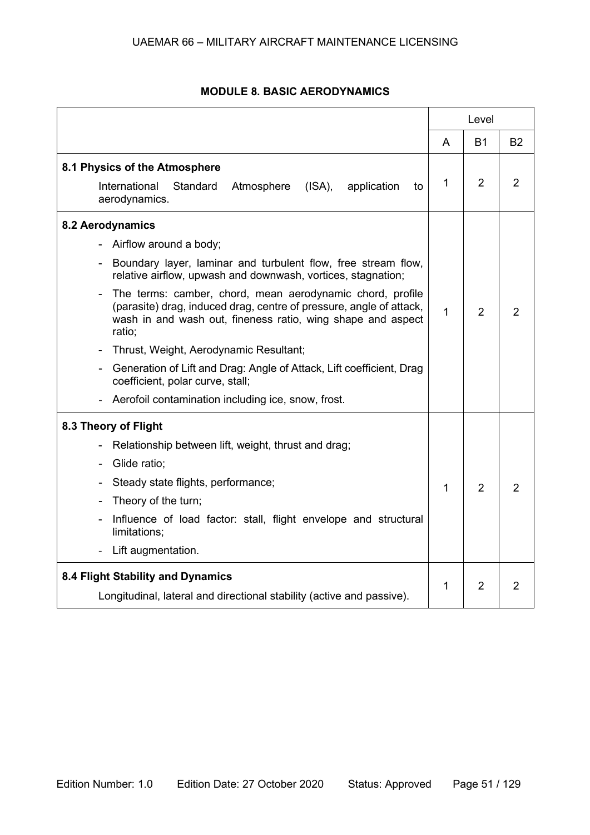|                                                                                                                                                                                                           |              | Level          |                |
|-----------------------------------------------------------------------------------------------------------------------------------------------------------------------------------------------------------|--------------|----------------|----------------|
|                                                                                                                                                                                                           | A            | B1             | B <sub>2</sub> |
| 8.1 Physics of the Atmosphere                                                                                                                                                                             |              |                |                |
| International<br>Standard<br>(ISA), application<br>Atmosphere<br>to<br>aerodynamics.                                                                                                                      | 1            | $\overline{2}$ | $\overline{2}$ |
| 8.2 Aerodynamics                                                                                                                                                                                          |              |                |                |
| Airflow around a body;                                                                                                                                                                                    |              |                |                |
| - Boundary layer, laminar and turbulent flow, free stream flow,<br>relative airflow, upwash and downwash, vortices, stagnation;                                                                           |              |                |                |
| The terms: camber, chord, mean aerodynamic chord, profile<br>(parasite) drag, induced drag, centre of pressure, angle of attack,<br>wash in and wash out, fineness ratio, wing shape and aspect<br>ratio; | $\mathbf{1}$ | $\overline{2}$ | $\mathcal{P}$  |
| Thrust, Weight, Aerodynamic Resultant;                                                                                                                                                                    |              |                |                |
| Generation of Lift and Drag: Angle of Attack, Lift coefficient, Drag<br>$\blacksquare$<br>coefficient, polar curve, stall;                                                                                |              |                |                |
| Aerofoil contamination including ice, snow, frost.                                                                                                                                                        |              |                |                |
| 8.3 Theory of Flight                                                                                                                                                                                      |              |                |                |
| Relationship between lift, weight, thrust and drag;                                                                                                                                                       |              |                |                |
| Glide ratio;<br>$\sim$                                                                                                                                                                                    |              |                |                |
| Steady state flights, performance;                                                                                                                                                                        | 1            | $\overline{2}$ | 2              |
| Theory of the turn;                                                                                                                                                                                       |              |                |                |
| Influence of load factor: stall, flight envelope and structural<br>limitations;                                                                                                                           |              |                |                |
| Lift augmentation.                                                                                                                                                                                        |              |                |                |
| 8.4 Flight Stability and Dynamics                                                                                                                                                                         |              |                |                |
| Longitudinal, lateral and directional stability (active and passive).                                                                                                                                     | 1            | 2              | $\overline{2}$ |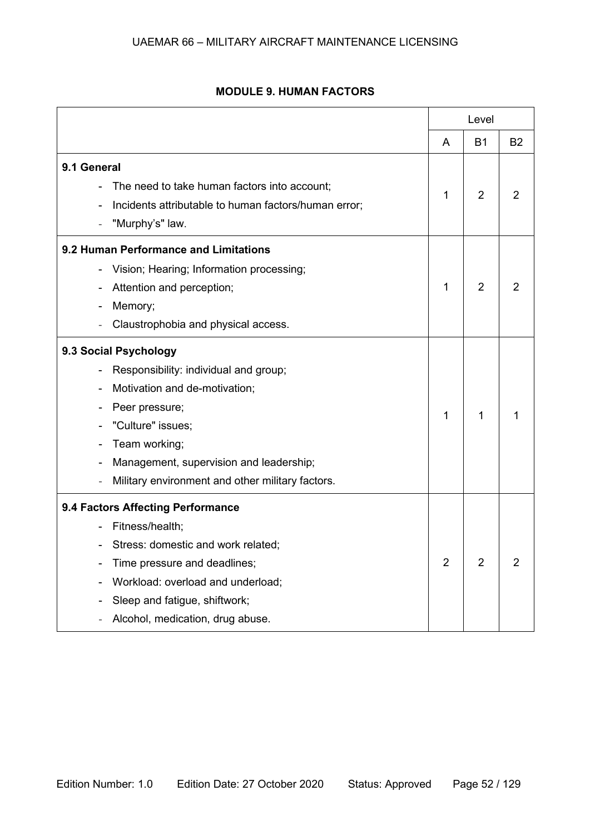|                                                      | Level          |                |                |
|------------------------------------------------------|----------------|----------------|----------------|
|                                                      | A              | <b>B1</b>      | B <sub>2</sub> |
| 9.1 General                                          |                |                |                |
| The need to take human factors into account;         | 1              | $\overline{2}$ | 2              |
| Incidents attributable to human factors/human error; |                |                |                |
| "Murphy's" law.                                      |                |                |                |
| 9.2 Human Performance and Limitations                |                |                |                |
| Vision; Hearing; Information processing;             |                |                |                |
| Attention and perception;                            | 1              | $\overline{2}$ | 2              |
| Memory;                                              |                |                |                |
| Claustrophobia and physical access.                  |                |                |                |
| 9.3 Social Psychology                                |                |                |                |
| Responsibility: individual and group;                |                |                |                |
| Motivation and de-motivation;                        |                |                |                |
| Peer pressure;                                       | 1              | 1              |                |
| "Culture" issues;                                    |                |                |                |
| Team working;                                        |                |                |                |
| Management, supervision and leadership;              |                |                |                |
| Military environment and other military factors.     |                |                |                |
| 9.4 Factors Affecting Performance                    |                |                |                |
| Fitness/health;                                      |                |                |                |
| Stress: domestic and work related;                   |                |                |                |
| Time pressure and deadlines;                         | $\overline{2}$ | $\overline{2}$ | $\overline{2}$ |
| Workload: overload and underload;<br>٠               |                |                |                |
| Sleep and fatigue, shiftwork;                        |                |                |                |
| Alcohol, medication, drug abuse.                     |                |                |                |

#### **MODULE 9. HUMAN FACTORS**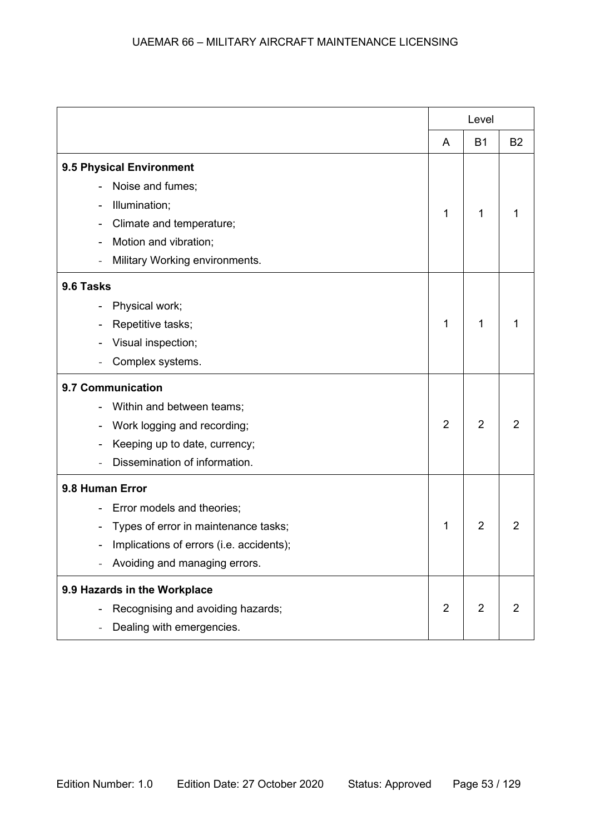#### UAEMAR 66 – MILITARY AIRCRAFT MAINTENANCE LICENSING

|                                               | Level          |                |                |
|-----------------------------------------------|----------------|----------------|----------------|
|                                               | A              | <b>B1</b>      | <b>B2</b>      |
| 9.5 Physical Environment                      |                |                |                |
| Noise and fumes;                              |                |                |                |
| Illumination;                                 | 1              | 1              |                |
| Climate and temperature;                      |                |                |                |
| Motion and vibration;<br>۰                    |                |                |                |
| Military Working environments.                |                |                |                |
| 9.6 Tasks                                     |                |                |                |
| Physical work;<br>$\blacksquare$              |                |                |                |
| Repetitive tasks;                             | 1              | 1              | 1              |
| Visual inspection;                            |                |                |                |
| Complex systems.                              |                |                |                |
| 9.7 Communication                             |                |                |                |
| Within and between teams;                     |                |                |                |
| Work logging and recording;<br>$\blacksquare$ | $\overline{2}$ | $\overline{2}$ | $\overline{2}$ |
| Keeping up to date, currency;<br>٠            |                |                |                |
| Dissemination of information.                 |                |                |                |
| 9.8 Human Error                               |                |                |                |
| Error models and theories;                    |                |                |                |
| Types of error in maintenance tasks;          | 1              | $\overline{2}$ | 2              |
| Implications of errors (i.e. accidents);      |                |                |                |
| Avoiding and managing errors.                 |                |                |                |
| 9.9 Hazards in the Workplace                  |                |                |                |
| Recognising and avoiding hazards;             | $\overline{2}$ | 2              | 2              |
| Dealing with emergencies.                     |                |                |                |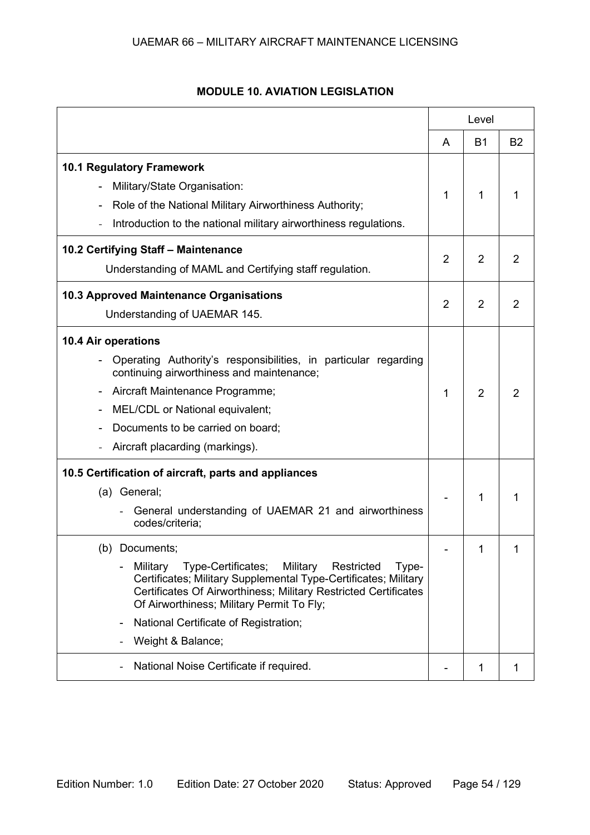|                                                                                                                                                                                                                                                      | Level          |                |                |
|------------------------------------------------------------------------------------------------------------------------------------------------------------------------------------------------------------------------------------------------------|----------------|----------------|----------------|
|                                                                                                                                                                                                                                                      | A              | <b>B1</b>      | <b>B2</b>      |
| <b>10.1 Regulatory Framework</b>                                                                                                                                                                                                                     |                |                |                |
| Military/State Organisation:                                                                                                                                                                                                                         | 1              | 1              | 1              |
| Role of the National Military Airworthiness Authority;                                                                                                                                                                                               |                |                |                |
| Introduction to the national military airworthiness regulations.                                                                                                                                                                                     |                |                |                |
| 10.2 Certifying Staff - Maintenance                                                                                                                                                                                                                  | $\overline{2}$ | $\overline{2}$ | $\overline{2}$ |
| Understanding of MAML and Certifying staff regulation.                                                                                                                                                                                               |                |                |                |
| 10.3 Approved Maintenance Organisations                                                                                                                                                                                                              | $\overline{2}$ | $\overline{2}$ | $\overline{2}$ |
| Understanding of UAEMAR 145.                                                                                                                                                                                                                         |                |                |                |
| 10.4 Air operations                                                                                                                                                                                                                                  |                |                |                |
| Operating Authority's responsibilities, in particular regarding<br>continuing airworthiness and maintenance;                                                                                                                                         |                |                |                |
| Aircraft Maintenance Programme;                                                                                                                                                                                                                      | 1              | $\overline{2}$ | 2              |
| MEL/CDL or National equivalent;                                                                                                                                                                                                                      |                |                |                |
| Documents to be carried on board;                                                                                                                                                                                                                    |                |                |                |
| Aircraft placarding (markings).                                                                                                                                                                                                                      |                |                |                |
| 10.5 Certification of aircraft, parts and appliances                                                                                                                                                                                                 |                |                |                |
| (a) General;                                                                                                                                                                                                                                         |                | 1              |                |
| General understanding of UAEMAR 21 and airworthiness<br>codes/criteria;                                                                                                                                                                              |                |                |                |
| (b) Documents;                                                                                                                                                                                                                                       |                | 1              |                |
| Type-Certificates;<br>Military<br>Military<br>Restricted<br>Type-<br>Certificates; Military Supplemental Type-Certificates; Military<br>Certificates Of Airworthiness; Military Restricted Certificates<br>Of Airworthiness; Military Permit To Fly; |                |                |                |
| National Certificate of Registration;                                                                                                                                                                                                                |                |                |                |
| Weight & Balance;                                                                                                                                                                                                                                    |                |                |                |
| National Noise Certificate if required.                                                                                                                                                                                                              |                | 1              | 1              |

# **MODULE 10. AVIATION LEGISLATION**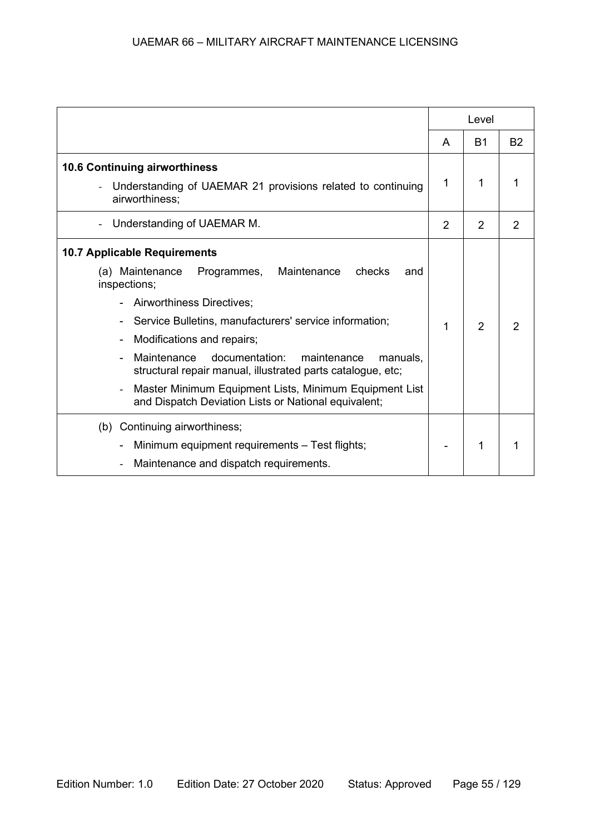|                                                                                                                         |                | Level          |                |
|-------------------------------------------------------------------------------------------------------------------------|----------------|----------------|----------------|
|                                                                                                                         | A              | B1             | B <sub>2</sub> |
| 10.6 Continuing airworthiness                                                                                           |                |                |                |
| Understanding of UAEMAR 21 provisions related to continuing<br>airworthiness;                                           | 1              | 1              | 1              |
| Understanding of UAEMAR M.                                                                                              | $\overline{2}$ | 2              | 2              |
| <b>10.7 Applicable Requirements</b>                                                                                     |                |                |                |
| Maintenance<br>(a) Maintenance<br>Programmes,<br>checks<br>and<br>inspections;                                          |                |                |                |
| Airworthiness Directives;                                                                                               |                |                |                |
| Service Bulletins, manufacturers' service information;                                                                  | 1              | $\overline{2}$ | 2              |
| Modifications and repairs;                                                                                              |                |                |                |
| Maintenance<br>documentation:<br>maintenance<br>manuals,<br>structural repair manual, illustrated parts catalogue, etc; |                |                |                |
| Master Minimum Equipment Lists, Minimum Equipment List<br>and Dispatch Deviation Lists or National equivalent;          |                |                |                |
| (b) Continuing airworthiness;                                                                                           |                |                |                |
| Minimum equipment requirements - Test flights;                                                                          |                | 1              |                |
| Maintenance and dispatch requirements.                                                                                  |                |                |                |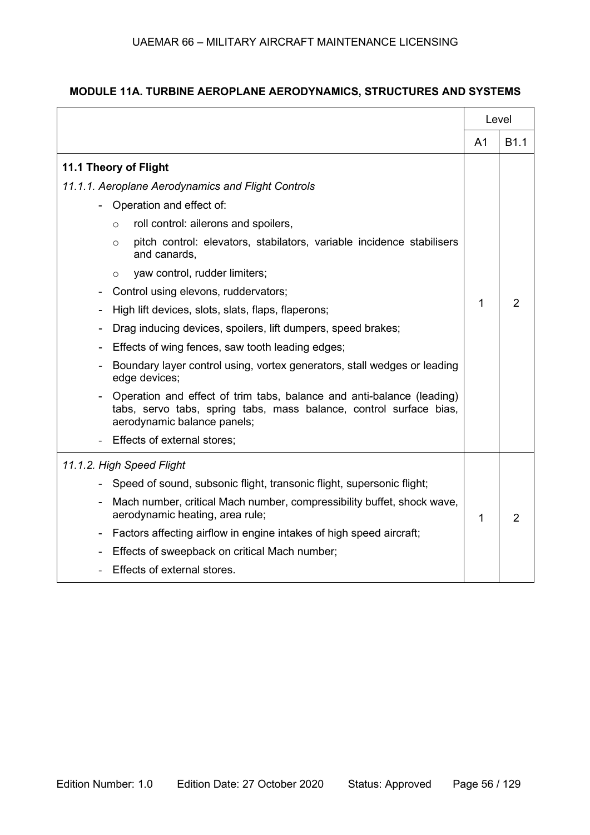|  | <b>MODULE 11A. TURBINE AEROPLANE AERODYNAMICS, STRUCTURES AND SYSTEMS</b> |  |  |  |
|--|---------------------------------------------------------------------------|--|--|--|
|--|---------------------------------------------------------------------------|--|--|--|

|                                                                                                                                                                            |                | Level       |
|----------------------------------------------------------------------------------------------------------------------------------------------------------------------------|----------------|-------------|
|                                                                                                                                                                            | A <sub>1</sub> | <b>B1.1</b> |
| 11.1 Theory of Flight                                                                                                                                                      |                |             |
| 11.1.1. Aeroplane Aerodynamics and Flight Controls                                                                                                                         |                |             |
| Operation and effect of:                                                                                                                                                   |                |             |
| roll control: ailerons and spoilers,<br>$\circ$                                                                                                                            |                |             |
| pitch control: elevators, stabilators, variable incidence stabilisers<br>$\circ$<br>and canards,                                                                           |                |             |
| yaw control, rudder limiters;<br>$\circ$                                                                                                                                   |                |             |
| Control using elevons, ruddervators;                                                                                                                                       |                |             |
| High lift devices, slots, slats, flaps, flaperons;                                                                                                                         | 1              | 2           |
| Drag inducing devices, spoilers, lift dumpers, speed brakes;                                                                                                               |                |             |
| Effects of wing fences, saw tooth leading edges;                                                                                                                           |                |             |
| Boundary layer control using, vortex generators, stall wedges or leading<br>edge devices;                                                                                  |                |             |
| Operation and effect of trim tabs, balance and anti-balance (leading)<br>tabs, servo tabs, spring tabs, mass balance, control surface bias,<br>aerodynamic balance panels; |                |             |
| Effects of external stores;                                                                                                                                                |                |             |
| 11.1.2. High Speed Flight                                                                                                                                                  |                |             |
| Speed of sound, subsonic flight, transonic flight, supersonic flight;                                                                                                      |                |             |
| Mach number, critical Mach number, compressibility buffet, shock wave,<br>۰<br>aerodynamic heating, area rule;                                                             | 1              | 2           |
| Factors affecting airflow in engine intakes of high speed aircraft;                                                                                                        |                |             |
| Effects of sweepback on critical Mach number;                                                                                                                              |                |             |
| Effects of external stores.                                                                                                                                                |                |             |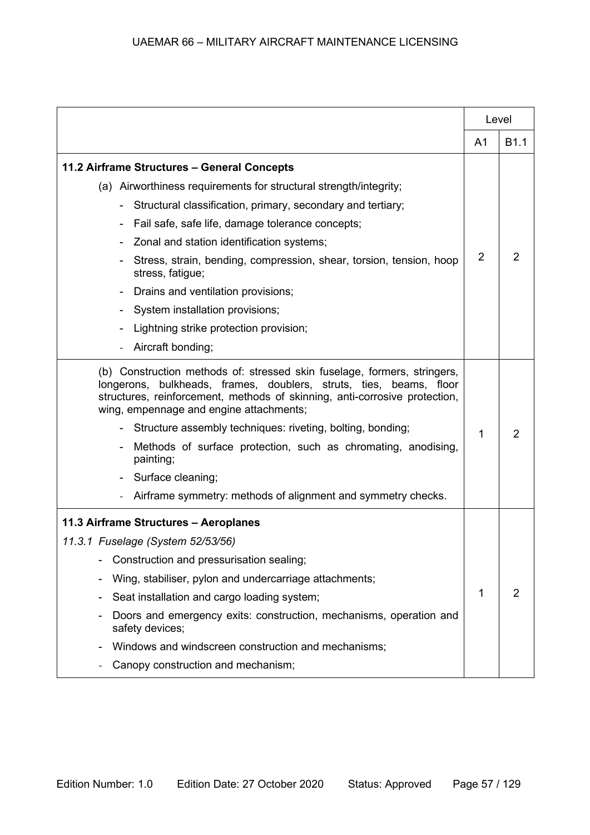|                                                                                                                                                                                                                                                                         |                | Level       |
|-------------------------------------------------------------------------------------------------------------------------------------------------------------------------------------------------------------------------------------------------------------------------|----------------|-------------|
|                                                                                                                                                                                                                                                                         | A <sub>1</sub> | <b>B1.1</b> |
| 11.2 Airframe Structures - General Concepts                                                                                                                                                                                                                             |                |             |
| (a) Airworthiness requirements for structural strength/integrity;                                                                                                                                                                                                       |                |             |
| Structural classification, primary, secondary and tertiary;<br>۰                                                                                                                                                                                                        |                |             |
| Fail safe, safe life, damage tolerance concepts;<br>$\blacksquare$                                                                                                                                                                                                      |                |             |
| Zonal and station identification systems;<br>Ξ.                                                                                                                                                                                                                         |                |             |
| Stress, strain, bending, compression, shear, torsion, tension, hoop<br>stress, fatigue;                                                                                                                                                                                 | $\overline{2}$ | 2           |
| Drains and ventilation provisions;                                                                                                                                                                                                                                      |                |             |
| System installation provisions;                                                                                                                                                                                                                                         |                |             |
| Lightning strike protection provision;<br>-                                                                                                                                                                                                                             |                |             |
| Aircraft bonding;                                                                                                                                                                                                                                                       |                |             |
| (b) Construction methods of: stressed skin fuselage, formers, stringers,<br>longerons, bulkheads, frames, doublers, struts, ties, beams, floor<br>structures, reinforcement, methods of skinning, anti-corrosive protection,<br>wing, empennage and engine attachments; |                |             |
| Structure assembly techniques: riveting, bolting, bonding;                                                                                                                                                                                                              | 1              | 2           |
| Methods of surface protection, such as chromating, anodising,<br>۰<br>painting;                                                                                                                                                                                         |                |             |
| Surface cleaning;<br>Ξ.                                                                                                                                                                                                                                                 |                |             |
| Airframe symmetry: methods of alignment and symmetry checks.                                                                                                                                                                                                            |                |             |
| 11.3 Airframe Structures - Aeroplanes                                                                                                                                                                                                                                   |                |             |
| 11.3.1 Fuselage (System 52/53/56)                                                                                                                                                                                                                                       |                |             |
| Construction and pressurisation sealing;                                                                                                                                                                                                                                |                |             |
| Wing, stabiliser, pylon and undercarriage attachments;                                                                                                                                                                                                                  |                |             |
| Seat installation and cargo loading system;                                                                                                                                                                                                                             | 1              | 2           |
| Doors and emergency exits: construction, mechanisms, operation and<br>safety devices;                                                                                                                                                                                   |                |             |
| Windows and windscreen construction and mechanisms;                                                                                                                                                                                                                     |                |             |
| Canopy construction and mechanism;                                                                                                                                                                                                                                      |                |             |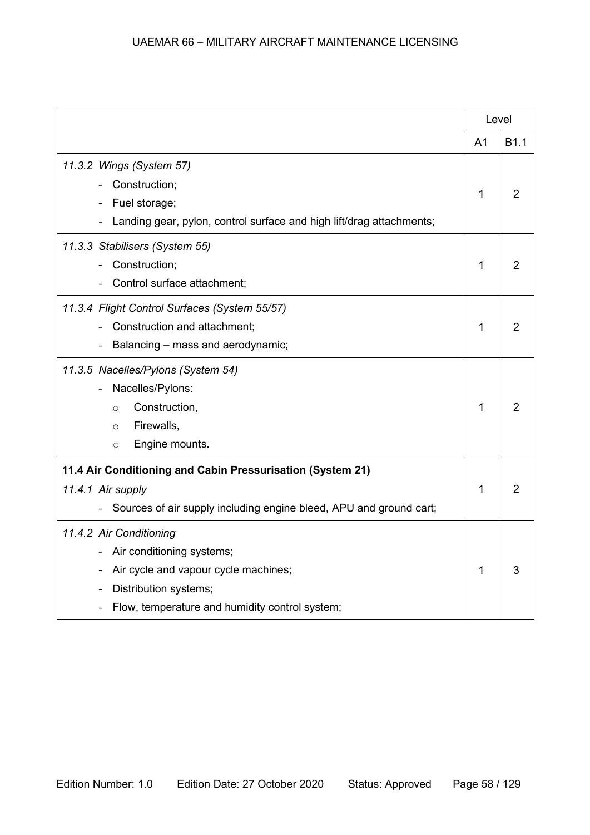|                                                                      |                | Level          |
|----------------------------------------------------------------------|----------------|----------------|
|                                                                      | A <sub>1</sub> | <b>B1.1</b>    |
| 11.3.2 Wings (System 57)                                             |                |                |
| Construction;                                                        |                | $\overline{2}$ |
| Fuel storage;                                                        | 1              |                |
| Landing gear, pylon, control surface and high lift/drag attachments; |                |                |
| 11.3.3 Stabilisers (System 55)                                       |                |                |
| Construction;                                                        | 1              | $\overline{2}$ |
| Control surface attachment;                                          |                |                |
| 11.3.4 Flight Control Surfaces (System 55/57)                        |                |                |
| Construction and attachment;                                         | 1              | $\overline{2}$ |
| Balancing - mass and aerodynamic;                                    |                |                |
| 11.3.5 Nacelles/Pylons (System 54)                                   |                |                |
| Nacelles/Pylons:                                                     |                |                |
| Construction,<br>$\circ$                                             | 1              | 2              |
| Firewalls,<br>$\circ$                                                |                |                |
| Engine mounts.<br>$\circ$                                            |                |                |
| 11.4 Air Conditioning and Cabin Pressurisation (System 21)           |                |                |
| 11.4.1 Air supply                                                    | 1              | $\overline{2}$ |
| Sources of air supply including engine bleed, APU and ground cart;   |                |                |
| 11.4.2 Air Conditioning                                              |                |                |
| Air conditioning systems;                                            |                |                |
| Air cycle and vapour cycle machines;                                 | 1              | 3              |
| Distribution systems;                                                |                |                |
| Flow, temperature and humidity control system;                       |                |                |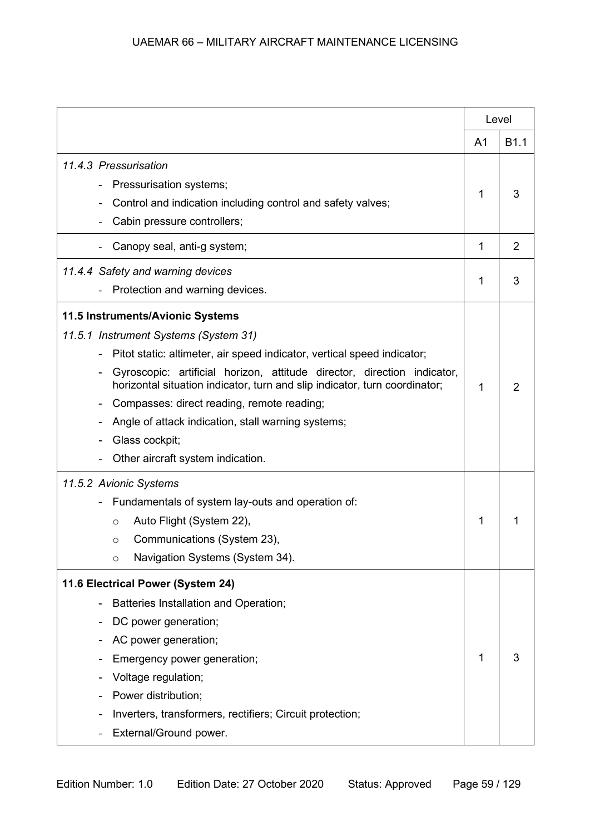|                                                                                                                                                       | Level          |             |
|-------------------------------------------------------------------------------------------------------------------------------------------------------|----------------|-------------|
|                                                                                                                                                       | A <sub>1</sub> | <b>B1.1</b> |
| 11.4.3 Pressurisation                                                                                                                                 |                |             |
| Pressurisation systems;                                                                                                                               | 1              | 3           |
| Control and indication including control and safety valves;                                                                                           |                |             |
| Cabin pressure controllers;                                                                                                                           |                |             |
| Canopy seal, anti-g system;                                                                                                                           | 1              | 2           |
| 11.4.4 Safety and warning devices                                                                                                                     |                |             |
| Protection and warning devices.                                                                                                                       | 1              | 3           |
| 11.5 Instruments/Avionic Systems                                                                                                                      |                |             |
| 11.5.1 Instrument Systems (System 31)                                                                                                                 |                |             |
| Pitot static: altimeter, air speed indicator, vertical speed indicator;                                                                               |                |             |
| Gyroscopic: artificial horizon, attitude director, direction indicator,<br>horizontal situation indicator, turn and slip indicator, turn coordinator; | 1              | 2           |
| Compasses: direct reading, remote reading;                                                                                                            |                |             |
| Angle of attack indication, stall warning systems;                                                                                                    |                |             |
| Glass cockpit;                                                                                                                                        |                |             |
| Other aircraft system indication.                                                                                                                     |                |             |
| 11.5.2 Avionic Systems                                                                                                                                |                |             |
| Fundamentals of system lay-outs and operation of:                                                                                                     |                |             |
| Auto Flight (System 22),<br>$\circ$                                                                                                                   | 1              | 1           |
| Communications (System 23),<br>$\circ$                                                                                                                |                |             |
| Navigation Systems (System 34).<br>O                                                                                                                  |                |             |
| 11.6 Electrical Power (System 24)                                                                                                                     |                |             |
| Batteries Installation and Operation;                                                                                                                 |                |             |
| DC power generation;                                                                                                                                  |                |             |
| AC power generation;                                                                                                                                  |                |             |
| Emergency power generation;                                                                                                                           | 1              | 3           |
| Voltage regulation;                                                                                                                                   |                |             |
| Power distribution;                                                                                                                                   |                |             |
| Inverters, transformers, rectifiers; Circuit protection;                                                                                              |                |             |
| External/Ground power.                                                                                                                                |                |             |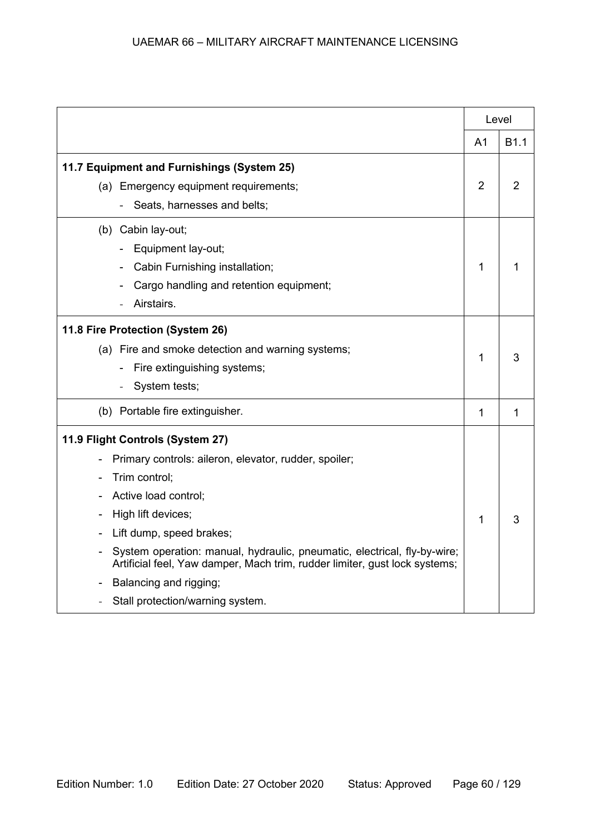|                                                                                                                                                        | Level          |                |
|--------------------------------------------------------------------------------------------------------------------------------------------------------|----------------|----------------|
|                                                                                                                                                        | A <sub>1</sub> | <b>B1.1</b>    |
| 11.7 Equipment and Furnishings (System 25)                                                                                                             |                |                |
| (a) Emergency equipment requirements;                                                                                                                  | $\overline{2}$ | $\overline{2}$ |
| Seats, harnesses and belts;                                                                                                                            |                |                |
| (b) Cabin lay-out;                                                                                                                                     |                |                |
| Equipment lay-out;                                                                                                                                     |                |                |
| Cabin Furnishing installation;                                                                                                                         | 1              | 1              |
| Cargo handling and retention equipment;                                                                                                                |                |                |
| Airstairs.                                                                                                                                             |                |                |
| 11.8 Fire Protection (System 26)                                                                                                                       |                |                |
| (a) Fire and smoke detection and warning systems;                                                                                                      | 1              | 3              |
| Fire extinguishing systems;<br>$\blacksquare$                                                                                                          |                |                |
| System tests;                                                                                                                                          |                |                |
| (b) Portable fire extinguisher.                                                                                                                        | 1              | 1              |
| 11.9 Flight Controls (System 27)                                                                                                                       |                |                |
| Primary controls: aileron, elevator, rudder, spoiler;                                                                                                  |                |                |
| Trim control;                                                                                                                                          |                |                |
| Active load control;                                                                                                                                   |                |                |
| High lift devices;                                                                                                                                     | 1              | 3              |
| Lift dump, speed brakes;                                                                                                                               |                |                |
| System operation: manual, hydraulic, pneumatic, electrical, fly-by-wire;<br>Artificial feel, Yaw damper, Mach trim, rudder limiter, gust lock systems; |                |                |
| Balancing and rigging;                                                                                                                                 |                |                |
| Stall protection/warning system.                                                                                                                       |                |                |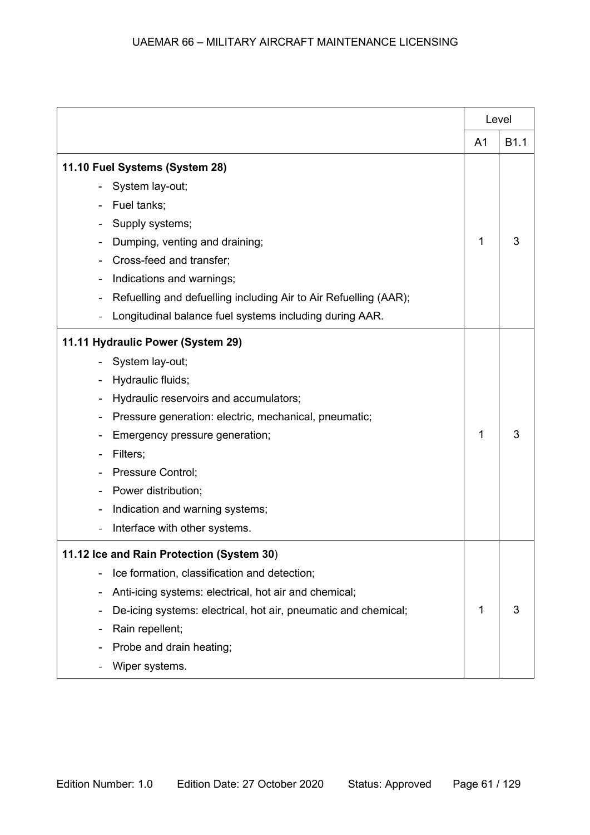|                                                                  | Level          |             |
|------------------------------------------------------------------|----------------|-------------|
|                                                                  | A <sub>1</sub> | <b>B1.1</b> |
| 11.10 Fuel Systems (System 28)                                   |                |             |
| System lay-out;                                                  |                |             |
| Fuel tanks;                                                      |                |             |
| Supply systems;                                                  |                |             |
| Dumping, venting and draining;                                   | 1              | 3           |
| Cross-feed and transfer;                                         |                |             |
| Indications and warnings;                                        |                |             |
| Refuelling and defuelling including Air to Air Refuelling (AAR); |                |             |
| Longitudinal balance fuel systems including during AAR.          |                |             |
| 11.11 Hydraulic Power (System 29)                                |                |             |
| System lay-out;                                                  |                |             |
| Hydraulic fluids;                                                |                |             |
| Hydraulic reservoirs and accumulators;                           |                |             |
| Pressure generation: electric, mechanical, pneumatic;            |                |             |
| Emergency pressure generation;                                   | 1              | 3           |
| Filters;                                                         |                |             |
| Pressure Control;                                                |                |             |
| Power distribution;                                              |                |             |
| Indication and warning systems;                                  |                |             |
| Interface with other systems.                                    |                |             |
| 11.12 Ice and Rain Protection (System 30)                        |                |             |
| Ice formation, classification and detection;                     |                |             |
| Anti-icing systems: electrical, hot air and chemical;            |                |             |
| De-icing systems: electrical, hot air, pneumatic and chemical;   | 1              | 3           |
| Rain repellent;                                                  |                |             |
| Probe and drain heating;                                         |                |             |
| Wiper systems.                                                   |                |             |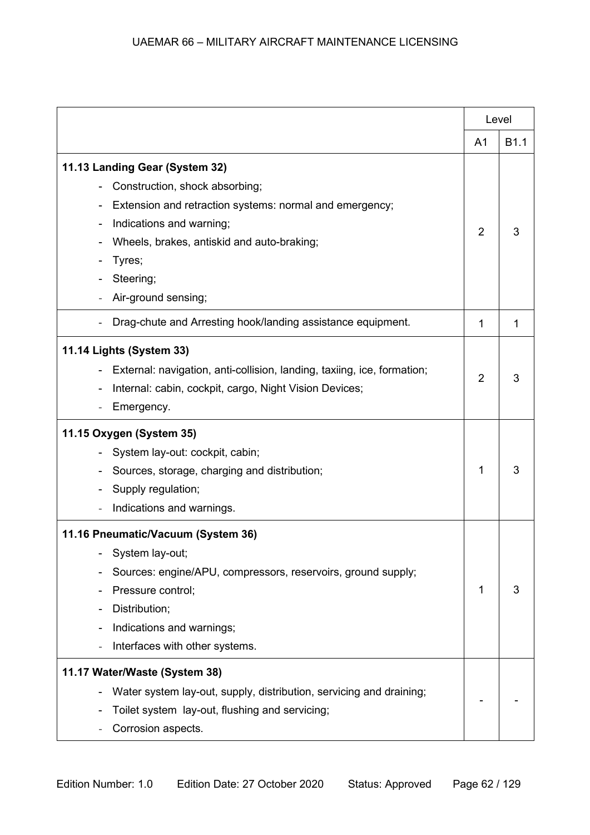|                                                                         | Level          |             |
|-------------------------------------------------------------------------|----------------|-------------|
|                                                                         | A <sub>1</sub> | <b>B1.1</b> |
| 11.13 Landing Gear (System 32)                                          |                |             |
| Construction, shock absorbing;                                          |                |             |
| Extension and retraction systems: normal and emergency;                 |                |             |
| Indications and warning;                                                |                |             |
| Wheels, brakes, antiskid and auto-braking;                              | $\overline{2}$ | 3           |
| Tyres;                                                                  |                |             |
| Steering;                                                               |                |             |
| Air-ground sensing;                                                     |                |             |
| Drag-chute and Arresting hook/landing assistance equipment.             | 1              | 1           |
| 11.14 Lights (System 33)                                                |                |             |
| External: navigation, anti-collision, landing, taxiing, ice, formation; |                |             |
| Internal: cabin, cockpit, cargo, Night Vision Devices;                  | $\overline{2}$ | 3           |
| Emergency.                                                              |                |             |
| 11.15 Oxygen (System 35)                                                |                |             |
| System lay-out: cockpit, cabin;                                         |                |             |
| Sources, storage, charging and distribution;                            | 1              | 3           |
| Supply regulation;                                                      |                |             |
| Indications and warnings.                                               |                |             |
| 11.16 Pneumatic/Vacuum (System 36)                                      |                |             |
| System lay-out;                                                         |                |             |
| Sources: engine/APU, compressors, reservoirs, ground supply;            |                |             |
| Pressure control;                                                       | 1              | 3           |
| Distribution;                                                           |                |             |
| Indications and warnings;                                               |                |             |
| Interfaces with other systems.                                          |                |             |
| 11.17 Water/Waste (System 38)                                           |                |             |
| Water system lay-out, supply, distribution, servicing and draining;     |                |             |
| Toilet system lay-out, flushing and servicing;                          |                |             |
| Corrosion aspects.                                                      |                |             |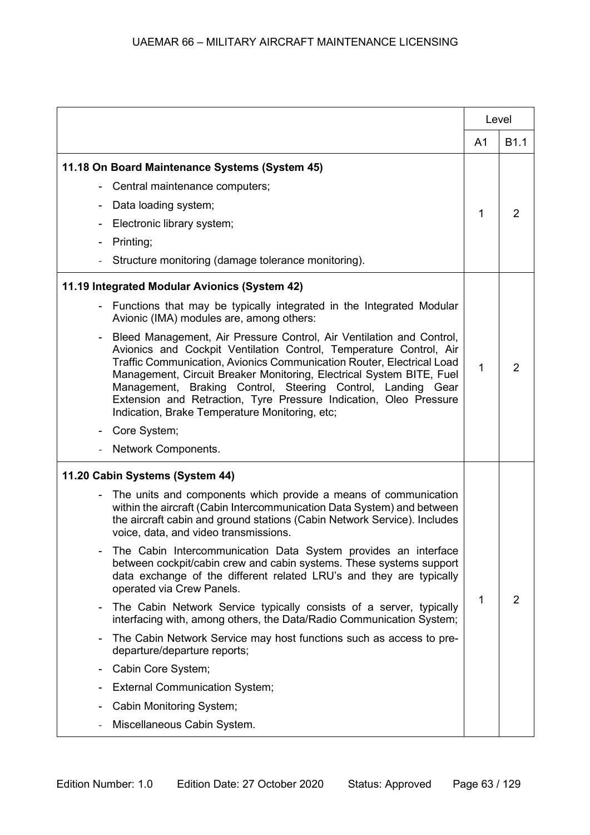|                                                                                                                                                                                                                                                                                                                                                                                                                                                                                   | Level          |                |
|-----------------------------------------------------------------------------------------------------------------------------------------------------------------------------------------------------------------------------------------------------------------------------------------------------------------------------------------------------------------------------------------------------------------------------------------------------------------------------------|----------------|----------------|
|                                                                                                                                                                                                                                                                                                                                                                                                                                                                                   | A <sub>1</sub> | <b>B1.1</b>    |
| 11.18 On Board Maintenance Systems (System 45)<br>- Central maintenance computers;                                                                                                                                                                                                                                                                                                                                                                                                |                |                |
| Data loading system;<br>Electronic library system;                                                                                                                                                                                                                                                                                                                                                                                                                                | 1              | 2              |
| Printing;                                                                                                                                                                                                                                                                                                                                                                                                                                                                         |                |                |
| Structure monitoring (damage tolerance monitoring).                                                                                                                                                                                                                                                                                                                                                                                                                               |                |                |
| 11.19 Integrated Modular Avionics (System 42)                                                                                                                                                                                                                                                                                                                                                                                                                                     |                |                |
| - Functions that may be typically integrated in the Integrated Modular<br>Avionic (IMA) modules are, among others:                                                                                                                                                                                                                                                                                                                                                                |                |                |
| Bleed Management, Air Pressure Control, Air Ventilation and Control,<br>Avionics and Cockpit Ventilation Control, Temperature Control, Air<br>Traffic Communication, Avionics Communication Router, Electrical Load<br>Management, Circuit Breaker Monitoring, Electrical System BITE, Fuel<br>Management, Braking Control, Steering Control, Landing Gear<br>Extension and Retraction, Tyre Pressure Indication, Oleo Pressure<br>Indication, Brake Temperature Monitoring, etc; | 1              | $\overline{2}$ |
| Core System;                                                                                                                                                                                                                                                                                                                                                                                                                                                                      |                |                |
| Network Components.                                                                                                                                                                                                                                                                                                                                                                                                                                                               |                |                |
| 11.20 Cabin Systems (System 44)                                                                                                                                                                                                                                                                                                                                                                                                                                                   |                |                |
| The units and components which provide a means of communication<br>within the aircraft (Cabin Intercommunication Data System) and between<br>the aircraft cabin and ground stations (Cabin Network Service). Includes<br>voice, data, and video transmissions.                                                                                                                                                                                                                    |                |                |
| The Cabin Intercommunication Data System provides an interface<br>between cockpit/cabin crew and cabin systems. These systems support<br>data exchange of the different related LRU's and they are typically<br>operated via Crew Panels.                                                                                                                                                                                                                                         |                |                |
| The Cabin Network Service typically consists of a server, typically<br>interfacing with, among others, the Data/Radio Communication System;                                                                                                                                                                                                                                                                                                                                       | 1              | 2              |
| The Cabin Network Service may host functions such as access to pre-<br>departure/departure reports;                                                                                                                                                                                                                                                                                                                                                                               |                |                |
| Cabin Core System;                                                                                                                                                                                                                                                                                                                                                                                                                                                                |                |                |
| <b>External Communication System;</b>                                                                                                                                                                                                                                                                                                                                                                                                                                             |                |                |
| Cabin Monitoring System;                                                                                                                                                                                                                                                                                                                                                                                                                                                          |                |                |
| Miscellaneous Cabin System.                                                                                                                                                                                                                                                                                                                                                                                                                                                       |                |                |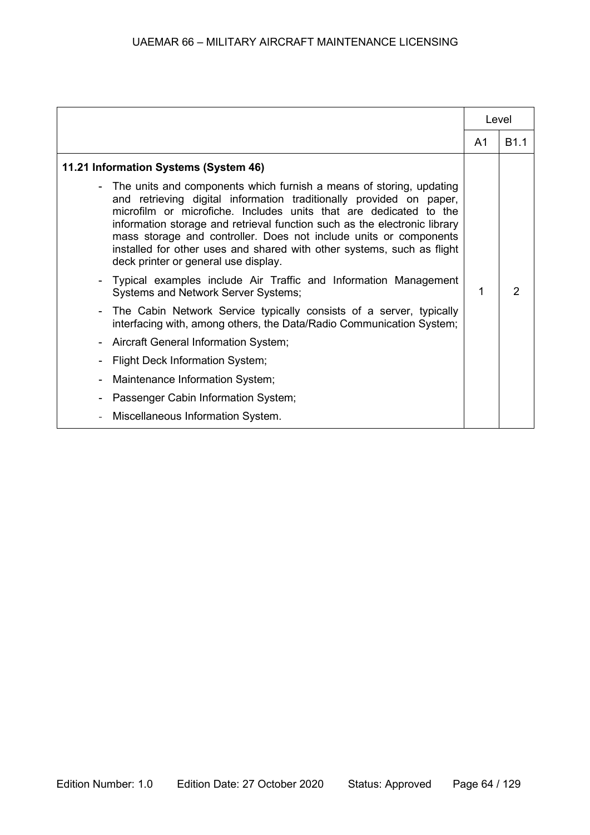|                                                                                                                                                                                                                                                                                                                                                                                                                                                                                     | Level |               |
|-------------------------------------------------------------------------------------------------------------------------------------------------------------------------------------------------------------------------------------------------------------------------------------------------------------------------------------------------------------------------------------------------------------------------------------------------------------------------------------|-------|---------------|
|                                                                                                                                                                                                                                                                                                                                                                                                                                                                                     | A1    | <b>B1.1</b>   |
| 11.21 Information Systems (System 46)                                                                                                                                                                                                                                                                                                                                                                                                                                               |       |               |
| The units and components which furnish a means of storing, updating<br>and retrieving digital information traditionally provided on paper,<br>microfilm or microfiche. Includes units that are dedicated to the<br>information storage and retrieval function such as the electronic library<br>mass storage and controller. Does not include units or components<br>installed for other uses and shared with other systems, such as flight<br>deck printer or general use display. |       |               |
| Typical examples include Air Traffic and Information Management<br>$\blacksquare$<br><b>Systems and Network Server Systems;</b>                                                                                                                                                                                                                                                                                                                                                     | 1     | $\mathcal{P}$ |
| The Cabin Network Service typically consists of a server, typically<br>$\overline{\phantom{a}}$<br>interfacing with, among others, the Data/Radio Communication System;                                                                                                                                                                                                                                                                                                             |       |               |
| Aircraft General Information System;                                                                                                                                                                                                                                                                                                                                                                                                                                                |       |               |
| <b>Flight Deck Information System;</b>                                                                                                                                                                                                                                                                                                                                                                                                                                              |       |               |
| Maintenance Information System;<br>۰                                                                                                                                                                                                                                                                                                                                                                                                                                                |       |               |
| Passenger Cabin Information System;<br>۰                                                                                                                                                                                                                                                                                                                                                                                                                                            |       |               |
| Miscellaneous Information System.                                                                                                                                                                                                                                                                                                                                                                                                                                                   |       |               |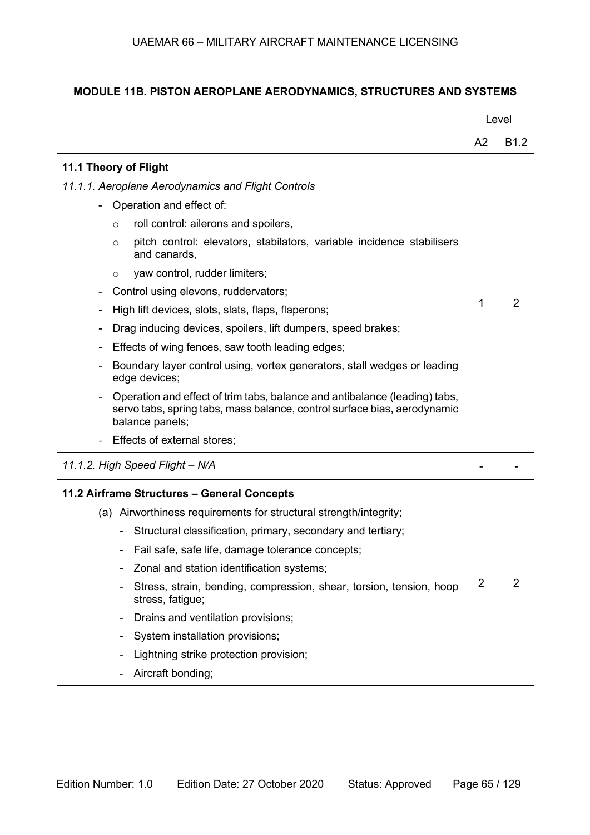# **MODULE 11B. PISTON AEROPLANE AERODYNAMICS, STRUCTURES AND SYSTEMS**

|                                                                                                                                                                                                                                                                                                                                                                                                                                                                                                                                                                                                                                                                                                                                                                                                                                       | Level          |                  |
|---------------------------------------------------------------------------------------------------------------------------------------------------------------------------------------------------------------------------------------------------------------------------------------------------------------------------------------------------------------------------------------------------------------------------------------------------------------------------------------------------------------------------------------------------------------------------------------------------------------------------------------------------------------------------------------------------------------------------------------------------------------------------------------------------------------------------------------|----------------|------------------|
|                                                                                                                                                                                                                                                                                                                                                                                                                                                                                                                                                                                                                                                                                                                                                                                                                                       | A2             | B <sub>1.2</sub> |
| 11.1 Theory of Flight<br>11.1.1. Aeroplane Aerodynamics and Flight Controls<br>Operation and effect of:<br>roll control: ailerons and spoilers,<br>$\circ$<br>pitch control: elevators, stabilators, variable incidence stabilisers<br>$\circ$<br>and canards,<br>yaw control, rudder limiters;<br>$\circ$<br>Control using elevons, ruddervators;<br>High lift devices, slots, slats, flaps, flaperons;<br>Drag inducing devices, spoilers, lift dumpers, speed brakes;<br>Effects of wing fences, saw tooth leading edges;<br>Boundary layer control using, vortex generators, stall wedges or leading<br>edge devices;<br>Operation and effect of trim tabs, balance and antibalance (leading) tabs,<br>servo tabs, spring tabs, mass balance, control surface bias, aerodynamic<br>balance panels;<br>Effects of external stores; | 1              | 2                |
| 11.1.2. High Speed Flight - N/A                                                                                                                                                                                                                                                                                                                                                                                                                                                                                                                                                                                                                                                                                                                                                                                                       |                |                  |
| 11.2 Airframe Structures - General Concepts<br>(a) Airworthiness requirements for structural strength/integrity;<br>Structural classification, primary, secondary and tertiary;<br>- Fail safe, safe life, damage tolerance concepts;<br>Zonal and station identification systems;<br>Stress, strain, bending, compression, shear, torsion, tension, hoop<br>stress, fatigue;<br>Drains and ventilation provisions;<br>System installation provisions;<br>Lightning strike protection provision;<br>Aircraft bonding;                                                                                                                                                                                                                                                                                                                 | $\overline{2}$ | 2                |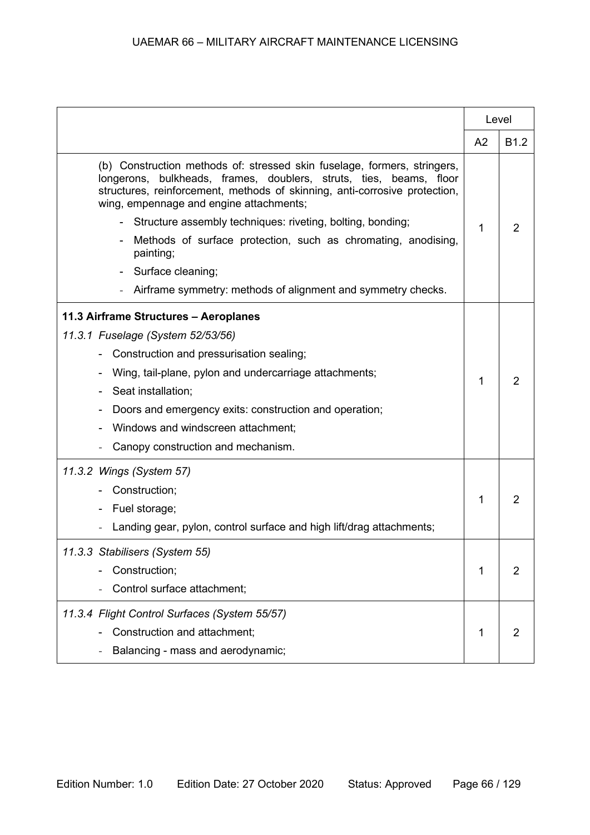|                                                                                                                                                                                                                                                                                                                                                                                                                                            | Level |                  |
|--------------------------------------------------------------------------------------------------------------------------------------------------------------------------------------------------------------------------------------------------------------------------------------------------------------------------------------------------------------------------------------------------------------------------------------------|-------|------------------|
|                                                                                                                                                                                                                                                                                                                                                                                                                                            | A2    | B <sub>1.2</sub> |
| (b) Construction methods of: stressed skin fuselage, formers, stringers,<br>longerons, bulkheads, frames, doublers, struts, ties, beams, floor<br>structures, reinforcement, methods of skinning, anti-corrosive protection,<br>wing, empennage and engine attachments;<br>Structure assembly techniques: riveting, bolting, bonding;<br>Methods of surface protection, such as chromating, anodising,<br>painting;<br>- Surface cleaning; | 1     | 2                |
| Airframe symmetry: methods of alignment and symmetry checks.                                                                                                                                                                                                                                                                                                                                                                               |       |                  |
| 11.3 Airframe Structures - Aeroplanes<br>11.3.1 Fuselage (System 52/53/56)<br>- Construction and pressurisation sealing;<br>- Wing, tail-plane, pylon and undercarriage attachments;<br>Seat installation;<br>Doors and emergency exits: construction and operation;<br>Windows and windscreen attachment;<br>Canopy construction and mechanism.                                                                                           | 1     | 2                |
| 11.3.2 Wings (System 57)<br>Construction;<br>Fuel storage;<br>Landing gear, pylon, control surface and high lift/drag attachments;                                                                                                                                                                                                                                                                                                         | 1     | 2                |
| 11.3.3 Stabilisers (System 55)<br>Construction;<br>Control surface attachment;                                                                                                                                                                                                                                                                                                                                                             | 1     | $\overline{2}$   |
| 11.3.4 Flight Control Surfaces (System 55/57)<br>Construction and attachment;<br>Balancing - mass and aerodynamic;                                                                                                                                                                                                                                                                                                                         | 1     | 2                |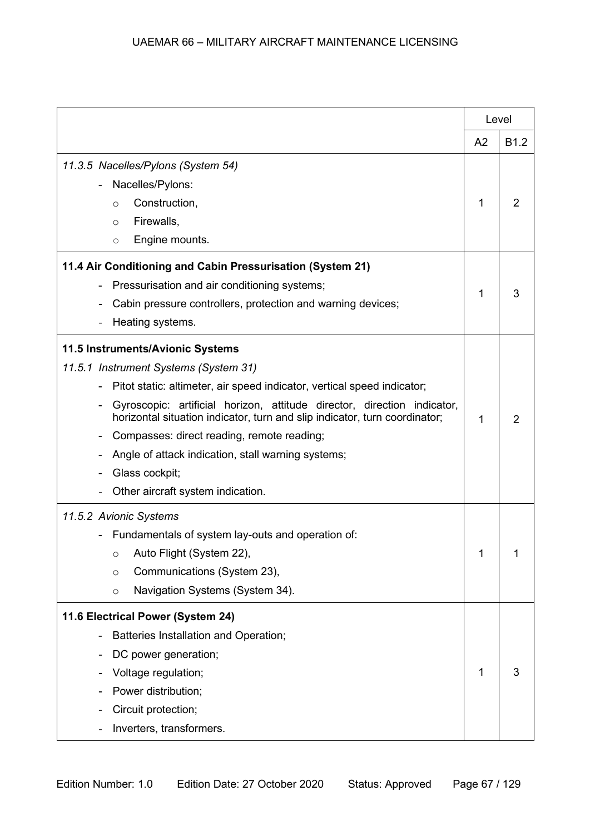|                                                                                                                                                       | Level |                  |
|-------------------------------------------------------------------------------------------------------------------------------------------------------|-------|------------------|
|                                                                                                                                                       | A2    | B <sub>1.2</sub> |
| 11.3.5 Nacelles/Pylons (System 54)                                                                                                                    |       |                  |
| Nacelles/Pylons:                                                                                                                                      |       |                  |
| Construction,<br>$\circ$                                                                                                                              | 1     | 2                |
| Firewalls,<br>$\circ$                                                                                                                                 |       |                  |
| Engine mounts.<br>$\circlearrowright$                                                                                                                 |       |                  |
| 11.4 Air Conditioning and Cabin Pressurisation (System 21)                                                                                            |       |                  |
| Pressurisation and air conditioning systems;                                                                                                          | 1     | 3                |
| Cabin pressure controllers, protection and warning devices;                                                                                           |       |                  |
| Heating systems.                                                                                                                                      |       |                  |
| 11.5 Instruments/Avionic Systems                                                                                                                      |       |                  |
| 11.5.1 Instrument Systems (System 31)                                                                                                                 |       |                  |
| Pitot static: altimeter, air speed indicator, vertical speed indicator;                                                                               |       |                  |
| Gyroscopic: artificial horizon, attitude director, direction indicator,<br>horizontal situation indicator, turn and slip indicator, turn coordinator; | 1     | 2                |
| Compasses: direct reading, remote reading;                                                                                                            |       |                  |
| Angle of attack indication, stall warning systems;                                                                                                    |       |                  |
| Glass cockpit;                                                                                                                                        |       |                  |
| Other aircraft system indication.                                                                                                                     |       |                  |
| 11.5.2 Avionic Systems                                                                                                                                |       |                  |
| Fundamentals of system lay-outs and operation of:                                                                                                     |       |                  |
| Auto Flight (System 22),<br>$\circ$                                                                                                                   | 1     | 1                |
| Communications (System 23),<br>$\circ$                                                                                                                |       |                  |
| Navigation Systems (System 34).<br>$\circ$                                                                                                            |       |                  |
| 11.6 Electrical Power (System 24)                                                                                                                     |       |                  |
| Batteries Installation and Operation;                                                                                                                 |       |                  |
| DC power generation;                                                                                                                                  |       |                  |
| Voltage regulation;                                                                                                                                   | 1     | 3                |
| Power distribution;                                                                                                                                   |       |                  |
| Circuit protection;                                                                                                                                   |       |                  |
| Inverters, transformers.                                                                                                                              |       |                  |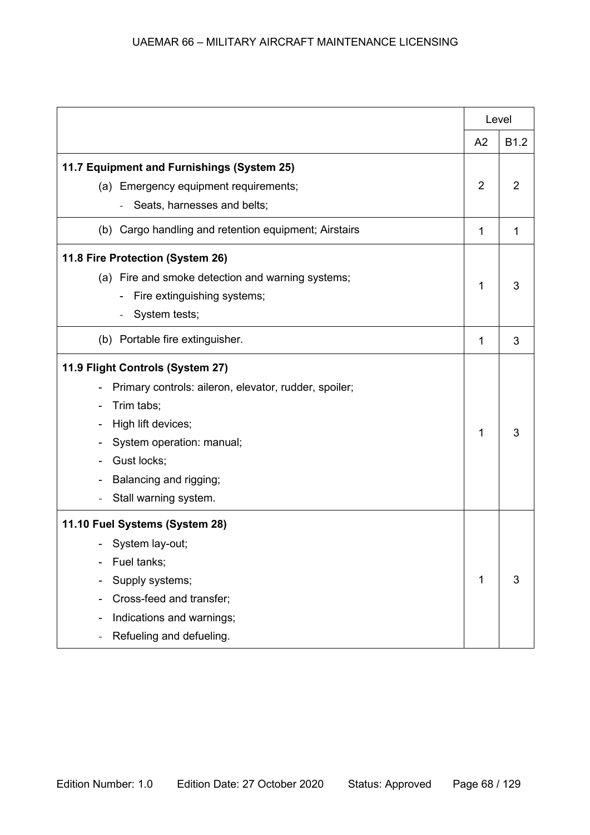|                                                       | Level          |                |
|-------------------------------------------------------|----------------|----------------|
|                                                       | A2             | B1.2           |
| 11.7 Equipment and Furnishings (System 25)            |                |                |
| (a) Emergency equipment requirements;                 | $\overline{2}$ | $\overline{2}$ |
| Seats, harnesses and belts;                           |                |                |
| (b) Cargo handling and retention equipment; Airstairs | 1              | $\mathbf{1}$   |
| 11.8 Fire Protection (System 26)                      |                |                |
| (a) Fire and smoke detection and warning systems;     | 1              | 3              |
| Fire extinguishing systems;                           |                |                |
| System tests;                                         |                |                |
| (b) Portable fire extinguisher.                       | 1              | 3              |
| 11.9 Flight Controls (System 27)                      |                |                |
| Primary controls: aileron, elevator, rudder, spoiler; |                |                |
| Trim tabs;                                            |                |                |
| High lift devices;                                    | 1              | 3              |
| System operation: manual;                             |                |                |
| Gust locks;                                           |                |                |
| Balancing and rigging;                                |                |                |
| Stall warning system.                                 |                |                |
| 11.10 Fuel Systems (System 28)                        |                |                |
| System lay-out;                                       |                |                |
| Fuel tanks;                                           |                |                |
| Supply systems;                                       | 1              | 3              |
| Cross-feed and transfer;                              |                |                |
| Indications and warnings;                             |                |                |
| Refueling and defueling.                              |                |                |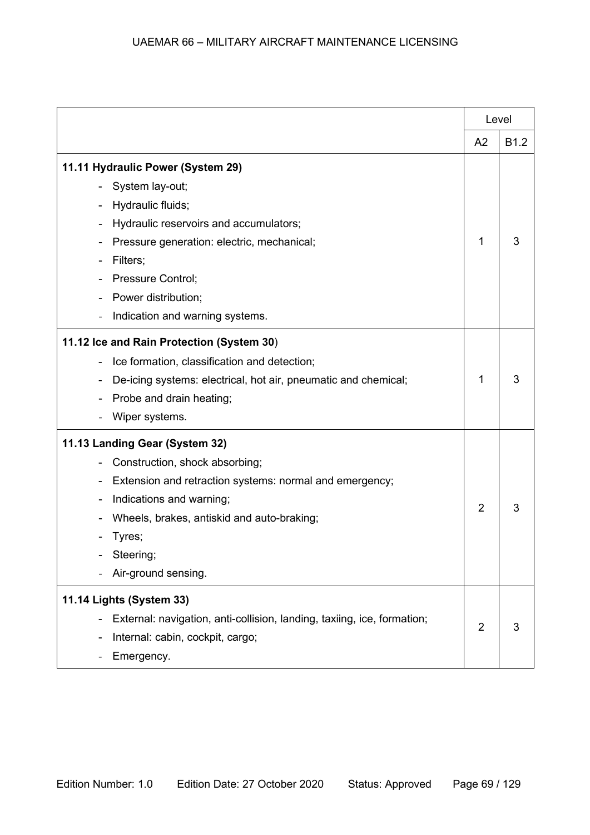|                                                                         | Level          |                  |
|-------------------------------------------------------------------------|----------------|------------------|
|                                                                         | A2             | B <sub>1.2</sub> |
| 11.11 Hydraulic Power (System 29)                                       |                |                  |
| System lay-out;                                                         |                |                  |
| Hydraulic fluids;                                                       |                |                  |
| Hydraulic reservoirs and accumulators;                                  |                |                  |
| Pressure generation: electric, mechanical;                              | 1              | З                |
| Filters;                                                                |                |                  |
| Pressure Control;                                                       |                |                  |
| Power distribution;                                                     |                |                  |
| Indication and warning systems.                                         |                |                  |
| 11.12 Ice and Rain Protection (System 30)                               |                |                  |
| Ice formation, classification and detection;                            |                |                  |
| De-icing systems: electrical, hot air, pneumatic and chemical;          | 1              | 3                |
| Probe and drain heating;                                                |                |                  |
| Wiper systems.                                                          |                |                  |
| 11.13 Landing Gear (System 32)                                          |                |                  |
| Construction, shock absorbing;                                          |                |                  |
| Extension and retraction systems: normal and emergency;                 |                |                  |
| Indications and warning;                                                | $\overline{2}$ | 3                |
| Wheels, brakes, antiskid and auto-braking;                              |                |                  |
| Tyres;                                                                  |                |                  |
| Steering;                                                               |                |                  |
| Air-ground sensing.                                                     |                |                  |
| 11.14 Lights (System 33)                                                |                |                  |
| External: navigation, anti-collision, landing, taxiing, ice, formation; | $\overline{2}$ | 3                |
| Internal: cabin, cockpit, cargo;                                        |                |                  |
| Emergency.                                                              |                |                  |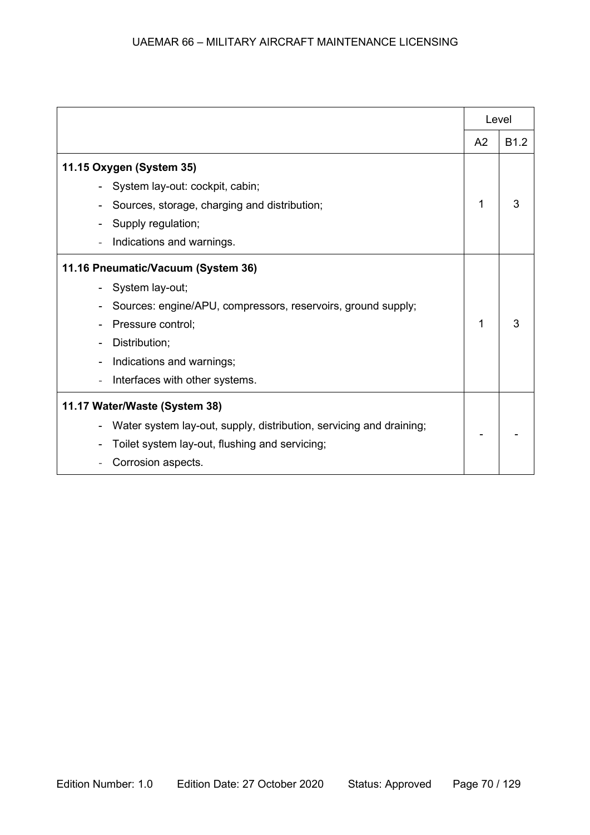|                                                                     | Level |                  |
|---------------------------------------------------------------------|-------|------------------|
|                                                                     | A2    | B <sub>1.2</sub> |
| 11.15 Oxygen (System 35)                                            |       |                  |
| System lay-out: cockpit, cabin;                                     |       |                  |
| Sources, storage, charging and distribution;                        | 1     | 3                |
| Supply regulation;                                                  |       |                  |
| Indications and warnings.                                           |       |                  |
| 11.16 Pneumatic/Vacuum (System 36)                                  |       |                  |
| System lay-out;                                                     |       |                  |
| Sources: engine/APU, compressors, reservoirs, ground supply;        |       |                  |
| Pressure control;                                                   | 1     | 3                |
| Distribution;                                                       |       |                  |
| Indications and warnings;                                           |       |                  |
| Interfaces with other systems.                                      |       |                  |
| 11.17 Water/Waste (System 38)                                       |       |                  |
| Water system lay-out, supply, distribution, servicing and draining; |       |                  |
| Toilet system lay-out, flushing and servicing;                      |       |                  |
| Corrosion aspects.                                                  |       |                  |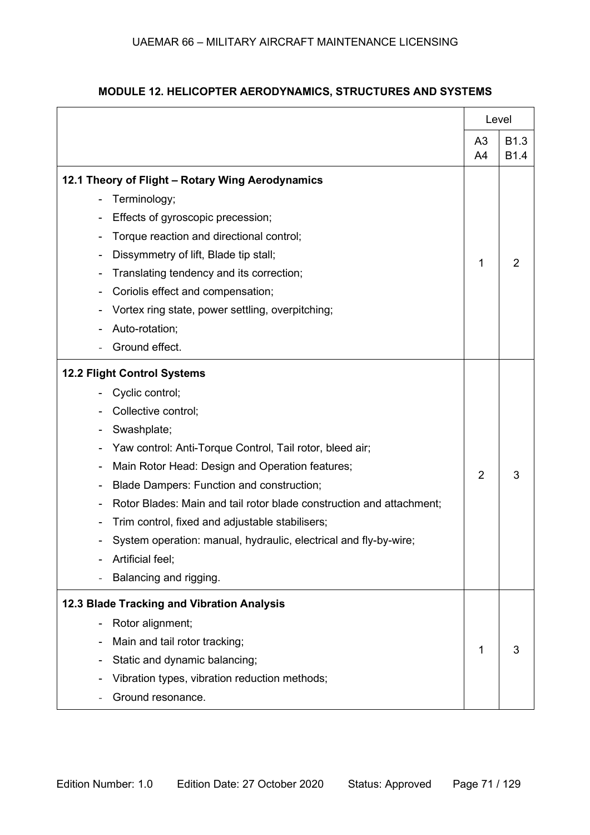|                                                                      | Level                |                                 |
|----------------------------------------------------------------------|----------------------|---------------------------------|
|                                                                      | A <sub>3</sub><br>A4 | B <sub>1.3</sub><br><b>B1.4</b> |
| 12.1 Theory of Flight - Rotary Wing Aerodynamics                     |                      |                                 |
| Terminology;                                                         |                      |                                 |
| Effects of gyroscopic precession;                                    |                      |                                 |
| Torque reaction and directional control;                             |                      |                                 |
| Dissymmetry of lift, Blade tip stall;                                | 1                    | $\overline{2}$                  |
| Translating tendency and its correction;                             |                      |                                 |
| Coriolis effect and compensation;                                    |                      |                                 |
| Vortex ring state, power settling, overpitching;                     |                      |                                 |
| Auto-rotation;                                                       |                      |                                 |
| Ground effect.                                                       |                      |                                 |
| 12.2 Flight Control Systems                                          |                      |                                 |
| Cyclic control;                                                      |                      |                                 |
| Collective control;                                                  |                      |                                 |
| Swashplate;                                                          |                      |                                 |
| Yaw control: Anti-Torque Control, Tail rotor, bleed air;             |                      |                                 |
| Main Rotor Head: Design and Operation features;                      | 2                    | 3                               |
| Blade Dampers: Function and construction;                            |                      |                                 |
| Rotor Blades: Main and tail rotor blade construction and attachment; |                      |                                 |
| Trim control, fixed and adjustable stabilisers;                      |                      |                                 |
| System operation: manual, hydraulic, electrical and fly-by-wire;     |                      |                                 |
| Artificial feel;                                                     |                      |                                 |
| Balancing and rigging.                                               |                      |                                 |
| 12.3 Blade Tracking and Vibration Analysis                           |                      |                                 |
| Rotor alignment;                                                     |                      |                                 |
| Main and tail rotor tracking;                                        | 1                    | 3                               |
| Static and dynamic balancing;                                        |                      |                                 |
| Vibration types, vibration reduction methods;                        |                      |                                 |
| Ground resonance.                                                    |                      |                                 |

# **MODULE 12. HELICOPTER AERODYNAMICS, STRUCTURES AND SYSTEMS**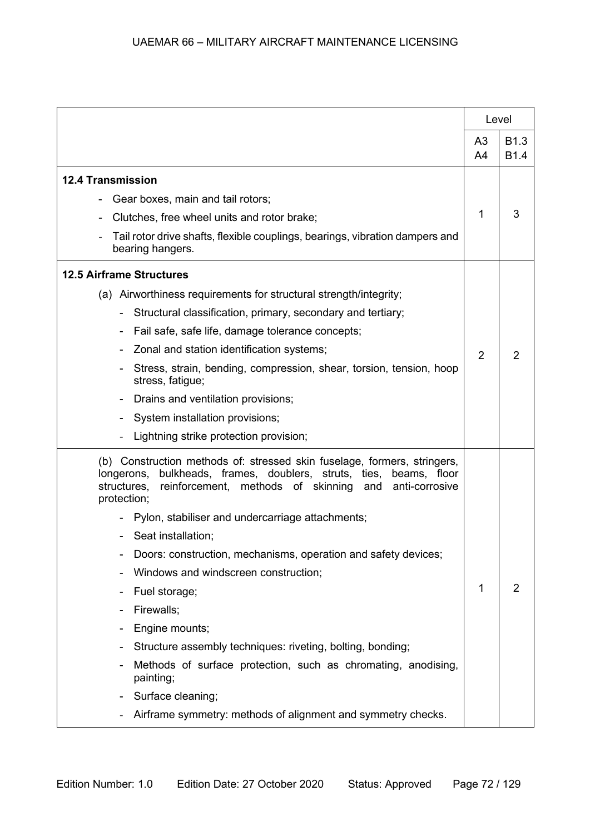|                                                                                                                                                                                                                                       | Level                |                            |
|---------------------------------------------------------------------------------------------------------------------------------------------------------------------------------------------------------------------------------------|----------------------|----------------------------|
|                                                                                                                                                                                                                                       | A <sub>3</sub><br>A4 | <b>B1.3</b><br><b>B1.4</b> |
| <b>12.4 Transmission</b>                                                                                                                                                                                                              |                      |                            |
| Gear boxes, main and tail rotors;                                                                                                                                                                                                     |                      |                            |
| Clutches, free wheel units and rotor brake;                                                                                                                                                                                           | 1                    | 3                          |
| Tail rotor drive shafts, flexible couplings, bearings, vibration dampers and<br>bearing hangers.                                                                                                                                      |                      |                            |
| <b>12.5 Airframe Structures</b>                                                                                                                                                                                                       |                      |                            |
| (a) Airworthiness requirements for structural strength/integrity;                                                                                                                                                                     |                      |                            |
| Structural classification, primary, secondary and tertiary;<br>۰                                                                                                                                                                      |                      |                            |
| Fail safe, safe life, damage tolerance concepts;                                                                                                                                                                                      |                      |                            |
| Zonal and station identification systems;<br>$\blacksquare$                                                                                                                                                                           | $\overline{2}$       | 2                          |
| Stress, strain, bending, compression, shear, torsion, tension, hoop<br>stress, fatigue;                                                                                                                                               |                      |                            |
| Drains and ventilation provisions;                                                                                                                                                                                                    |                      |                            |
| System installation provisions;                                                                                                                                                                                                       |                      |                            |
| Lightning strike protection provision;                                                                                                                                                                                                |                      |                            |
| (b) Construction methods of: stressed skin fuselage, formers, stringers,<br>longerons, bulkheads, frames, doublers, struts, ties, beams, floor<br>reinforcement, methods of skinning and anti-corrosive<br>structures,<br>protection; |                      |                            |
| Pylon, stabiliser and undercarriage attachments;                                                                                                                                                                                      |                      |                            |
| Seat installation;                                                                                                                                                                                                                    |                      |                            |
| Doors: construction, mechanisms, operation and safety devices;                                                                                                                                                                        |                      |                            |
| Windows and windscreen construction;                                                                                                                                                                                                  |                      |                            |
| Fuel storage;                                                                                                                                                                                                                         | 1                    | $\overline{2}$             |
| Firewalls;                                                                                                                                                                                                                            |                      |                            |
| Engine mounts;                                                                                                                                                                                                                        |                      |                            |
| Structure assembly techniques: riveting, bolting, bonding;                                                                                                                                                                            |                      |                            |
| Methods of surface protection, such as chromating, anodising,<br>painting;                                                                                                                                                            |                      |                            |
| Surface cleaning;                                                                                                                                                                                                                     |                      |                            |
| Airframe symmetry: methods of alignment and symmetry checks.                                                                                                                                                                          |                      |                            |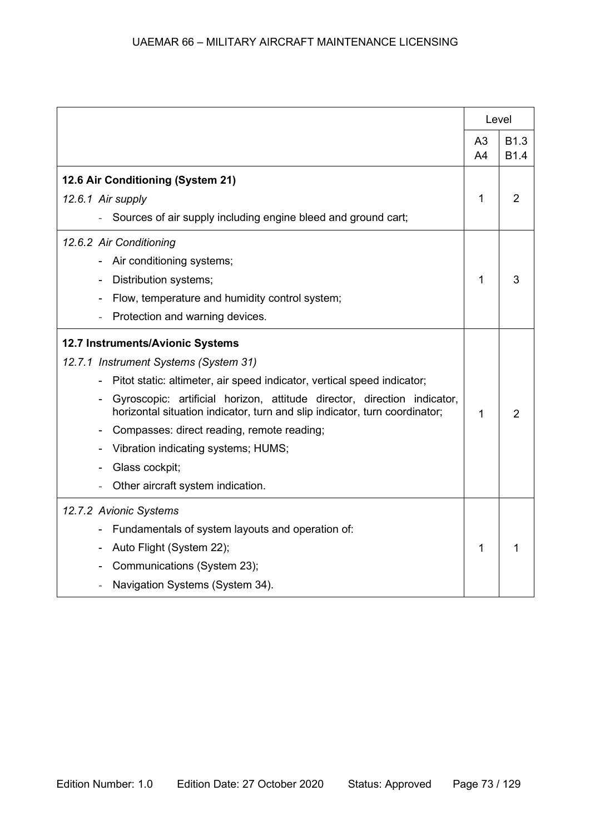|                                                                                                                                                       |                      | Level                      |
|-------------------------------------------------------------------------------------------------------------------------------------------------------|----------------------|----------------------------|
|                                                                                                                                                       | A <sub>3</sub><br>A4 | <b>B1.3</b><br><b>B1.4</b> |
| 12.6 Air Conditioning (System 21)                                                                                                                     |                      |                            |
| 12.6.1 Air supply                                                                                                                                     | 1                    | 2                          |
| Sources of air supply including engine bleed and ground cart;                                                                                         |                      |                            |
| 12.6.2 Air Conditioning                                                                                                                               |                      |                            |
| Air conditioning systems;                                                                                                                             |                      |                            |
| Distribution systems;                                                                                                                                 | 1                    | 3                          |
| Flow, temperature and humidity control system;                                                                                                        |                      |                            |
| Protection and warning devices.                                                                                                                       |                      |                            |
| 12.7 Instruments/Avionic Systems                                                                                                                      |                      |                            |
| 12.7.1 Instrument Systems (System 31)                                                                                                                 |                      |                            |
| Pitot static: altimeter, air speed indicator, vertical speed indicator;                                                                               |                      |                            |
| Gyroscopic: artificial horizon, attitude director, direction indicator,<br>horizontal situation indicator, turn and slip indicator, turn coordinator; | 1                    | $\overline{2}$             |
| Compasses: direct reading, remote reading;                                                                                                            |                      |                            |
| Vibration indicating systems; HUMS;                                                                                                                   |                      |                            |
| Glass cockpit;                                                                                                                                        |                      |                            |
| Other aircraft system indication.                                                                                                                     |                      |                            |
| 12.7.2 Avionic Systems                                                                                                                                |                      |                            |
| Fundamentals of system layouts and operation of:                                                                                                      |                      |                            |
| Auto Flight (System 22);                                                                                                                              | 1                    | 1                          |
| Communications (System 23);                                                                                                                           |                      |                            |
| Navigation Systems (System 34).                                                                                                                       |                      |                            |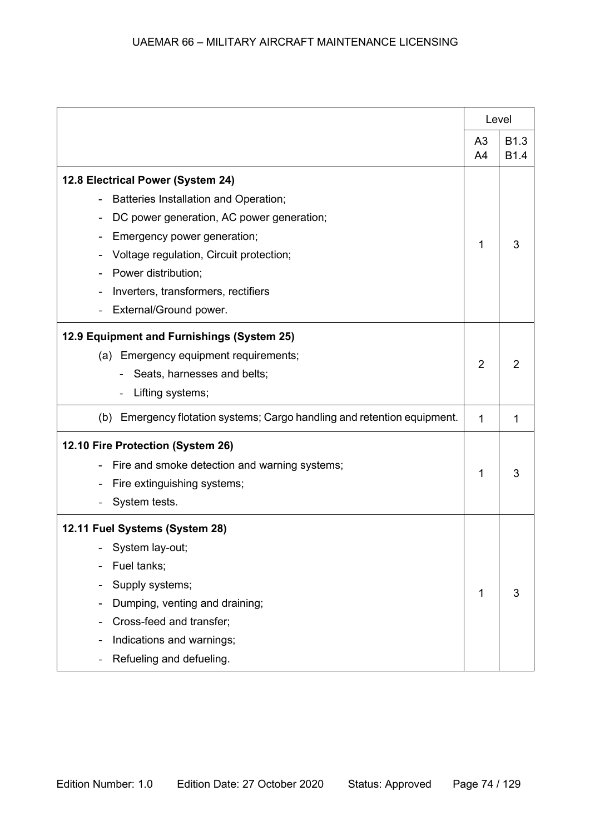|                                                                          |                      | Level                      |
|--------------------------------------------------------------------------|----------------------|----------------------------|
|                                                                          | A <sub>3</sub><br>A4 | <b>B1.3</b><br><b>B1.4</b> |
| 12.8 Electrical Power (System 24)                                        |                      |                            |
| Batteries Installation and Operation;                                    |                      |                            |
| DC power generation, AC power generation;                                |                      |                            |
| Emergency power generation;                                              | 1                    | 3                          |
| Voltage regulation, Circuit protection;                                  |                      |                            |
| Power distribution;                                                      |                      |                            |
| Inverters, transformers, rectifiers                                      |                      |                            |
| External/Ground power.                                                   |                      |                            |
| 12.9 Equipment and Furnishings (System 25)                               |                      |                            |
| (a) Emergency equipment requirements;                                    | $\overline{2}$       | 2                          |
| Seats, harnesses and belts;                                              |                      |                            |
| Lifting systems;                                                         |                      |                            |
| (b) Emergency flotation systems; Cargo handling and retention equipment. | 1                    | $\mathbf{1}$               |
| 12.10 Fire Protection (System 26)                                        |                      |                            |
| Fire and smoke detection and warning systems;                            | 1                    | 3                          |
| Fire extinguishing systems;                                              |                      |                            |
| System tests.                                                            |                      |                            |
| 12.11 Fuel Systems (System 28)                                           |                      |                            |
| System lay-out;                                                          |                      |                            |
| Fuel tanks;                                                              |                      |                            |
| Supply systems;                                                          | 1                    | 3                          |
| Dumping, venting and draining;                                           |                      |                            |
| Cross-feed and transfer;                                                 |                      |                            |
| Indications and warnings;                                                |                      |                            |
| Refueling and defueling.                                                 |                      |                            |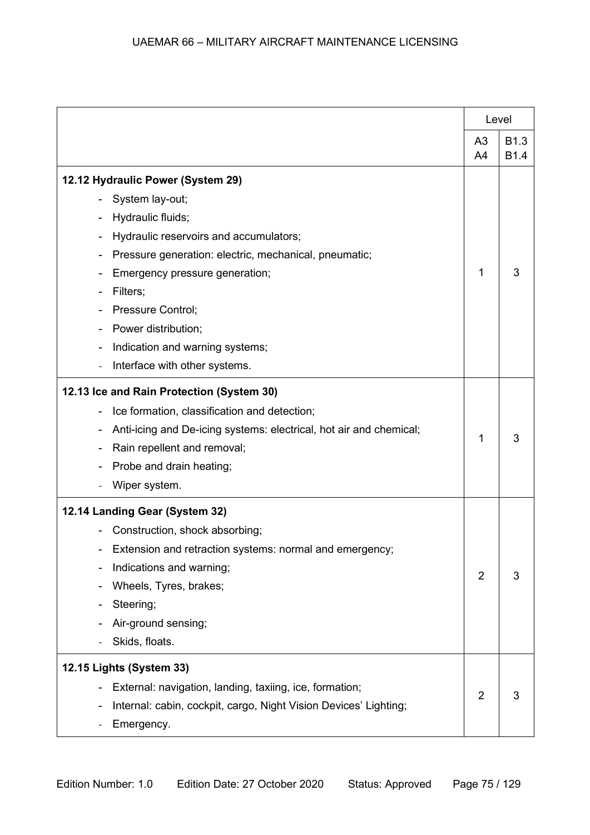|                                                                    |                | Level            |
|--------------------------------------------------------------------|----------------|------------------|
|                                                                    | A <sub>3</sub> | <b>B1.3</b>      |
|                                                                    | A4             | B <sub>1.4</sub> |
| 12.12 Hydraulic Power (System 29)                                  |                |                  |
| - System lay-out;                                                  |                |                  |
| Hydraulic fluids;                                                  |                |                  |
| Hydraulic reservoirs and accumulators;                             |                |                  |
| Pressure generation: electric, mechanical, pneumatic;              |                |                  |
| Emergency pressure generation;                                     | 1              | 3                |
| Filters;                                                           |                |                  |
| Pressure Control;                                                  |                |                  |
| Power distribution;                                                |                |                  |
| Indication and warning systems;                                    |                |                  |
| Interface with other systems.                                      |                |                  |
| 12.13 Ice and Rain Protection (System 30)                          |                |                  |
| Ice formation, classification and detection;                       |                |                  |
| Anti-icing and De-icing systems: electrical, hot air and chemical; | 1              | 3                |
| Rain repellent and removal;                                        |                |                  |
| Probe and drain heating;                                           |                |                  |
| Wiper system.                                                      |                |                  |
| 12.14 Landing Gear (System 32)                                     |                |                  |
| Construction, shock absorbing;                                     |                |                  |
| Extension and retraction systems: normal and emergency;            |                |                  |
| Indications and warning;                                           | $\overline{2}$ | 3                |
| Wheels, Tyres, brakes;                                             |                |                  |
| Steering;                                                          |                |                  |
| Air-ground sensing;                                                |                |                  |
| Skids, floats.                                                     |                |                  |
| 12.15 Lights (System 33)                                           |                |                  |
| External: navigation, landing, taxiing, ice, formation;            | $\overline{2}$ | 3                |
| Internal: cabin, cockpit, cargo, Night Vision Devices' Lighting;   |                |                  |
| Emergency.                                                         |                |                  |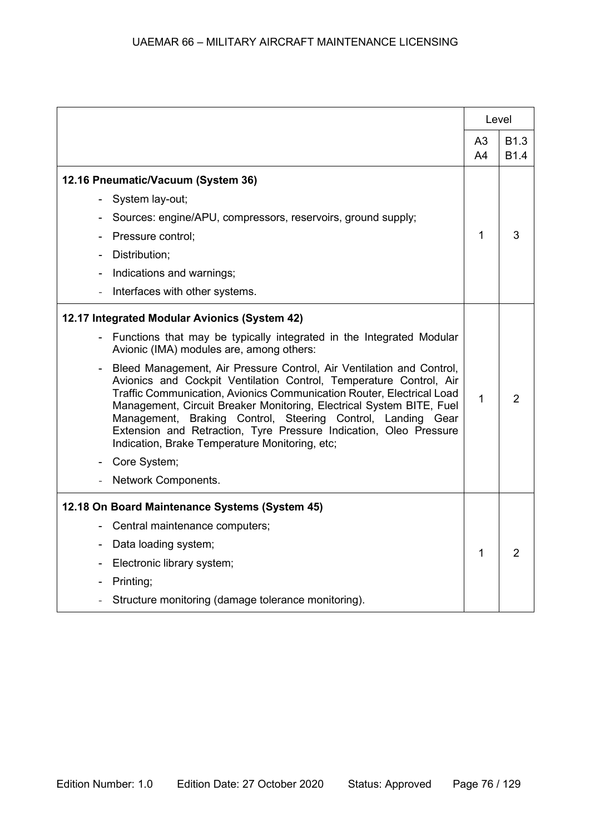|                                                                                                                                                                                                                                                                                                                                                                                                                                                                                     |                | Level          |
|-------------------------------------------------------------------------------------------------------------------------------------------------------------------------------------------------------------------------------------------------------------------------------------------------------------------------------------------------------------------------------------------------------------------------------------------------------------------------------------|----------------|----------------|
|                                                                                                                                                                                                                                                                                                                                                                                                                                                                                     | A <sub>3</sub> | <b>B1.3</b>    |
|                                                                                                                                                                                                                                                                                                                                                                                                                                                                                     | A4             | <b>B1.4</b>    |
| 12.16 Pneumatic/Vacuum (System 36)                                                                                                                                                                                                                                                                                                                                                                                                                                                  |                |                |
| - System lay-out;                                                                                                                                                                                                                                                                                                                                                                                                                                                                   |                |                |
| - Sources: engine/APU, compressors, reservoirs, ground supply;                                                                                                                                                                                                                                                                                                                                                                                                                      |                |                |
| - Pressure control;                                                                                                                                                                                                                                                                                                                                                                                                                                                                 | 1              | 3              |
| - Distribution;                                                                                                                                                                                                                                                                                                                                                                                                                                                                     |                |                |
| - Indications and warnings;                                                                                                                                                                                                                                                                                                                                                                                                                                                         |                |                |
| Interfaces with other systems.                                                                                                                                                                                                                                                                                                                                                                                                                                                      |                |                |
| 12.17 Integrated Modular Avionics (System 42)                                                                                                                                                                                                                                                                                                                                                                                                                                       |                |                |
| - Functions that may be typically integrated in the Integrated Modular<br>Avionic (IMA) modules are, among others:                                                                                                                                                                                                                                                                                                                                                                  |                |                |
| - Bleed Management, Air Pressure Control, Air Ventilation and Control,<br>Avionics and Cockpit Ventilation Control, Temperature Control, Air<br>Traffic Communication, Avionics Communication Router, Electrical Load<br>Management, Circuit Breaker Monitoring, Electrical System BITE, Fuel<br>Management, Braking Control, Steering Control, Landing Gear<br>Extension and Retraction, Tyre Pressure Indication, Oleo Pressure<br>Indication, Brake Temperature Monitoring, etc; | 1              | $\overline{2}$ |
| - Core System;                                                                                                                                                                                                                                                                                                                                                                                                                                                                      |                |                |
| Network Components.                                                                                                                                                                                                                                                                                                                                                                                                                                                                 |                |                |
| 12.18 On Board Maintenance Systems (System 45)                                                                                                                                                                                                                                                                                                                                                                                                                                      |                |                |
| Central maintenance computers;                                                                                                                                                                                                                                                                                                                                                                                                                                                      |                |                |
| Data loading system;                                                                                                                                                                                                                                                                                                                                                                                                                                                                |                |                |
| - Electronic library system;                                                                                                                                                                                                                                                                                                                                                                                                                                                        | 1              | 2              |
| Printing;                                                                                                                                                                                                                                                                                                                                                                                                                                                                           |                |                |
| Structure monitoring (damage tolerance monitoring).                                                                                                                                                                                                                                                                                                                                                                                                                                 |                |                |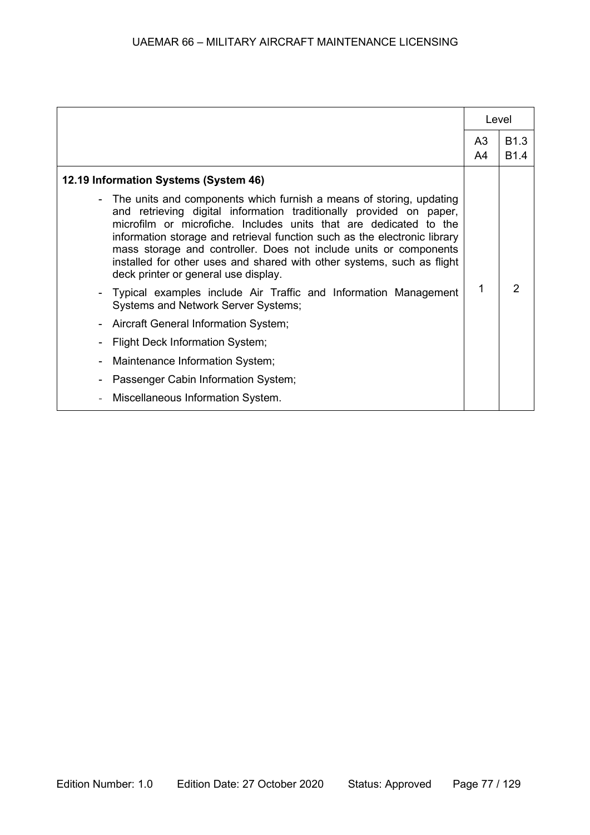|                                                                                                                                                                                                                                                                                                                                                                                                                                                                                                       | Level          |                  |
|-------------------------------------------------------------------------------------------------------------------------------------------------------------------------------------------------------------------------------------------------------------------------------------------------------------------------------------------------------------------------------------------------------------------------------------------------------------------------------------------------------|----------------|------------------|
|                                                                                                                                                                                                                                                                                                                                                                                                                                                                                                       | A <sub>3</sub> | <b>B1.3</b>      |
|                                                                                                                                                                                                                                                                                                                                                                                                                                                                                                       | A4             | B <sub>1.4</sub> |
| 12.19 Information Systems (System 46)                                                                                                                                                                                                                                                                                                                                                                                                                                                                 |                |                  |
| The units and components which furnish a means of storing, updating<br>$\blacksquare$<br>and retrieving digital information traditionally provided on paper,<br>microfilm or microfiche. Includes units that are dedicated to the<br>information storage and retrieval function such as the electronic library<br>mass storage and controller. Does not include units or components<br>installed for other uses and shared with other systems, such as flight<br>deck printer or general use display. |                |                  |
| Typical examples include Air Traffic and Information Management<br><b>Systems and Network Server Systems;</b>                                                                                                                                                                                                                                                                                                                                                                                         | 1              | 2                |
| Aircraft General Information System;<br>$\qquad \qquad \blacksquare$                                                                                                                                                                                                                                                                                                                                                                                                                                  |                |                  |
| <b>Flight Deck Information System;</b><br>$\blacksquare$                                                                                                                                                                                                                                                                                                                                                                                                                                              |                |                  |
| Maintenance Information System;<br>۰                                                                                                                                                                                                                                                                                                                                                                                                                                                                  |                |                  |
| Passenger Cabin Information System;<br>۰                                                                                                                                                                                                                                                                                                                                                                                                                                                              |                |                  |
| Miscellaneous Information System.                                                                                                                                                                                                                                                                                                                                                                                                                                                                     |                |                  |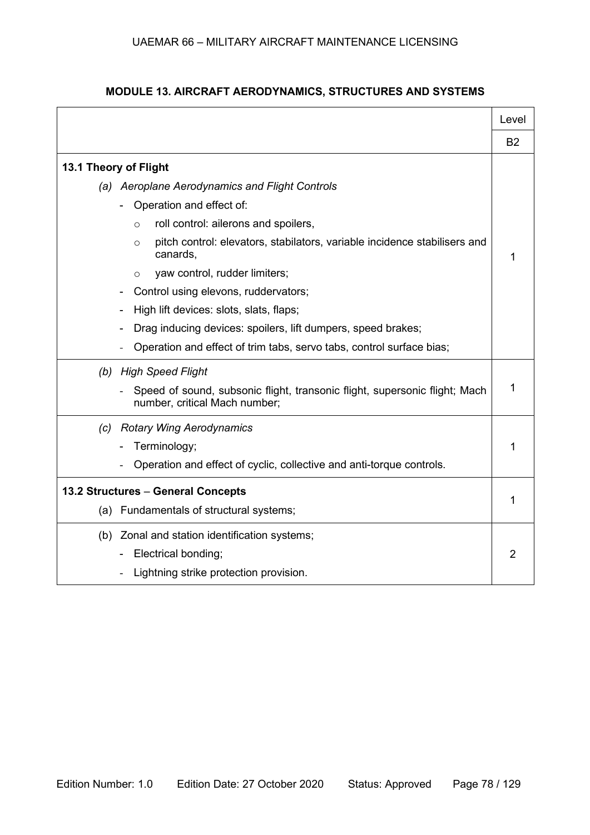|                                                                                                             | Level          |
|-------------------------------------------------------------------------------------------------------------|----------------|
|                                                                                                             | B <sub>2</sub> |
| 13.1 Theory of Flight                                                                                       |                |
| (a) Aeroplane Aerodynamics and Flight Controls                                                              |                |
| Operation and effect of:                                                                                    |                |
| roll control: ailerons and spoilers,<br>$\circ$                                                             |                |
| pitch control: elevators, stabilators, variable incidence stabilisers and<br>$\circ$<br>canards,            | 1              |
| yaw control, rudder limiters;<br>$\Omega$                                                                   |                |
| Control using elevons, ruddervators;                                                                        |                |
| High lift devices: slots, slats, flaps;                                                                     |                |
| Drag inducing devices: spoilers, lift dumpers, speed brakes;                                                |                |
| Operation and effect of trim tabs, servo tabs, control surface bias;                                        |                |
| (b) High Speed Flight                                                                                       |                |
| Speed of sound, subsonic flight, transonic flight, supersonic flight; Mach<br>number, critical Mach number; | 1              |
| (c) Rotary Wing Aerodynamics                                                                                |                |
| Terminology;                                                                                                | 1              |
| Operation and effect of cyclic, collective and anti-torque controls.                                        |                |
| 13.2 Structures - General Concepts                                                                          | 1              |
| (a) Fundamentals of structural systems;                                                                     |                |
| (b) Zonal and station identification systems;                                                               |                |
| Electrical bonding;                                                                                         | $\overline{2}$ |
| Lightning strike protection provision.                                                                      |                |

# **MODULE 13. AIRCRAFT AERODYNAMICS, STRUCTURES AND SYSTEMS**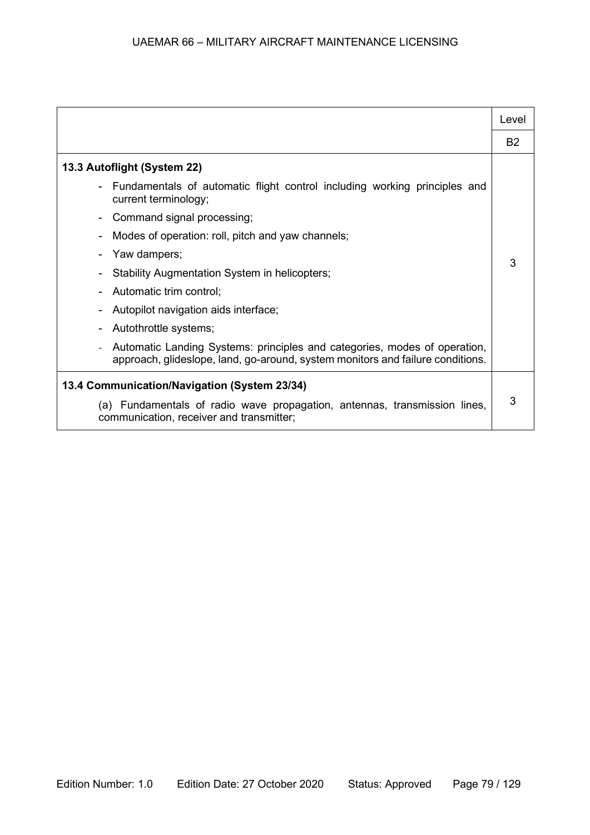|                                                                                                                                                             | Level     |
|-------------------------------------------------------------------------------------------------------------------------------------------------------------|-----------|
|                                                                                                                                                             | <b>B2</b> |
| 13.3 Autoflight (System 22)                                                                                                                                 |           |
| Fundamentals of automatic flight control including working principles and<br>$\blacksquare$<br>current terminology;                                         |           |
| Command signal processing;<br>$\blacksquare$                                                                                                                |           |
| Modes of operation: roll, pitch and yaw channels;                                                                                                           |           |
| Yaw dampers;                                                                                                                                                | 3         |
| Stability Augmentation System in helicopters;                                                                                                               |           |
| Automatic trim control;                                                                                                                                     |           |
| Autopilot navigation aids interface;                                                                                                                        |           |
| Autothrottle systems;                                                                                                                                       |           |
| Automatic Landing Systems: principles and categories, modes of operation,<br>approach, glideslope, land, go-around, system monitors and failure conditions. |           |
| 13.4 Communication/Navigation (System 23/34)                                                                                                                |           |
| (a) Fundamentals of radio wave propagation, antennas, transmission lines,<br>communication, receiver and transmitter;                                       | 3         |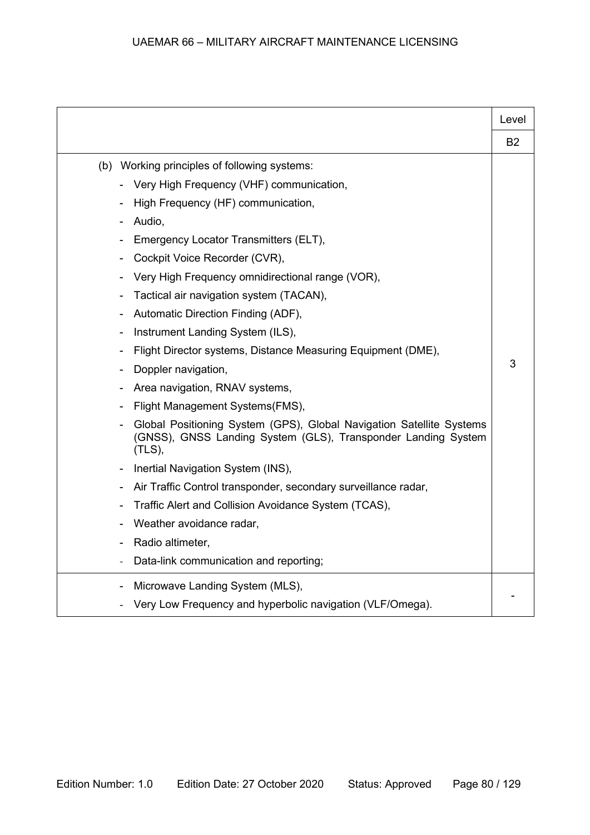|                                                                                                                                                    | Level     |
|----------------------------------------------------------------------------------------------------------------------------------------------------|-----------|
|                                                                                                                                                    | <b>B2</b> |
| (b) Working principles of following systems:                                                                                                       |           |
| Very High Frequency (VHF) communication,                                                                                                           |           |
| High Frequency (HF) communication,                                                                                                                 |           |
| Audio,                                                                                                                                             |           |
| Emergency Locator Transmitters (ELT),                                                                                                              |           |
| Cockpit Voice Recorder (CVR),                                                                                                                      |           |
| Very High Frequency omnidirectional range (VOR),                                                                                                   |           |
| Tactical air navigation system (TACAN),                                                                                                            |           |
| Automatic Direction Finding (ADF),                                                                                                                 |           |
| Instrument Landing System (ILS),                                                                                                                   |           |
| Flight Director systems, Distance Measuring Equipment (DME),                                                                                       |           |
| Doppler navigation,                                                                                                                                | 3         |
| Area navigation, RNAV systems,                                                                                                                     |           |
| Flight Management Systems(FMS),                                                                                                                    |           |
| Global Positioning System (GPS), Global Navigation Satellite Systems<br>(GNSS), GNSS Landing System (GLS), Transponder Landing System<br>$(TLS)$ , |           |
| Inertial Navigation System (INS),                                                                                                                  |           |
| Air Traffic Control transponder, secondary surveillance radar,                                                                                     |           |
| Traffic Alert and Collision Avoidance System (TCAS),                                                                                               |           |
| Weather avoidance radar,                                                                                                                           |           |
| Radio altimeter,                                                                                                                                   |           |
| Data-link communication and reporting;                                                                                                             |           |
| Microwave Landing System (MLS),                                                                                                                    |           |
| Very Low Frequency and hyperbolic navigation (VLF/Omega).                                                                                          |           |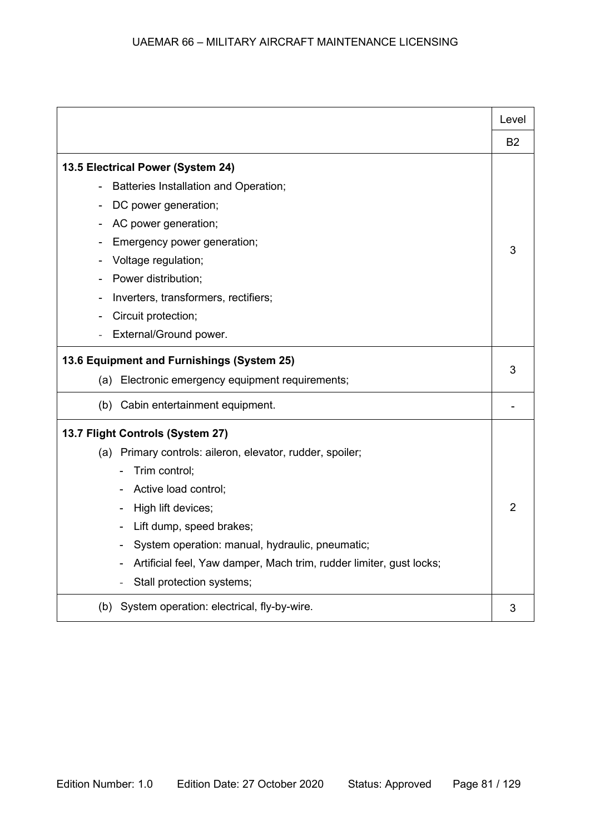|                                                                     | Level     |
|---------------------------------------------------------------------|-----------|
|                                                                     | <b>B2</b> |
| 13.5 Electrical Power (System 24)                                   |           |
| Batteries Installation and Operation;                               |           |
| DC power generation;                                                |           |
| AC power generation;                                                |           |
| Emergency power generation;                                         | 3         |
| Voltage regulation;                                                 |           |
| Power distribution;                                                 |           |
| Inverters, transformers, rectifiers;                                |           |
| Circuit protection;                                                 |           |
| External/Ground power.                                              |           |
| 13.6 Equipment and Furnishings (System 25)                          |           |
| (a) Electronic emergency equipment requirements;                    | 3         |
| (b) Cabin entertainment equipment.                                  |           |
| 13.7 Flight Controls (System 27)                                    |           |
| (a) Primary controls: aileron, elevator, rudder, spoiler;           |           |
| Trim control;                                                       |           |
| Active load control;                                                |           |
| High lift devices;                                                  | 2         |
| Lift dump, speed brakes;                                            |           |
| System operation: manual, hydraulic, pneumatic;                     |           |
| Artificial feel, Yaw damper, Mach trim, rudder limiter, gust locks; |           |
| Stall protection systems;                                           |           |
| (b) System operation: electrical, fly-by-wire.                      | 3         |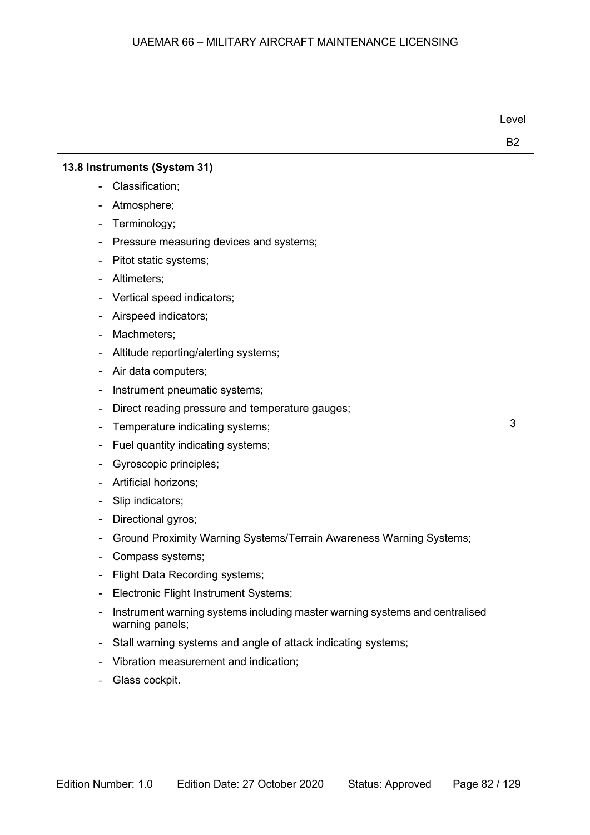|                                                                                                | Level     |
|------------------------------------------------------------------------------------------------|-----------|
|                                                                                                | <b>B2</b> |
| 13.8 Instruments (System 31)                                                                   |           |
| Classification;                                                                                |           |
| Atmosphere;                                                                                    |           |
| Terminology;                                                                                   |           |
| Pressure measuring devices and systems;                                                        |           |
| Pitot static systems;                                                                          |           |
| Altimeters;                                                                                    |           |
| Vertical speed indicators;                                                                     |           |
| Airspeed indicators;                                                                           |           |
| Machmeters;                                                                                    |           |
| Altitude reporting/alerting systems;                                                           |           |
| Air data computers;                                                                            |           |
| Instrument pneumatic systems;                                                                  |           |
| Direct reading pressure and temperature gauges;                                                |           |
| Temperature indicating systems;                                                                | 3         |
| Fuel quantity indicating systems;                                                              |           |
| Gyroscopic principles;                                                                         |           |
| Artificial horizons;                                                                           |           |
| Slip indicators;                                                                               |           |
| Directional gyros;                                                                             |           |
| Ground Proximity Warning Systems/Terrain Awareness Warning Systems;                            |           |
| Compass systems;                                                                               |           |
| <b>Flight Data Recording systems;</b>                                                          |           |
| Electronic Flight Instrument Systems;                                                          |           |
| Instrument warning systems including master warning systems and centralised<br>warning panels; |           |
| Stall warning systems and angle of attack indicating systems;                                  |           |
| Vibration measurement and indication;                                                          |           |
| Glass cockpit.                                                                                 |           |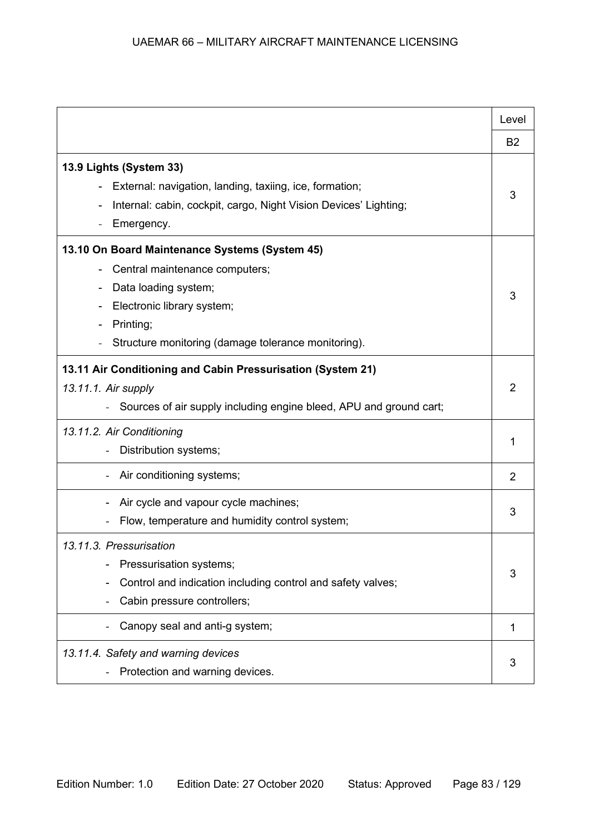|                                                                                                                                                                      | Level          |
|----------------------------------------------------------------------------------------------------------------------------------------------------------------------|----------------|
|                                                                                                                                                                      | <b>B2</b>      |
| 13.9 Lights (System 33)<br>External: navigation, landing, taxiing, ice, formation;<br>Internal: cabin, cockpit, cargo, Night Vision Devices' Lighting;<br>Emergency. | 3              |
| 13.10 On Board Maintenance Systems (System 45)                                                                                                                       |                |
| Central maintenance computers;<br>Data loading system;<br>Electronic library system;<br>Printing;<br>Structure monitoring (damage tolerance monitoring).             | 3              |
| 13.11 Air Conditioning and Cabin Pressurisation (System 21)<br>13.11.1. Air supply<br>Sources of air supply including engine bleed, APU and ground cart;             | $\overline{2}$ |
| 13.11.2. Air Conditioning<br>Distribution systems;                                                                                                                   | 1              |
| Air conditioning systems;                                                                                                                                            | $\overline{2}$ |
| Air cycle and vapour cycle machines;<br>Flow, temperature and humidity control system;                                                                               | 3              |
| 13.11.3. Pressurisation<br>Pressurisation systems;<br>Control and indication including control and safety valves;<br>Cabin pressure controllers;                     | 3              |
| Canopy seal and anti-g system;                                                                                                                                       | 1              |
| 13.11.4. Safety and warning devices<br>Protection and warning devices.                                                                                               | 3              |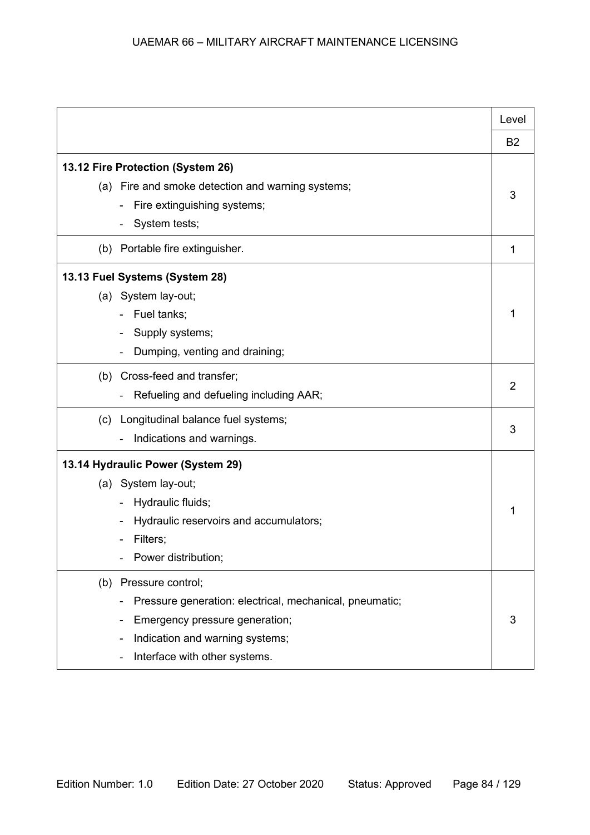|     |                                                         | Level          |
|-----|---------------------------------------------------------|----------------|
|     |                                                         | <b>B2</b>      |
|     | 13.12 Fire Protection (System 26)                       |                |
| (a) | Fire and smoke detection and warning systems;           |                |
|     | Fire extinguishing systems;                             | 3              |
|     | System tests;                                           |                |
|     | (b) Portable fire extinguisher.                         | 1              |
|     | 13.13 Fuel Systems (System 28)                          |                |
|     | (a) System lay-out;                                     |                |
|     | Fuel tanks;                                             | 1              |
|     | Supply systems;                                         |                |
|     | Dumping, venting and draining;                          |                |
|     | (b) Cross-feed and transfer;                            |                |
|     | Refueling and defueling including AAR;                  | $\overline{2}$ |
| (c) | Longitudinal balance fuel systems;                      |                |
|     | Indications and warnings.                               | 3              |
|     | 13.14 Hydraulic Power (System 29)                       |                |
|     | (a) System lay-out;                                     |                |
|     | Hydraulic fluids;                                       | 1              |
|     | Hydraulic reservoirs and accumulators;                  |                |
|     | Filters;                                                |                |
|     | Power distribution;                                     |                |
|     | (b) Pressure control;                                   |                |
|     | Pressure generation: electrical, mechanical, pneumatic; |                |
|     | Emergency pressure generation;                          | 3              |
|     | Indication and warning systems;                         |                |
|     | Interface with other systems.                           |                |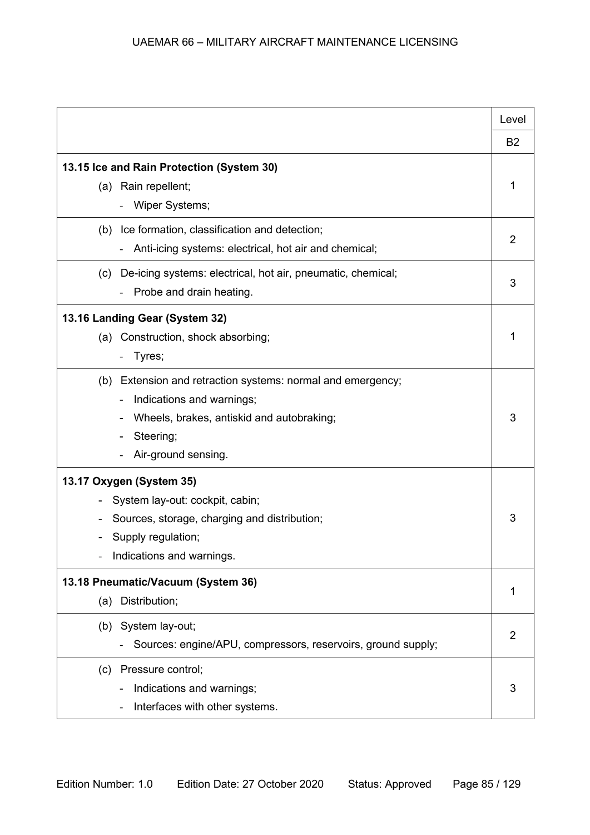|                                                                    | Level          |
|--------------------------------------------------------------------|----------------|
|                                                                    | <b>B2</b>      |
| 13.15 Ice and Rain Protection (System 30)                          |                |
| (a) Rain repellent;                                                | 1              |
| Wiper Systems;                                                     |                |
| Ice formation, classification and detection;<br>(b)                | $\overline{2}$ |
| Anti-icing systems: electrical, hot air and chemical;              |                |
| De-icing systems: electrical, hot air, pneumatic, chemical;<br>(c) |                |
| Probe and drain heating.                                           | 3              |
| 13.16 Landing Gear (System 32)                                     |                |
| (a) Construction, shock absorbing;                                 | 1              |
| Tyres;                                                             |                |
| (b) Extension and retraction systems: normal and emergency;        |                |
| Indications and warnings;                                          |                |
| Wheels, brakes, antiskid and autobraking;                          | 3              |
| Steering;                                                          |                |
| Air-ground sensing.                                                |                |
| 13.17 Oxygen (System 35)                                           |                |
| System lay-out: cockpit, cabin;                                    |                |
| Sources, storage, charging and distribution;                       | 3              |
| Supply regulation;                                                 |                |
| Indications and warnings.                                          |                |
| 13.18 Pneumatic/Vacuum (System 36)                                 | 1              |
| Distribution;<br>(a)                                               |                |
| (b) System lay-out;                                                | 2              |
| Sources: engine/APU, compressors, reservoirs, ground supply;       |                |
| (c) Pressure control;                                              |                |
| Indications and warnings;                                          | 3              |
| Interfaces with other systems.                                     |                |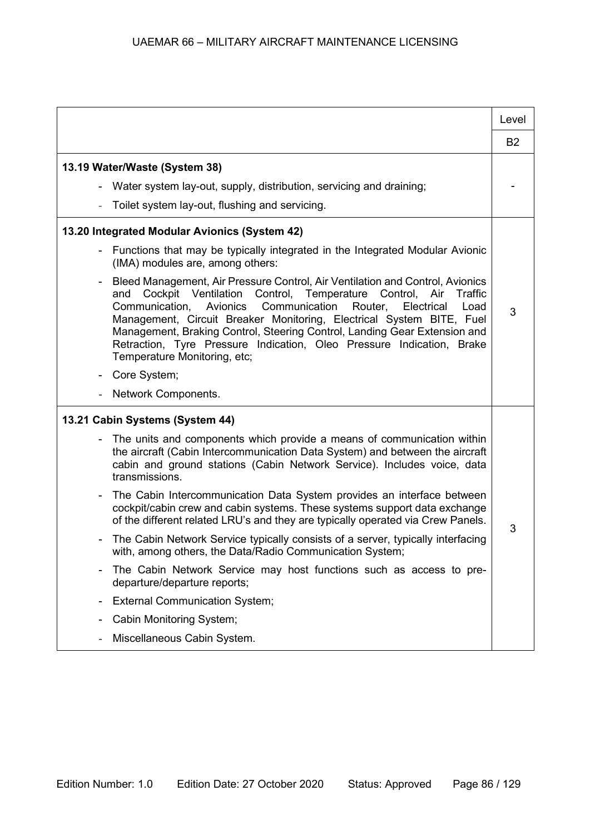|                                                                                                                                                                                                                                                                                                                                                                                                                                                                                                           | Level     |
|-----------------------------------------------------------------------------------------------------------------------------------------------------------------------------------------------------------------------------------------------------------------------------------------------------------------------------------------------------------------------------------------------------------------------------------------------------------------------------------------------------------|-----------|
|                                                                                                                                                                                                                                                                                                                                                                                                                                                                                                           | <b>B2</b> |
| 13.19 Water/Waste (System 38)<br>Water system lay-out, supply, distribution, servicing and draining;<br>Toilet system lay-out, flushing and servicing.<br>$\overline{\phantom{a}}$                                                                                                                                                                                                                                                                                                                        |           |
| 13.20 Integrated Modular Avionics (System 42)                                                                                                                                                                                                                                                                                                                                                                                                                                                             |           |
| - Functions that may be typically integrated in the Integrated Modular Avionic<br>(IMA) modules are, among others:                                                                                                                                                                                                                                                                                                                                                                                        |           |
| Bleed Management, Air Pressure Control, Air Ventilation and Control, Avionics<br>Cockpit Ventilation Control, Temperature Control,<br>Air<br>and<br>Traffic<br>Communication<br>Communication,<br>Avionics<br>Router.<br>Electrical<br>Load<br>Management, Circuit Breaker Monitoring, Electrical System BITE, Fuel<br>Management, Braking Control, Steering Control, Landing Gear Extension and<br>Retraction, Tyre Pressure Indication, Oleo Pressure Indication, Brake<br>Temperature Monitoring, etc; | 3         |
| - Core System;                                                                                                                                                                                                                                                                                                                                                                                                                                                                                            |           |
| Network Components.                                                                                                                                                                                                                                                                                                                                                                                                                                                                                       |           |
| 13.21 Cabin Systems (System 44)                                                                                                                                                                                                                                                                                                                                                                                                                                                                           |           |
| The units and components which provide a means of communication within<br>the aircraft (Cabin Intercommunication Data System) and between the aircraft<br>cabin and ground stations (Cabin Network Service). Includes voice, data<br>transmissions.                                                                                                                                                                                                                                                       |           |
| The Cabin Intercommunication Data System provides an interface between<br>cockpit/cabin crew and cabin systems. These systems support data exchange<br>of the different related LRU's and they are typically operated via Crew Panels.                                                                                                                                                                                                                                                                    | 3         |
| The Cabin Network Service typically consists of a server, typically interfacing<br>with, among others, the Data/Radio Communication System;                                                                                                                                                                                                                                                                                                                                                               |           |
| The Cabin Network Service may host functions such as access to pre-<br>departure/departure reports;                                                                                                                                                                                                                                                                                                                                                                                                       |           |
| <b>External Communication System;</b>                                                                                                                                                                                                                                                                                                                                                                                                                                                                     |           |
| Cabin Monitoring System;                                                                                                                                                                                                                                                                                                                                                                                                                                                                                  |           |
| Miscellaneous Cabin System.                                                                                                                                                                                                                                                                                                                                                                                                                                                                               |           |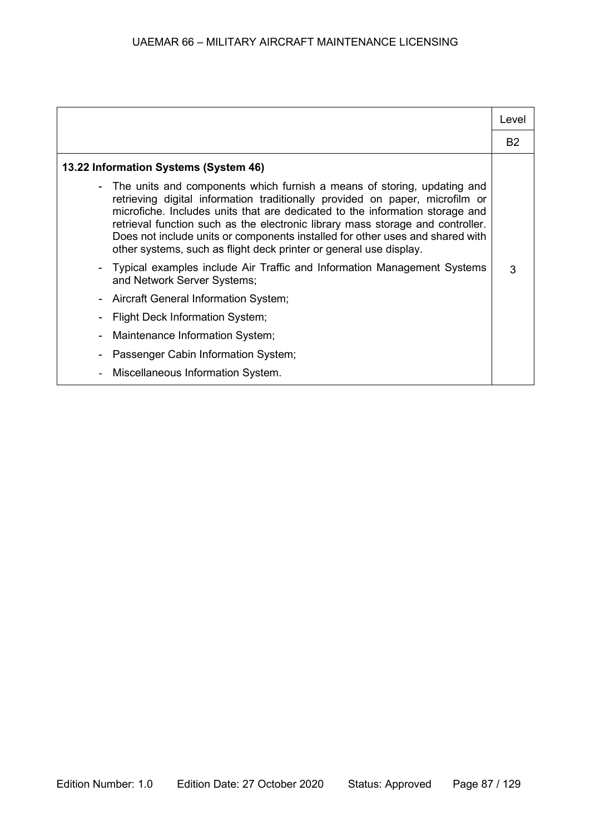|                                                                                                                                                                                                                                                                                                                                                                                                                                                                                    | Level          |
|------------------------------------------------------------------------------------------------------------------------------------------------------------------------------------------------------------------------------------------------------------------------------------------------------------------------------------------------------------------------------------------------------------------------------------------------------------------------------------|----------------|
|                                                                                                                                                                                                                                                                                                                                                                                                                                                                                    | B <sub>2</sub> |
| 13.22 Information Systems (System 46)                                                                                                                                                                                                                                                                                                                                                                                                                                              |                |
| - The units and components which furnish a means of storing, updating and<br>retrieving digital information traditionally provided on paper, microfilm or<br>microfiche. Includes units that are dedicated to the information storage and<br>retrieval function such as the electronic library mass storage and controller.<br>Does not include units or components installed for other uses and shared with<br>other systems, such as flight deck printer or general use display. |                |
| Typical examples include Air Traffic and Information Management Systems<br>۰<br>and Network Server Systems;                                                                                                                                                                                                                                                                                                                                                                        | 3              |
| Aircraft General Information System;<br>٠                                                                                                                                                                                                                                                                                                                                                                                                                                          |                |
| Flight Deck Information System;                                                                                                                                                                                                                                                                                                                                                                                                                                                    |                |
| Maintenance Information System;<br>-                                                                                                                                                                                                                                                                                                                                                                                                                                               |                |
| Passenger Cabin Information System;<br>۰                                                                                                                                                                                                                                                                                                                                                                                                                                           |                |
| Miscellaneous Information System.                                                                                                                                                                                                                                                                                                                                                                                                                                                  |                |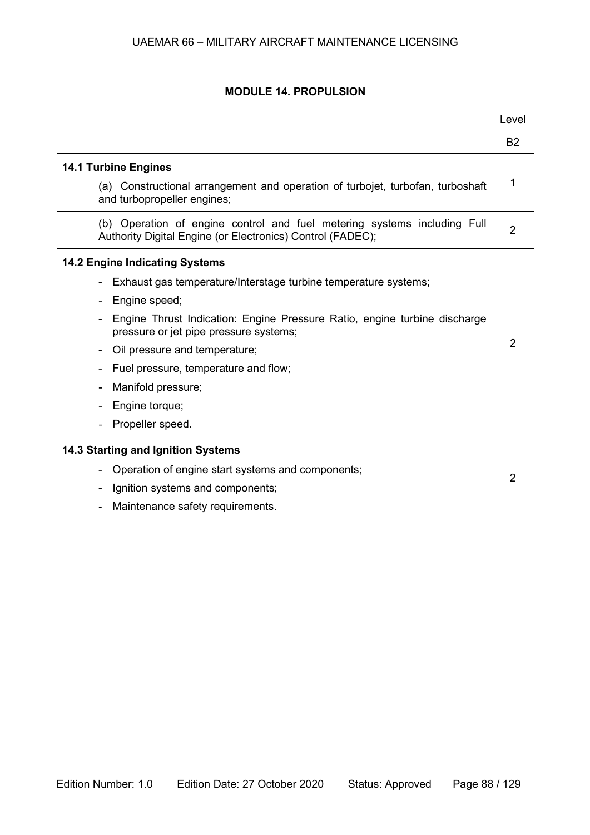|  | <b>MODULE 14. PROPULSION</b> |
|--|------------------------------|
|--|------------------------------|

|                                                                                                                                        | Level          |
|----------------------------------------------------------------------------------------------------------------------------------------|----------------|
|                                                                                                                                        | <b>B2</b>      |
| <b>14.1 Turbine Engines</b>                                                                                                            |                |
| (a) Constructional arrangement and operation of turbojet, turbofan, turboshaft<br>and turbopropeller engines;                          | 1              |
| (b) Operation of engine control and fuel metering systems including Full<br>Authority Digital Engine (or Electronics) Control (FADEC); | $\overline{2}$ |
| <b>14.2 Engine Indicating Systems</b>                                                                                                  |                |
| Exhaust gas temperature/Interstage turbine temperature systems;                                                                        |                |
| Engine speed;                                                                                                                          |                |
| Engine Thrust Indication: Engine Pressure Ratio, engine turbine discharge<br>pressure or jet pipe pressure systems;                    |                |
| Oil pressure and temperature;                                                                                                          | 2              |
| Fuel pressure, temperature and flow;                                                                                                   |                |
| Manifold pressure;                                                                                                                     |                |
| Engine torque;                                                                                                                         |                |
| Propeller speed.                                                                                                                       |                |
| <b>14.3 Starting and Ignition Systems</b>                                                                                              |                |
| Operation of engine start systems and components;                                                                                      | $\mathcal{P}$  |
| Ignition systems and components;                                                                                                       |                |
| Maintenance safety requirements.                                                                                                       |                |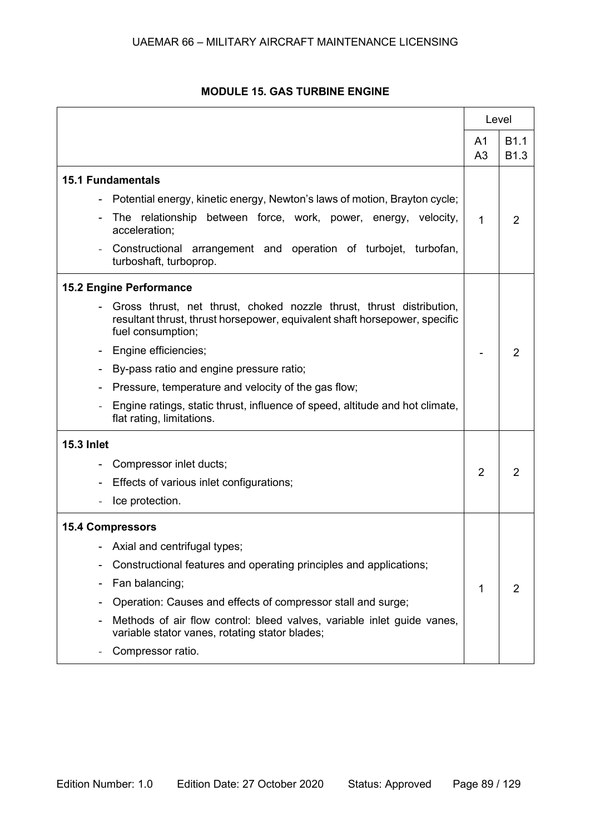|                                                                                                                                                                           | Level          |                  |
|---------------------------------------------------------------------------------------------------------------------------------------------------------------------------|----------------|------------------|
|                                                                                                                                                                           | A1             | <b>B1.1</b>      |
|                                                                                                                                                                           | A <sub>3</sub> | B <sub>1.3</sub> |
| <b>15.1 Fundamentals</b>                                                                                                                                                  |                |                  |
| Potential energy, kinetic energy, Newton's laws of motion, Brayton cycle;                                                                                                 |                |                  |
| The relationship between force, work, power, energy, velocity,<br>acceleration;                                                                                           | 1              | 2                |
| Constructional arrangement and operation of turbojet, turbofan,<br>turboshaft, turboprop.                                                                                 |                |                  |
| <b>15.2 Engine Performance</b>                                                                                                                                            |                |                  |
| - Gross thrust, net thrust, choked nozzle thrust, thrust distribution,<br>resultant thrust, thrust horsepower, equivalent shaft horsepower, specific<br>fuel consumption; |                |                  |
| Engine efficiencies;                                                                                                                                                      |                | 2                |
| By-pass ratio and engine pressure ratio;                                                                                                                                  |                |                  |
| Pressure, temperature and velocity of the gas flow;                                                                                                                       |                |                  |
| Engine ratings, static thrust, influence of speed, altitude and hot climate,<br>flat rating, limitations.                                                                 |                |                  |
| <b>15.3 Inlet</b>                                                                                                                                                         |                |                  |
| Compressor inlet ducts;                                                                                                                                                   | $\overline{2}$ | 2                |
| Effects of various inlet configurations;                                                                                                                                  |                |                  |
| Ice protection.                                                                                                                                                           |                |                  |
| <b>15.4 Compressors</b>                                                                                                                                                   |                |                  |
| - Axial and centrifugal types;                                                                                                                                            |                |                  |
| Constructional features and operating principles and applications;                                                                                                        |                |                  |
| Fan balancing;                                                                                                                                                            | 1              | 2                |
| Operation: Causes and effects of compressor stall and surge;                                                                                                              |                |                  |
| Methods of air flow control: bleed valves, variable inlet guide vanes,<br>variable stator vanes, rotating stator blades;                                                  |                |                  |
| Compressor ratio.                                                                                                                                                         |                |                  |

# **MODULE 15. GAS TURBINE ENGINE**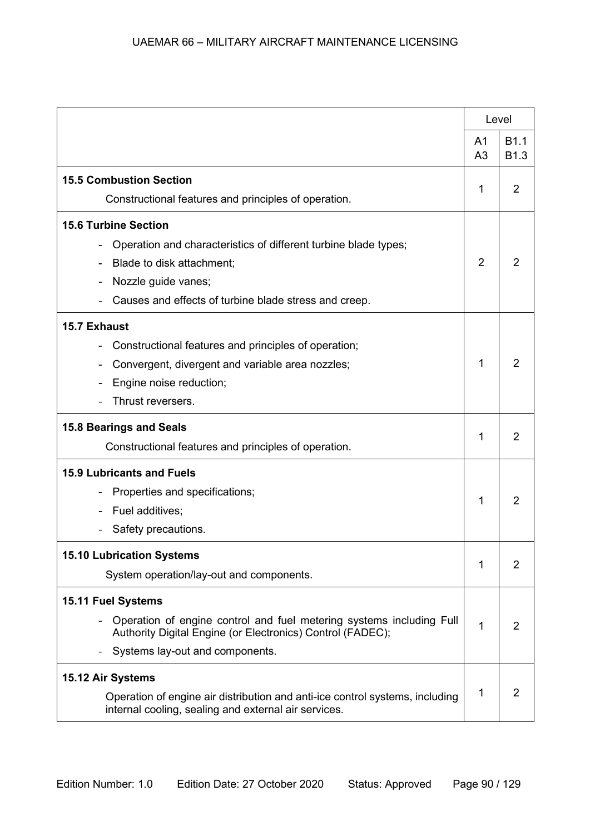|                                                                                                                                                                                             | Level                            |                                 |
|---------------------------------------------------------------------------------------------------------------------------------------------------------------------------------------------|----------------------------------|---------------------------------|
|                                                                                                                                                                                             | A <sub>1</sub><br>A <sub>3</sub> | <b>B1.1</b><br>B <sub>1.3</sub> |
| <b>15.5 Combustion Section</b><br>Constructional features and principles of operation.                                                                                                      | 1                                | 2                               |
| <b>15.6 Turbine Section</b>                                                                                                                                                                 |                                  |                                 |
| Operation and characteristics of different turbine blade types;<br>- Blade to disk attachment;<br>Nozzle guide vanes;<br>Causes and effects of turbine blade stress and creep.              | $\overline{2}$                   | 2                               |
| 15.7 Exhaust<br>Constructional features and principles of operation;<br>Convergent, divergent and variable area nozzles;<br>Engine noise reduction;<br>Thrust reversers.                    | 1                                | 2                               |
| <b>15.8 Bearings and Seals</b><br>Constructional features and principles of operation.                                                                                                      | 1                                | 2                               |
| <b>15.9 Lubricants and Fuels</b><br>Properties and specifications;<br>Fuel additives;<br>Safety precautions.                                                                                | 1                                | 2                               |
| <b>15.10 Lubrication Systems</b><br>System operation/lay-out and components.                                                                                                                | 1                                | $\overline{2}$                  |
| 15.11 Fuel Systems<br>Operation of engine control and fuel metering systems including Full<br>Authority Digital Engine (or Electronics) Control (FADEC);<br>Systems lay-out and components. | 1                                | 2                               |
| 15.12 Air Systems<br>Operation of engine air distribution and anti-ice control systems, including<br>internal cooling, sealing and external air services.                                   | 1                                | 2                               |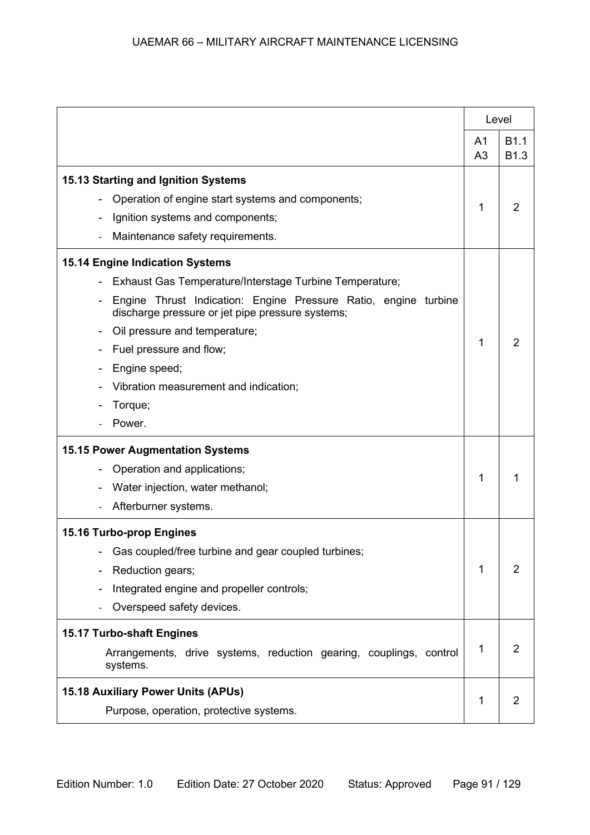|                                                                                                                     | Level                            |                                 |
|---------------------------------------------------------------------------------------------------------------------|----------------------------------|---------------------------------|
|                                                                                                                     | A <sub>1</sub><br>A <sub>3</sub> | <b>B1.1</b><br>B <sub>1.3</sub> |
| 15.13 Starting and Ignition Systems                                                                                 |                                  |                                 |
| Operation of engine start systems and components;                                                                   | 1                                | 2                               |
| Ignition systems and components;                                                                                    |                                  |                                 |
| Maintenance safety requirements.                                                                                    |                                  |                                 |
| <b>15.14 Engine Indication Systems</b>                                                                              |                                  |                                 |
| Exhaust Gas Temperature/Interstage Turbine Temperature;                                                             |                                  |                                 |
| Engine Thrust Indication: Engine Pressure Ratio, engine turbine<br>discharge pressure or jet pipe pressure systems; |                                  |                                 |
| Oil pressure and temperature;                                                                                       |                                  |                                 |
| Fuel pressure and flow;                                                                                             | 1                                | $\mathcal{P}$                   |
| Engine speed;                                                                                                       |                                  |                                 |
| Vibration measurement and indication;                                                                               |                                  |                                 |
| Torque;                                                                                                             |                                  |                                 |
| Power.                                                                                                              |                                  |                                 |
| <b>15.15 Power Augmentation Systems</b>                                                                             |                                  |                                 |
| Operation and applications;                                                                                         | 1                                |                                 |
| Water injection, water methanol;                                                                                    |                                  |                                 |
| Afterburner systems.                                                                                                |                                  |                                 |
| 15.16 Turbo-prop Engines                                                                                            |                                  |                                 |
| Gas coupled/free turbine and gear coupled turbines;                                                                 |                                  |                                 |
| Reduction gears;                                                                                                    | 1                                | 2                               |
| Integrated engine and propeller controls;                                                                           |                                  |                                 |
| Overspeed safety devices.                                                                                           |                                  |                                 |
| 15.17 Turbo-shaft Engines                                                                                           |                                  |                                 |
| Arrangements, drive systems, reduction gearing, couplings, control<br>systems.                                      | 1                                | 2                               |
| <b>15.18 Auxiliary Power Units (APUs)</b>                                                                           |                                  |                                 |
| Purpose, operation, protective systems.                                                                             | 1                                | $\overline{2}$                  |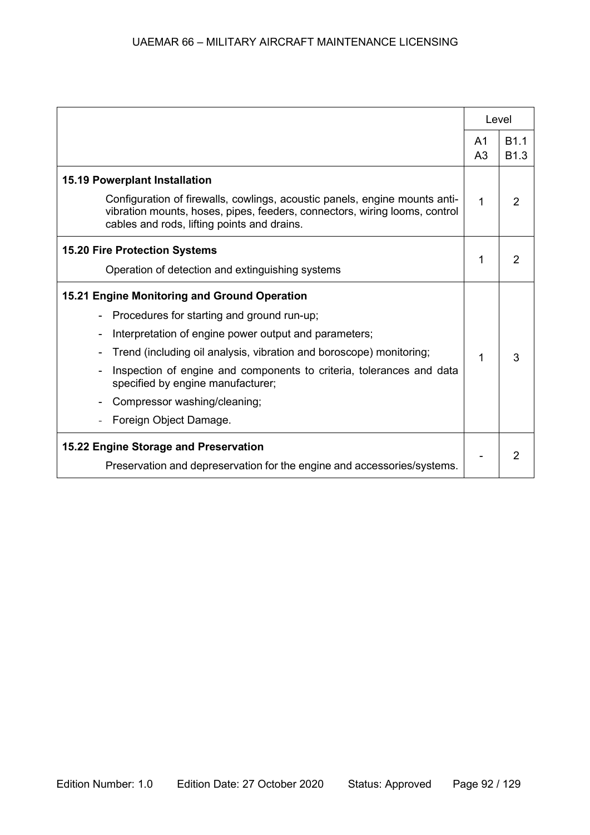|                                                                                                                                                                                                         | Level                |                            |
|---------------------------------------------------------------------------------------------------------------------------------------------------------------------------------------------------------|----------------------|----------------------------|
|                                                                                                                                                                                                         | A1<br>A <sub>3</sub> | <b>B1.1</b><br><b>B1.3</b> |
| <b>15.19 Powerplant Installation</b>                                                                                                                                                                    |                      |                            |
| Configuration of firewalls, cowlings, acoustic panels, engine mounts anti-<br>vibration mounts, hoses, pipes, feeders, connectors, wiring looms, control<br>cables and rods, lifting points and drains. | 1                    | $\mathcal{P}$              |
| <b>15.20 Fire Protection Systems</b>                                                                                                                                                                    | 1                    | 2                          |
| Operation of detection and extinguishing systems                                                                                                                                                        |                      |                            |
| 15.21 Engine Monitoring and Ground Operation                                                                                                                                                            |                      |                            |
| Procedures for starting and ground run-up;                                                                                                                                                              |                      |                            |
| Interpretation of engine power output and parameters;                                                                                                                                                   |                      |                            |
| Trend (including oil analysis, vibration and boroscope) monitoring;                                                                                                                                     | 1                    | 3                          |
| Inspection of engine and components to criteria, tolerances and data<br>specified by engine manufacturer;                                                                                               |                      |                            |
| Compressor washing/cleaning;                                                                                                                                                                            |                      |                            |
| Foreign Object Damage.                                                                                                                                                                                  |                      |                            |
| 15.22 Engine Storage and Preservation                                                                                                                                                                   |                      | 2                          |
| Preservation and depreservation for the engine and accessories/systems.                                                                                                                                 |                      |                            |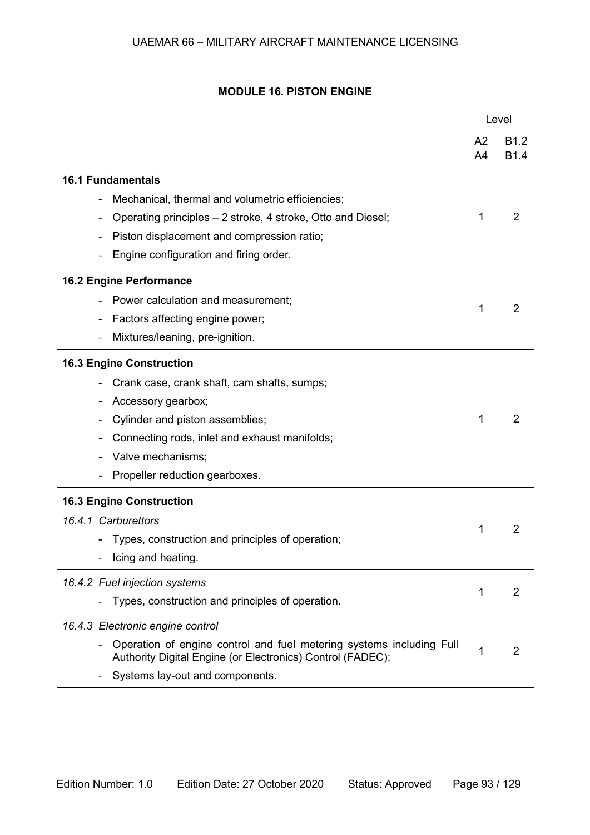| <b>MODULE 16. PISTON ENGINE</b> |  |
|---------------------------------|--|
|---------------------------------|--|

|                                                                                                                                    | Level          |                  |
|------------------------------------------------------------------------------------------------------------------------------------|----------------|------------------|
|                                                                                                                                    | A <sub>2</sub> | B <sub>1.2</sub> |
|                                                                                                                                    | A <sub>4</sub> | <b>B1.4</b>      |
| <b>16.1 Fundamentals</b>                                                                                                           |                |                  |
| Mechanical, thermal and volumetric efficiencies;                                                                                   |                |                  |
| Operating principles - 2 stroke, 4 stroke, Otto and Diesel;                                                                        | 1              | 2                |
| Piston displacement and compression ratio;                                                                                         |                |                  |
| Engine configuration and firing order.                                                                                             |                |                  |
| <b>16.2 Engine Performance</b>                                                                                                     |                |                  |
| Power calculation and measurement;                                                                                                 | 1              | 2                |
| Factors affecting engine power;                                                                                                    |                |                  |
| Mixtures/leaning, pre-ignition.                                                                                                    |                |                  |
| <b>16.3 Engine Construction</b>                                                                                                    |                |                  |
| Crank case, crank shaft, cam shafts, sumps;                                                                                        |                |                  |
| Accessory gearbox;                                                                                                                 |                |                  |
| Cylinder and piston assemblies;                                                                                                    | 1              | 2                |
| Connecting rods, inlet and exhaust manifolds;                                                                                      |                |                  |
| Valve mechanisms;                                                                                                                  |                |                  |
| Propeller reduction gearboxes.                                                                                                     |                |                  |
| <b>16.3 Engine Construction</b>                                                                                                    |                |                  |
| 16.4.1 Carburettors                                                                                                                | 1              | 2                |
| Types, construction and principles of operation;                                                                                   |                |                  |
| Icing and heating.                                                                                                                 |                |                  |
| 16.4.2 Fuel injection systems                                                                                                      | 1              | 2                |
| Types, construction and principles of operation.                                                                                   |                |                  |
| 16.4.3 Electronic engine control                                                                                                   |                |                  |
| Operation of engine control and fuel metering systems including Full<br>Authority Digital Engine (or Electronics) Control (FADEC); | 1              | $\overline{2}$   |
| Systems lay-out and components.                                                                                                    |                |                  |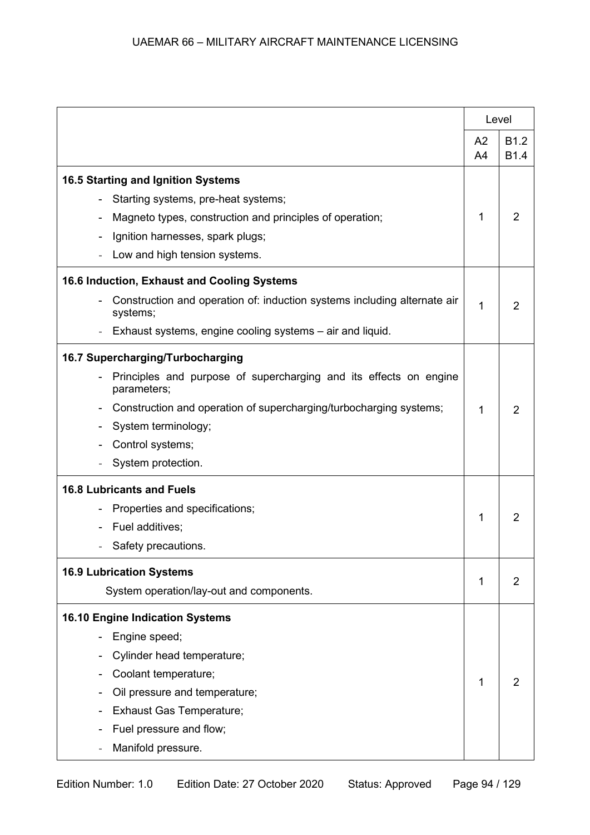|                                                                                      | Level       |                                 |
|--------------------------------------------------------------------------------------|-------------|---------------------------------|
|                                                                                      | A2<br>A4    | B <sub>1.2</sub><br><b>B1.4</b> |
| <b>16.5 Starting and Ignition Systems</b>                                            |             |                                 |
| Starting systems, pre-heat systems;                                                  |             |                                 |
| Magneto types, construction and principles of operation;                             | 1           | 2                               |
| Ignition harnesses, spark plugs;                                                     |             |                                 |
| Low and high tension systems.                                                        |             |                                 |
| 16.6 Induction, Exhaust and Cooling Systems                                          |             |                                 |
| Construction and operation of: induction systems including alternate air<br>systems; | 1           | 2                               |
| Exhaust systems, engine cooling systems - air and liquid.                            |             |                                 |
| 16.7 Supercharging/Turbocharging                                                     |             |                                 |
| Principles and purpose of supercharging and its effects on engine<br>parameters;     |             |                                 |
| Construction and operation of supercharging/turbocharging systems;                   | 1           | 2                               |
| System terminology;                                                                  |             |                                 |
| Control systems;                                                                     |             |                                 |
| System protection.                                                                   |             |                                 |
| <b>16.8 Lubricants and Fuels</b>                                                     |             |                                 |
| Properties and specifications;                                                       |             |                                 |
| Fuel additives;                                                                      | 1           | 2                               |
| Safety precautions.                                                                  |             |                                 |
| <b>16.9 Lubrication Systems</b>                                                      |             |                                 |
| System operation/lay-out and components.                                             | $\mathbf 1$ | 2                               |
| <b>16.10 Engine Indication Systems</b>                                               |             |                                 |
| Engine speed;                                                                        |             |                                 |
| Cylinder head temperature;                                                           |             |                                 |
| Coolant temperature;                                                                 |             |                                 |
| Oil pressure and temperature;                                                        | 1           | 2                               |
| <b>Exhaust Gas Temperature;</b>                                                      |             |                                 |
| Fuel pressure and flow;                                                              |             |                                 |
| Manifold pressure.                                                                   |             |                                 |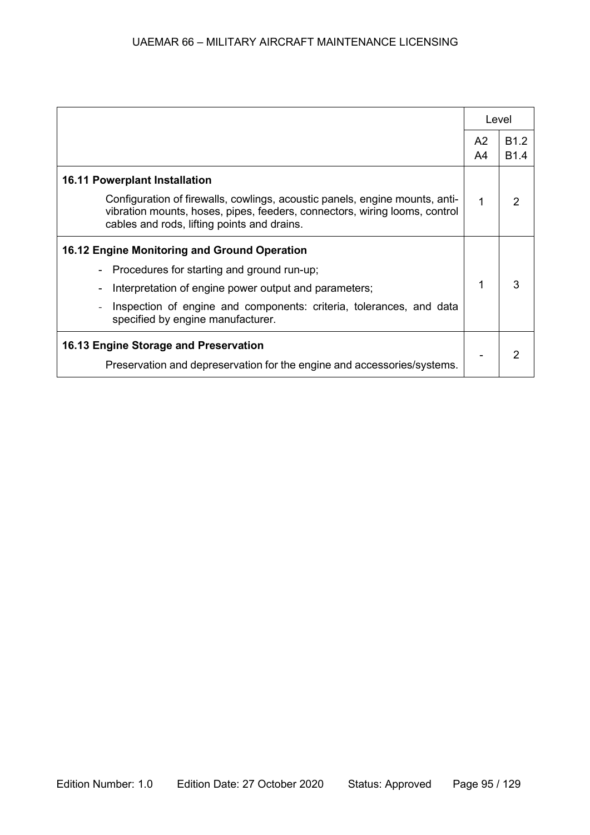|                                                                                                                                                                                                          | Level |             |
|----------------------------------------------------------------------------------------------------------------------------------------------------------------------------------------------------------|-------|-------------|
|                                                                                                                                                                                                          | A2    | <b>B1.2</b> |
|                                                                                                                                                                                                          | A4    | <b>B1.4</b> |
| <b>16.11 Powerplant Installation</b>                                                                                                                                                                     |       |             |
| Configuration of firewalls, cowlings, acoustic panels, engine mounts, anti-<br>vibration mounts, hoses, pipes, feeders, connectors, wiring looms, control<br>cables and rods, lifting points and drains. | 1     | 2           |
| 16.12 Engine Monitoring and Ground Operation                                                                                                                                                             |       |             |
| Procedures for starting and ground run-up;                                                                                                                                                               |       |             |
| Interpretation of engine power output and parameters;                                                                                                                                                    | 1     | 3           |
| Inspection of engine and components: criteria, tolerances, and data<br>specified by engine manufacturer.                                                                                                 |       |             |
| 16.13 Engine Storage and Preservation                                                                                                                                                                    |       |             |
| Preservation and depreservation for the engine and accessories/systems.                                                                                                                                  |       |             |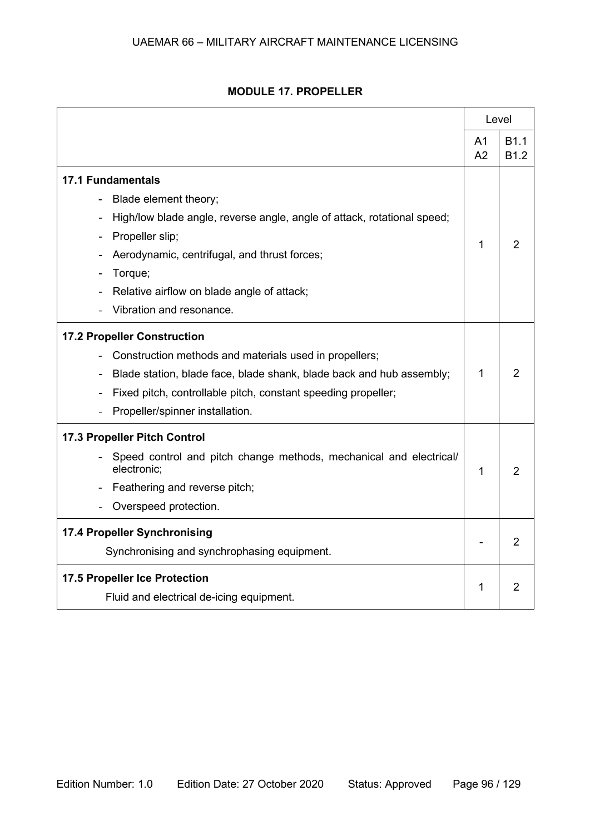|                                                                                   | Level          |                |
|-----------------------------------------------------------------------------------|----------------|----------------|
|                                                                                   | A <sub>1</sub> | <b>B1.1</b>    |
|                                                                                   | A2             | B1.2           |
| <b>17.1 Fundamentals</b>                                                          |                |                |
| Blade element theory;                                                             |                |                |
| High/low blade angle, reverse angle, angle of attack, rotational speed;           |                |                |
| Propeller slip;                                                                   | 1              | 2              |
| Aerodynamic, centrifugal, and thrust forces;                                      |                |                |
| Torque;                                                                           |                |                |
| Relative airflow on blade angle of attack;                                        |                |                |
| Vibration and resonance.                                                          |                |                |
| <b>17.2 Propeller Construction</b>                                                |                |                |
| Construction methods and materials used in propellers;                            |                |                |
| Blade station, blade face, blade shank, blade back and hub assembly;              | 1              | $\overline{2}$ |
| Fixed pitch, controllable pitch, constant speeding propeller;                     |                |                |
| Propeller/spinner installation.                                                   |                |                |
| 17.3 Propeller Pitch Control                                                      |                |                |
| Speed control and pitch change methods, mechanical and electrical/<br>electronic; | 1              | 2              |
| Feathering and reverse pitch;                                                     |                |                |
| Overspeed protection.                                                             |                |                |
| <b>17.4 Propeller Synchronising</b>                                               |                | $\overline{2}$ |
| Synchronising and synchrophasing equipment.                                       |                |                |
| 17.5 Propeller Ice Protection                                                     |                | $\overline{2}$ |
| Fluid and electrical de-icing equipment.                                          | 1              |                |

## **MODULE 17. PROPELLER**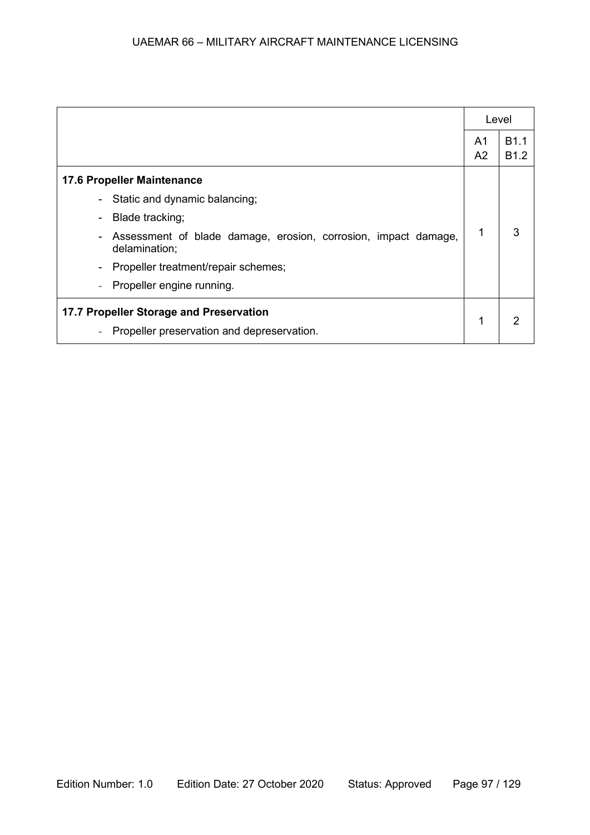|                                                                                 |    | Level            |
|---------------------------------------------------------------------------------|----|------------------|
|                                                                                 | A1 | <b>B1.1</b>      |
|                                                                                 | A2 | B <sub>1.2</sub> |
| <b>17.6 Propeller Maintenance</b>                                               |    |                  |
| Static and dynamic balancing;                                                   |    |                  |
| Blade tracking;                                                                 |    |                  |
| Assessment of blade damage, erosion, corrosion, impact damage,<br>delamination; |    | 3                |
| Propeller treatment/repair schemes;                                             |    |                  |
| Propeller engine running.                                                       |    |                  |
| 17.7 Propeller Storage and Preservation                                         | 1  |                  |
| Propeller preservation and depreservation.<br>$\overline{\phantom{a}}$          |    |                  |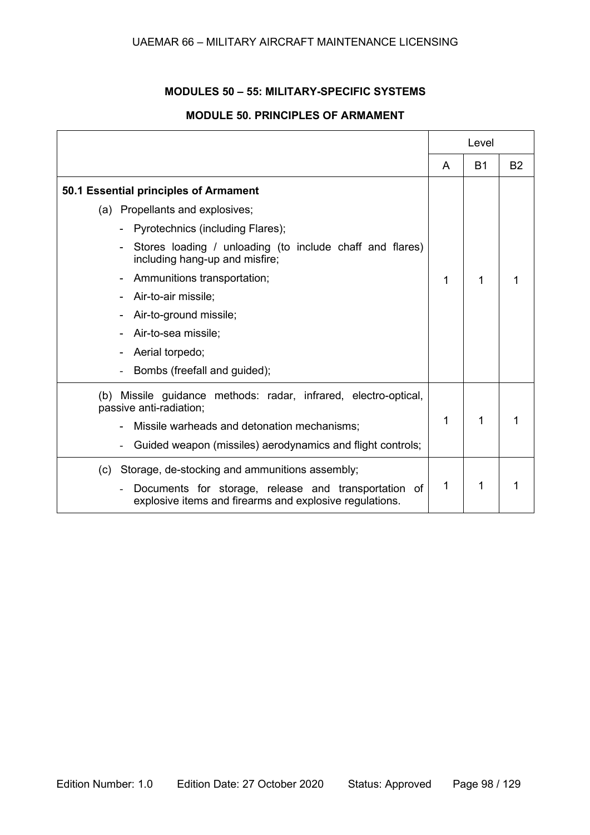## **MODULES 50 – 55: MILITARY-SPECIFIC SYSTEMS**

|                                                                                                                    | Level |           |                |
|--------------------------------------------------------------------------------------------------------------------|-------|-----------|----------------|
|                                                                                                                    | A     | <b>B1</b> | B <sub>2</sub> |
| 50.1 Essential principles of Armament                                                                              |       |           |                |
| (a) Propellants and explosives;                                                                                    |       |           |                |
| Pyrotechnics (including Flares);                                                                                   |       |           |                |
| Stores loading / unloading (to include chaff and flares)<br>including hang-up and misfire;                         |       |           |                |
| Ammunitions transportation;                                                                                        | 1     | 1         |                |
| Air-to-air missile;                                                                                                |       |           |                |
| Air-to-ground missile;                                                                                             |       |           |                |
| Air-to-sea missile;                                                                                                |       |           |                |
| Aerial torpedo;                                                                                                    |       |           |                |
| Bombs (freefall and guided);                                                                                       |       |           |                |
| (b) Missile guidance methods: radar, infrared, electro-optical,<br>passive anti-radiation;                         |       |           |                |
| Missile warheads and detonation mechanisms;                                                                        | 1     | 1         |                |
| Guided weapon (missiles) aerodynamics and flight controls;                                                         |       |           |                |
| (c) Storage, de-stocking and ammunitions assembly;                                                                 |       |           |                |
| Documents for storage, release and transportation<br>of<br>explosive items and firearms and explosive regulations. | 1     | 1         | 1              |

## **MODULE 50. PRINCIPLES OF ARMAMENT**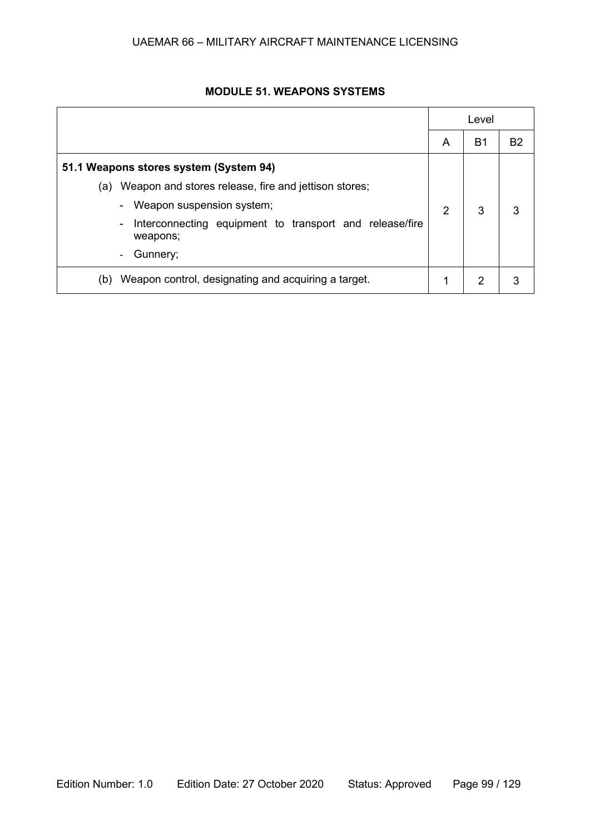|                                                                     | Level |    |    |
|---------------------------------------------------------------------|-------|----|----|
|                                                                     | A     | B1 | B2 |
| 51.1 Weapons stores system (System 94)                              |       |    |    |
| (a) Weapon and stores release, fire and jettison stores;            |       |    |    |
| Weapon suspension system;                                           | 2     | 3  | 3  |
| Interconnecting equipment to transport and release/fire<br>weapons; |       |    |    |
| Gunnery;                                                            |       |    |    |
| Weapon control, designating and acquiring a target.<br>(b)          | 1     | 2  | 3  |

# **MODULE 51. WEAPONS SYSTEMS**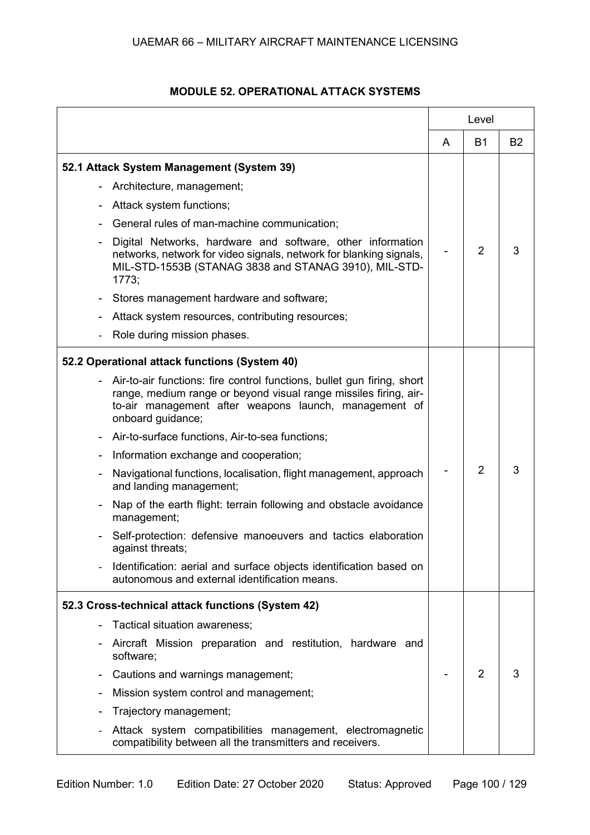|                                                                                                                                                                                                                          | Level |                |           |
|--------------------------------------------------------------------------------------------------------------------------------------------------------------------------------------------------------------------------|-------|----------------|-----------|
|                                                                                                                                                                                                                          | A     | <b>B1</b>      | <b>B2</b> |
| 52.1 Attack System Management (System 39)                                                                                                                                                                                |       |                |           |
| Architecture, management;                                                                                                                                                                                                |       |                |           |
| Attack system functions;                                                                                                                                                                                                 |       |                |           |
| General rules of man-machine communication;                                                                                                                                                                              |       |                |           |
| Digital Networks, hardware and software, other information<br>networks, network for video signals, network for blanking signals,<br>MIL-STD-1553B (STANAG 3838 and STANAG 3910), MIL-STD-<br>1773;                       |       | $\overline{2}$ | 3         |
| Stores management hardware and software;                                                                                                                                                                                 |       |                |           |
| Attack system resources, contributing resources;                                                                                                                                                                         |       |                |           |
| Role during mission phases.                                                                                                                                                                                              |       |                |           |
| 52.2 Operational attack functions (System 40)                                                                                                                                                                            |       |                |           |
| Air-to-air functions: fire control functions, bullet gun firing, short<br>range, medium range or beyond visual range missiles firing, air-<br>to-air management after weapons launch, management of<br>onboard guidance; |       |                |           |
| Air-to-surface functions, Air-to-sea functions;                                                                                                                                                                          |       |                |           |
| Information exchange and cooperation;                                                                                                                                                                                    |       |                |           |
| Navigational functions, localisation, flight management, approach<br>and landing management;                                                                                                                             |       | $\overline{2}$ | 3         |
| Nap of the earth flight: terrain following and obstacle avoidance<br>management;                                                                                                                                         |       |                |           |
| Self-protection: defensive manoeuvers and tactics elaboration<br>against threats;                                                                                                                                        |       |                |           |
| Identification: aerial and surface objects identification based on<br>autonomous and external identification means.                                                                                                      |       |                |           |
| 52.3 Cross-technical attack functions (System 42)                                                                                                                                                                        |       |                |           |
| Tactical situation awareness;                                                                                                                                                                                            |       |                |           |
| Aircraft Mission preparation and restitution, hardware and<br>software;                                                                                                                                                  |       |                |           |
| Cautions and warnings management;                                                                                                                                                                                        |       | $\overline{2}$ | 3         |
| Mission system control and management;                                                                                                                                                                                   |       |                |           |
| Trajectory management;                                                                                                                                                                                                   |       |                |           |
| Attack system compatibilities management, electromagnetic<br>compatibility between all the transmitters and receivers.                                                                                                   |       |                |           |

# **MODULE 52. OPERATIONAL ATTACK SYSTEMS**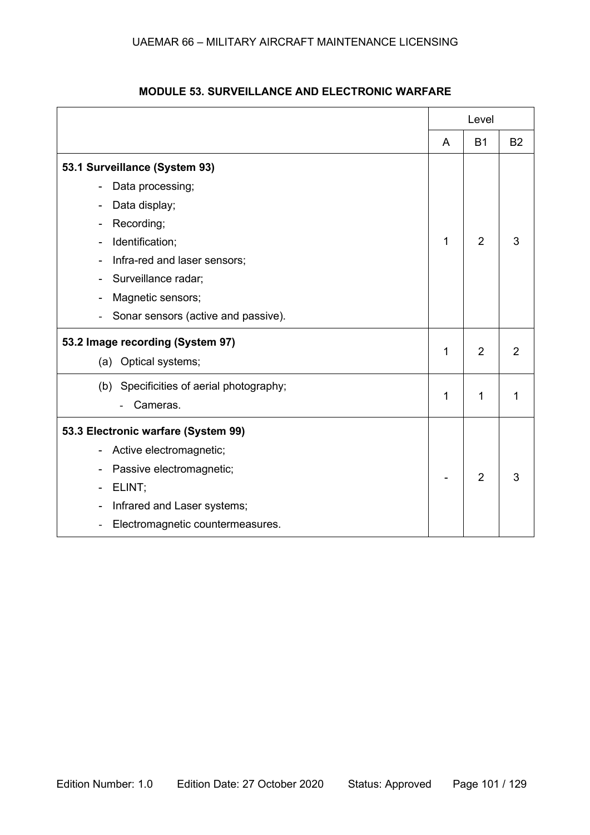|                                          | Level |                |                |
|------------------------------------------|-------|----------------|----------------|
|                                          | A     | <b>B1</b>      | <b>B2</b>      |
| 53.1 Surveillance (System 93)            |       |                |                |
| Data processing;                         |       |                |                |
| Data display;                            |       |                |                |
| Recording;                               |       |                |                |
| Identification;                          | 1     | $\overline{2}$ | 3              |
| Infra-red and laser sensors;             |       |                |                |
| Surveillance radar;                      |       |                |                |
| Magnetic sensors;                        |       |                |                |
| Sonar sensors (active and passive).      |       |                |                |
| 53.2 Image recording (System 97)         | 1     | $\overline{2}$ | $\overline{2}$ |
| (a) Optical systems;                     |       |                |                |
| (b) Specificities of aerial photography; | 1     | 1              | 1              |
| Cameras.                                 |       |                |                |
| 53.3 Electronic warfare (System 99)      |       |                |                |
| Active electromagnetic;                  |       |                |                |
| Passive electromagnetic;                 |       | $\overline{2}$ | 3              |
| ELINT;                                   |       |                |                |
| Infrared and Laser systems;              |       |                |                |
| Electromagnetic countermeasures.         |       |                |                |

# **MODULE 53. SURVEILLANCE AND ELECTRONIC WARFARE**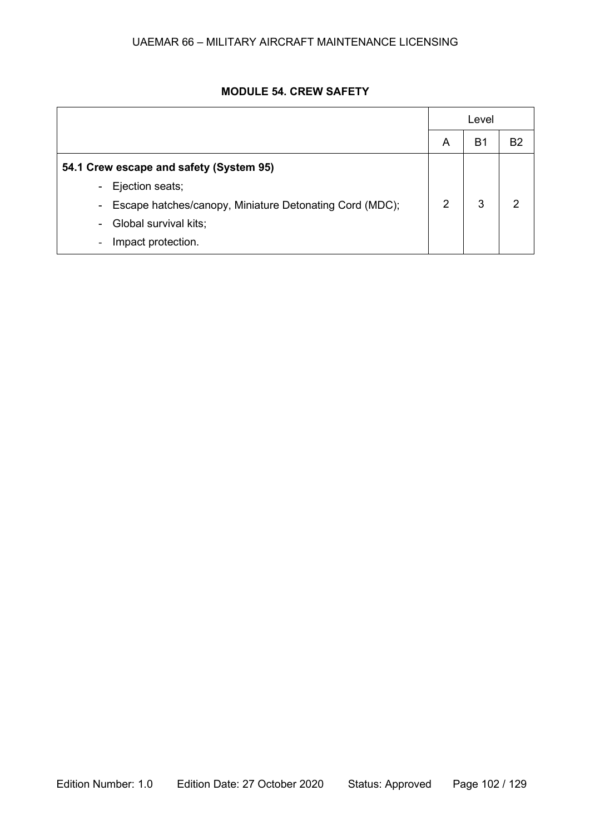|  | <b>MODULE 54. CREW SAFETY</b> |
|--|-------------------------------|
|--|-------------------------------|

|                                                                   | Level |    |    |
|-------------------------------------------------------------------|-------|----|----|
|                                                                   | A     | Β1 | B2 |
| 54.1 Crew escape and safety (System 95)                           |       |    |    |
| Ejection seats;<br>$\sim$                                         |       |    |    |
| Escape hatches/canopy, Miniature Detonating Cord (MDC);<br>$\sim$ | 2     | 3  |    |
| Global survival kits;<br>$\sim$                                   |       |    |    |
| Impact protection.<br>Ξ.                                          |       |    |    |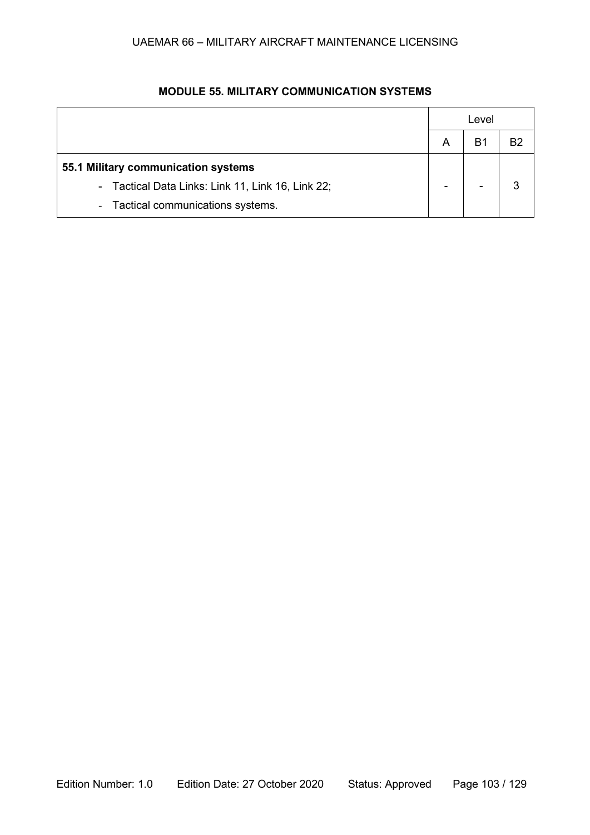|                                                   | Level |                |    |
|---------------------------------------------------|-------|----------------|----|
|                                                   | A     | B <sub>1</sub> | B2 |
| 55.1 Military communication systems               |       |                |    |
| - Tactical Data Links: Link 11, Link 16, Link 22; |       | -              |    |
| - Tactical communications systems.                |       |                |    |

# **MODULE 55. MILITARY COMMUNICATION SYSTEMS**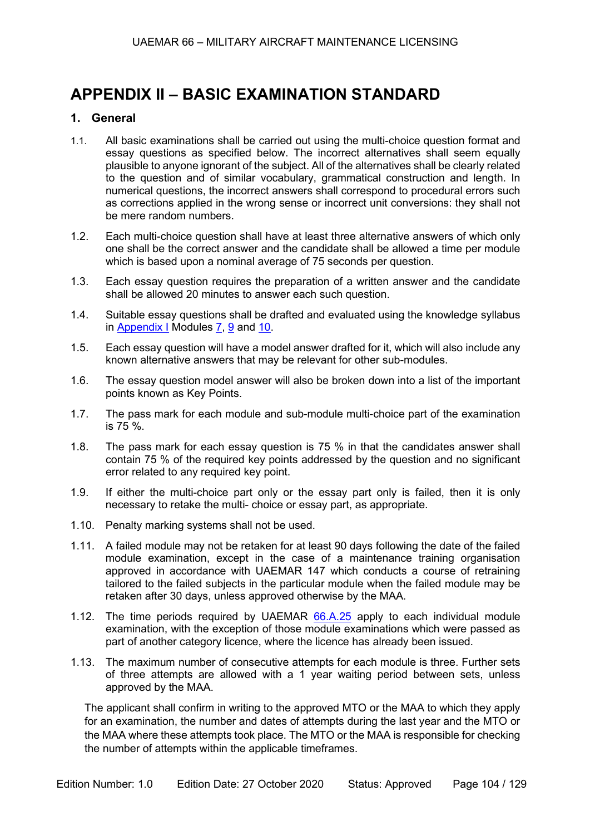# **APPENDIX II – BASIC EXAMINATION STANDARD**

# **1. General**

- 1.1. All basic examinations shall be carried out using the multi-choice question format and essay questions as specified below. The incorrect alternatives shall seem equally plausible to anyone ignorant of the subject. All of the alternatives shall be clearly related to the question and of similar vocabulary, grammatical construction and length. In numerical questions, the incorrect answers shall correspond to procedural errors such as corrections applied in the wrong sense or incorrect unit conversions: they shall not be mere random numbers.
- 1.2. Each multi-choice question shall have at least three alternative answers of which only one shall be the correct answer and the candidate shall be allowed a time per module which is based upon a nominal average of 75 seconds per question.
- 1.3. Each essay question requires the preparation of a written answer and the candidate shall be allowed 20 minutes to answer each such question.
- 1.4. Suitable essay questions shall be drafted and evaluated using the knowledge syllabus in Appendix I Modules 7, 9 and 10.
- 1.5. Each essay question will have a model answer drafted for it, which will also include any known alternative answers that may be relevant for other sub-modules.
- 1.6. The essay question model answer will also be broken down into a list of the important points known as Key Points.
- 1.7. The pass mark for each module and sub-module multi-choice part of the examination is 75 %.
- 1.8. The pass mark for each essay question is 75 % in that the candidates answer shall contain 75 % of the required key points addressed by the question and no significant error related to any required key point.
- 1.9. If either the multi-choice part only or the essay part only is failed, then it is only necessary to retake the multi- choice or essay part, as appropriate.
- 1.10. Penalty marking systems shall not be used.
- 1.11. A failed module may not be retaken for at least 90 days following the date of the failed module examination, except in the case of a maintenance training organisation approved in accordance with UAEMAR 147 which conducts a course of retraining tailored to the failed subjects in the particular module when the failed module may be retaken after 30 days, unless approved otherwise by the MAA.
- 1.12. The time periods required by [UAEMAR 66.A.25](#page-8-0) apply to each individual module examination, with the exception of those module examinations which were passed as part of another category licence, where the licence has already been issued.
- 1.13. The maximum number of consecutive attempts for each module is three. Further sets of three attempts are allowed with a 1 year waiting period between sets, unless approved by the MAA.

The applicant shall confirm in writing to the approved MTO or the MAA to which they apply for an examination, the number and dates of attempts during the last year and the MTO or the MAA where these attempts took place. The MTO or the MAA is responsible for checking the number of attempts within the applicable timeframes.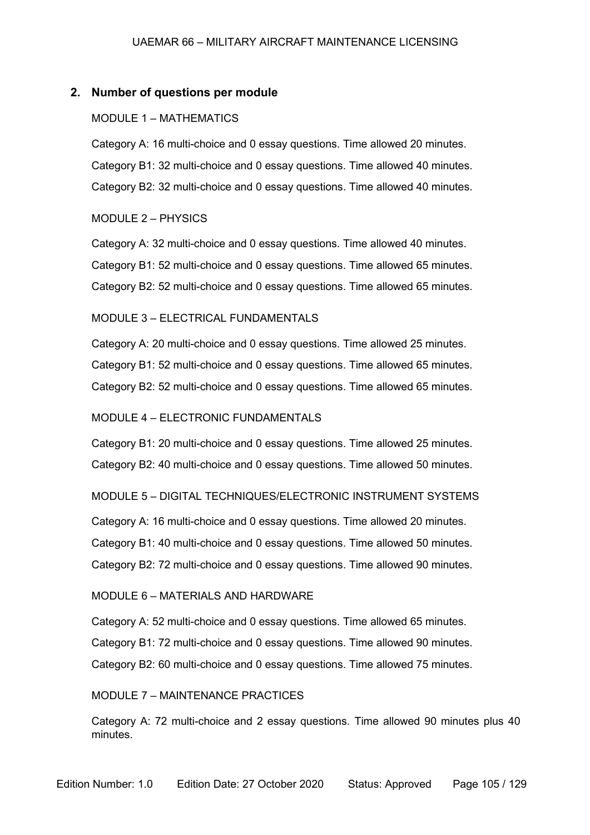## **2. Number of questions per module**

## MODULE 1 – MATHEMATICS

Category A: 16 multi-choice and 0 essay questions. Time allowed 20 minutes. Category B1: 32 multi-choice and 0 essay questions. Time allowed 40 minutes. Category B2: 32 multi-choice and 0 essay questions. Time allowed 40 minutes.

## MODULE 2 – PHYSICS

Category A: 32 multi-choice and 0 essay questions. Time allowed 40 minutes. Category B1: 52 multi-choice and 0 essay questions. Time allowed 65 minutes. Category B2: 52 multi-choice and 0 essay questions. Time allowed 65 minutes.

#### MODULE 3 – ELECTRICAL FUNDAMENTALS

Category A: 20 multi-choice and 0 essay questions. Time allowed 25 minutes. Category B1: 52 multi-choice and 0 essay questions. Time allowed 65 minutes. Category B2: 52 multi-choice and 0 essay questions. Time allowed 65 minutes.

#### MODULE 4 – ELECTRONIC FUNDAMENTALS

Category B1: 20 multi-choice and 0 essay questions. Time allowed 25 minutes. Category B2: 40 multi-choice and 0 essay questions. Time allowed 50 minutes.

MODULE 5 – DIGITAL TECHNIQUES/ELECTRONIC INSTRUMENT SYSTEMS

Category A: 16 multi-choice and 0 essay questions. Time allowed 20 minutes.

Category B1: 40 multi-choice and 0 essay questions. Time allowed 50 minutes.

Category B2: 72 multi-choice and 0 essay questions. Time allowed 90 minutes.

#### MODULE 6 – MATERIALS AND HARDWARE

Category A: 52 multi-choice and 0 essay questions. Time allowed 65 minutes.

Category B1: 72 multi-choice and 0 essay questions. Time allowed 90 minutes.

Category B2: 60 multi-choice and 0 essay questions. Time allowed 75 minutes.

#### MODULE 7 – MAINTENANCE PRACTICES

Category A: 72 multi-choice and 2 essay questions. Time allowed 90 minutes plus 40 minutes.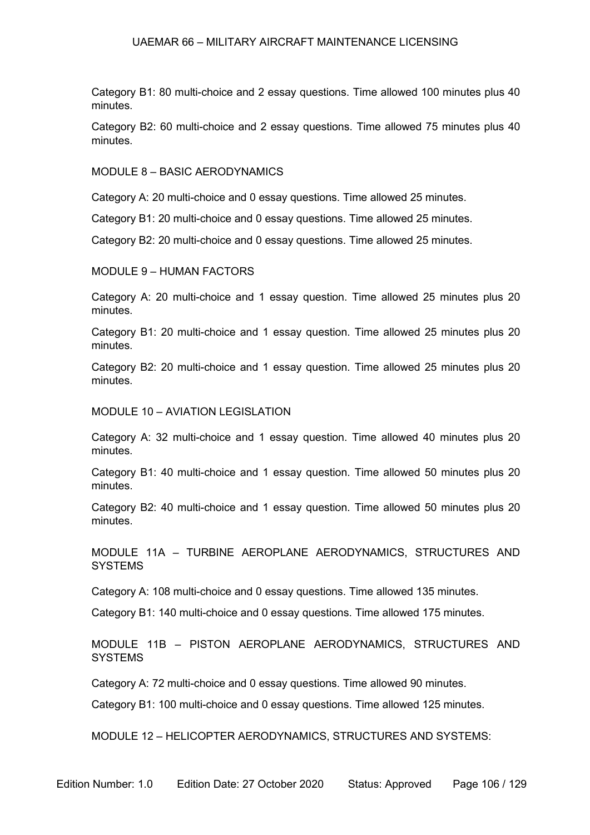#### UAEMAR 66 – MILITARY AIRCRAFT MAINTENANCE LICENSING

Category B1: 80 multi-choice and 2 essay questions. Time allowed 100 minutes plus 40 minutes.

Category B2: 60 multi-choice and 2 essay questions. Time allowed 75 minutes plus 40 minutes.

MODULE 8 – BASIC AERODYNAMICS

Category A: 20 multi-choice and 0 essay questions. Time allowed 25 minutes.

Category B1: 20 multi-choice and 0 essay questions. Time allowed 25 minutes.

Category B2: 20 multi-choice and 0 essay questions. Time allowed 25 minutes.

MODULE 9 – HUMAN FACTORS

Category A: 20 multi-choice and 1 essay question. Time allowed 25 minutes plus 20 minutes.

Category B1: 20 multi-choice and 1 essay question. Time allowed 25 minutes plus 20 minutes.

Category B2: 20 multi-choice and 1 essay question. Time allowed 25 minutes plus 20 minutes.

MODULE 10 – AVIATION LEGISLATION

Category A: 32 multi-choice and 1 essay question. Time allowed 40 minutes plus 20 minutes.

Category B1: 40 multi-choice and 1 essay question. Time allowed 50 minutes plus 20 minutes.

Category B2: 40 multi-choice and 1 essay question. Time allowed 50 minutes plus 20 minutes.

MODULE 11A – TURBINE AEROPLANE AERODYNAMICS, STRUCTURES AND **SYSTEMS** 

Category A: 108 multi-choice and 0 essay questions. Time allowed 135 minutes.

Category B1: 140 multi-choice and 0 essay questions. Time allowed 175 minutes.

MODULE 11B – PISTON AEROPLANE AERODYNAMICS, STRUCTURES AND **SYSTEMS** 

Category A: 72 multi-choice and 0 essay questions. Time allowed 90 minutes.

Category B1: 100 multi-choice and 0 essay questions. Time allowed 125 minutes.

MODULE 12 – HELICOPTER AERODYNAMICS, STRUCTURES AND SYSTEMS: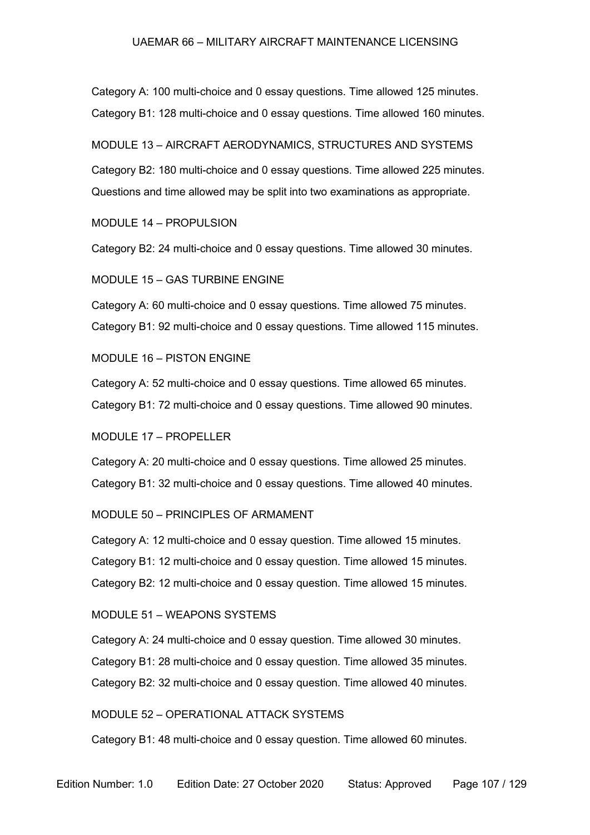#### UAEMAR 66 – MILITARY AIRCRAFT MAINTENANCE LICENSING

Category A: 100 multi-choice and 0 essay questions. Time allowed 125 minutes. Category B1: 128 multi-choice and 0 essay questions. Time allowed 160 minutes.

MODULE 13 – AIRCRAFT AERODYNAMICS, STRUCTURES AND SYSTEMS Category B2: 180 multi-choice and 0 essay questions. Time allowed 225 minutes. Questions and time allowed may be split into two examinations as appropriate.

MODULE 14 – PROPULSION

Category B2: 24 multi-choice and 0 essay questions. Time allowed 30 minutes.

MODULE 15 – GAS TURBINE ENGINE

Category A: 60 multi-choice and 0 essay questions. Time allowed 75 minutes. Category B1: 92 multi-choice and 0 essay questions. Time allowed 115 minutes.

MODULE 16 – PISTON ENGINE

Category A: 52 multi-choice and 0 essay questions. Time allowed 65 minutes. Category B1: 72 multi-choice and 0 essay questions. Time allowed 90 minutes.

MODULE 17 – PROPELLER

Category A: 20 multi-choice and 0 essay questions. Time allowed 25 minutes. Category B1: 32 multi-choice and 0 essay questions. Time allowed 40 minutes.

MODULE 50 – PRINCIPLES OF ARMAMENT

Category A: 12 multi-choice and 0 essay question. Time allowed 15 minutes. Category B1: 12 multi-choice and 0 essay question. Time allowed 15 minutes. Category B2: 12 multi-choice and 0 essay question. Time allowed 15 minutes.

MODULE 51 – WEAPONS SYSTEMS

Category A: 24 multi-choice and 0 essay question. Time allowed 30 minutes. Category B1: 28 multi-choice and 0 essay question. Time allowed 35 minutes. Category B2: 32 multi-choice and 0 essay question. Time allowed 40 minutes.

MODULE 52 – OPERATIONAL ATTACK SYSTEMS

Category B1: 48 multi-choice and 0 essay question. Time allowed 60 minutes.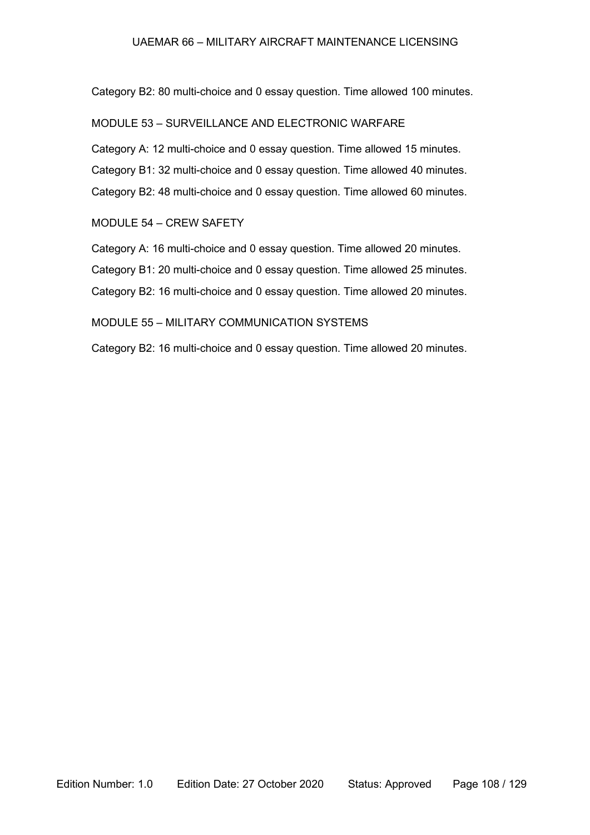#### UAEMAR 66 – MILITARY AIRCRAFT MAINTENANCE LICENSING

Category B2: 80 multi-choice and 0 essay question. Time allowed 100 minutes.

#### MODULE 53 – SURVEILLANCE AND ELECTRONIC WARFARE

Category A: 12 multi-choice and 0 essay question. Time allowed 15 minutes. Category B1: 32 multi-choice and 0 essay question. Time allowed 40 minutes. Category B2: 48 multi-choice and 0 essay question. Time allowed 60 minutes.

## MODULE 54 – CREW SAFETY

Category A: 16 multi-choice and 0 essay question. Time allowed 20 minutes. Category B1: 20 multi-choice and 0 essay question. Time allowed 25 minutes. Category B2: 16 multi-choice and 0 essay question. Time allowed 20 minutes.

MODULE 55 – MILITARY COMMUNICATION SYSTEMS

Category B2: 16 multi-choice and 0 essay question. Time allowed 20 minutes.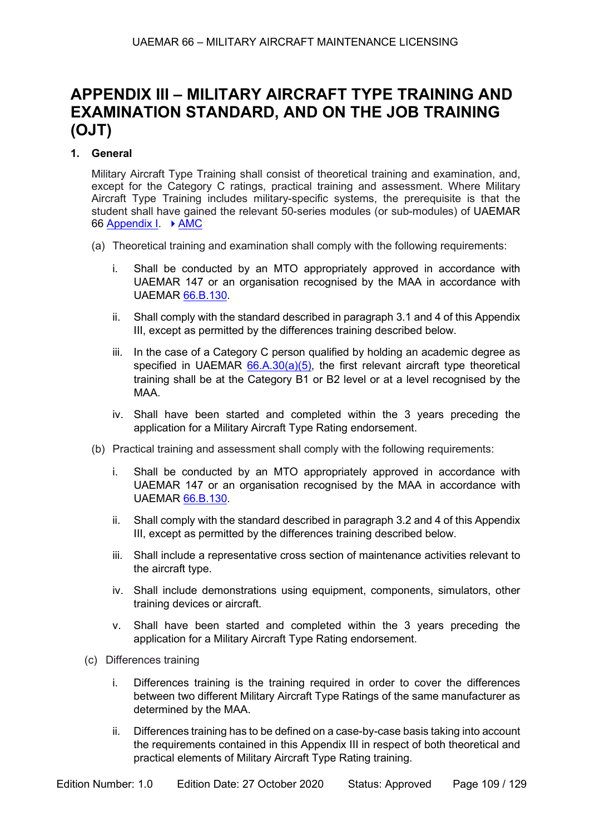# **APPENDIX III – MILITARY AIRCRAFT TYPE TRAINING AND EXAMINATION STANDARD, AND ON THE JOB TRAINING (OJT)**

# **1. General**

Military Aircraft Type Training shall consist of theoretical training and examination, and, except for the Category C ratings, practical training and assessment. Where Military Aircraft Type Training includes military-specific systems, the prerequisite is that the student shall have gained the relevant 50-series modules (or sub-modules) of [UAEMAR](#page-24-0) [66 Appendix I.](#page-24-0) AMC

- (a) Theoretical training and examination shall comply with the following requirements:
	- i. Shall be conducted by an MTO appropriately approved in accordance with UAEMAR 147 or an organisation recognised by the MAA in accordance with UAEMAR 66.B.130.
	- ii. Shall comply with the standard described in paragraph 3.1 and 4 of this Appendix III, except as permitted by the differences training described below.
	- iii. In the case of a Category C person qualified by holding an academic degree as specified in UAEMAR  $66.A.30(a)(5)$ , the first relevant aircraft type theoretical training shall be at the Category B1 or B2 level or at a level recognised by the MAA.
	- iv. Shall have been started and completed within the 3 years preceding the application for a Military Aircraft Type Rating endorsement.
- (b) Practical training and assessment shall comply with the following requirements:
	- i. Shall be conducted by an MTO appropriately approved in accordance with UAEMAR 147 or an organisation recognised by the MAA in accordance with [UAEMAR 66.B.130.](#page-15-0)
	- ii. Shall comply with the standard described in paragraph 3.2 and 4 of this Appendix III, except as permitted by the differences training described below.
	- iii. Shall include a representative cross section of maintenance activities relevant to the aircraft type.
	- iv. Shall include demonstrations using equipment, components, simulators, other training devices or aircraft.
	- v. Shall have been started and completed within the 3 years preceding the application for a Military Aircraft Type Rating endorsement.
- (c) Differences training
	- i. Differences training is the training required in order to cover the differences between two different Military Aircraft Type Ratings of the same manufacturer as determined by the MAA.
	- ii. Differences training has to be defined on a case-by-case basis taking into account the requirements contained in this Appendix III in respect of both theoretical and practical elements of Military Aircraft Type Rating training.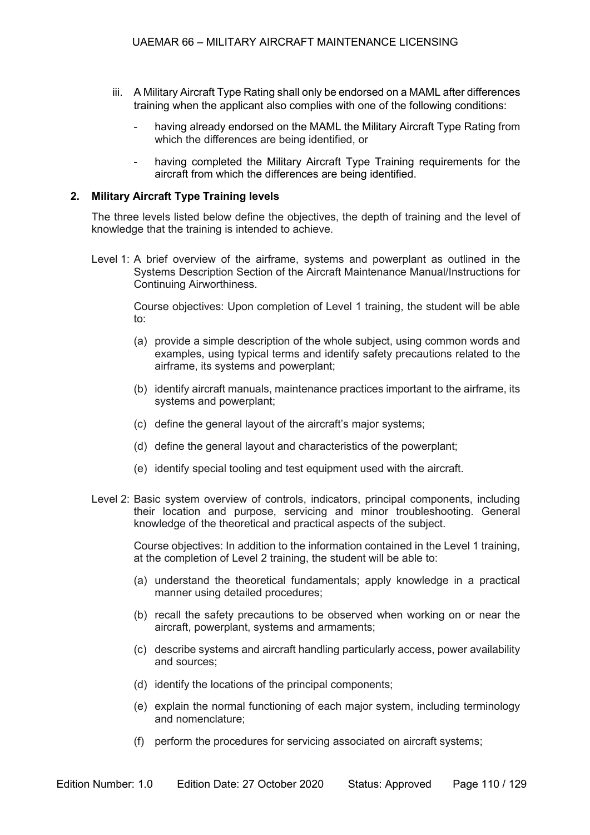- iii. A Military Aircraft Type Rating shall only be endorsed on a MAML after differences training when the applicant also complies with one of the following conditions:
	- having already endorsed on the MAML the Military Aircraft Type Rating from which the differences are being identified, or
	- having completed the Military Aircraft Type Training requirements for the aircraft from which the differences are being identified.

#### **2. Military Aircraft Type Training levels**

The three levels listed below define the objectives, the depth of training and the level of knowledge that the training is intended to achieve.

Level 1: A brief overview of the airframe, systems and powerplant as outlined in the Systems Description Section of the Aircraft Maintenance Manual/Instructions for Continuing Airworthiness.

Course objectives: Upon completion of Level 1 training, the student will be able to:

- (a) provide a simple description of the whole subject, using common words and examples, using typical terms and identify safety precautions related to the airframe, its systems and powerplant;
- (b) identify aircraft manuals, maintenance practices important to the airframe, its systems and powerplant;
- (c) define the general layout of the aircraft's major systems;
- (d) define the general layout and characteristics of the powerplant;
- (e) identify special tooling and test equipment used with the aircraft.
- Level 2: Basic system overview of controls, indicators, principal components, including their location and purpose, servicing and minor troubleshooting. General knowledge of the theoretical and practical aspects of the subject.

Course objectives: In addition to the information contained in the Level 1 training, at the completion of Level 2 training, the student will be able to:

- (a) understand the theoretical fundamentals; apply knowledge in a practical manner using detailed procedures;
- (b) recall the safety precautions to be observed when working on or near the aircraft, powerplant, systems and armaments;
- (c) describe systems and aircraft handling particularly access, power availability and sources;
- (d) identify the locations of the principal components;
- (e) explain the normal functioning of each major system, including terminology and nomenclature;
- (f) perform the procedures for servicing associated on aircraft systems;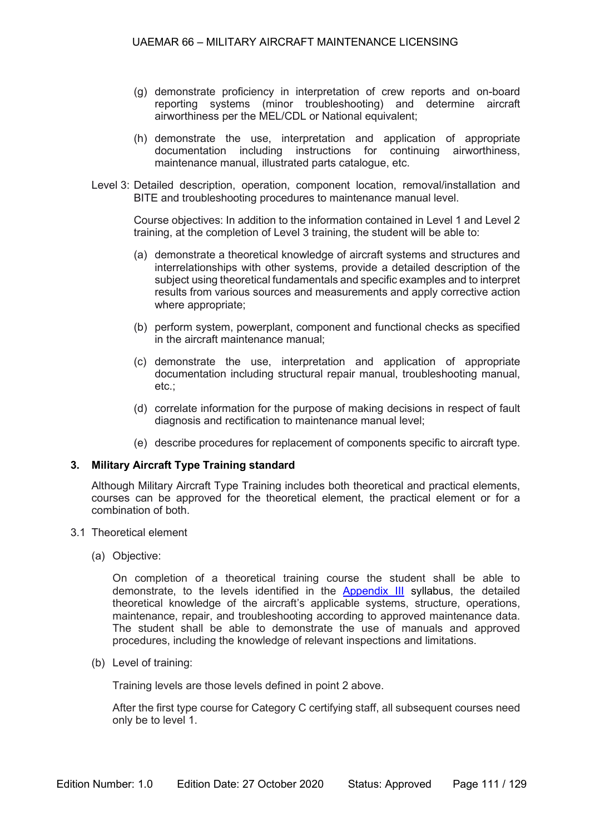- (g) demonstrate proficiency in interpretation of crew reports and on-board reporting systems (minor troubleshooting) and determine aircraft airworthiness per the MEL/CDL or National equivalent;
- (h) demonstrate the use, interpretation and application of appropriate documentation including instructions for continuing airworthiness, maintenance manual, illustrated parts catalogue, etc.
- Level 3: Detailed description, operation, component location, removal/installation and BITE and troubleshooting procedures to maintenance manual level.

Course objectives: In addition to the information contained in Level 1 and Level 2 training, at the completion of Level 3 training, the student will be able to:

- (a) demonstrate a theoretical knowledge of aircraft systems and structures and interrelationships with other systems, provide a detailed description of the subject using theoretical fundamentals and specific examples and to interpret results from various sources and measurements and apply corrective action where appropriate;
- (b) perform system, powerplant, component and functional checks as specified in the aircraft maintenance manual;
- (c) demonstrate the use, interpretation and application of appropriate documentation including structural repair manual, troubleshooting manual, etc.;
- (d) correlate information for the purpose of making decisions in respect of fault diagnosis and rectification to maintenance manual level;
- (e) describe procedures for replacement of components specific to aircraft type.

# **3. Military Aircraft Type Training standard**

Although Military Aircraft Type Training includes both theoretical and practical elements, courses can be approved for the theoretical element, the practical element or for a combination of both.

- 3.1 Theoretical element
	- (a) Objective:

On completion of a theoretical training course the student shall be able to demonstrate, to the levels identified in the Appendix III syllabus, the detailed theoretical knowledge of the aircraft's applicable systems, structure, operations, maintenance, repair, and troubleshooting according to approved maintenance data. The student shall be able to demonstrate the use of manuals and approved procedures, including the knowledge of relevant inspections and limitations.

(b) Level of training:

Training levels are those levels defined in point 2 above.

After the first type course for Category C certifying staff, all subsequent courses need only be to level 1.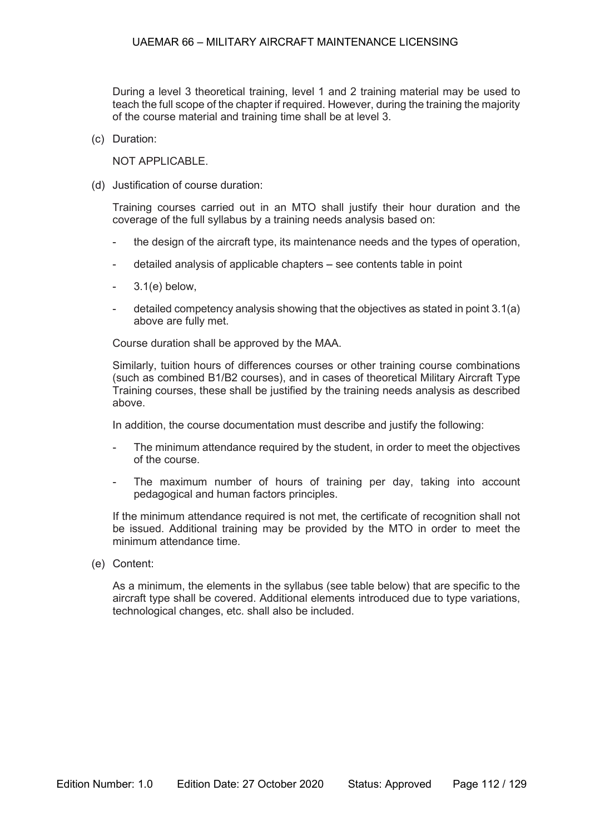During a level 3 theoretical training, level 1 and 2 training material may be used to teach the full scope of the chapter if required. However, during the training the majority of the course material and training time shall be at level 3.

(c) Duration:

NOT APPLICABLE.

(d) Justification of course duration:

Training courses carried out in an MTO shall justify their hour duration and the coverage of the full syllabus by a training needs analysis based on:

- the design of the aircraft type, its maintenance needs and the types of operation,
- detailed analysis of applicable chapters see contents table in point
- $3.1(e)$  below,
- detailed competency analysis showing that the objectives as stated in point 3.1(a) above are fully met.

Course duration shall be approved by the MAA.

Similarly, tuition hours of differences courses or other training course combinations (such as combined B1/B2 courses), and in cases of theoretical Military Aircraft Type Training courses, these shall be justified by the training needs analysis as described above.

In addition, the course documentation must describe and justify the following:

- The minimum attendance required by the student, in order to meet the objectives of the course.
- The maximum number of hours of training per day, taking into account pedagogical and human factors principles.

If the minimum attendance required is not met, the certificate of recognition shall not be issued. Additional training may be provided by the MTO in order to meet the minimum attendance time.

(e) Content:

As a minimum, the elements in the syllabus (see table below) that are specific to the aircraft type shall be covered. Additional elements introduced due to type variations, technological changes, etc. shall also be included.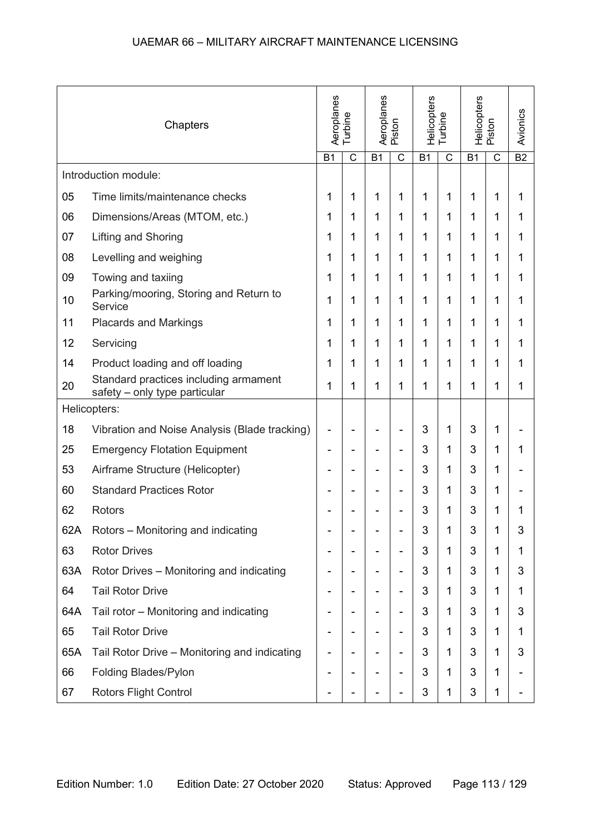| Chapters |                                                                        |                          | Aeroplanes<br>Turbine | Aeroplanes<br>Piston |                |           | Helicopters<br>Turbine | Helicopters | Piston       | Avionics        |
|----------|------------------------------------------------------------------------|--------------------------|-----------------------|----------------------|----------------|-----------|------------------------|-------------|--------------|-----------------|
|          |                                                                        | <b>B1</b>                | C                     | <b>B1</b>            | $\overline{C}$ | <b>B1</b> | $\mathsf{C}$           | <b>B1</b>   | $\mathsf{C}$ | $\overline{B2}$ |
|          | Introduction module:                                                   |                          |                       |                      |                |           |                        |             |              |                 |
| 05       | Time limits/maintenance checks                                         | 1                        | 1                     | 1                    | 1              | 1         | 1                      | 1           | 1            | 1               |
| 06       | Dimensions/Areas (MTOM, etc.)                                          | 1                        | 1                     | 1                    | 1              | 1         | 1                      | 1           | 1            | 1               |
| 07       | Lifting and Shoring                                                    | 1                        | 1                     | 1                    | 1              | 1         | 1                      | 1           | 1            | 1               |
| 08       | Levelling and weighing                                                 | 1                        | 1                     | 1                    | 1              | 1         | 1                      | 1           | 1            | 1               |
| 09       | Towing and taxiing                                                     | 1                        | 1                     | 1                    | 1              | 1         | 1                      | 1           | 1            | 1               |
| 10       | Parking/mooring, Storing and Return to<br>Service                      | 1                        | 1                     | 1                    | 1              | 1         | 1                      | 1           | 1            | 1               |
| 11       | <b>Placards and Markings</b>                                           | 1                        | 1                     | 1                    | 1              | 1         | 1                      | 1           | 1            | 1               |
| 12       | Servicing                                                              | 1                        | 1                     | 1                    | 1              | 1         | 1                      | 1           | 1            | 1               |
| 14       | Product loading and off loading                                        | 1                        | 1                     | 1                    | 1              | 1         | 1                      | 1           | 1            | 1               |
| 20       | Standard practices including armament<br>safety - only type particular | 1                        | 1                     | 1                    | 1              | 1         | 1                      | 1           | 1            | 1               |
|          | Helicopters:                                                           |                          |                       |                      |                |           |                        |             |              |                 |
| 18       | Vibration and Noise Analysis (Blade tracking)                          | $\overline{\phantom{a}}$ | ۰                     | $\blacksquare$       |                | 3         | 1                      | 3           | 1            |                 |
| 25       | <b>Emergency Flotation Equipment</b>                                   |                          |                       |                      |                | 3         | 1                      | 3           | 1            | 1               |
| 53       | Airframe Structure (Helicopter)                                        |                          | ۰                     | $\blacksquare$       |                | 3         | 1                      | 3           | 1            |                 |
| 60       | <b>Standard Practices Rotor</b>                                        |                          | ۰                     | -                    |                | 3         | 1                      | 3           | 1            |                 |
| 62       | <b>Rotors</b>                                                          |                          |                       |                      |                | 3         | 1                      | 3           | 1            | 1               |
| 62A      | Rotors - Monitoring and indicating                                     |                          |                       |                      |                | 3         | 1                      | 3           | 1            | 3               |
| 63       | <b>Rotor Drives</b>                                                    |                          |                       |                      |                | 3         | 1                      | 3           | 1            | 1               |
| 63A      | Rotor Drives - Monitoring and indicating                               |                          | ۰                     | -                    |                | 3         | 1                      | 3           | 1            | 3               |
| 64       | <b>Tail Rotor Drive</b>                                                | -                        | ٠                     | ۰                    |                | 3         | 1                      | 3           | 1            | 1               |
| 64A      | Tail rotor - Monitoring and indicating                                 |                          |                       | ۰                    |                | 3         | 1                      | 3           | 1            | 3               |
| 65       | <b>Tail Rotor Drive</b>                                                |                          | ۰                     | -                    |                | 3         | 1                      | 3           | 1            | 1               |
| 65A      | Tail Rotor Drive - Monitoring and indicating                           |                          |                       |                      |                | 3         | 1                      | 3           | 1            | 3               |
| 66       | <b>Folding Blades/Pylon</b>                                            | -                        | ۰                     | -                    |                | 3         | 1                      | 3           | 1            | ۰               |
| 67       | <b>Rotors Flight Control</b>                                           |                          |                       |                      |                | 3         | 1                      | 3           | 1            |                 |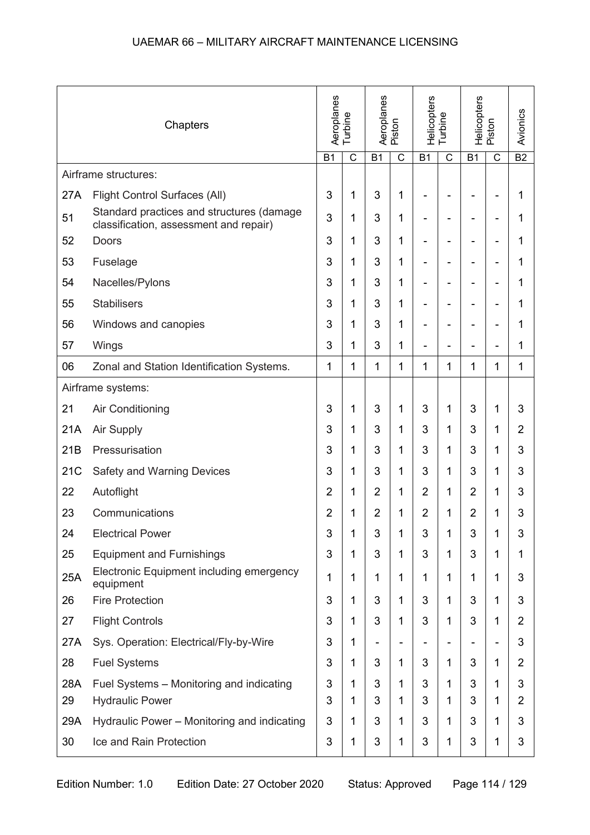|     | Chapters                                                                            |                 | Aeroplanes<br>Turbine | Aeroplanes               | Piston                |                 | Helicopters<br>Turbine | Helicopters    | Piston         | Avionics        |
|-----|-------------------------------------------------------------------------------------|-----------------|-----------------------|--------------------------|-----------------------|-----------------|------------------------|----------------|----------------|-----------------|
|     |                                                                                     | $\overline{B1}$ | $\overline{\text{c}}$ | $\overline{B1}$          | $\overline{\text{c}}$ | $\overline{B1}$ | $\overline{\text{c}}$  | <b>B1</b>      | $\overline{C}$ | $\overline{B2}$ |
|     | Airframe structures:                                                                |                 |                       |                          |                       |                 |                        |                |                |                 |
| 27A | <b>Flight Control Surfaces (All)</b>                                                | 3               | 1                     | 3                        | 1                     |                 |                        |                |                | 1               |
| 51  | Standard practices and structures (damage<br>classification, assessment and repair) | 3               | 1                     | 3                        | 1                     | $\blacksquare$  |                        |                |                | 1               |
| 52  | Doors                                                                               | 3               | 1                     | 3                        | 1                     | $\blacksquare$  | ÷                      |                |                | 1               |
| 53  | Fuselage                                                                            | 3               | 1                     | 3                        | 1                     | $\blacksquare$  | ÷                      |                |                | 1               |
| 54  | Nacelles/Pylons                                                                     | 3               | 1                     | 3                        | 1                     |                 |                        |                |                | 1               |
| 55  | <b>Stabilisers</b>                                                                  | 3               | 1                     | 3                        | 1                     | $\overline{a}$  | ۰                      |                |                | 1               |
| 56  | Windows and canopies                                                                | 3               | 1                     | 3                        | 1                     | ۰               |                        |                |                | 1               |
| 57  | Wings                                                                               | 3               | 1                     | 3                        | 1                     |                 | ÷                      |                |                | 1               |
| 06  | Zonal and Station Identification Systems.                                           | 1               | 1                     | 1                        | 1                     | 1               | 1                      | 1              | 1              | 1               |
|     | Airframe systems:                                                                   |                 |                       |                          |                       |                 |                        |                |                |                 |
| 21  | Air Conditioning                                                                    | 3               | 1                     | 3                        | 1                     | 3               | 1                      | 3              | 1              | 3               |
| 21A | Air Supply                                                                          | 3               | 1                     | 3                        | 1                     | 3               | 1                      | 3              | 1              | $\overline{2}$  |
| 21B | Pressurisation                                                                      | 3               | 1                     | 3                        | 1                     | 3               | 1                      | 3              | 1              | 3               |
| 21C | <b>Safety and Warning Devices</b>                                                   | 3               | 1                     | 3                        | 1                     | 3               | 1                      | 3              | 1              | 3               |
| 22  | Autoflight                                                                          | $\overline{2}$  | 1                     | $\overline{2}$           | 1                     | $\overline{2}$  | 1                      | $\overline{2}$ | 1              | 3               |
| 23  | Communications                                                                      | $\overline{2}$  | 1                     | $\overline{2}$           | 1                     | $\overline{2}$  | 1                      | $\overline{2}$ | 1              | 3               |
| 24  | <b>Electrical Power</b>                                                             | 3               | 1                     | 3                        | 1                     | 3               | 1                      | 3              | 1              | 3               |
| 25  | <b>Equipment and Furnishings</b>                                                    | 3               | 1                     | 3                        | 1                     | 3               | 1                      | 3              | 1              | 1               |
| 25A | Electronic Equipment including emergency<br>equipment                               | 1               | 1                     | 1                        | 1                     | 1               | 1                      | 1              | $\mathbf{1}$   | 3               |
| 26  | <b>Fire Protection</b>                                                              | 3               | 1                     | 3                        | 1                     | 3               | 1                      | 3              | 1              | 3               |
| 27  | <b>Flight Controls</b>                                                              | 3               | 1                     | 3                        | 1                     | 3               | 1                      | 3              | 1              | $\overline{2}$  |
| 27A | Sys. Operation: Electrical/Fly-by-Wire                                              | 3               | 1                     | $\overline{\phantom{a}}$ | ۰                     | ۰               | -                      |                |                | 3               |
| 28  | <b>Fuel Systems</b>                                                                 | 3               | 1                     | 3                        | 1                     | 3               | 1                      | 3              | 1              | $\overline{2}$  |
| 28A | Fuel Systems - Monitoring and indicating                                            | 3               | 1                     | 3                        | 1                     | 3               | 1                      | 3              | 1              | 3               |
| 29  | <b>Hydraulic Power</b>                                                              | 3               | 1                     | 3                        | 1                     | 3               | 1                      | 3              | 1              | $\overline{2}$  |
| 29A | Hydraulic Power - Monitoring and indicating                                         | 3               | 1                     | 3                        | 1                     | 3               | 1                      | 3              | 1              | 3               |
| 30  | Ice and Rain Protection                                                             | 3               | 1                     | 3                        | 1                     | 3               | $\mathbf{1}$           | 3              | 1              | 3               |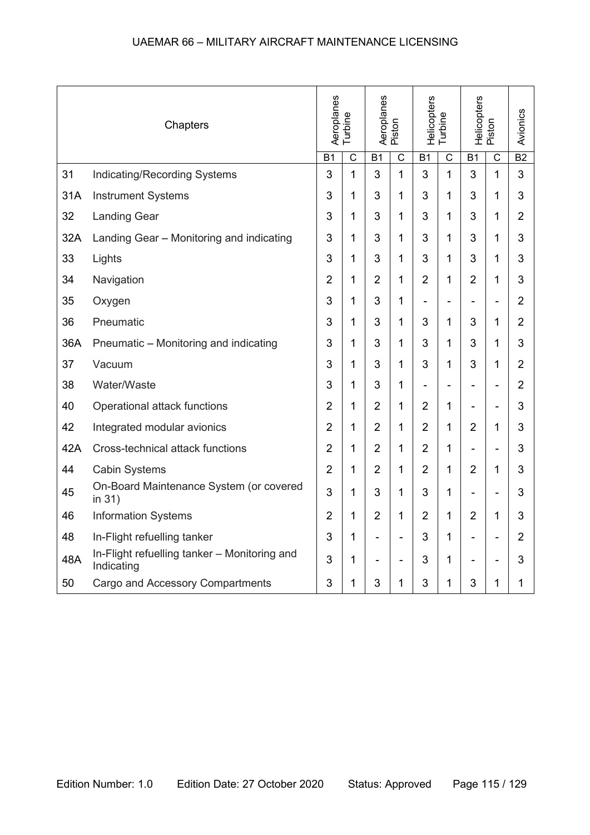| Chapters |                                                            | Aeroplanes<br>Turbine<br>$\overline{B1}$<br>$\overline{C}$ |   | Aeroplanes<br>Piston     |                       | Helicopters<br>Turbine |                     | Helicopters<br>Piston    |                       | Avionics             |
|----------|------------------------------------------------------------|------------------------------------------------------------|---|--------------------------|-----------------------|------------------------|---------------------|--------------------------|-----------------------|----------------------|
| 31       |                                                            | 3                                                          | 1 | $\overline{B1}$<br>3     | $\overline{\text{c}}$ | $\overline{B1}$<br>3   | $\overline{C}$<br>1 | $\overline{B1}$<br>3     | $\overline{\text{c}}$ | $\overline{B2}$<br>3 |
|          | <b>Indicating/Recording Systems</b>                        |                                                            |   |                          | 1                     |                        |                     |                          | 1                     |                      |
| 31A      | <b>Instrument Systems</b>                                  | 3                                                          | 1 | 3                        | 1                     | 3                      | 1                   | 3                        | 1                     | 3                    |
| 32       | <b>Landing Gear</b>                                        | 3                                                          | 1 | 3                        | 1                     | 3                      | 1                   | 3                        | 1                     | $\overline{2}$       |
| 32A      | Landing Gear - Monitoring and indicating                   | 3                                                          | 1 | 3                        | 1                     | 3                      | 1                   | 3                        | 1                     | 3                    |
| 33       | Lights                                                     | 3                                                          | 1 | 3                        | 1                     | 3                      | 1                   | 3                        | 1                     | 3                    |
| 34       | Navigation                                                 | $\overline{2}$                                             | 1 | $\overline{2}$           | 1                     | $\overline{2}$         | 1                   | $\overline{2}$           | 1                     | 3                    |
| 35       | Oxygen                                                     | 3                                                          | 1 | 3                        | 1                     |                        | $\blacksquare$      |                          |                       | $\overline{2}$       |
| 36       | Pneumatic                                                  | 3                                                          | 1 | 3                        | 1                     | 3                      | 1                   | 3                        | 1                     | $\overline{2}$       |
| 36A      | Pneumatic - Monitoring and indicating                      | 3                                                          | 1 | 3                        | 1                     | 3                      | 1                   | 3                        | 1                     | 3                    |
| 37       | Vacuum                                                     | 3                                                          | 1 | 3                        | 1                     | 3                      | 1                   | 3                        | 1                     | $\overline{2}$       |
| 38       | Water/Waste                                                | 3                                                          | 1 | 3                        | 1                     | $\blacksquare$         | $\blacksquare$      | $\blacksquare$           |                       | $\overline{2}$       |
| 40       | Operational attack functions                               | $\overline{2}$                                             | 1 | $\overline{2}$           | 1                     | $\overline{2}$         | 1                   |                          |                       | 3                    |
| 42       | Integrated modular avionics                                | $\overline{2}$                                             | 1 | $\overline{2}$           | 1                     | $\overline{2}$         | 1                   | $\overline{2}$           | 1                     | 3                    |
| 42A      | Cross-technical attack functions                           | $\overline{2}$                                             | 1 | $\overline{2}$           | 1                     | $\overline{2}$         | 1                   | $\blacksquare$           |                       | 3                    |
| 44       | <b>Cabin Systems</b>                                       | $\overline{2}$                                             | 1 | $\overline{2}$           | 1                     | $\overline{2}$         | 1                   | $\overline{2}$           | 1                     | 3                    |
| 45       | On-Board Maintenance System (or covered<br>in 31)          | 3                                                          | 1 | 3                        | 1                     | 3                      | 1                   |                          |                       | 3                    |
| 46       | <b>Information Systems</b>                                 | $\overline{2}$                                             | 1 | $\overline{2}$           | 1                     | $\overline{2}$         | 1                   | $\overline{2}$           | 1                     | 3                    |
| 48       | In-Flight refuelling tanker                                | 3                                                          | 1 | $\overline{\phantom{0}}$ | $\blacksquare$        | 3                      | 1                   | $\overline{\phantom{0}}$ |                       | $\overline{2}$       |
| 48A      | In-Flight refuelling tanker - Monitoring and<br>Indicating | 3                                                          | 1 | $\blacksquare$           | ۰                     | 3                      | 1                   |                          |                       | 3                    |
| 50       | <b>Cargo and Accessory Compartments</b>                    | 3                                                          | 1 | 3                        | 1                     | 3                      | 1                   | 3                        | 1                     | 1                    |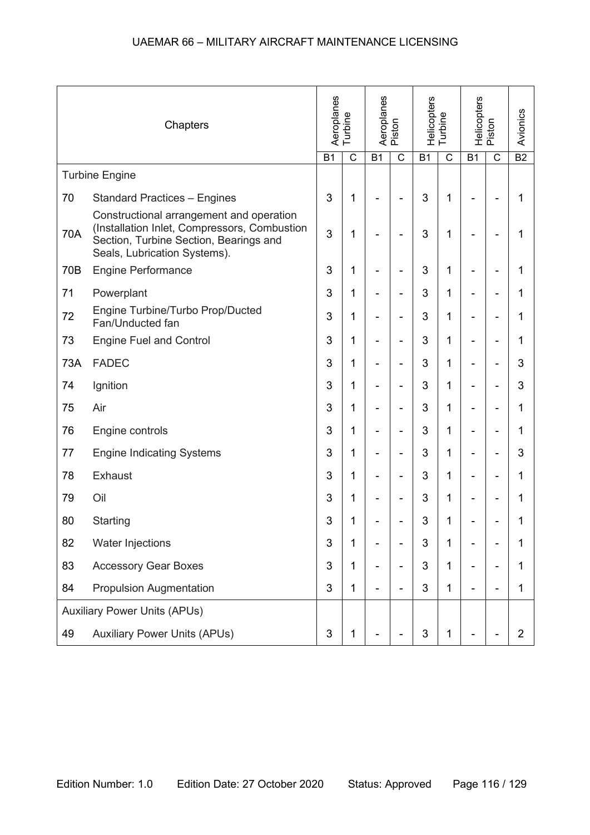| Chapters |                                                                                                                                                                    | Aeroplanes<br>Turbine |              |           | Aeroplanes<br>Piston         |           | Helicopters<br>Turbine | Helicopters | Piston | Avionics       |
|----------|--------------------------------------------------------------------------------------------------------------------------------------------------------------------|-----------------------|--------------|-----------|------------------------------|-----------|------------------------|-------------|--------|----------------|
|          |                                                                                                                                                                    | B <sub>1</sub>        | C            | <b>B1</b> | $\mathsf{C}$                 | <b>B1</b> | C                      | <b>B1</b>   | C      | B2             |
|          | <b>Turbine Engine</b>                                                                                                                                              |                       |              |           |                              |           |                        |             |        |                |
| 70       | <b>Standard Practices - Engines</b>                                                                                                                                | 3                     | 1            |           |                              | 3         | 1                      |             |        | 1              |
| 70A      | Constructional arrangement and operation<br>(Installation Inlet, Compressors, Combustion<br>Section, Turbine Section, Bearings and<br>Seals, Lubrication Systems). | 3                     | 1            |           |                              | 3         | 1                      |             |        | 1              |
| 70B      | <b>Engine Performance</b>                                                                                                                                          | 3                     | 1            |           |                              | 3         | 1                      |             |        | 1              |
| 71       | Powerplant                                                                                                                                                         | 3                     | 1            |           |                              | 3         | 1                      | -           |        | 1              |
| 72       | Engine Turbine/Turbo Prop/Ducted<br>Fan/Unducted fan                                                                                                               | 3                     | 1            |           |                              | 3         | 1                      | L           |        | 1              |
| 73       | <b>Engine Fuel and Control</b>                                                                                                                                     | 3                     | 1            |           |                              | 3         | 1                      | -           |        | 1              |
| 73A      | <b>FADEC</b>                                                                                                                                                       | 3                     | 1            |           |                              | 3         | 1                      |             |        | 3              |
| 74       | Ignition                                                                                                                                                           | 3                     | 1            |           |                              | 3         | 1                      |             |        | 3              |
| 75       | Air                                                                                                                                                                | 3                     | 1            |           |                              | 3         | 1                      |             |        | 1              |
| 76       | Engine controls                                                                                                                                                    | 3                     | 1            |           |                              | 3         | 1                      |             |        | 1              |
| 77       | <b>Engine Indicating Systems</b>                                                                                                                                   | 3                     | 1            |           | -                            | 3         | 1                      | L           |        | 3              |
| 78       | Exhaust                                                                                                                                                            | 3                     | 1            |           | $\qquad \qquad \blacksquare$ | 3         | 1                      |             |        | 1              |
| 79       | Oil                                                                                                                                                                | 3                     | 1            |           |                              | 3         | 1                      |             |        | 1              |
| 80       | Starting                                                                                                                                                           | 3                     | 1            |           |                              | 3         | 1                      |             |        | 1              |
| 82       | <b>Water Injections</b>                                                                                                                                            | 3                     | 1            |           |                              | 3         | 1                      | -           |        | 1              |
| 83       | <b>Accessory Gear Boxes</b>                                                                                                                                        | 3                     | $\mathbf{1}$ | Ξ.        |                              | 3         | $\mathbf 1$            |             |        | 1              |
| 84       | <b>Propulsion Augmentation</b>                                                                                                                                     | 3                     | $\mathbf 1$  |           |                              | 3         | $\mathbf{1}$           |             |        | 1              |
|          | <b>Auxiliary Power Units (APUs)</b>                                                                                                                                |                       |              |           |                              |           |                        |             |        |                |
| 49       | <b>Auxiliary Power Units (APUs)</b>                                                                                                                                | 3                     | $\mathbf 1$  |           |                              | 3         | $\mathbf 1$            |             |        | $\overline{2}$ |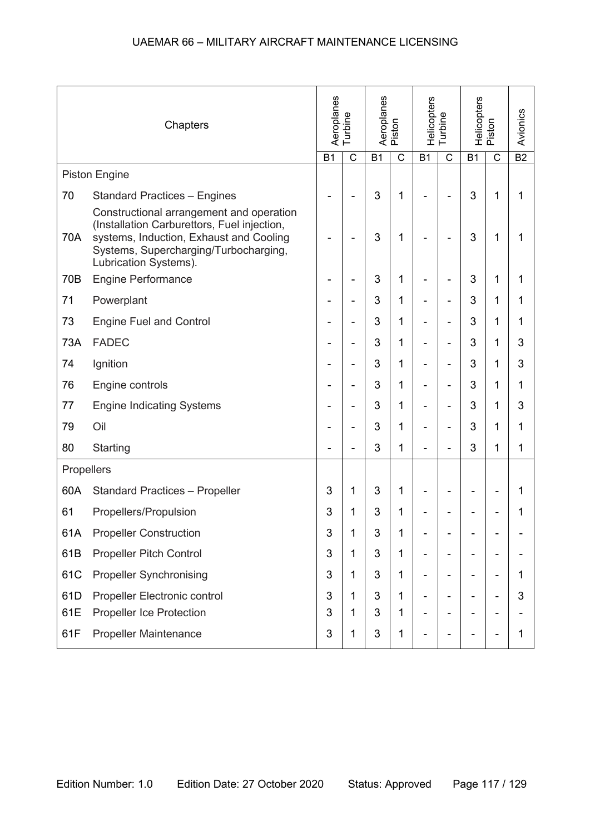| Chapters   |                                                                                                                                                                                                      |           | Aeroplanes<br>Turbine        | Aeroplanes                | Piston         | Helicopters<br>Turbine       |                          | Helicopters    | Piston       | Avionics |
|------------|------------------------------------------------------------------------------------------------------------------------------------------------------------------------------------------------------|-----------|------------------------------|---------------------------|----------------|------------------------------|--------------------------|----------------|--------------|----------|
|            | <b>Piston Engine</b>                                                                                                                                                                                 | <b>B1</b> | $\mathsf{C}$                 | <b>B1</b>                 | $\overline{C}$ | <b>B1</b>                    | $\mathsf{C}$             | B <sub>1</sub> | $\mathsf{C}$ | B2       |
| 70         | <b>Standard Practices - Engines</b>                                                                                                                                                                  |           |                              | 3                         | 1              |                              |                          | 3              | 1            | 1        |
| 70A        | Constructional arrangement and operation<br>(Installation Carburettors, Fuel injection,<br>systems, Induction, Exhaust and Cooling<br>Systems, Supercharging/Turbocharging,<br>Lubrication Systems). |           |                              | 3                         | 1              |                              |                          | 3              | 1            | 1        |
| 70B        | <b>Engine Performance</b>                                                                                                                                                                            |           | ۰                            | 3                         | 1              |                              | -                        | 3              | 1            | 1        |
| 71         | Powerplant                                                                                                                                                                                           |           | $\qquad \qquad \blacksquare$ | 3                         | 1              |                              | -                        | 3              | 1            | 1        |
| 73         | <b>Engine Fuel and Control</b>                                                                                                                                                                       |           | $\qquad \qquad \blacksquare$ | 3                         | 1              |                              | -                        | 3              | 1            | 1        |
| 73A        | <b>FADEC</b>                                                                                                                                                                                         |           |                              | 3                         | 1              |                              |                          | 3              | 1            | 3        |
| 74         | Ignition                                                                                                                                                                                             |           | $\blacksquare$               | 3                         | 1              |                              | ۰                        | 3              | 1            | 3        |
| 76         | Engine controls                                                                                                                                                                                      |           | $\blacksquare$               | 3                         | 1              |                              | $\blacksquare$           | 3              | 1            | 1        |
| 77         | <b>Engine Indicating Systems</b>                                                                                                                                                                     |           | $\overline{a}$               | 3                         | 1              |                              | -                        | 3              | 1            | 3        |
| 79         | Oil                                                                                                                                                                                                  |           |                              | 3                         | 1              |                              |                          | 3              | 1            | 1        |
| 80         | Starting                                                                                                                                                                                             |           |                              | 3                         | 1              |                              |                          | 3              | 1            | 1        |
| Propellers |                                                                                                                                                                                                      |           |                              |                           |                |                              |                          |                |              |          |
| 60A        | <b>Standard Practices - Propeller</b>                                                                                                                                                                | 3         | 1                            | 3                         | 1              |                              |                          |                |              | 1        |
| 61         | Propellers/Propulsion                                                                                                                                                                                | 3         | 1                            | 3                         | 1              |                              |                          |                |              | 1        |
| 61A        | <b>Propeller Construction</b>                                                                                                                                                                        | 3         | 1                            | 3                         | 1              |                              |                          |                |              |          |
| 61B        | <b>Propeller Pitch Control</b>                                                                                                                                                                       | 3         | 1                            | 3                         | 1              |                              | -                        |                |              |          |
| 61C        | <b>Propeller Synchronising</b>                                                                                                                                                                       | 3         | 1                            | 3                         | 1              |                              |                          |                |              | 1        |
| 61D        | Propeller Electronic control                                                                                                                                                                         | 3         | 1                            | 3                         | 1              | $\qquad \qquad \blacksquare$ | $\overline{\phantom{a}}$ |                |              | 3        |
| 61E        | Propeller Ice Protection                                                                                                                                                                             | 3         | 1                            | 3                         | 1              |                              |                          |                |              |          |
| 61F        | <b>Propeller Maintenance</b>                                                                                                                                                                         | 3         | 1                            | $\ensuremath{\mathsf{3}}$ | 1              |                              |                          |                |              | 1        |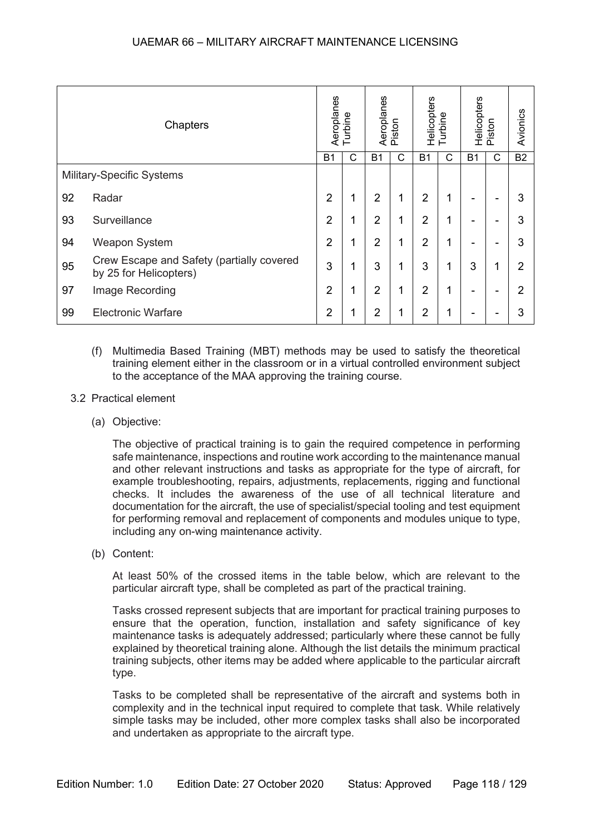| Chapters |                                                                     | Aeroplanes     | Turbine | Aeroplanes     | Piston       | Helicopters    | Turbine | Helicopters | Piston | Avionics       |
|----------|---------------------------------------------------------------------|----------------|---------|----------------|--------------|----------------|---------|-------------|--------|----------------|
|          |                                                                     | <b>B1</b>      | C       | B <sub>1</sub> | C            | <b>B1</b>      | C       | <b>B1</b>   | C      | <b>B2</b>      |
|          | <b>Military-Specific Systems</b>                                    |                |         |                |              |                |         |             |        |                |
| 92       | Radar                                                               | $\overline{2}$ | 1       | $\overline{2}$ | 1            | $\overline{2}$ | 1       | ۰           | -      | 3              |
| 93       | Surveillance                                                        | $\overline{2}$ | 1       | $\overline{2}$ | 1            | $\overline{2}$ | 1       | -           | -      | 3              |
| 94       | <b>Weapon System</b>                                                | $\overline{2}$ | 1       | $\overline{2}$ | 1            | $\overline{2}$ | 1       | ۰           | -      | 3              |
| 95       | Crew Escape and Safety (partially covered<br>by 25 for Helicopters) | 3              | 1       | 3              | $\mathbf{1}$ | 3              | 1       | 3           | 4      | 2              |
| 97       | Image Recording                                                     | $\overline{2}$ | 1       | $\overline{2}$ | 1            | $\overline{2}$ | 1       | -           |        | $\overline{2}$ |
| 99       | <b>Electronic Warfare</b>                                           | $\overline{2}$ | 1       | $\overline{2}$ | 1            | $\overline{2}$ | 1       |             |        | 3              |

- (f) Multimedia Based Training (MBT) methods may be used to satisfy the theoretical training element either in the classroom or in a virtual controlled environment subject to the acceptance of the MAA approving the training course.
- 3.2 Practical element
	- (a) Objective:

The objective of practical training is to gain the required competence in performing safe maintenance, inspections and routine work according to the maintenance manual and other relevant instructions and tasks as appropriate for the type of aircraft, for example troubleshooting, repairs, adjustments, replacements, rigging and functional checks. It includes the awareness of the use of all technical literature and documentation for the aircraft, the use of specialist/special tooling and test equipment for performing removal and replacement of components and modules unique to type, including any on-wing maintenance activity.

(b) Content:

At least 50% of the crossed items in the table below, which are relevant to the particular aircraft type, shall be completed as part of the practical training.

Tasks crossed represent subjects that are important for practical training purposes to ensure that the operation, function, installation and safety significance of key maintenance tasks is adequately addressed; particularly where these cannot be fully explained by theoretical training alone. Although the list details the minimum practical training subjects, other items may be added where applicable to the particular aircraft type.

Tasks to be completed shall be representative of the aircraft and systems both in complexity and in the technical input required to complete that task. While relatively simple tasks may be included, other more complex tasks shall also be incorporated and undertaken as appropriate to the aircraft type.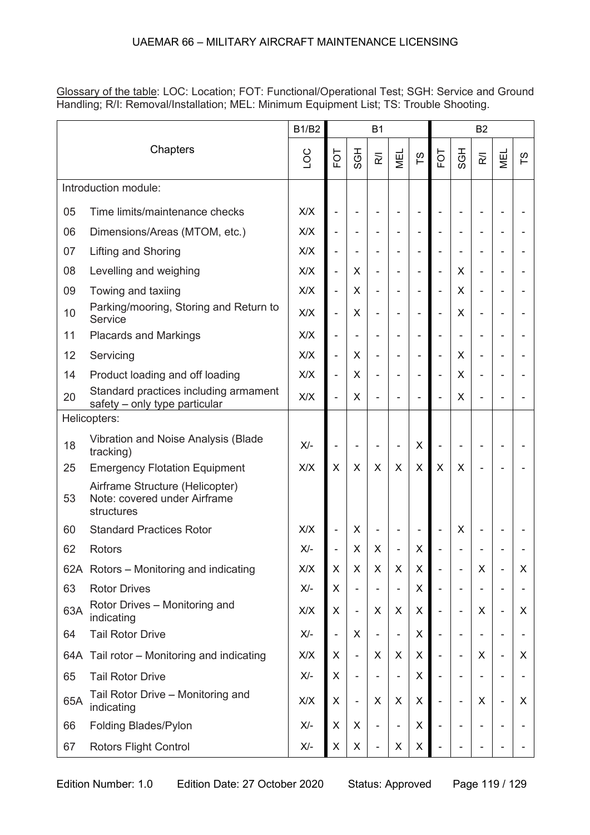Glossary of the table: LOC: Location; FOT: Functional/Operational Test; SGH: Service and Ground Handling; R/I: Removal/Installation; MEL: Minimum Equipment List; TS: Trouble Shooting.

|     |                                                                               | <b>B1/B2</b> |                          |                          | <b>B1</b>                    |                          |               |                              |            | <b>B2</b>            |                          |    |
|-----|-------------------------------------------------------------------------------|--------------|--------------------------|--------------------------|------------------------------|--------------------------|---------------|------------------------------|------------|----------------------|--------------------------|----|
|     | Chapters                                                                      | COT          | FOT                      | <b>HOS</b>               | $\overline{\approx}$         | MEL                      | $\frac{8}{1}$ | FOT                          | <b>HOS</b> | $\overline{\approx}$ | <b>NEL</b>               | Σh |
|     | Introduction module:                                                          |              |                          |                          |                              |                          |               |                              |            |                      |                          |    |
| 05  | Time limits/maintenance checks                                                | X/X          |                          |                          |                              |                          |               |                              |            |                      |                          |    |
| 06  | Dimensions/Areas (MTOM, etc.)                                                 | X/X          |                          |                          |                              |                          |               |                              |            |                      |                          |    |
| 07  | Lifting and Shoring                                                           | X/X          | ٠                        | ÷                        | $\qquad \qquad \blacksquare$ | $\overline{\phantom{0}}$ |               |                              |            |                      |                          |    |
| 08  | Levelling and weighing                                                        | X/X          |                          | X                        | ٠                            |                          |               |                              | X          |                      |                          |    |
| 09  | Towing and taxiing                                                            | X/X          | $\blacksquare$           | X                        | ۰                            | ۰                        |               |                              | X          |                      |                          |    |
| 10  | Parking/mooring, Storing and Return to<br>Service                             | X/X          | $\blacksquare$           | X                        | ÷                            | $\blacksquare$           |               |                              | X          | ÷                    |                          |    |
| 11  | <b>Placards and Markings</b>                                                  | X/X          |                          | ٠                        | ٠                            | $\overline{a}$           |               |                              |            |                      |                          |    |
| 12  | Servicing                                                                     | X/X          |                          | X                        | $\blacksquare$               |                          |               |                              | X          |                      |                          |    |
| 14  | Product loading and off loading                                               | X/X          |                          | X                        |                              |                          |               |                              | X.         |                      |                          |    |
| 20  | Standard practices including armament<br>safety - only type particular        | X/X          |                          | X                        |                              |                          |               |                              | X          |                      |                          |    |
|     | Helicopters:                                                                  |              |                          |                          |                              |                          |               |                              |            |                      |                          |    |
| 18  | Vibration and Noise Analysis (Blade<br>tracking)                              | $X/-$        |                          | ۰                        |                              | -                        | X             | $\overline{\phantom{0}}$     |            |                      |                          |    |
| 25  | <b>Emergency Flotation Equipment</b>                                          | X/X          | X                        | X                        | X                            | X                        | X             | X                            | X          |                      |                          |    |
| 53  | Airframe Structure (Helicopter)<br>Note: covered under Airframe<br>structures |              |                          |                          |                              |                          |               |                              |            |                      |                          |    |
| 60  | <b>Standard Practices Rotor</b>                                               | X/X          |                          | X                        | ٠                            |                          |               |                              | X          |                      |                          |    |
| 62  | <b>Rotors</b>                                                                 | $X/-$        |                          | X                        | X                            | $\blacksquare$           | X             |                              |            |                      |                          |    |
|     | 62A Rotors - Monitoring and indicating                                        | X/X          | Χ                        | Х                        | X                            | X                        | X             |                              |            | X                    |                          | х  |
| 63  | <b>Rotor Drives</b>                                                           | $X/-$        | X                        |                          |                              | $\overline{a}$           | X             | ٠                            |            |                      |                          |    |
| 63A | Rotor Drives - Monitoring and<br>indicating                                   | X/X          | X                        | $\overline{\phantom{0}}$ | X                            | X                        | X             | $\overline{\phantom{0}}$     |            | X                    |                          | Х  |
| 64  | <b>Tail Rotor Drive</b>                                                       | $X/-$        | $\overline{\phantom{0}}$ | X                        | ÷                            | $\blacksquare$           | X             |                              |            |                      |                          |    |
| 64A | Tail rotor - Monitoring and indicating                                        | X/X          | X                        | -                        | X                            | X                        | X             | $\qquad \qquad \blacksquare$ |            | X                    | ۰                        | X  |
| 65  | <b>Tail Rotor Drive</b>                                                       | $X/-$        | X                        |                          |                              |                          | X             |                              |            |                      |                          |    |
| 65A | Tail Rotor Drive - Monitoring and<br>indicating                               | X/X          | X                        | -                        | X                            | X                        | X             | $\qquad \qquad \blacksquare$ |            | Х                    | $\overline{\phantom{0}}$ | X  |
| 66  | <b>Folding Blades/Pylon</b>                                                   | $X/-$        | X                        | X                        | ٠                            | $\overline{a}$           | X             |                              |            |                      |                          |    |
| 67  | Rotors Flight Control                                                         | $X/-$        | X                        | X                        | $\blacksquare$               | X                        | X             | ٠                            |            |                      |                          |    |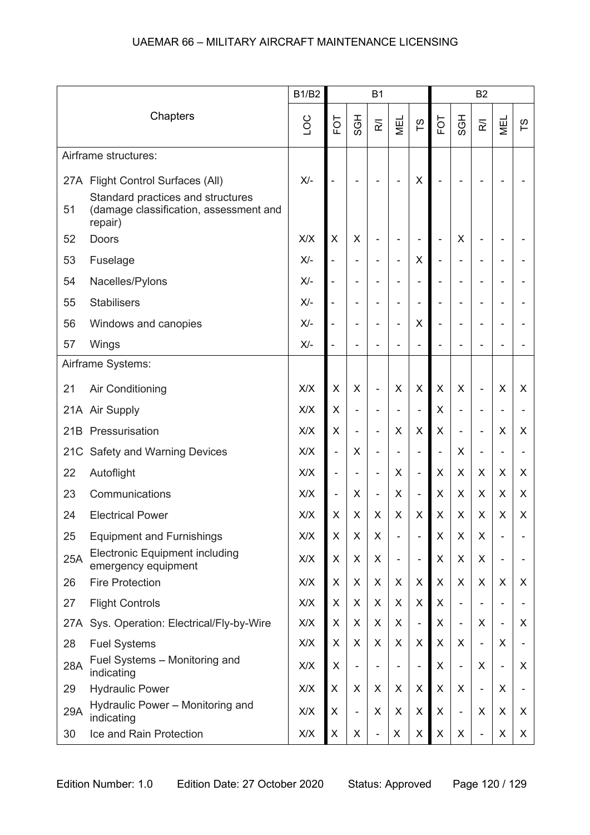|     |                                                                                        | <b>B1/B2</b> | <b>B1</b>                |                              |                              |                              |                              | B <sub>2</sub> |                              |                      |                          |    |  |  |
|-----|----------------------------------------------------------------------------------------|--------------|--------------------------|------------------------------|------------------------------|------------------------------|------------------------------|----------------|------------------------------|----------------------|--------------------------|----|--|--|
|     | Chapters                                                                               | <b>DO</b>    | FOT                      | 50H                          | $\overline{\approx}$         | MEL                          | $\frac{31}{1}$               | FOT            | <b>HOS</b>                   | $\overline{\approx}$ | <b>NEL</b>               | ΓS |  |  |
|     | Airframe structures:                                                                   |              |                          |                              |                              |                              |                              |                |                              |                      |                          |    |  |  |
|     | 27A Flight Control Surfaces (All)                                                      | $X/-$        |                          |                              |                              |                              | X                            |                |                              |                      |                          |    |  |  |
| 51  | Standard practices and structures<br>(damage classification, assessment and<br>repair) |              |                          |                              |                              |                              |                              |                |                              |                      |                          |    |  |  |
| 52  | Doors                                                                                  | X/X          | $\times$                 | X                            | ۰                            |                              | $\overline{\phantom{a}}$     |                | X                            | $\blacksquare$       |                          |    |  |  |
| 53  | Fuselage                                                                               | $X/-$        |                          |                              | $\blacksquare$               | $\blacksquare$               | X                            |                |                              | $\blacksquare$       |                          |    |  |  |
| 54  | Nacelles/Pylons                                                                        | $X/-$        | ä,                       | ۰                            | $\blacksquare$               |                              | $\blacksquare$               |                |                              | $\blacksquare$       |                          |    |  |  |
| 55  | <b>Stabilisers</b>                                                                     | $X/-$        | $\overline{a}$           | ۰                            | $\overline{\phantom{a}}$     | ۰                            | $\overline{\phantom{a}}$     | ۰              |                              | $\blacksquare$       |                          |    |  |  |
| 56  | Windows and canopies                                                                   | $X/-$        | $\overline{a}$           |                              | $\overline{\phantom{a}}$     |                              | X                            | ۰              |                              | ٠                    |                          |    |  |  |
| 57  | Wings                                                                                  | $X/-$        | $\blacksquare$           | ۰                            | $\qquad \qquad \blacksquare$ |                              | $\overline{\phantom{a}}$     |                |                              | ÷,                   |                          |    |  |  |
|     | Airframe Systems:                                                                      |              |                          |                              |                              |                              |                              |                |                              |                      |                          |    |  |  |
| 21  | Air Conditioning                                                                       | X/X          | X                        | X                            | ÷,                           | X                            | X                            | X              | X                            | $\overline{a}$       | X                        | X  |  |  |
|     | 21A Air Supply                                                                         | X/X          | X                        | $\overline{\phantom{0}}$     | $\qquad \qquad \blacksquare$ | $\overline{\phantom{a}}$     | $\qquad \qquad \blacksquare$ | X              | $\qquad \qquad \blacksquare$ | $\blacksquare$       |                          |    |  |  |
| 21B | Pressurisation                                                                         | X/X          | X                        |                              | $\blacksquare$               | X                            | X                            | X              | $\qquad \qquad \blacksquare$ | $\blacksquare$       | X                        | X  |  |  |
| 21C | <b>Safety and Warning Devices</b>                                                      | X/X          | $\blacksquare$           | X                            | $\overline{\phantom{a}}$     | $\overline{\phantom{a}}$     | $\overline{\phantom{a}}$     | ÷,             | X                            | $\blacksquare$       |                          |    |  |  |
| 22  | Autoflight                                                                             | X/X          |                          |                              | $\blacksquare$               | X                            | $\blacksquare$               | X              | X                            | X                    | X                        | X  |  |  |
| 23  | Communications                                                                         | X/X          | $\overline{\phantom{a}}$ | X                            | $\blacksquare$               | X                            | $\blacksquare$               | X              | X                            | X                    | X                        | X  |  |  |
| 24  | <b>Electrical Power</b>                                                                | X/X          | X                        | X                            | X                            | х                            | X                            | X              | X                            | X                    | X                        | X  |  |  |
| 25  | <b>Equipment and Furnishings</b>                                                       | X/X          | X                        | X                            | X                            |                              |                              | X              | X                            | X                    |                          |    |  |  |
| 25A | <b>Electronic Equipment including</b><br>emergency equipment                           | X/X          | X                        | X                            | X                            | $\blacksquare$               | $\blacksquare$               | X              | X                            | X                    | $\overline{a}$           |    |  |  |
| 26  | <b>Fire Protection</b>                                                                 | X/X          | X                        | X                            | X                            | X                            | X                            | X              | X                            | X                    | X                        | X  |  |  |
| 27  | <b>Flight Controls</b>                                                                 | X/X          | X                        | X                            | X                            | X                            | X                            | X              |                              | $\overline{a}$       |                          |    |  |  |
|     | 27A Sys. Operation: Electrical/Fly-by-Wire                                             | X/X          | X                        | X                            | X                            | X                            | $\blacksquare$               | X              |                              | X                    | $\overline{\phantom{a}}$ | X  |  |  |
| 28  | <b>Fuel Systems</b>                                                                    | X/X          | X                        | X                            | X                            | X                            | X                            | X              | X                            | $\blacksquare$       | X                        |    |  |  |
| 28A | Fuel Systems - Monitoring and<br>indicating                                            | X/X          | X                        | $\qquad \qquad \blacksquare$ | $\blacksquare$               | $\qquad \qquad \blacksquare$ | $\blacksquare$               | X              | $\blacksquare$               | X                    | $\blacksquare$           | X  |  |  |
| 29  | <b>Hydraulic Power</b>                                                                 | X/X          | X                        | X                            | X                            | X                            | X                            | X              | X                            | $\blacksquare$       | X                        |    |  |  |
| 29A | Hydraulic Power - Monitoring and<br>indicating                                         | X/X          | $\mathsf X$              | $\overline{\phantom{0}}$     | X                            | X                            | X                            | X              | $\blacksquare$               | X                    | X                        | X  |  |  |
| 30  | Ice and Rain Protection                                                                | X/X          | X                        | X                            | $\blacksquare$               | X                            | X                            | X              | X                            | $\blacksquare$       | X                        | X  |  |  |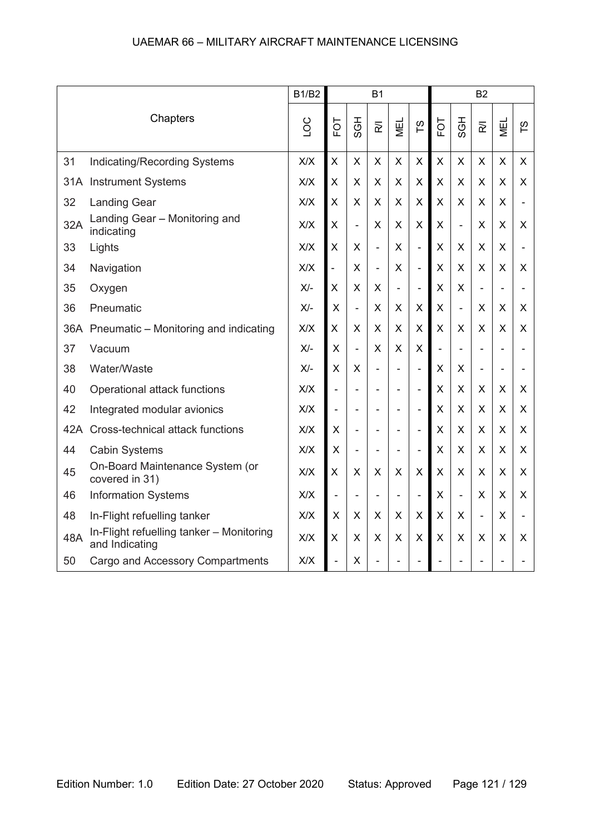|                                                                   | <b>B1/B2</b> |                          |                | <b>B1</b>                    |                |                          |                |                | <b>B2</b>              |            |              |
|-------------------------------------------------------------------|--------------|--------------------------|----------------|------------------------------|----------------|--------------------------|----------------|----------------|------------------------|------------|--------------|
| Chapters                                                          | COT          | FOT                      | 공<br>93        | $\overline{\approx}$         | <b>NEL</b>     | ဥ                        | FOT            | 공<br>93        | $\overline{\tilde{R}}$ | <b>NEL</b> | ဥ            |
| 31<br><b>Indicating/Recording Systems</b>                         | X/X          | X                        | $\mathsf{X}$   | X                            | $\mathsf{X}$   | X                        | $\mathsf{X}$   | X              | X                      | X          | $\mathsf{X}$ |
| <b>Instrument Systems</b><br>31A                                  | X/X          | $\times$                 | X              | X                            | X              | X                        | $\mathsf{x}$   | X              | X                      | X          | X            |
| 32<br><b>Landing Gear</b>                                         | X/X          | $\times$                 | X              | X                            | X              | X                        | X              | X              | X                      | X          |              |
| Landing Gear - Monitoring and<br>32A<br>indicating                | X/X          | $\times$                 | ä,             | X                            | X              | X                        | $\mathsf{X}$   | $\overline{a}$ | X                      | X          | X            |
| 33<br>Lights                                                      | X/X          | $\times$                 | X              | $\blacksquare$               | X              | ÷,                       | $\mathsf{x}$   | X              | X                      | X          |              |
| 34<br>Navigation                                                  | X/X          | $\overline{a}$           | X              | $\overline{\phantom{a}}$     | X              | $\blacksquare$           | $\sf X$        | X              | X                      | X          | X            |
| 35<br>Oxygen                                                      | $X/-$        | X                        | X              | X                            | $\blacksquare$ | $\blacksquare$           | X              | X              | $\overline{a}$         | ä,         |              |
| 36<br>Pneumatic                                                   | $X/-$        | X                        | $\blacksquare$ | X                            | X              | X                        | X              | ÷,             | X                      | X          | X            |
| Pneumatic - Monitoring and indicating<br>36A                      | X/X          | X                        | X              | X                            | X              | X                        | X              | X              | X                      | X          | X            |
| 37<br>Vacuum                                                      | $X/-$        | X                        | $\blacksquare$ | X                            | X              | X                        | $\blacksquare$ | $\blacksquare$ | $\blacksquare$         |            |              |
| 38<br>Water/Waste                                                 | $X/-$        | X                        | X              | ä,                           |                | $\overline{a}$           | X              | X              | $\blacksquare$         |            |              |
| 40<br>Operational attack functions                                | X/X          | $\overline{\phantom{a}}$ |                | $\overline{a}$               |                | $\overline{a}$           | X              | X              | X                      | X          | X            |
| 42<br>Integrated modular avionics                                 | X/X          | $\blacksquare$           |                | $\blacksquare$               |                | $\blacksquare$           | X              | X              | X                      | X          | X            |
| 42A<br>Cross-technical attack functions                           | X/X          | X                        |                | $\blacksquare$               |                | $\overline{\phantom{a}}$ | X              | X              | X                      | X          | X            |
| 44<br><b>Cabin Systems</b>                                        | X/X          | X                        |                | $\qquad \qquad \blacksquare$ |                | $\blacksquare$           | X              | x              | X                      | X          | X            |
| On-Board Maintenance System (or<br>45<br>covered in 31)           | X/X          | X                        | X              | X                            | X              | X                        | $\mathsf{x}$   | X              | X                      | X          | X            |
| <b>Information Systems</b><br>46                                  | X/X          | $\blacksquare$           |                | $\blacksquare$               |                | $\blacksquare$           | X              | $\blacksquare$ | X                      | X          | X            |
| 48<br>In-Flight refuelling tanker                                 | X/X          | X                        | X              | X                            | X              | X                        | X              | X              | $\blacksquare$         | X          |              |
| In-Flight refuelling tanker - Monitoring<br>48A<br>and Indicating | X/X          | $\times$                 | X              | X                            | X              | X                        | X              | X              | X                      | X          | X            |
| 50<br>Cargo and Accessory Compartments                            | X/X          |                          | X              |                              |                |                          |                |                |                        |            |              |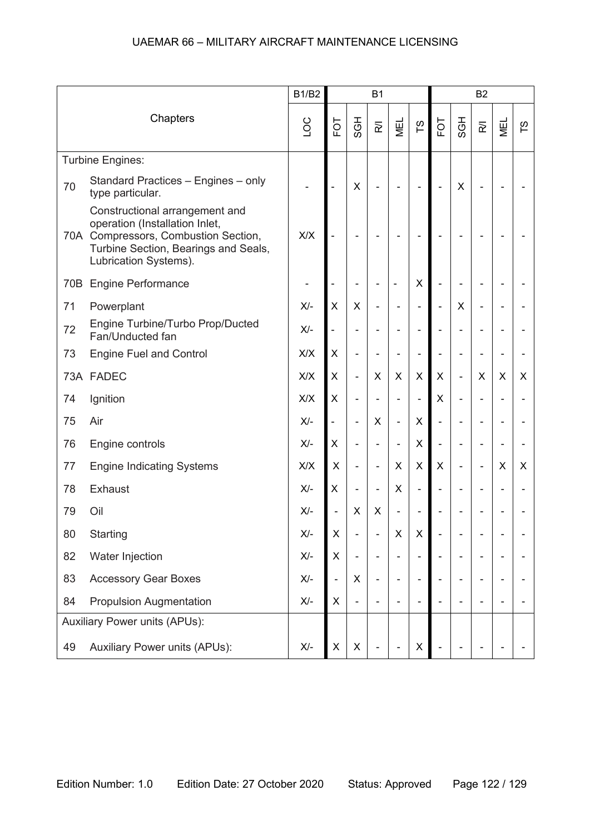|     |                                                                                                                                                                           | <b>B1/B2</b> |                          |                          | <b>B1</b>                    |                              |                              |     |                          | B <sub>2</sub>           |                          |    |
|-----|---------------------------------------------------------------------------------------------------------------------------------------------------------------------------|--------------|--------------------------|--------------------------|------------------------------|------------------------------|------------------------------|-----|--------------------------|--------------------------|--------------------------|----|
|     | Chapters                                                                                                                                                                  | <b>DO</b>    | FOT                      | <b>HOS</b>               | $\overline{\approx}$         | MEL                          | ΣL                           | FOT | <b>HOS</b>               | $\overline{\approx}$     | <b>MEL</b>               | Σh |
|     | <b>Turbine Engines:</b>                                                                                                                                                   |              |                          |                          |                              |                              |                              |     |                          |                          |                          |    |
| 70  | Standard Practices - Engines - only<br>type particular.                                                                                                                   |              |                          | X                        |                              |                              |                              |     | X                        | ä,                       |                          |    |
|     | Constructional arrangement and<br>operation (Installation Inlet,<br>70A Compressors, Combustion Section,<br>Turbine Section, Bearings and Seals,<br>Lubrication Systems). | X/X          |                          |                          |                              |                              |                              |     |                          |                          |                          |    |
| 70B | <b>Engine Performance</b>                                                                                                                                                 |              |                          |                          |                              |                              | X                            |     |                          |                          |                          |    |
| 71  | Powerplant                                                                                                                                                                | $X/-$        | X                        | X                        | $\overline{\phantom{a}}$     |                              | ٠                            |     | X                        | $\blacksquare$           |                          |    |
| 72  | Engine Turbine/Turbo Prop/Ducted<br>Fan/Unducted fan                                                                                                                      | $X/-$        | $\overline{a}$           |                          |                              |                              |                              |     |                          | ä,                       |                          |    |
| 73  | <b>Engine Fuel and Control</b>                                                                                                                                            | X/X          | X                        |                          | $\qquad \qquad \blacksquare$ |                              |                              |     |                          | ۰                        |                          |    |
|     | 73A FADEC                                                                                                                                                                 | X/X          | X                        | $\blacksquare$           | X                            | X                            | X                            | X   | $\blacksquare$           | X                        | X                        | X  |
| 74  | Ignition                                                                                                                                                                  | X/X          | X                        | $\overline{\phantom{a}}$ | $\qquad \qquad \blacksquare$ | $\overline{\phantom{a}}$     | $\qquad \qquad \blacksquare$ | X   | $\overline{\phantom{0}}$ | $\blacksquare$           |                          |    |
| 75  | Air                                                                                                                                                                       | $X/-$        | $\overline{a}$           | $\blacksquare$           | X                            | $\blacksquare$               | X                            | ۰   | $\blacksquare$           | $\overline{\phantom{a}}$ | ÷                        |    |
| 76  | Engine controls                                                                                                                                                           | $X/-$        | X                        |                          | $\blacksquare$               | $\blacksquare$               | X                            |     | $\blacksquare$           | $\blacksquare$           |                          |    |
| 77  | <b>Engine Indicating Systems</b>                                                                                                                                          | X/X          | X                        | $\blacksquare$           | $\blacksquare$               | X                            | X                            | X   | $\blacksquare$           | $\overline{a}$           | X                        | X  |
| 78  | Exhaust                                                                                                                                                                   | $X/-$        | X                        | $\blacksquare$           | $\blacksquare$               | X                            | $\overline{\phantom{a}}$     |     | $\blacksquare$           | $\blacksquare$           |                          |    |
| 79  | Oil                                                                                                                                                                       | $X/-$        | $\overline{\phantom{a}}$ | X                        | X                            | $\qquad \qquad \blacksquare$ | $\overline{\phantom{a}}$     |     |                          | ۰                        |                          |    |
| 80  | Starting                                                                                                                                                                  | $X/-$        | X                        |                          |                              | X                            | X                            |     |                          |                          |                          |    |
| 82  | Water Injection                                                                                                                                                           | $X/-$        | $\pmb{\times}$           |                          | $\overline{\phantom{a}}$     |                              | $\overline{a}$               |     |                          | $\blacksquare$           | $\overline{\phantom{a}}$ |    |
| 83  | <b>Accessory Gear Boxes</b>                                                                                                                                               | $X/-$        | $\overline{\phantom{a}}$ | X                        | $\qquad \qquad \blacksquare$ | $\qquad \qquad \blacksquare$ | $\overline{\phantom{0}}$     |     |                          | $\overline{\phantom{0}}$ | -                        |    |
| 84  | <b>Propulsion Augmentation</b>                                                                                                                                            | $X/-$        | X                        |                          | $\qquad \qquad \blacksquare$ | $\blacksquare$               |                              |     |                          | $\blacksquare$           |                          |    |
|     | Auxiliary Power units (APUs):                                                                                                                                             |              |                          |                          |                              |                              |                              |     |                          |                          |                          |    |
| 49  | <b>Auxiliary Power units (APUs):</b>                                                                                                                                      | $X/-$        | X                        | X                        |                              |                              | X                            |     |                          |                          |                          |    |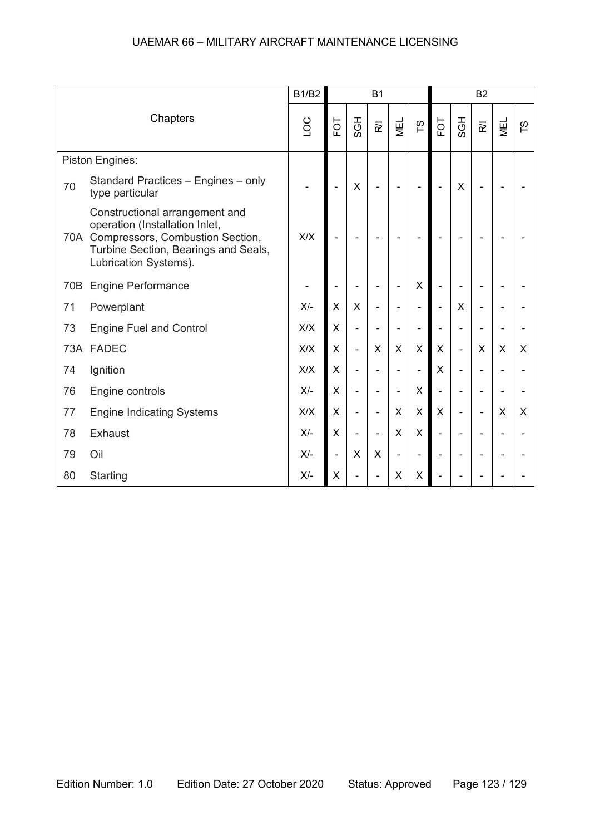|     |                                                                                                                                                                           | <b>B1/B2</b> |                |                | <b>B1</b>                |                              |                |     |                | <b>B2</b>                    |            |     |
|-----|---------------------------------------------------------------------------------------------------------------------------------------------------------------------------|--------------|----------------|----------------|--------------------------|------------------------------|----------------|-----|----------------|------------------------------|------------|-----|
|     | Chapters                                                                                                                                                                  | DC           | FOT            | <b>HOS</b>     | $\overline{\approx}$     | <b>MEL</b>                   | ဥ              | FOT | 5GH            | $\overline{\approx}$         | <b>MEL</b> | ပို |
|     | Piston Engines:                                                                                                                                                           |              |                |                |                          |                              |                |     |                |                              |            |     |
| 70  | Standard Practices - Engines - only<br>type particular                                                                                                                    |              |                | X              |                          | ÷                            |                |     | X              | ä,                           |            |     |
|     | Constructional arrangement and<br>operation (Installation Inlet,<br>70A Compressors, Combustion Section,<br>Turbine Section, Bearings and Seals,<br>Lubrication Systems). | X/X          |                |                |                          |                              |                |     |                |                              |            |     |
| 70B | <b>Engine Performance</b>                                                                                                                                                 |              |                |                |                          |                              | X              |     |                |                              |            |     |
| 71  | Powerplant                                                                                                                                                                | $X/-$        | X              | X              | $\blacksquare$           | $\blacksquare$               |                | ÷   | X              | $\qquad \qquad \blacksquare$ |            |     |
| 73  | <b>Engine Fuel and Control</b>                                                                                                                                            | X/X          | X              |                | $\overline{\phantom{a}}$ | $\overline{\phantom{a}}$     |                |     |                | ٠                            |            |     |
|     | 73A FADEC                                                                                                                                                                 | X/X          | X              | $\blacksquare$ | X                        | X                            | X              | X   | $\blacksquare$ | X                            | $\times$   | X   |
| 74  | Ignition                                                                                                                                                                  | X/X          | X              | ۰              | ۰                        | $\qquad \qquad \blacksquare$ | $\overline{a}$ | X   |                | ۰                            |            |     |
| 76  | Engine controls                                                                                                                                                           | $X/-$        | X              |                | $\blacksquare$           | $\overline{\phantom{a}}$     | X              | -   |                | -                            |            |     |
| 77  | <b>Engine Indicating Systems</b>                                                                                                                                          | X/X          | X              |                | $\blacksquare$           | X                            | X              | X   |                | $\blacksquare$               | $\times$   | X   |
| 78  | Exhaust                                                                                                                                                                   | $X/-$        | X              |                | $\blacksquare$           | X                            | X              | ÷,  |                | ÷,                           |            |     |
| 79  | Oil                                                                                                                                                                       | $X/-$        | $\blacksquare$ | X              | X                        | $\overline{a}$               | $\blacksquare$ |     |                | $\blacksquare$               |            |     |
| 80  | Starting                                                                                                                                                                  | $X/-$        | X              |                | $\blacksquare$           | X                            | X              |     |                |                              |            |     |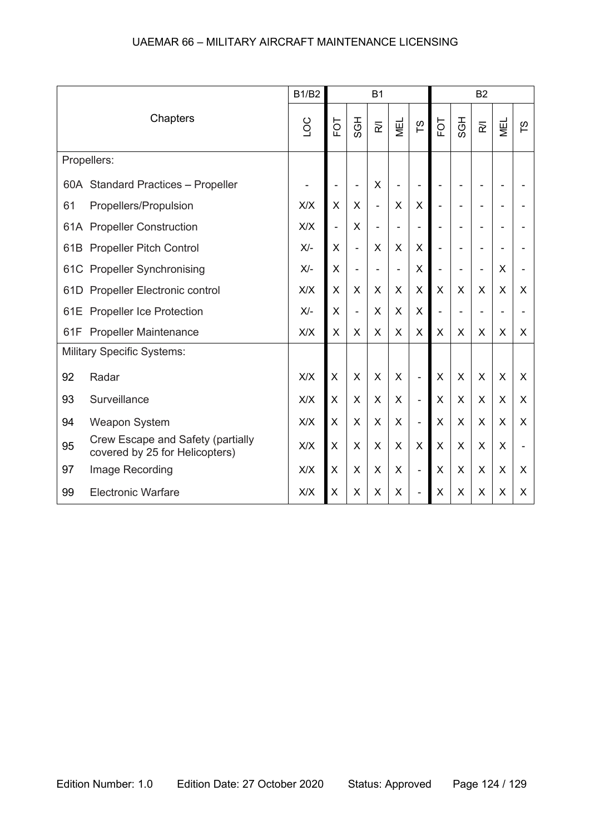|                                                                                  | <b>B1/B2</b> |          |                          | <b>B1</b>                |                              |                |                              |                | <b>B2</b>                |            |   |
|----------------------------------------------------------------------------------|--------------|----------|--------------------------|--------------------------|------------------------------|----------------|------------------------------|----------------|--------------------------|------------|---|
| Chapters                                                                         | <b>DOT</b>   | FOT      | <b>H</b>                 | $\overline{\approx}$     | MEL                          | ΣJ             | FOT                          | <b>HOS</b>     | $\overline{\approx}$     | <b>MEL</b> | ξ |
| Propellers:                                                                      |              |          |                          |                          |                              |                |                              |                |                          |            |   |
| 60A Standard Practices - Propeller                                               |              |          | ۰                        | X                        | $\overline{\phantom{a}}$     |                |                              |                | $\overline{\phantom{0}}$ |            |   |
| 61<br>Propellers/Propulsion                                                      | X/X          | X        | X                        | $\blacksquare$           | X                            | X              |                              |                | $\blacksquare$           |            |   |
| 61A Propeller Construction                                                       | X/X          | ÷        | X                        | $\blacksquare$           | $\qquad \qquad \blacksquare$ |                |                              |                | $\overline{\phantom{0}}$ |            |   |
| 61B Propeller Pitch Control                                                      | $X/-$        | X        | $\blacksquare$           | X                        | X                            | X              | $\overline{\phantom{a}}$     | $\blacksquare$ | $\overline{\phantom{a}}$ |            |   |
| 61C Propeller Synchronising                                                      | $X/-$        | X        | $\overline{\phantom{a}}$ | $\overline{\phantom{a}}$ | $\blacksquare$               | X              | $\qquad \qquad \blacksquare$ | $\blacksquare$ | $\blacksquare$           | X          |   |
| <b>Propeller Electronic control</b><br>61D                                       | X/X          | X        | X                        | X                        | X                            | X              | X                            | X              | X                        | $\times$   | X |
| <b>Propeller Ice Protection</b><br>61E                                           | $X/-$        | X        | $\blacksquare$           | $\times$                 | X                            | X              | $\qquad \qquad \blacksquare$ |                | $\blacksquare$           |            |   |
| <b>Propeller Maintenance</b><br>61F                                              | X/X          | X        | X                        | X                        | X                            | X              | X                            | X              | X                        | $\times$   | X |
| <b>Military Specific Systems:</b>                                                |              |          |                          |                          |                              |                |                              |                |                          |            |   |
| 92<br>Radar                                                                      | X/X          | $\times$ | X                        | X                        | X                            | $\blacksquare$ | X                            | X              | X                        | X          | X |
| 93<br>Surveillance                                                               | X/X          | $\times$ | X                        | $\sf X$                  | X                            | $\blacksquare$ | X                            | X              | X                        | X          | X |
| 94<br><b>Weapon System</b>                                                       | X/X          | $\times$ | X                        | X                        | X                            | $\blacksquare$ | X                            | X              | X                        | X          | X |
| <b>Crew Escape and Safety (partially</b><br>95<br>covered by 25 for Helicopters) | X/X          | X        | X                        | X                        | X                            | X              | X                            | X              | X                        | X          |   |
| 97<br>Image Recording                                                            | X/X          | X        | X                        | X                        | X                            | $\blacksquare$ | X                            | X              | X                        | X          | X |
| 99<br><b>Electronic Warfare</b>                                                  | X/X          | X        | X                        | X                        | Х                            |                | х                            | X              | X                        | X          | X |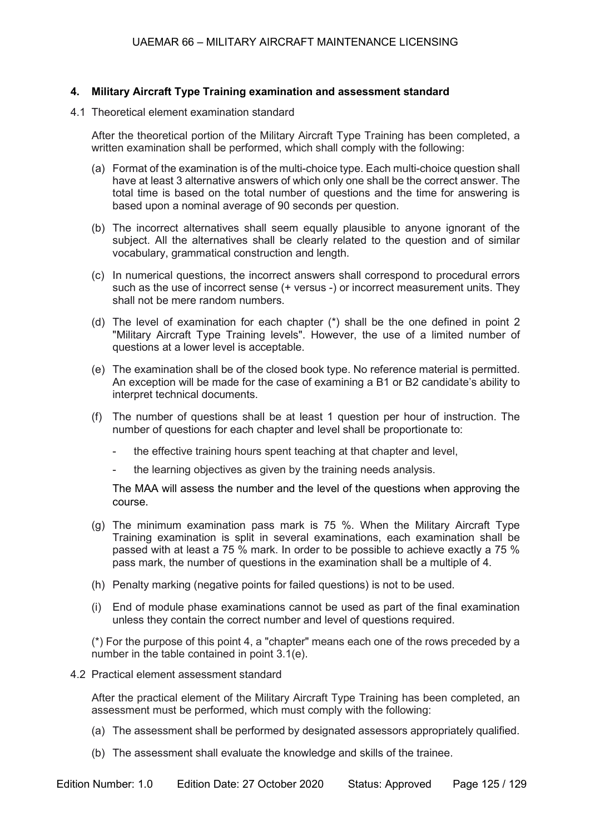# **4. Military Aircraft Type Training examination and assessment standard**

4.1 Theoretical element examination standard

After the theoretical portion of the Military Aircraft Type Training has been completed, a written examination shall be performed, which shall comply with the following:

- (a) Format of the examination is of the multi-choice type. Each multi-choice question shall have at least 3 alternative answers of which only one shall be the correct answer. The total time is based on the total number of questions and the time for answering is based upon a nominal average of 90 seconds per question.
- (b) The incorrect alternatives shall seem equally plausible to anyone ignorant of the subject. All the alternatives shall be clearly related to the question and of similar vocabulary, grammatical construction and length.
- (c) In numerical questions, the incorrect answers shall correspond to procedural errors such as the use of incorrect sense (+ versus -) or incorrect measurement units. They shall not be mere random numbers.
- (d) The level of examination for each chapter (\*) shall be the one defined in point 2 "Military Aircraft Type Training levels". However, the use of a limited number of questions at a lower level is acceptable.
- (e) The examination shall be of the closed book type. No reference material is permitted. An exception will be made for the case of examining a B1 or B2 candidate's ability to interpret technical documents.
- (f) The number of questions shall be at least 1 question per hour of instruction. The number of questions for each chapter and level shall be proportionate to:
	- the effective training hours spent teaching at that chapter and level.
	- the learning objectives as given by the training needs analysis.

The MAA will assess the number and the level of the questions when approving the course.

- (g) The minimum examination pass mark is 75 %. When the Military Aircraft Type Training examination is split in several examinations, each examination shall be passed with at least a 75 % mark. In order to be possible to achieve exactly a 75 % pass mark, the number of questions in the examination shall be a multiple of 4.
- (h) Penalty marking (negative points for failed questions) is not to be used.
- (i) End of module phase examinations cannot be used as part of the final examination unless they contain the correct number and level of questions required.

(\*) For the purpose of this point 4, a "chapter" means each one of the rows preceded by a number in the table contained in point 3.1(e).

#### 4.2 Practical element assessment standard

After the practical element of the Military Aircraft Type Training has been completed, an assessment must be performed, which must comply with the following:

- (a) The assessment shall be performed by designated assessors appropriately qualified.
- (b) The assessment shall evaluate the knowledge and skills of the trainee.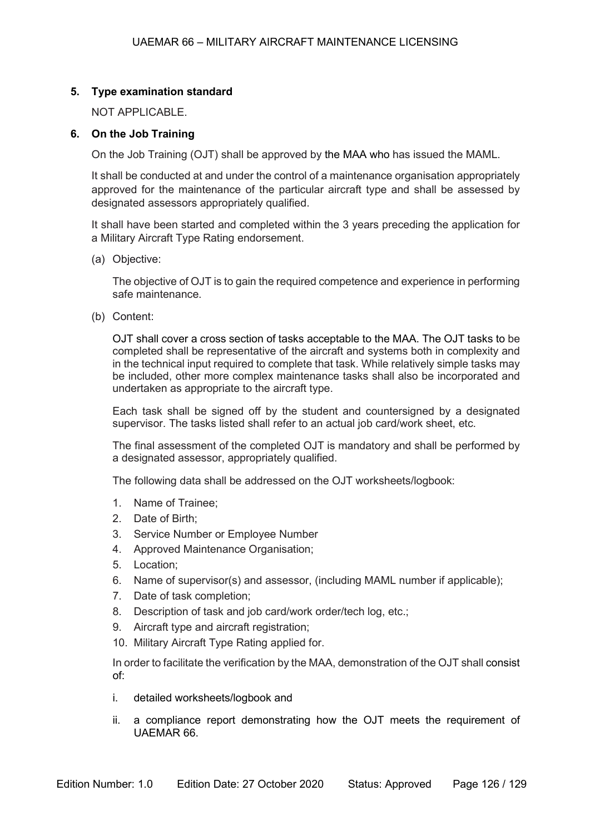# **5. Type examination standard**

NOT APPLICABLE.

# **6. On the Job Training**

On the Job Training (OJT) shall be approved by the MAA who has issued the MAML.

It shall be conducted at and under the control of a maintenance organisation appropriately approved for the maintenance of the particular aircraft type and shall be assessed by designated assessors appropriately qualified.

It shall have been started and completed within the 3 years preceding the application for a Military Aircraft Type Rating endorsement.

(a) Objective:

The objective of OJT is to gain the required competence and experience in performing safe maintenance.

(b) Content:

OJT shall cover a cross section of tasks acceptable to the MAA. The OJT tasks to be completed shall be representative of the aircraft and systems both in complexity and in the technical input required to complete that task. While relatively simple tasks may be included, other more complex maintenance tasks shall also be incorporated and undertaken as appropriate to the aircraft type.

Each task shall be signed off by the student and countersigned by a designated supervisor. The tasks listed shall refer to an actual job card/work sheet, etc.

The final assessment of the completed OJT is mandatory and shall be performed by a designated assessor, appropriately qualified.

The following data shall be addressed on the OJT worksheets/logbook:

- 1. Name of Trainee;
- 2. Date of Birth:
- 3. Service Number or Employee Number
- 4. Approved Maintenance Organisation;
- 5. Location;
- 6. Name of supervisor(s) and assessor, (including MAML number if applicable);
- 7. Date of task completion;
- 8. Description of task and job card/work order/tech log, etc.;
- 9. Aircraft type and aircraft registration;
- 10. Military Aircraft Type Rating applied for.

In order to facilitate the verification by the MAA, demonstration of the OJT shall consist of:

- i. detailed worksheets/logbook and
- ii. a compliance report demonstrating how the OJT meets the requirement of UAEMAR 66.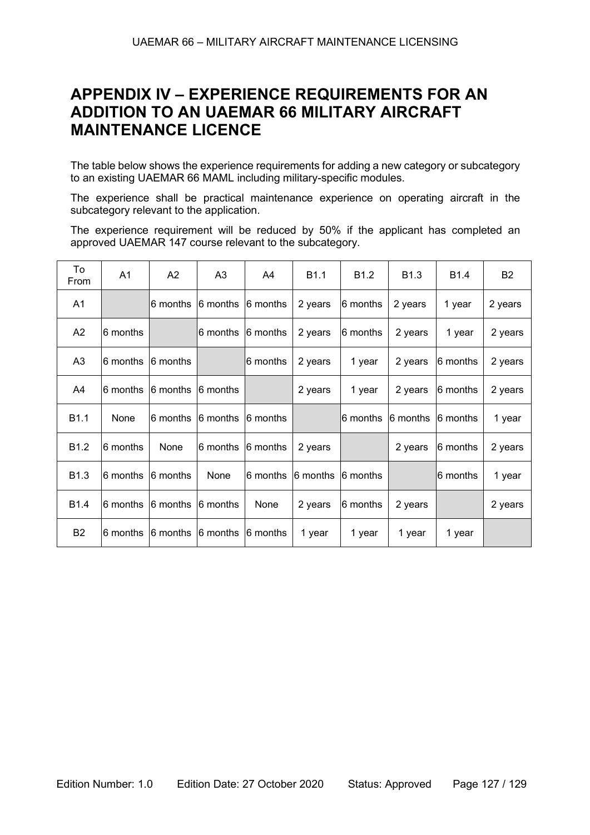# **APPENDIX IV – EXPERIENCE REQUIREMENTS FOR AN ADDITION TO AN UAEMAR 66 MILITARY AIRCRAFT MAINTENANCE LICENCE**

The table below shows the experience requirements for adding a new category or subcategory to an existing UAEMAR 66 MAML including military-specific modules.

The experience shall be practical maintenance experience on operating aircraft in the subcategory relevant to the application.

The experience requirement will be reduced by 50% if the applicant has completed an approved UAEMAR 147 course relevant to the subcategory.

| To<br>From       | A1        | A2        | A3        | A4        | <b>B1.1</b> | B <sub>1.2</sub> | <b>B1.3</b> | B <sub>1.4</sub> | B <sub>2</sub> |
|------------------|-----------|-----------|-----------|-----------|-------------|------------------|-------------|------------------|----------------|
| A <sub>1</sub>   |           | l6 months | l6 months | l6 months | 2 years     | 6 months         | 2 years     | 1 year           | 2 years        |
| A2               | l6 months |           | 6 months  | 6 months  | 2 years     | 6 months         | 2 years     | 1 year           | 2 years        |
| A <sub>3</sub>   | l6 months | 6 months  |           | 6 months  | 2 years     | 1 year           | 2 years     | 6 months         | 2 years        |
| A4               | 6 months  | 6 months  | 6 months  |           | 2 years     | 1 year           | 2 years     | $6$ months       | 2 years        |
| B1.1             | None      | 6 months  | l6 months | 6 months  |             | 6 months         | 6 months    | 6 months         | 1 year         |
| B <sub>1.2</sub> | l6 months | None      | l6 months | 6 months  | 2 years     |                  | 2 years     | 6 months         | 2 years        |
| <b>B1.3</b>      | 6 months  | 6 months  | None      | 6 months  | 6 months    | 6 months         |             | 6 months         | 1 year         |
| B1.4             | 6 months  | 6 months  | l6 months | None      | 2 years     | 6 months         | 2 years     |                  | 2 years        |
| B <sub>2</sub>   | l6 months | l6 months | 6 months  | 6 months  | 1 year      | 1 year           | 1 year      | 1 year           |                |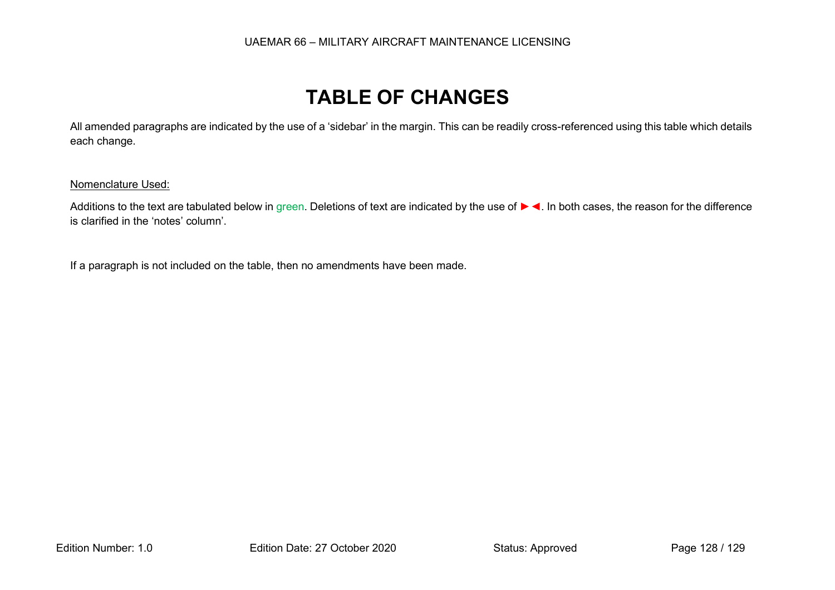# **TABLE OF CHANGES**

All amended paragraphs are indicated by the use of a 'sidebar' in the margin. This can be readily cross-referenced using this table which details each change.

#### Nomenclature Used:

Additions to the text are tabulated below in green. Deletions of text are indicated by the use of ►◄. In both cases, the reason for the difference is clarified in the 'notes' column'.

If a paragraph is not included on the table, then no amendments have been made.